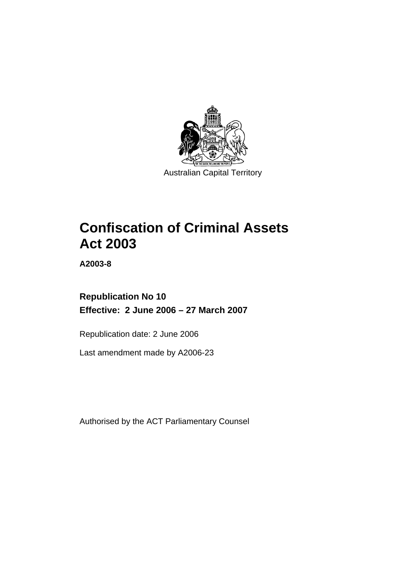

Australian Capital Territory

# **Confiscation of Criminal Assets Act 2003**

**A2003-8** 

**Republication No 10 Effective: 2 June 2006 – 27 March 2007** 

Republication date: 2 June 2006

Last amendment made by A2006-23

Authorised by the ACT Parliamentary Counsel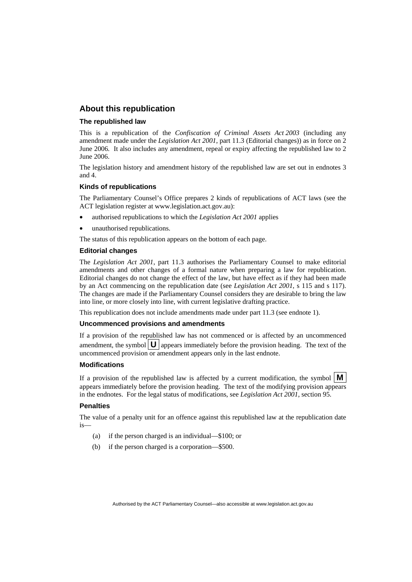## **About this republication**

#### **The republished law**

This is a republication of the *Confiscation of Criminal Assets Act 2003* (including any amendment made under the *Legislation Act 2001*, part 11.3 (Editorial changes)) as in force on 2 June 2006*.* It also includes any amendment, repeal or expiry affecting the republished law to 2 June 2006.

The legislation history and amendment history of the republished law are set out in endnotes 3 and 4.

#### **Kinds of republications**

The Parliamentary Counsel's Office prepares 2 kinds of republications of ACT laws (see the ACT legislation register at www.legislation.act.gov.au):

- authorised republications to which the *Legislation Act 2001* applies
- unauthorised republications.

The status of this republication appears on the bottom of each page.

#### **Editorial changes**

The *Legislation Act 2001*, part 11.3 authorises the Parliamentary Counsel to make editorial amendments and other changes of a formal nature when preparing a law for republication. Editorial changes do not change the effect of the law, but have effect as if they had been made by an Act commencing on the republication date (see *Legislation Act 2001*, s 115 and s 117). The changes are made if the Parliamentary Counsel considers they are desirable to bring the law into line, or more closely into line, with current legislative drafting practice.

This republication does not include amendments made under part 11.3 (see endnote 1).

#### **Uncommenced provisions and amendments**

If a provision of the republished law has not commenced or is affected by an uncommenced amendment, the symbol  $\mathbf{U}$  appears immediately before the provision heading. The text of the uncommenced provision or amendment appears only in the last endnote.

#### **Modifications**

If a provision of the republished law is affected by a current modification, the symbol  $\mathbf{M}$ appears immediately before the provision heading. The text of the modifying provision appears in the endnotes. For the legal status of modifications, see *Legislation Act 2001*, section 95.

#### **Penalties**

The value of a penalty unit for an offence against this republished law at the republication date is—

- (a) if the person charged is an individual—\$100; or
- (b) if the person charged is a corporation—\$500.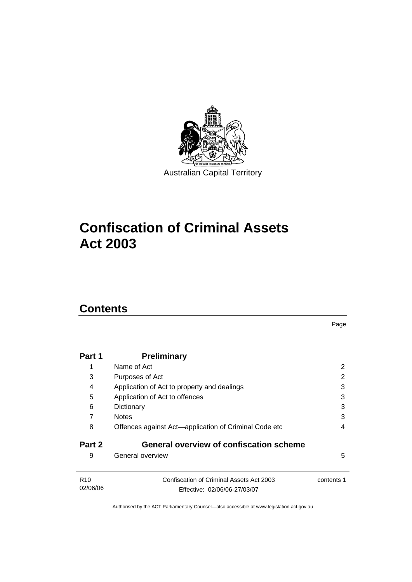

# **Confiscation of Criminal Assets Act 2003**

## **Contents**

|                             |                                                                          | Page       |
|-----------------------------|--------------------------------------------------------------------------|------------|
| Part 1                      | <b>Preliminary</b>                                                       |            |
| 1                           | Name of Act                                                              | 2          |
| 3                           | Purposes of Act                                                          | 2          |
| 4                           | Application of Act to property and dealings                              | 3          |
| 5                           | Application of Act to offences                                           | 3          |
| 6                           | Dictionary                                                               | 3          |
| 7                           | <b>Notes</b>                                                             | 3          |
| 8                           | Offences against Act-application of Criminal Code etc                    | 4          |
| Part 2                      | <b>General overview of confiscation scheme</b>                           |            |
| 9                           | General overview                                                         | 5          |
| R <sub>10</sub><br>02/06/06 | Confiscation of Criminal Assets Act 2003<br>Effective: 02/06/06-27/03/07 | contents 1 |
|                             |                                                                          |            |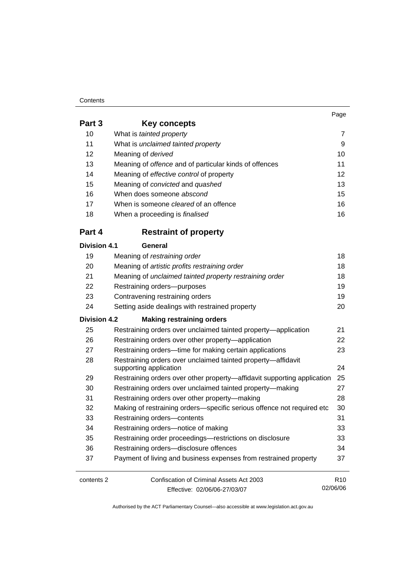#### **Contents**

| Part 3              | <b>Key concepts</b>                                                                    |    |
|---------------------|----------------------------------------------------------------------------------------|----|
| 10                  | What is tainted property                                                               | 7  |
| 11                  | What is unclaimed tainted property                                                     | 9  |
| 12                  | Meaning of derived                                                                     | 10 |
| 13                  | Meaning of offence and of particular kinds of offences                                 | 11 |
| 14                  | Meaning of effective control of property                                               | 12 |
| 15                  | Meaning of convicted and quashed                                                       | 13 |
| 16                  | When does someone abscond                                                              | 15 |
| 17                  | When is someone <i>cleared</i> of an offence                                           | 16 |
| 18                  | When a proceeding is finalised                                                         | 16 |
| Part 4              | <b>Restraint of property</b>                                                           |    |
| <b>Division 4.1</b> | General                                                                                |    |
| 19                  | Meaning of restraining order                                                           | 18 |
| 20                  | Meaning of artistic profits restraining order                                          | 18 |
| 21                  | Meaning of unclaimed tainted property restraining order                                | 18 |
| 22                  | Restraining orders--purposes                                                           | 19 |
| 23                  | Contravening restraining orders                                                        | 19 |
| 24                  | Setting aside dealings with restrained property                                        | 20 |
| <b>Division 4.2</b> | <b>Making restraining orders</b>                                                       |    |
| 25                  | Restraining orders over unclaimed tainted property-application                         | 21 |
| 26                  | Restraining orders over other property-application                                     | 22 |
| 27                  | Restraining orders—time for making certain applications                                | 23 |
| 28                  | Restraining orders over unclaimed tainted property-affidavit<br>supporting application | 24 |
| 29                  | Restraining orders over other property-affidavit supporting application                | 25 |
| 30                  | Restraining orders over unclaimed tainted property-making                              | 27 |
| 31                  | Restraining orders over other property-making                                          | 28 |
| 32                  | Making of restraining orders-specific serious offence not required etc                 | 30 |
| 33                  | Restraining orders-contents                                                            | 31 |
| 34                  | Restraining orders-notice of making                                                    | 33 |
| 35                  | Restraining order proceedings-restrictions on disclosure                               | 33 |
| 36                  | Restraining orders-disclosure offences                                                 | 34 |
| 37                  | Payment of living and business expenses from restrained property                       | 37 |
|                     |                                                                                        |    |

contents 2 Confiscation of Criminal Assets Act 2003 Effective: 02/06/06-27/03/07

R10 02/06/06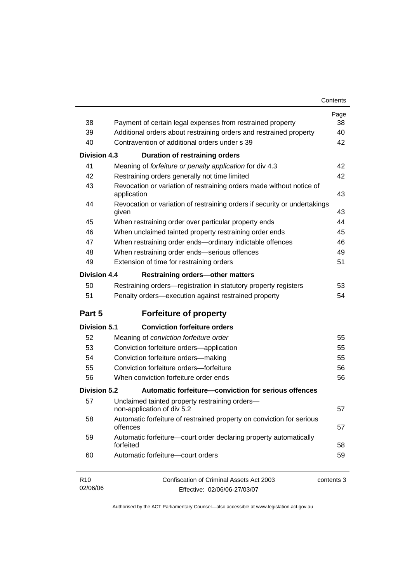| Contents |
|----------|
|----------|

| 38                  | Payment of certain legal expenses from restrained property                          | Page<br>38 |  |
|---------------------|-------------------------------------------------------------------------------------|------------|--|
| 39                  | Additional orders about restraining orders and restrained property                  |            |  |
| 40                  | Contravention of additional orders under s 39                                       | 40<br>42   |  |
|                     |                                                                                     |            |  |
| <b>Division 4.3</b> | Duration of restraining orders                                                      |            |  |
| 41                  | Meaning of forfeiture or penalty application for div 4.3                            | 42         |  |
| 42                  | Restraining orders generally not time limited                                       | 42         |  |
| 43                  | Revocation or variation of restraining orders made without notice of<br>application | 43         |  |
| 44                  | Revocation or variation of restraining orders if security or undertakings<br>given  | 43         |  |
| 45                  | When restraining order over particular property ends                                | 44         |  |
| 46                  | When unclaimed tainted property restraining order ends                              | 45         |  |
| 47                  | When restraining order ends-ordinary indictable offences                            | 46         |  |
| 48                  | When restraining order ends-serious offences                                        | 49         |  |
| 49                  | Extension of time for restraining orders                                            | 51         |  |
| Division 4.4        | <b>Restraining orders-other matters</b>                                             |            |  |
| 50                  | Restraining orders-registration in statutory property registers                     | 53         |  |
| 51                  | Penalty orders-execution against restrained property                                | 54         |  |
| Part 5              | <b>Forfeiture of property</b>                                                       |            |  |
| <b>Division 5.1</b> | <b>Conviction forfeiture orders</b>                                                 |            |  |
| 52                  | Meaning of conviction forfeiture order                                              | 55         |  |
| 53                  | Conviction forfeiture orders-application                                            | 55         |  |
| 54                  | Conviction forfeiture orders-making                                                 | 55         |  |
| 55                  | Conviction forfeiture orders-forfeiture                                             | 56         |  |
| 56                  | When conviction forfeiture order ends                                               | 56         |  |
| Division 5.2        | Automatic forfeiture-conviction for serious offences                                |            |  |
| 57                  | Unclaimed tainted property restraining orders-<br>non-application of div 5.2        | 57         |  |
| 58                  | Automatic forfeiture of restrained property on conviction for serious<br>offences   | 57         |  |
| 59                  | Automatic forfeiture-court order declaring property automatically<br>forfeited      | 58         |  |
| 60                  | Automatic forfeiture-court orders                                                   | 59         |  |
| R10<br>02/06/06     | Confiscation of Criminal Assets Act 2003<br>Effective: 02/06/06-27/03/07            | contents 3 |  |

Effective: 02/06/06-27/03/07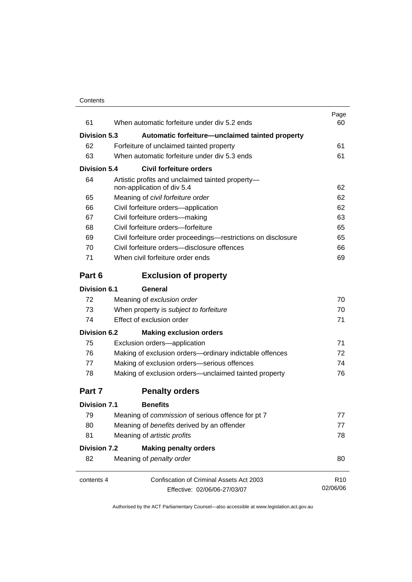| 61                  | When automatic forfeiture under div 5.2 ends                                   | Page<br>60      |
|---------------------|--------------------------------------------------------------------------------|-----------------|
| <b>Division 5.3</b> | Automatic forfeiture—unclaimed tainted property                                |                 |
| 62                  | Forfeiture of unclaimed tainted property                                       | 61              |
| 63                  | When automatic forfeiture under div 5.3 ends                                   | 61              |
| <b>Division 5.4</b> | <b>Civil forfeiture orders</b>                                                 |                 |
| 64                  | Artistic profits and unclaimed tainted property-<br>non-application of div 5.4 | 62              |
| 65                  | Meaning of civil forfeiture order                                              | 62              |
| 66                  | Civil forfeiture orders-application                                            | 62              |
| 67                  | Civil forfeiture orders-making                                                 | 63              |
| 68                  | Civil forfeiture orders-forfeiture                                             | 65              |
| 69                  | Civil forfeiture order proceedings-restrictions on disclosure                  | 65              |
| 70                  | Civil forfeiture orders-disclosure offences                                    | 66              |
| 71                  | When civil forfeiture order ends                                               | 69              |
| Part 6              | <b>Exclusion of property</b>                                                   |                 |
| <b>Division 6.1</b> | General                                                                        |                 |
| 72                  | Meaning of exclusion order                                                     | 70              |
| 73                  | When property is subject to forfeiture                                         | 70              |
| 74                  | Effect of exclusion order                                                      | 71              |
| <b>Division 6.2</b> | <b>Making exclusion orders</b>                                                 |                 |
| 75                  | Exclusion orders-application                                                   | 71              |
| 76                  | Making of exclusion orders-ordinary indictable offences                        | 72              |
| 77                  | Making of exclusion orders-serious offences                                    | 74              |
| 78                  | Making of exclusion orders-unclaimed tainted property                          | 76              |
| Part 7              | <b>Penalty orders</b>                                                          |                 |
| <b>Division 7.1</b> | <b>Benefits</b>                                                                |                 |
| 79                  | Meaning of commission of serious offence for pt 7                              | 77              |
| 80                  | Meaning of benefits derived by an offender                                     | 77              |
| 81                  | Meaning of artistic profits                                                    | 78              |
| <b>Division 7.2</b> | <b>Making penalty orders</b>                                                   |                 |
| 82                  | Meaning of penalty order                                                       | 80              |
| contents 4          | Confiscation of Criminal Assets Act 2003                                       | R <sub>10</sub> |
|                     | Effective: 02/06/06-27/03/07                                                   | 02/06/06        |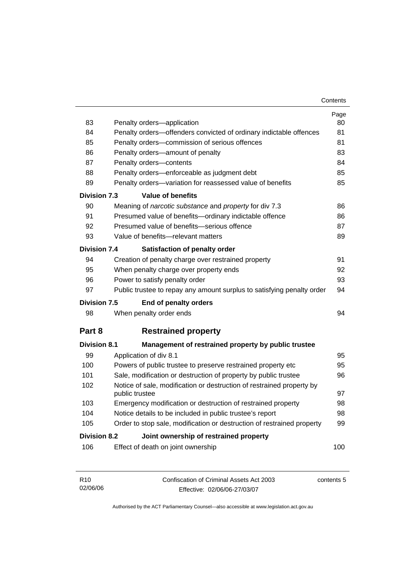| 83                  | Penalty orders-application                                                                    | Page<br>80 |
|---------------------|-----------------------------------------------------------------------------------------------|------------|
| 84                  | Penalty orders—offenders convicted of ordinary indictable offences                            | 81         |
| 85                  | Penalty orders-commission of serious offences                                                 | 81         |
| 86                  | Penalty orders—amount of penalty                                                              | 83         |
| 87                  | Penalty orders-contents                                                                       | 84         |
| 88                  | Penalty orders—enforceable as judgment debt                                                   | 85         |
| 89                  | Penalty orders-variation for reassessed value of benefits                                     | 85         |
| Division 7.3        | Value of benefits                                                                             |            |
| 90                  | Meaning of <i>narcotic substance</i> and <i>property</i> for div 7.3                          | 86         |
| 91                  | Presumed value of benefits-ordinary indictable offence                                        | 86         |
| 92                  | Presumed value of benefits-serious offence                                                    | 87         |
| 93                  | Value of benefits-relevant matters                                                            |            |
| Division 7.4        | Satisfaction of penalty order                                                                 |            |
| 94                  | Creation of penalty charge over restrained property                                           |            |
| 95                  | 92<br>When penalty charge over property ends                                                  |            |
| 96                  | 93<br>Power to satisfy penalty order                                                          |            |
| 97                  | Public trustee to repay any amount surplus to satisfying penalty order                        | 94         |
| Division 7.5        | End of penalty orders                                                                         |            |
| 98                  | When penalty order ends                                                                       | 94         |
| Part 8              | <b>Restrained property</b>                                                                    |            |
| <b>Division 8.1</b> | Management of restrained property by public trustee                                           |            |
| 99                  | Application of div 8.1                                                                        | 95         |
| 100                 | Powers of public trustee to preserve restrained property etc                                  | 95         |
| 101                 | Sale, modification or destruction of property by public trustee                               | 96         |
| 102                 | Notice of sale, modification or destruction of restrained property by<br>public trustee<br>97 |            |
| 103                 | Emergency modification or destruction of restrained property                                  | 98         |
| 104                 | Notice details to be included in public trustee's report<br>98                                |            |
| 105                 | 99<br>Order to stop sale, modification or destruction of restrained property                  |            |
| <b>Division 8.2</b> | Joint ownership of restrained property                                                        |            |
| 106                 | Effect of death on joint ownership                                                            | 100        |
|                     |                                                                                               |            |

| R10      | Confiscation of Criminal Assets Act 2003 | contents 5 |
|----------|------------------------------------------|------------|
| 02/06/06 | Effective: 02/06/06-27/03/07             |            |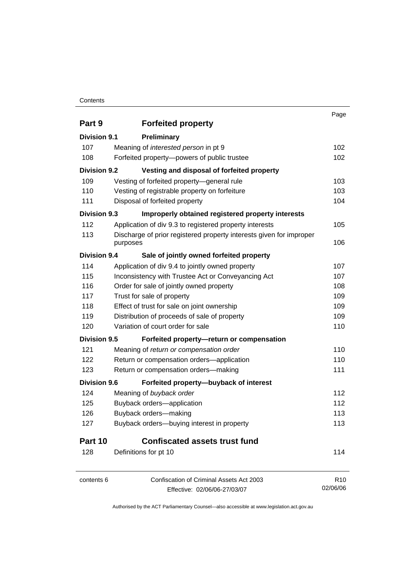#### **Contents**

|                     |                                                                                 | Page            |
|---------------------|---------------------------------------------------------------------------------|-----------------|
| Part 9              | <b>Forfeited property</b>                                                       |                 |
| <b>Division 9.1</b> | <b>Preliminary</b>                                                              |                 |
| 107                 | Meaning of interested person in pt 9                                            | 102             |
| 108                 | Forfeited property-powers of public trustee                                     | 102             |
| <b>Division 9.2</b> | Vesting and disposal of forfeited property                                      |                 |
| 109                 | Vesting of forfeited property-general rule                                      | 103             |
| 110                 | Vesting of registrable property on forfeiture                                   | 103             |
| 111                 | Disposal of forfeited property                                                  | 104             |
| <b>Division 9.3</b> | Improperly obtained registered property interests                               |                 |
| 112                 | Application of div 9.3 to registered property interests                         | 105             |
| 113                 | Discharge of prior registered property interests given for improper<br>purposes | 106             |
| <b>Division 9.4</b> | Sale of jointly owned forfeited property                                        |                 |
| 114                 | Application of div 9.4 to jointly owned property                                | 107             |
| 115                 | Inconsistency with Trustee Act or Conveyancing Act                              | 107             |
| 116                 | Order for sale of jointly owned property                                        | 108             |
| 117                 | Trust for sale of property                                                      | 109             |
| 118                 | Effect of trust for sale on joint ownership                                     | 109             |
| 119                 | Distribution of proceeds of sale of property                                    | 109             |
| 120                 | Variation of court order for sale                                               | 110             |
| <b>Division 9.5</b> | Forfeited property-return or compensation                                       |                 |
| 121                 | Meaning of return or compensation order                                         | 110             |
| 122                 | Return or compensation orders-application                                       | 110             |
| 123                 | Return or compensation orders-making                                            | 111             |
| <b>Division 9.6</b> | Forfeited property-buyback of interest                                          |                 |
| 124                 | Meaning of buyback order                                                        | 112             |
| 125                 | Buyback orders-application                                                      | 112             |
| 126                 | Buyback orders-making                                                           | 113             |
| 127                 | Buyback orders-buying interest in property                                      | 113             |
| Part 10             | <b>Confiscated assets trust fund</b>                                            |                 |
| 128                 | Definitions for pt 10                                                           | 114             |
| contents 6          | <b>Confiscation of Criminal Assets Act 2003</b>                                 | R <sub>10</sub> |
|                     | Effective: 02/06/06-27/03/07                                                    | 02/06/06        |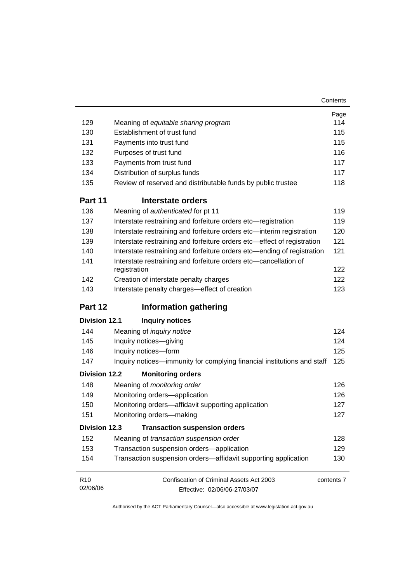| Contents |
|----------|
|----------|

|                             |                                                                                  | Page       |
|-----------------------------|----------------------------------------------------------------------------------|------------|
| 129                         | Meaning of equitable sharing program                                             | 114        |
| 130                         | Establishment of trust fund                                                      | 115        |
| 131                         | Payments into trust fund                                                         | 115        |
| 132                         | Purposes of trust fund                                                           | 116        |
| 133                         | Payments from trust fund                                                         | 117        |
| 134                         | Distribution of surplus funds                                                    | 117        |
| 135                         | Review of reserved and distributable funds by public trustee                     | 118        |
| Part 11                     | Interstate orders                                                                |            |
| 136                         | Meaning of authenticated for pt 11                                               | 119        |
| 137                         | Interstate restraining and forfeiture orders etc-registration                    | 119        |
| 138                         | Interstate restraining and forfeiture orders etc-interim registration            | 120        |
| 139                         | Interstate restraining and forfeiture orders etc-effect of registration          | 121        |
| 140                         | Interstate restraining and forfeiture orders etc-ending of registration          | 121        |
| 141                         | Interstate restraining and forfeiture orders etc-cancellation of<br>registration | 122        |
| 142                         | Creation of interstate penalty charges                                           | 122        |
| 143                         | Interstate penalty charges-effect of creation                                    | 123        |
| Part 12                     | <b>Information gathering</b>                                                     |            |
| <b>Division 12.1</b>        | <b>Inquiry notices</b>                                                           |            |
| 144                         | Meaning of <i>inquiry notice</i>                                                 | 124        |
| 145                         | Inquiry notices-giving                                                           | 124        |
| 146                         | Inquiry notices-form                                                             | 125        |
| 147                         | Inquiry notices—immunity for complying financial institutions and staff          | 125        |
| <b>Division 12.2</b>        | <b>Monitoring orders</b>                                                         |            |
| 148                         | Meaning of monitoring order                                                      | 126        |
| 149                         | Monitoring orders-application                                                    | 126        |
| 150                         | Monitoring orders-affidavit supporting application                               | 127        |
| 151                         | Monitoring orders-making                                                         | 127        |
| <b>Division 12.3</b>        | <b>Transaction suspension orders</b>                                             |            |
| 152                         | Meaning of transaction suspension order                                          | 128        |
| 153                         | Transaction suspension orders-application                                        | 129        |
| 154                         | Transaction suspension orders-affidavit supporting application                   | 130        |
| R <sub>10</sub><br>02/06/06 | Confiscation of Criminal Assets Act 2003<br>Effective: 02/06/06-27/03/07         | contents 7 |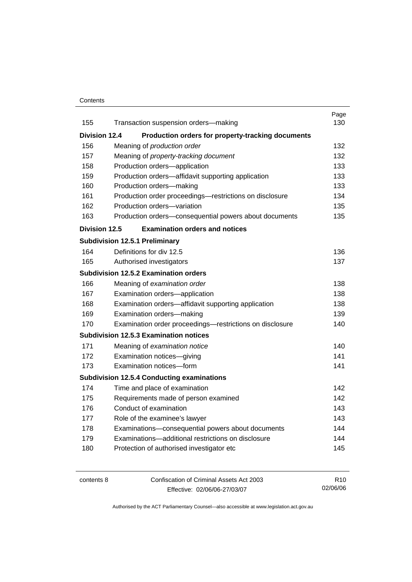## **Contents**

|                      |                                                          | Page |
|----------------------|----------------------------------------------------------|------|
| 155                  | Transaction suspension orders-making                     | 130  |
| <b>Division 12.4</b> | Production orders for property-tracking documents        |      |
| 156                  | Meaning of production order                              | 132  |
| 157                  | Meaning of property-tracking document                    | 132  |
| 158                  | Production orders-application                            | 133  |
| 159                  | Production orders—affidavit supporting application       | 133  |
| 160                  | Production orders-making                                 | 133  |
| 161                  | Production order proceedings-restrictions on disclosure  | 134  |
| 162                  | Production orders-variation                              | 135  |
| 163                  | Production orders-consequential powers about documents   | 135  |
| <b>Division 12.5</b> | <b>Examination orders and notices</b>                    |      |
|                      | <b>Subdivision 12.5.1 Preliminary</b>                    |      |
| 164                  | Definitions for div 12.5                                 | 136  |
| 165                  | Authorised investigators                                 | 137  |
|                      | <b>Subdivision 12.5.2 Examination orders</b>             |      |
| 166                  | Meaning of examination order                             | 138  |
| 167                  | Examination orders-application                           | 138  |
| 168                  | Examination orders-affidavit supporting application      | 138  |
| 169                  | Examination orders-making                                | 139  |
| 170                  | Examination order proceedings-restrictions on disclosure | 140  |
|                      | <b>Subdivision 12.5.3 Examination notices</b>            |      |
| 171                  | Meaning of examination notice                            | 140  |
| 172                  | Examination notices-giving                               | 141  |
| 173                  | Examination notices-form                                 | 141  |
|                      | <b>Subdivision 12.5.4 Conducting examinations</b>        |      |
| 174                  | Time and place of examination                            | 142  |
| 175                  | Requirements made of person examined                     | 142  |
| 176                  | Conduct of examination                                   | 143  |
| 177                  | Role of the examinee's lawyer                            | 143  |
| 178                  | Examinations-consequential powers about documents        | 144  |
| 179                  | Examinations-additional restrictions on disclosure       | 144  |
| 180                  | Protection of authorised investigator etc                | 145  |
|                      |                                                          |      |

| contents 8 | Confiscation of Criminal Assets Act 2003 | R <sub>10</sub> |
|------------|------------------------------------------|-----------------|
|            | Effective: 02/06/06-27/03/07             | 02/06/06        |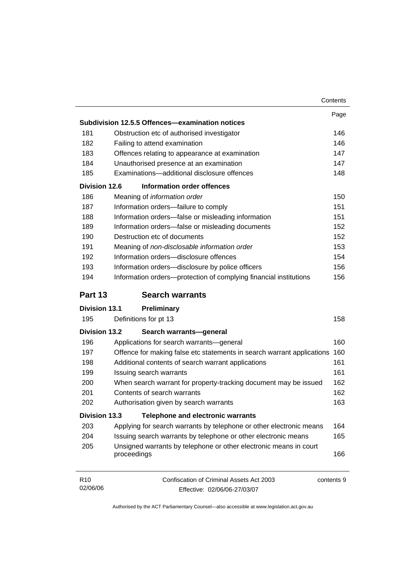|                             |                                                                                        | Contents |
|-----------------------------|----------------------------------------------------------------------------------------|----------|
|                             |                                                                                        | Page     |
|                             | Subdivision 12.5.5 Offences-examination notices                                        |          |
| 181                         | Obstruction etc of authorised investigator                                             | 146      |
| 182                         | Failing to attend examination                                                          | 146      |
| 183                         | Offences relating to appearance at examination                                         | 147      |
| 184                         | Unauthorised presence at an examination                                                | 147      |
| 185                         | Examinations-additional disclosure offences                                            | 148      |
| <b>Division 12.6</b>        | Information order offences                                                             |          |
| 186                         | Meaning of information order                                                           | 150      |
| 187                         | Information orders-failure to comply                                                   | 151      |
| 188                         | Information orders-false or misleading information                                     | 151      |
| 189                         | Information orders-false or misleading documents                                       | 152      |
| 190                         | Destruction etc of documents                                                           | 152      |
| 191                         | Meaning of non-disclosable information order                                           | 153      |
| 192                         | Information orders-disclosure offences                                                 | 154      |
| 193                         | Information orders-disclosure by police officers                                       | 156      |
| 194                         | Information orders-protection of complying financial institutions                      | 156      |
| Part 13                     | <b>Search warrants</b>                                                                 |          |
| <b>Division 13.1</b>        | Preliminary                                                                            |          |
| 195                         | Definitions for pt 13                                                                  | 158      |
| <b>Division 13.2</b>        | Search warrants-general                                                                |          |
| 196                         | Applications for search warrants-general                                               | 160      |
| 197                         | Offence for making false etc statements in search warrant applications                 | 160      |
| 198                         | Additional contents of search warrant applications                                     | 161      |
| 199                         | Issuing search warrants                                                                | 161      |
| 200                         | When search warrant for property-tracking document may be issued                       | 162      |
| 201                         | Contents of search warrants                                                            | 162      |
| 202                         | Authorisation given by search warrants                                                 | 163      |
| <b>Division 13.3</b>        | <b>Telephone and electronic warrants</b>                                               |          |
| 203                         | Applying for search warrants by telephone or other electronic means                    | 164      |
| 204                         | Issuing search warrants by telephone or other electronic means                         | 165      |
| 205                         | Unsigned warrants by telephone or other electronic means in court<br>proceedings       | 166      |
| R <sub>10</sub><br>02/06/06 | Confiscation of Criminal Assets Act 2003<br>contents 9<br>Effective: 02/06/06-27/03/07 |          |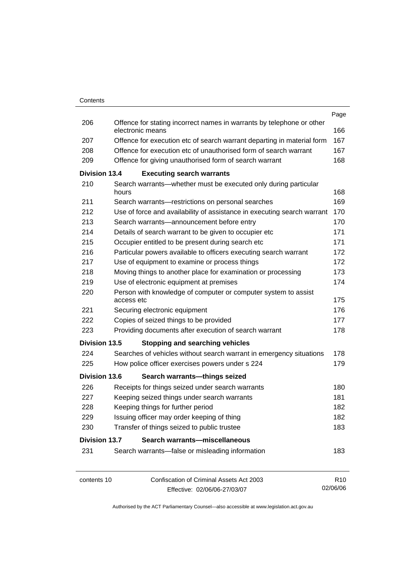|                      |            |                                                                                           | Page            |
|----------------------|------------|-------------------------------------------------------------------------------------------|-----------------|
| 206                  |            | Offence for stating incorrect names in warrants by telephone or other<br>electronic means | 166             |
| 207                  |            | Offence for execution etc of search warrant departing in material form                    | 167             |
| 208                  |            | Offence for execution etc of unauthorised form of search warrant                          | 167             |
| 209                  |            | Offence for giving unauthorised form of search warrant                                    | 168             |
| <b>Division 13.4</b> |            | <b>Executing search warrants</b>                                                          |                 |
| 210                  | hours      | Search warrants—whether must be executed only during particular                           | 168             |
| 211                  |            | Search warrants-restrictions on personal searches                                         | 169             |
| 212                  |            | Use of force and availability of assistance in executing search warrant                   | 170             |
| 213                  |            | Search warrants—announcement before entry                                                 | 170             |
| 214                  |            | Details of search warrant to be given to occupier etc                                     | 171             |
| 215                  |            | Occupier entitled to be present during search etc                                         | 171             |
| 216                  |            | Particular powers available to officers executing search warrant                          | 172             |
| 217                  |            | Use of equipment to examine or process things                                             | 172             |
| 218                  |            | Moving things to another place for examination or processing                              | 173             |
| 219                  |            | Use of electronic equipment at premises                                                   | 174             |
| 220                  | access etc | Person with knowledge of computer or computer system to assist                            | 175             |
| 221                  |            | Securing electronic equipment                                                             | 176             |
| 222                  |            | Copies of seized things to be provided                                                    | 177             |
| 223                  |            | Providing documents after execution of search warrant                                     | 178             |
| <b>Division 13.5</b> |            | <b>Stopping and searching vehicles</b>                                                    |                 |
| 224                  |            | Searches of vehicles without search warrant in emergency situations                       | 178             |
| 225                  |            | How police officer exercises powers under s 224                                           | 179             |
| <b>Division 13.6</b> |            | Search warrants-things seized                                                             |                 |
| 226                  |            | Receipts for things seized under search warrants                                          | 180             |
| 227                  |            | Keeping seized things under search warrants                                               | 181             |
| 228                  |            | Keeping things for further period                                                         | 182             |
| 229                  |            | Issuing officer may order keeping of thing                                                | 182             |
| 230                  |            | Transfer of things seized to public trustee                                               | 183             |
| <b>Division 13.7</b> |            | Search warrants-miscellaneous                                                             |                 |
| 231                  |            | Search warrants—false or misleading information                                           | 183             |
| contents 10          |            | Confiscation of Criminal Assets Act 2003                                                  | R <sub>10</sub> |
|                      |            | Effective: 02/06/06-27/03/07                                                              | 02/06/06        |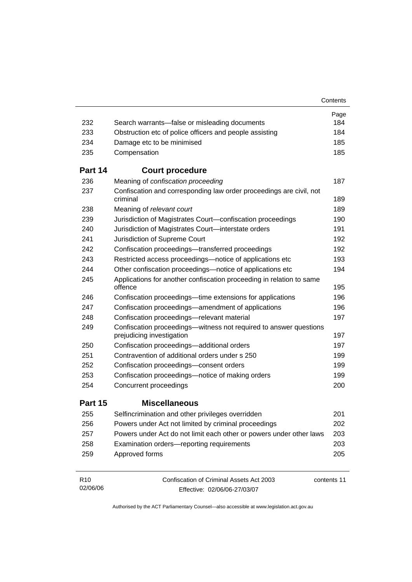|                             |                                                                                                | Contents    |
|-----------------------------|------------------------------------------------------------------------------------------------|-------------|
|                             |                                                                                                | Page        |
| 232                         | Search warrants—false or misleading documents                                                  | 184         |
| 233                         | Obstruction etc of police officers and people assisting                                        | 184         |
| 234                         | Damage etc to be minimised                                                                     | 185         |
| 235                         | Compensation                                                                                   | 185         |
| Part 14                     | <b>Court procedure</b>                                                                         |             |
| 236                         | Meaning of confiscation proceeding                                                             | 187         |
| 237                         | Confiscation and corresponding law order proceedings are civil, not<br>criminal                | 189         |
| 238                         | Meaning of relevant court                                                                      | 189         |
| 239                         | Jurisdiction of Magistrates Court-confiscation proceedings                                     | 190         |
| 240                         | Jurisdiction of Magistrates Court-interstate orders                                            | 191         |
| 241                         | Jurisdiction of Supreme Court                                                                  | 192         |
| 242                         | Confiscation proceedings—transferred proceedings                                               | 192         |
| 243                         | Restricted access proceedings—notice of applications etc                                       | 193         |
| 244                         | Other confiscation proceedings—notice of applications etc                                      | 194         |
| 245                         | Applications for another confiscation proceeding in relation to same<br>offence                | 195         |
| 246                         | Confiscation proceedings—time extensions for applications                                      | 196         |
| 247                         | Confiscation proceedings—amendment of applications                                             | 196         |
| 248                         | Confiscation proceedings-relevant material                                                     | 197         |
| 249                         | Confiscation proceedings—witness not required to answer questions<br>prejudicing investigation | 197         |
| 250                         | Confiscation proceedings-additional orders                                                     | 197         |
| 251                         | Contravention of additional orders under s 250                                                 | 199         |
| 252                         | Confiscation proceedings-consent orders                                                        | 199         |
| 253                         | Confiscation proceedings-notice of making orders                                               | 199         |
| 254                         | Concurrent proceedings                                                                         | 200         |
| Part 15                     | <b>Miscellaneous</b>                                                                           |             |
| 255                         | Selfincrimination and other privileges overridden                                              | 201         |
| 256                         | Powers under Act not limited by criminal proceedings                                           | 202         |
| 257                         | Powers under Act do not limit each other or powers under other laws                            | 203         |
| 258                         | Examination orders-reporting requirements                                                      | 203         |
| 259                         | Approved forms                                                                                 | 205         |
| R <sub>10</sub><br>02/06/06 | Confiscation of Criminal Assets Act 2003<br>Effective: 02/06/06-27/03/07                       | contents 11 |

Effective: 02/06/06-27/03/07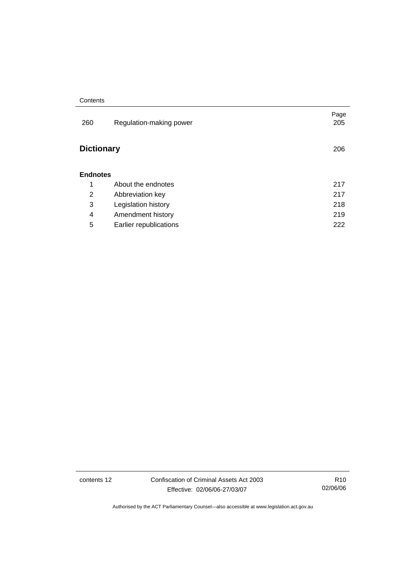#### **Contents**

| 260               | Regulation-making power | Page<br>205 |
|-------------------|-------------------------|-------------|
| <b>Dictionary</b> |                         | 206         |
| <b>Endnotes</b>   |                         |             |
| 1                 | About the endnotes      | 217         |
| 2                 | Abbreviation key        | 217         |
| 3                 | Legislation history     | 218         |
| 4                 | Amendment history       | 219         |
| 5                 | Earlier republications  | 222         |

contents 12 Confiscation of Criminal Assets Act 2003 Effective: 02/06/06-27/03/07

R10 02/06/06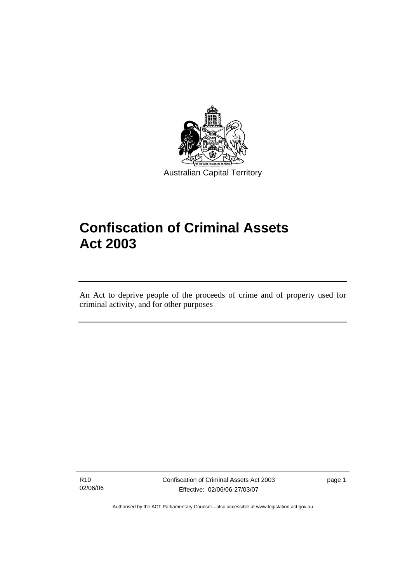

Australian Capital Territory

# **Confiscation of Criminal Assets Act 2003**

An Act to deprive people of the proceeds of crime and of property used for criminal activity, and for other purposes

R10 02/06/06

l

Confiscation of Criminal Assets Act 2003 Effective: 02/06/06-27/03/07

page 1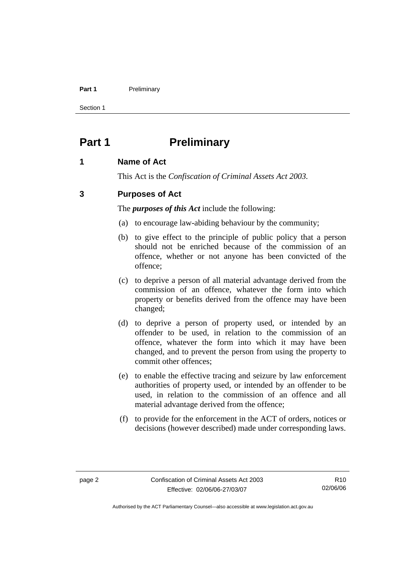#### **Part 1** Preliminary

Section 1

## **Part 1** Preliminary

## **1 Name of Act**

This Act is the *Confiscation of Criminal Assets Act 2003.*

## **3 Purposes of Act**

The *purposes of this Act* include the following:

- (a) to encourage law-abiding behaviour by the community;
- (b) to give effect to the principle of public policy that a person should not be enriched because of the commission of an offence, whether or not anyone has been convicted of the offence;
- (c) to deprive a person of all material advantage derived from the commission of an offence, whatever the form into which property or benefits derived from the offence may have been changed;
- (d) to deprive a person of property used, or intended by an offender to be used, in relation to the commission of an offence, whatever the form into which it may have been changed, and to prevent the person from using the property to commit other offences;
- (e) to enable the effective tracing and seizure by law enforcement authorities of property used, or intended by an offender to be used, in relation to the commission of an offence and all material advantage derived from the offence;
- (f) to provide for the enforcement in the ACT of orders, notices or decisions (however described) made under corresponding laws.

R10 02/06/06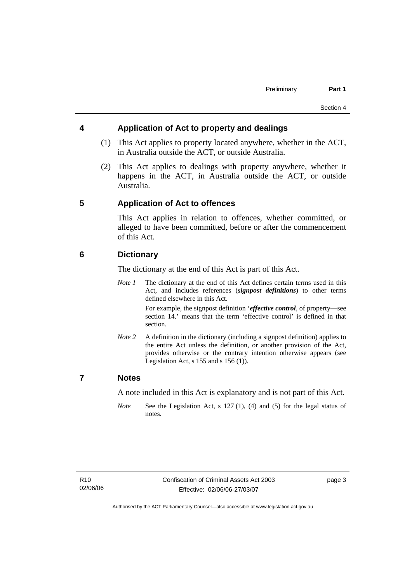## **4 Application of Act to property and dealings**

- (1) This Act applies to property located anywhere, whether in the ACT, in Australia outside the ACT, or outside Australia.
- (2) This Act applies to dealings with property anywhere, whether it happens in the ACT, in Australia outside the ACT, or outside Australia.

## **5 Application of Act to offences**

This Act applies in relation to offences, whether committed, or alleged to have been committed, before or after the commencement of this Act.

## **6 Dictionary**

The dictionary at the end of this Act is part of this Act.

*Note 1* The dictionary at the end of this Act defines certain terms used in this Act, and includes references (*signpost definitions*) to other terms defined elsewhere in this Act.

> For example, the signpost definition '*effective control*, of property—see section 14.' means that the term 'effective control' is defined in that section.

*Note 2* A definition in the dictionary (including a signpost definition) applies to the entire Act unless the definition, or another provision of the Act, provides otherwise or the contrary intention otherwise appears (see Legislation Act, s  $155$  and s  $156$  (1)).

## **7 Notes**

A note included in this Act is explanatory and is not part of this Act.

*Note* See the Legislation Act, s 127 (1), (4) and (5) for the legal status of notes.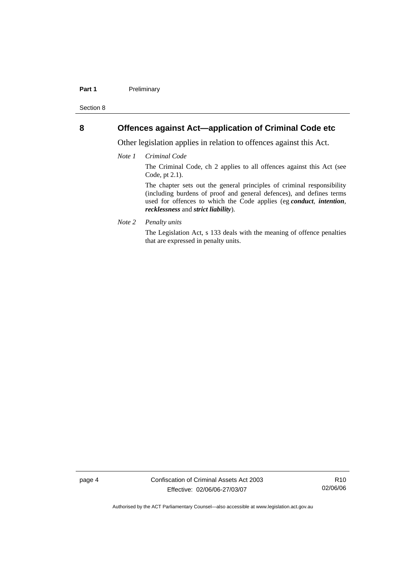#### Part 1 **Preliminary**

Section 8

## **8 Offences against Act—application of Criminal Code etc**

Other legislation applies in relation to offences against this Act.

*Note 1 Criminal Code*

The Criminal Code, ch 2 applies to all offences against this Act (see Code, pt 2.1).

The chapter sets out the general principles of criminal responsibility (including burdens of proof and general defences), and defines terms used for offences to which the Code applies (eg *conduct*, *intention*, *recklessness* and *strict liability*).

*Note 2 Penalty units* 

The Legislation Act, s 133 deals with the meaning of offence penalties that are expressed in penalty units.

page 4 Confiscation of Criminal Assets Act 2003 Effective: 02/06/06-27/03/07

R10 02/06/06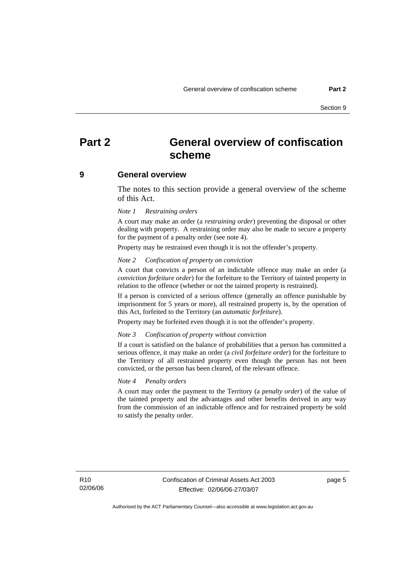## **Part 2 General overview of confiscation scheme**

#### **9 General overview**

The notes to this section provide a general overview of the scheme of this Act.

#### *Note 1 Restraining orders*

A court may make an order (a *restraining order*) preventing the disposal or other dealing with property. A restraining order may also be made to secure a property for the payment of a penalty order (see note 4).

Property may be restrained even though it is not the offender's property.

#### *Note 2 Confiscation of property on conviction*

A court that convicts a person of an indictable offence may make an order (a *conviction forfeiture order*) for the forfeiture to the Territory of tainted property in relation to the offence (whether or not the tainted property is restrained).

If a person is convicted of a serious offence (generally an offence punishable by imprisonment for 5 years or more), all restrained property is, by the operation of this Act, forfeited to the Territory (an *automatic forfeiture*).

Property may be forfeited even though it is not the offender's property.

#### *Note 3 Confiscation of property without conviction*

If a court is satisfied on the balance of probabilities that a person has committed a serious offence, it may make an order (a *civil forfeiture order*) for the forfeiture to the Territory of all restrained property even though the person has not been convicted, or the person has been cleared, of the relevant offence.

#### *Note 4 Penalty orders*

A court may order the payment to the Territory (a *penalty order*) of the value of the tainted property and the advantages and other benefits derived in any way from the commission of an indictable offence and for restrained property be sold to satisfy the penalty order.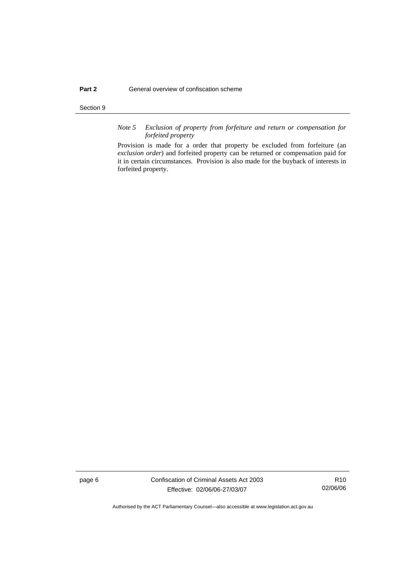#### Section 9

*Note 5 Exclusion of property from forfeiture and return or compensation for forfeited property*

Provision is made for a order that property be excluded from forfeiture (an *exclusion order*) and forfeited property can be returned or compensation paid for it in certain circumstances. Provision is also made for the buyback of interests in forfeited property.

page 6 Confiscation of Criminal Assets Act 2003 Effective: 02/06/06-27/03/07

R10 02/06/06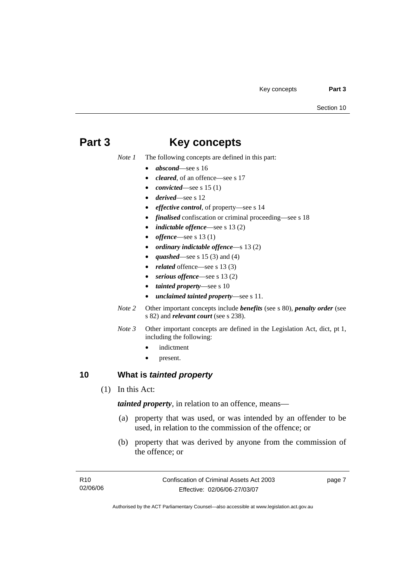## **Part 3 Key concepts**

*Note 1* The following concepts are defined in this part:

- *abscond*—see s 16
- *cleared*, of an offence—see s 17
- *convicted*—see s 15 (1)
- *derived*—see s 12
- *effective control*, of property—see s 14
- *finalised* confiscation or criminal proceeding—see s 18
- *indictable offence*—see s 13 (2)
- *offence*—see s 13 (1)
- *ordinary indictable offence*—s 13 (2)
- *quashed*—see s 15 (3) and (4)
- *related* offence—see s 13 (3)
- serious offence—see s 13 (2)
- *tainted property*—see s 10
- *unclaimed tainted property*—see s 11.
- *Note 2* Other important concepts include *benefits* (see s 80), *penalty order* (see s 82) and *relevant court* (see s 238).
- *Note 3* Other important concepts are defined in the Legislation Act, dict, pt 1, including the following:
	- *indictment*
	- present.

## **10 What is** *tainted property*

(1) In this Act:

*tainted property*, in relation to an offence, means—

- (a) property that was used, or was intended by an offender to be used, in relation to the commission of the offence; or
- (b) property that was derived by anyone from the commission of the offence; or

page 7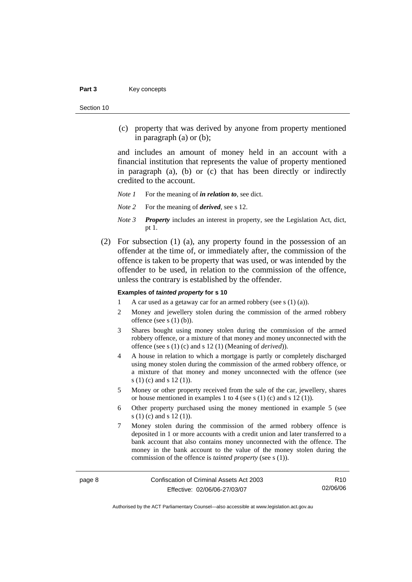#### Part 3 **Key concepts**

Section 10

 (c) property that was derived by anyone from property mentioned in paragraph (a) or (b);

and includes an amount of money held in an account with a financial institution that represents the value of property mentioned in paragraph (a), (b) or (c) that has been directly or indirectly credited to the account.

*Note 1* For the meaning of *in relation to*, see dict.

- *Note 2* For the meaning of *derived*, see s 12.
- *Note 3 Property* includes an interest in property, see the Legislation Act, dict, pt 1.
- (2) For subsection (1) (a), any property found in the possession of an offender at the time of, or immediately after, the commission of the offence is taken to be property that was used, or was intended by the offender to be used, in relation to the commission of the offence, unless the contrary is established by the offender.

#### **Examples of** *tainted property* **for s 10**

- 1 A car used as a getaway car for an armed robbery (see s (1) (a)).
- 2 Money and jewellery stolen during the commission of the armed robbery offence (see s (1) (b)).
- 3 Shares bought using money stolen during the commission of the armed robbery offence, or a mixture of that money and money unconnected with the offence (see s (1) (c) and s 12 (1) (Meaning of *derived*)).
- 4 A house in relation to which a mortgage is partly or completely discharged using money stolen during the commission of the armed robbery offence, or a mixture of that money and money unconnected with the offence (see s (1) (c) and s 12 (1)).
- 5 Money or other property received from the sale of the car, jewellery, shares or house mentioned in examples 1 to 4 (see s (1) (c) and s 12 (1)).
- 6 Other property purchased using the money mentioned in example 5 (see s (1) (c) and s 12 (1)).
- 7 Money stolen during the commission of the armed robbery offence is deposited in 1 or more accounts with a credit union and later transferred to a bank account that also contains money unconnected with the offence. The money in the bank account to the value of the money stolen during the commission of the offence is *tainted property* (see s (1)).

R10 02/06/06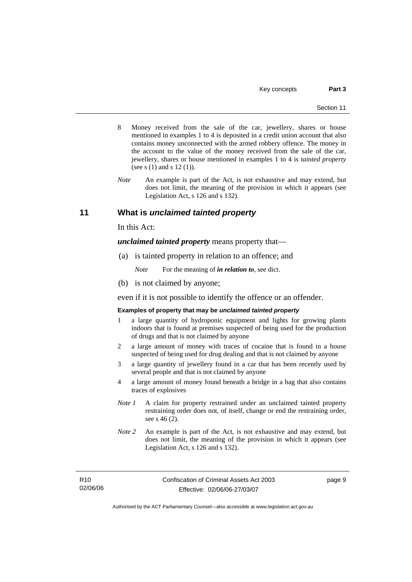- 8 Money received from the sale of the car, jewellery, shares or house mentioned in examples 1 to 4 is deposited in a credit union account that also contains money unconnected with the armed robbery offence. The money in the account to the value of the money received from the sale of the car, jewellery, shares or house mentioned in examples 1 to 4 is *tainted property* (see s (1) and s 12 (1)).
- *Note* An example is part of the Act, is not exhaustive and may extend, but does not limit, the meaning of the provision in which it appears (see Legislation Act, s 126 and s 132).

## **11 What is** *unclaimed tainted property*

In this Act:

*unclaimed tainted property* means property that—

(a) is tainted property in relation to an offence; and

*Note* For the meaning of *in relation to*, see dict.

(b) is not claimed by anyone;

even if it is not possible to identify the offence or an offender.

#### **Examples of property that may be** *unclaimed tainted property*

- 1 a large quantity of hydroponic equipment and lights for growing plants indoors that is found at premises suspected of being used for the production of drugs and that is not claimed by anyone
- 2 a large amount of money with traces of cocaine that is found in a house suspected of being used for drug dealing and that is not claimed by anyone
- 3 a large quantity of jewellery found in a car that has been recently used by several people and that is not claimed by anyone
- 4 a large amount of money found beneath a bridge in a bag that also contains traces of explosives
- *Note 1* A claim for property restrained under an unclaimed tainted property restraining order does not, of itself, change or end the restraining order, see s 46 (2).
- *Note 2* An example is part of the Act, is not exhaustive and may extend, but does not limit, the meaning of the provision in which it appears (see Legislation Act, s 126 and s 132).

R10 02/06/06 page 9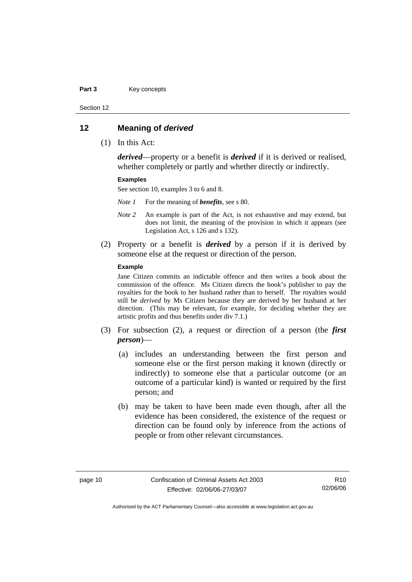#### Part 3 **Key concepts**

Section 12

#### **12 Meaning of** *derived*

(1) In this Act:

*derived*—property or a benefit is *derived* if it is derived or realised, whether completely or partly and whether directly or indirectly.

#### **Examples**

See section 10, examples 3 to 6 and 8.

*Note 1* For the meaning of *benefits*, see s 80.

- *Note 2* An example is part of the Act, is not exhaustive and may extend, but does not limit, the meaning of the provision in which it appears (see Legislation Act, s 126 and s 132).
- (2) Property or a benefit is *derived* by a person if it is derived by someone else at the request or direction of the person.

#### **Example**

Jane Citizen commits an indictable offence and then writes a book about the commission of the offence. Ms Citizen directs the book's publisher to pay the royalties for the book to her husband rather than to herself. The royalties would still be *derived* by Ms Citizen because they are derived by her husband at her direction. (This may be relevant, for example, for deciding whether they are artistic profits and thus benefits under div 7.1.)

- (3) For subsection (2), a request or direction of a person (the *first person*)—
	- (a) includes an understanding between the first person and someone else or the first person making it known (directly or indirectly) to someone else that a particular outcome (or an outcome of a particular kind) is wanted or required by the first person; and
	- (b) may be taken to have been made even though, after all the evidence has been considered, the existence of the request or direction can be found only by inference from the actions of people or from other relevant circumstances.

R10 02/06/06

Authorised by the ACT Parliamentary Counsel—also accessible at www.legislation.act.gov.au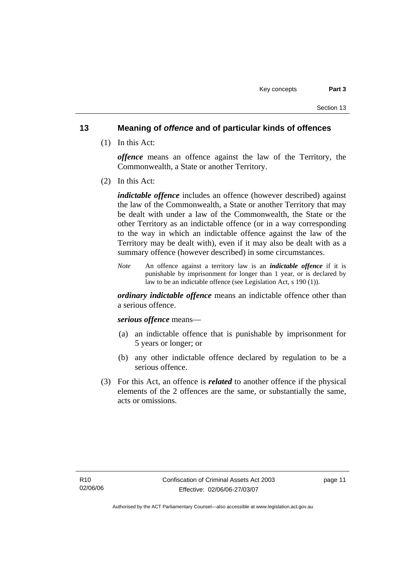## **13 Meaning of** *offence* **and of particular kinds of offences**

(1) In this Act:

*offence* means an offence against the law of the Territory, the Commonwealth, a State or another Territory.

(2) In this Act:

*indictable offence* includes an offence (however described) against the law of the Commonwealth, a State or another Territory that may be dealt with under a law of the Commonwealth, the State or the other Territory as an indictable offence (or in a way corresponding to the way in which an indictable offence against the law of the Territory may be dealt with), even if it may also be dealt with as a summary offence (however described) in some circumstances.

*Note* An offence against a territory law is an *indictable offence* if it is punishable by imprisonment for longer than 1 year, or is declared by law to be an indictable offence (see Legislation Act, s 190 (1)).

*ordinary indictable offence* means an indictable offence other than a serious offence.

*serious offence* means—

- (a) an indictable offence that is punishable by imprisonment for 5 years or longer; or
- (b) any other indictable offence declared by regulation to be a serious offence.
- (3) For this Act, an offence is *related* to another offence if the physical elements of the 2 offences are the same, or substantially the same, acts or omissions.

page 11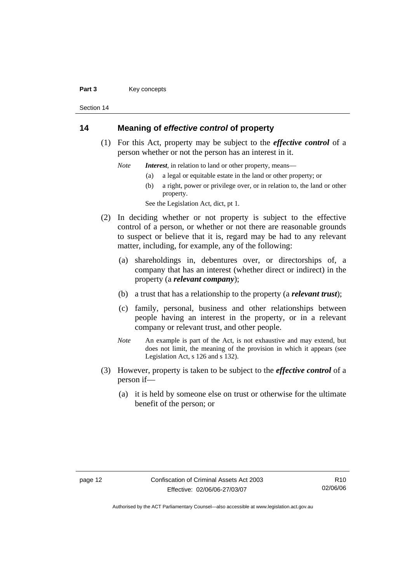#### Part 3 **Key concepts**

Section 14

## **14 Meaning of** *effective control* **of property**

 (1) For this Act, property may be subject to the *effective control* of a person whether or not the person has an interest in it.

*Note Interest*, in relation to land or other property, means—

- (a) a legal or equitable estate in the land or other property; or
- (b) a right, power or privilege over, or in relation to, the land or other property.

See the Legislation Act, dict, pt 1.

- (2) In deciding whether or not property is subject to the effective control of a person, or whether or not there are reasonable grounds to suspect or believe that it is, regard may be had to any relevant matter, including, for example, any of the following:
	- (a) shareholdings in, debentures over, or directorships of, a company that has an interest (whether direct or indirect) in the property (a *relevant company*);
	- (b) a trust that has a relationship to the property (a *relevant trust*);
	- (c) family, personal, business and other relationships between people having an interest in the property, or in a relevant company or relevant trust, and other people.
	- *Note* An example is part of the Act, is not exhaustive and may extend, but does not limit, the meaning of the provision in which it appears (see Legislation Act, s 126 and s 132).
- (3) However, property is taken to be subject to the *effective control* of a person if—
	- (a) it is held by someone else on trust or otherwise for the ultimate benefit of the person; or

R10 02/06/06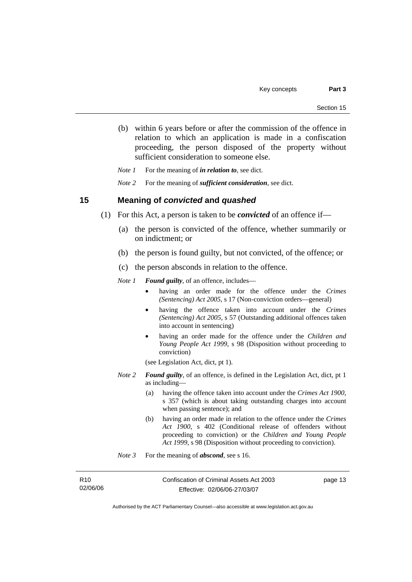(b) within 6 years before or after the commission of the offence in relation to which an application is made in a confiscation proceeding, the person disposed of the property without sufficient consideration to someone else.

*Note 1* For the meaning of *in relation to*, see dict.

*Note 2* For the meaning of *sufficient consideration*, see dict.

### **15 Meaning of** *convicted* **and** *quashed*

- (1) For this Act, a person is taken to be *convicted* of an offence if—
	- (a) the person is convicted of the offence, whether summarily or on indictment; or
	- (b) the person is found guilty, but not convicted, of the offence; or
	- (c) the person absconds in relation to the offence.

*Note 1 Found guilty*, of an offence, includes—

- having an order made for the offence under the *Crimes (Sentencing) Act 2005*, s 17 (Non-conviction orders—general)
- having the offence taken into account under the *Crimes (Sentencing) Act 2005*, s 57 (Outstanding additional offences taken into account in sentencing)
- having an order made for the offence under the *Children and Young People Act 1999*, s 98 (Disposition without proceeding to conviction)
- (see Legislation Act, dict, pt 1).
- *Note 2 Found guilty*, of an offence, is defined in the Legislation Act, dict, pt 1 as including—
	- (a) having the offence taken into account under the *Crimes Act 1900*, s 357 (which is about taking outstanding charges into account when passing sentence); and
	- (b) having an order made in relation to the offence under the *Crimes Act 1900*, s 402 (Conditional release of offenders without proceeding to conviction) or the *Children and Young People Act 1999*, s 98 (Disposition without proceeding to conviction).
- *Note* 3 For the meaning of *abscond*, see s 16.

| R10      |
|----------|
| 02/06/06 |

Confiscation of Criminal Assets Act 2003 Effective: 02/06/06-27/03/07

page 13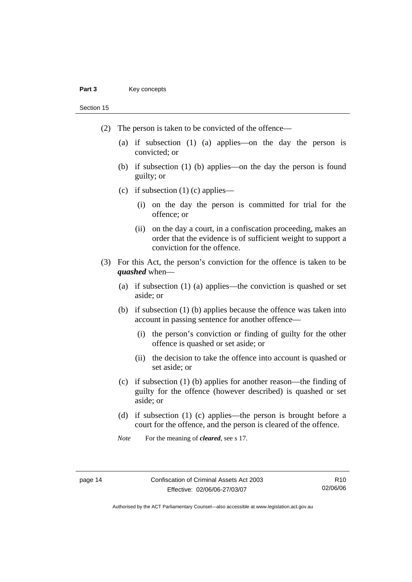#### Part 3 **Key concepts**

Section 15

- (2) The person is taken to be convicted of the offence—
	- (a) if subsection (1) (a) applies—on the day the person is convicted; or
	- (b) if subsection (1) (b) applies—on the day the person is found guilty; or
	- (c) if subsection  $(1)$  (c) applies—
		- (i) on the day the person is committed for trial for the offence; or
		- (ii) on the day a court, in a confiscation proceeding, makes an order that the evidence is of sufficient weight to support a conviction for the offence.
- (3) For this Act, the person's conviction for the offence is taken to be *quashed* when—
	- (a) if subsection (1) (a) applies—the conviction is quashed or set aside; or
	- (b) if subsection (1) (b) applies because the offence was taken into account in passing sentence for another offence—
		- (i) the person's conviction or finding of guilty for the other offence is quashed or set aside; or
		- (ii) the decision to take the offence into account is quashed or set aside; or
	- (c) if subsection (1) (b) applies for another reason—the finding of guilty for the offence (however described) is quashed or set aside; or
	- (d) if subsection (1) (c) applies—the person is brought before a court for the offence, and the person is cleared of the offence.
	- *Note* For the meaning of *cleared*, see s 17.

R10 02/06/06

Authorised by the ACT Parliamentary Counsel—also accessible at www.legislation.act.gov.au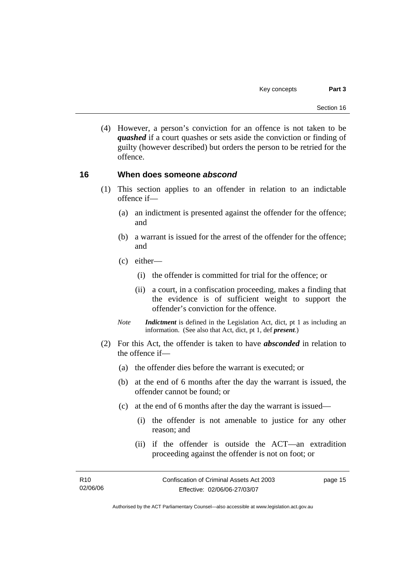(4) However, a person's conviction for an offence is not taken to be *quashed* if a court quashes or sets aside the conviction or finding of guilty (however described) but orders the person to be retried for the offence.

## **16 When does someone** *abscond*

- (1) This section applies to an offender in relation to an indictable offence if—
	- (a) an indictment is presented against the offender for the offence; and
	- (b) a warrant is issued for the arrest of the offender for the offence; and
	- (c) either—
		- (i) the offender is committed for trial for the offence; or
		- (ii) a court, in a confiscation proceeding, makes a finding that the evidence is of sufficient weight to support the offender's conviction for the offence.
	- *Note Indictment* is defined in the Legislation Act, dict, pt 1 as including an information. (See also that Act, dict, pt 1, def *present*.)
- (2) For this Act, the offender is taken to have *absconded* in relation to the offence if—
	- (a) the offender dies before the warrant is executed; or
	- (b) at the end of 6 months after the day the warrant is issued, the offender cannot be found; or
	- (c) at the end of 6 months after the day the warrant is issued—
		- (i) the offender is not amenable to justice for any other reason; and
		- (ii) if the offender is outside the ACT—an extradition proceeding against the offender is not on foot; or

| R <sub>10</sub> | Confiscation of Criminal Assets Act 2003 | page 15 |
|-----------------|------------------------------------------|---------|
| 02/06/06        | Effective: 02/06/06-27/03/07             |         |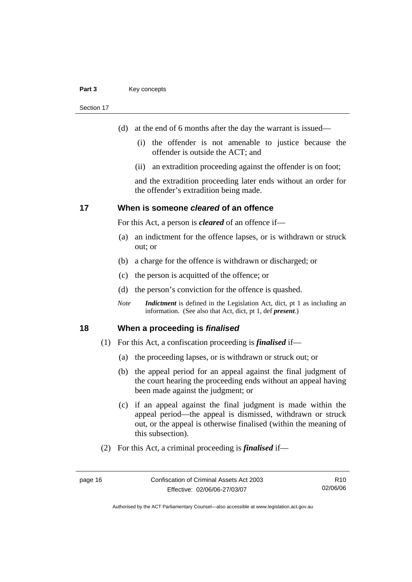#### Part 3 **Key concepts**

Section 17

- (d) at the end of 6 months after the day the warrant is issued—
	- (i) the offender is not amenable to justice because the offender is outside the ACT; and
	- (ii) an extradition proceeding against the offender is on foot;

and the extradition proceeding later ends without an order for the offender's extradition being made.

### **17 When is someone** *cleared* **of an offence**

For this Act, a person is *cleared* of an offence if—

- (a) an indictment for the offence lapses, or is withdrawn or struck out; or
- (b) a charge for the offence is withdrawn or discharged; or
- (c) the person is acquitted of the offence; or
- (d) the person's conviction for the offence is quashed.
- *Note Indictment* is defined in the Legislation Act, dict, pt 1 as including an information. (See also that Act, dict, pt 1, def *present*.)

### **18 When a proceeding is** *finalised*

- (1) For this Act, a confiscation proceeding is *finalised* if—
	- (a) the proceeding lapses, or is withdrawn or struck out; or
	- (b) the appeal period for an appeal against the final judgment of the court hearing the proceeding ends without an appeal having been made against the judgment; or
	- (c) if an appeal against the final judgment is made within the appeal period—the appeal is dismissed, withdrawn or struck out, or the appeal is otherwise finalised (within the meaning of this subsection).
- (2) For this Act, a criminal proceeding is *finalised* if—

R10 02/06/06

Authorised by the ACT Parliamentary Counsel—also accessible at www.legislation.act.gov.au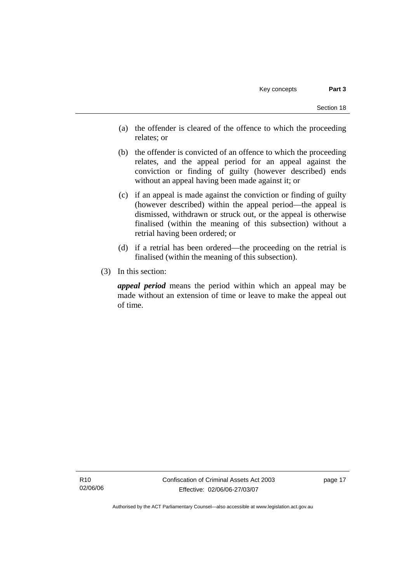- (a) the offender is cleared of the offence to which the proceeding relates; or
- (b) the offender is convicted of an offence to which the proceeding relates, and the appeal period for an appeal against the conviction or finding of guilty (however described) ends without an appeal having been made against it; or
- (c) if an appeal is made against the conviction or finding of guilty (however described) within the appeal period—the appeal is dismissed, withdrawn or struck out, or the appeal is otherwise finalised (within the meaning of this subsection) without a retrial having been ordered; or
- (d) if a retrial has been ordered—the proceeding on the retrial is finalised (within the meaning of this subsection).
- (3) In this section:

*appeal period* means the period within which an appeal may be made without an extension of time or leave to make the appeal out of time.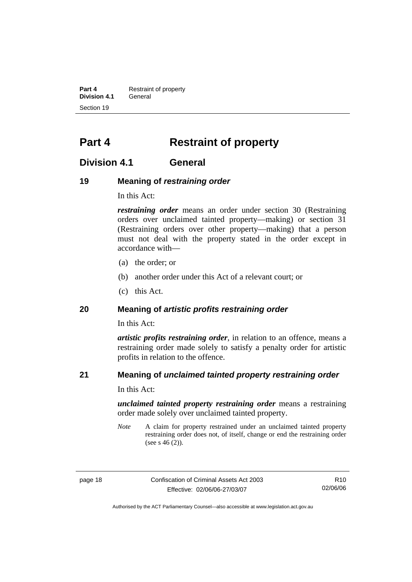**Part 4 Restraint of property Division 4.1** General Section 19

## **Part 4 Restraint of property**

## **Division 4.1 General**

## **19 Meaning of** *restraining order*

In this Act:

*restraining order* means an order under section 30 (Restraining orders over unclaimed tainted property—making) or section 31 (Restraining orders over other property—making) that a person must not deal with the property stated in the order except in accordance with—

- (a) the order; or
- (b) another order under this Act of a relevant court; or
- (c) this Act.

## **20 Meaning of** *artistic profits restraining order*

In this Act:

*artistic profits restraining order*, in relation to an offence, means a restraining order made solely to satisfy a penalty order for artistic profits in relation to the offence.

## **21 Meaning of** *unclaimed tainted property restraining order*

In this Act:

*unclaimed tainted property restraining order* means a restraining order made solely over unclaimed tainted property.

*Note* A claim for property restrained under an unclaimed tainted property restraining order does not, of itself, change or end the restraining order (see s  $46(2)$ ).

page 18 Confiscation of Criminal Assets Act 2003 Effective: 02/06/06-27/03/07

R10 02/06/06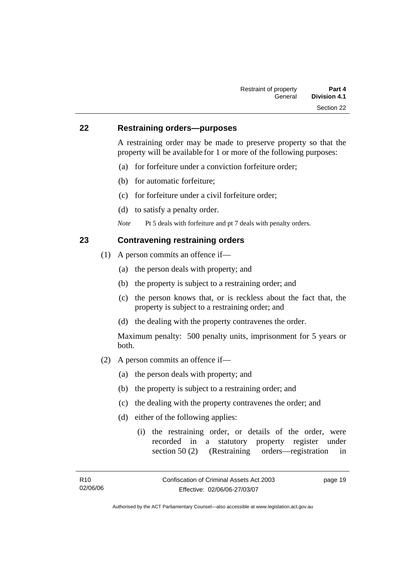### **22 Restraining orders—purposes**

A restraining order may be made to preserve property so that the property will be available for 1 or more of the following purposes:

- (a) for forfeiture under a conviction forfeiture order;
- (b) for automatic forfeiture;
- (c) for forfeiture under a civil forfeiture order;
- (d) to satisfy a penalty order.
- *Note* Pt 5 deals with forfeiture and pt 7 deals with penalty orders.

## **23 Contravening restraining orders**

- (1) A person commits an offence if—
	- (a) the person deals with property; and
	- (b) the property is subject to a restraining order; and
	- (c) the person knows that, or is reckless about the fact that, the property is subject to a restraining order; and
	- (d) the dealing with the property contravenes the order.

Maximum penalty: 500 penalty units, imprisonment for 5 years or both.

- (2) A person commits an offence if—
	- (a) the person deals with property; and
	- (b) the property is subject to a restraining order; and
	- (c) the dealing with the property contravenes the order; and
	- (d) either of the following applies:
		- (i) the restraining order, or details of the order, were recorded in a statutory property register under section 50 (2) (Restraining orders—registration in

page 19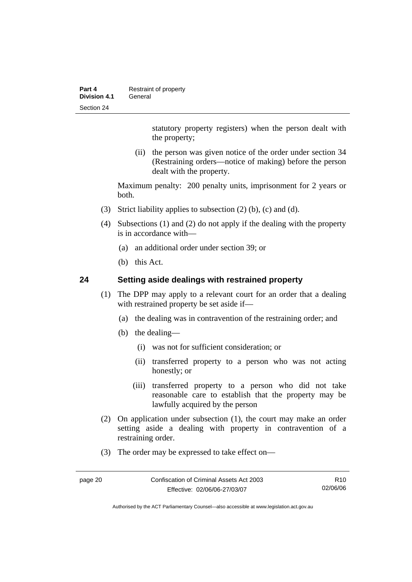| Part 4       | Restraint of property |
|--------------|-----------------------|
| Division 4.1 | General               |
| Section 24   |                       |

statutory property registers) when the person dealt with the property;

 (ii) the person was given notice of the order under section 34 (Restraining orders—notice of making) before the person dealt with the property.

Maximum penalty: 200 penalty units, imprisonment for 2 years or both.

- (3) Strict liability applies to subsection (2) (b), (c) and (d).
- (4) Subsections (1) and (2) do not apply if the dealing with the property is in accordance with—
	- (a) an additional order under section 39; or
	- (b) this Act.

## **24 Setting aside dealings with restrained property**

- (1) The DPP may apply to a relevant court for an order that a dealing with restrained property be set aside if—
	- (a) the dealing was in contravention of the restraining order; and
	- (b) the dealing—
		- (i) was not for sufficient consideration; or
		- (ii) transferred property to a person who was not acting honestly; or
		- (iii) transferred property to a person who did not take reasonable care to establish that the property may be lawfully acquired by the person
- (2) On application under subsection (1), the court may make an order setting aside a dealing with property in contravention of a restraining order.
- (3) The order may be expressed to take effect on—

R10 02/06/06

Authorised by the ACT Parliamentary Counsel—also accessible at www.legislation.act.gov.au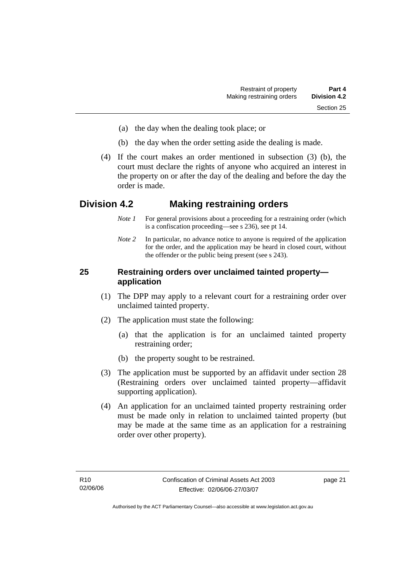- (a) the day when the dealing took place; or
- (b) the day when the order setting aside the dealing is made.
- (4) If the court makes an order mentioned in subsection (3) (b), the court must declare the rights of anyone who acquired an interest in the property on or after the day of the dealing and before the day the order is made.

## **Division 4.2 Making restraining orders**

- *Note 1* For general provisions about a proceeding for a restraining order (which is a confiscation proceeding—see s 236), see pt 14.
- *Note 2* In particular, no advance notice to anyone is required of the application for the order, and the application may be heard in closed court, without the offender or the public being present (see s 243).

## **25 Restraining orders over unclaimed tainted property application**

- (1) The DPP may apply to a relevant court for a restraining order over unclaimed tainted property.
- (2) The application must state the following:
	- (a) that the application is for an unclaimed tainted property restraining order;
	- (b) the property sought to be restrained.
- (3) The application must be supported by an affidavit under section 28 (Restraining orders over unclaimed tainted property—affidavit supporting application).
- (4) An application for an unclaimed tainted property restraining order must be made only in relation to unclaimed tainted property (but may be made at the same time as an application for a restraining order over other property).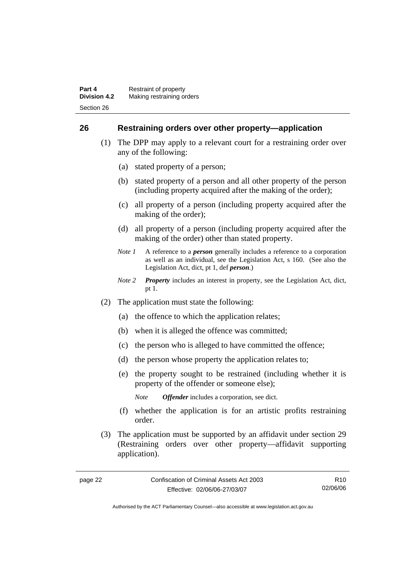## **26 Restraining orders over other property—application**

- (1) The DPP may apply to a relevant court for a restraining order over any of the following:
	- (a) stated property of a person;
	- (b) stated property of a person and all other property of the person (including property acquired after the making of the order);
	- (c) all property of a person (including property acquired after the making of the order);
	- (d) all property of a person (including property acquired after the making of the order) other than stated property.
	- *Note 1* A reference to a *person* generally includes a reference to a corporation as well as an individual, see the Legislation Act, s 160. (See also the Legislation Act, dict, pt 1, def *person*.)
	- *Note 2 Property* includes an interest in property, see the Legislation Act, dict, pt 1.
- (2) The application must state the following:
	- (a) the offence to which the application relates;
	- (b) when it is alleged the offence was committed;
	- (c) the person who is alleged to have committed the offence;
	- (d) the person whose property the application relates to;
	- (e) the property sought to be restrained (including whether it is property of the offender or someone else);
		- *Note Offender* includes a corporation, see dict.
	- (f) whether the application is for an artistic profits restraining order.
- (3) The application must be supported by an affidavit under section 29 (Restraining orders over other property—affidavit supporting application).

R10 02/06/06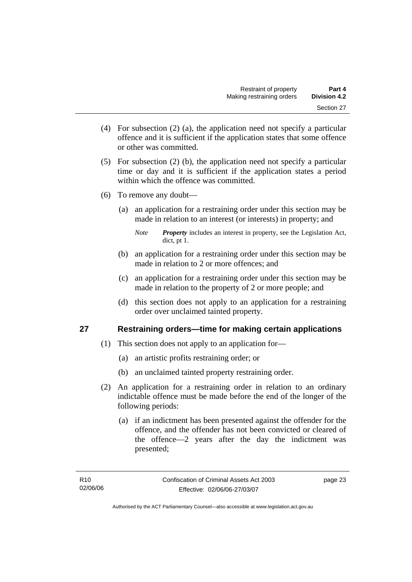- (4) For subsection (2) (a), the application need not specify a particular offence and it is sufficient if the application states that some offence or other was committed.
- (5) For subsection (2) (b), the application need not specify a particular time or day and it is sufficient if the application states a period within which the offence was committed.
- (6) To remove any doubt—
	- (a) an application for a restraining order under this section may be made in relation to an interest (or interests) in property; and

- (b) an application for a restraining order under this section may be made in relation to 2 or more offences; and
- (c) an application for a restraining order under this section may be made in relation to the property of 2 or more people; and
- (d) this section does not apply to an application for a restraining order over unclaimed tainted property.

# **27 Restraining orders—time for making certain applications**

- (1) This section does not apply to an application for—
	- (a) an artistic profits restraining order; or
	- (b) an unclaimed tainted property restraining order.
- (2) An application for a restraining order in relation to an ordinary indictable offence must be made before the end of the longer of the following periods:
	- (a) if an indictment has been presented against the offender for the offence, and the offender has not been convicted or cleared of the offence—2 years after the day the indictment was presented;

*Note Property* includes an interest in property, see the Legislation Act, dict, pt 1.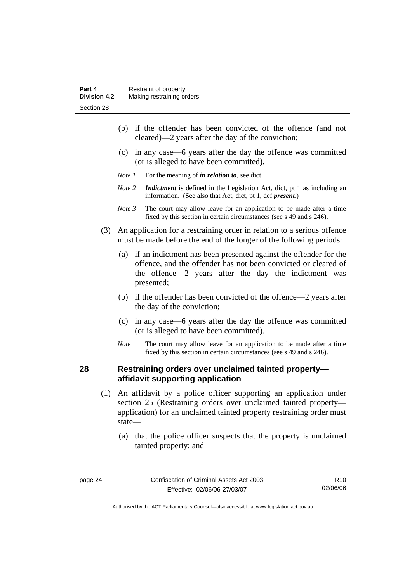- (b) if the offender has been convicted of the offence (and not cleared)—2 years after the day of the conviction;
- (c) in any case—6 years after the day the offence was committed (or is alleged to have been committed).
- *Note 1* For the meaning of *in relation to*, see dict.
- *Note 2 Indictment* is defined in the Legislation Act, dict, pt 1 as including an information. (See also that Act, dict, pt 1, def *present*.)
- *Note 3* The court may allow leave for an application to be made after a time fixed by this section in certain circumstances (see s 49 and s 246).
- (3) An application for a restraining order in relation to a serious offence must be made before the end of the longer of the following periods:
	- (a) if an indictment has been presented against the offender for the offence, and the offender has not been convicted or cleared of the offence—2 years after the day the indictment was presented;
	- (b) if the offender has been convicted of the offence—2 years after the day of the conviction;
	- (c) in any case—6 years after the day the offence was committed (or is alleged to have been committed).
	- *Note* The court may allow leave for an application to be made after a time fixed by this section in certain circumstances (see s 49 and s 246).

#### **28 Restraining orders over unclaimed tainted property affidavit supporting application**

- (1) An affidavit by a police officer supporting an application under section 25 (Restraining orders over unclaimed tainted property application) for an unclaimed tainted property restraining order must state—
	- (a) that the police officer suspects that the property is unclaimed tainted property; and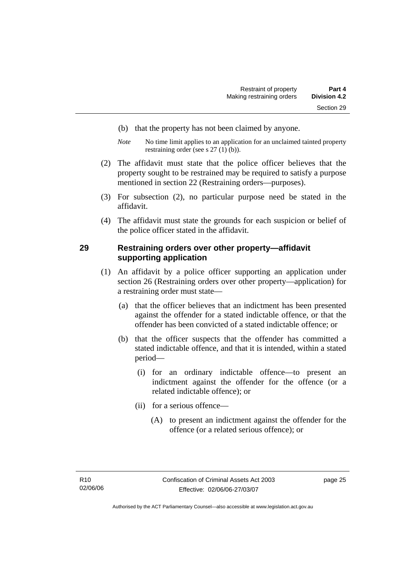- (b) that the property has not been claimed by anyone.
- *Note* No time limit applies to an application for an unclaimed tainted property restraining order (see s 27 (1) (b)).
- (2) The affidavit must state that the police officer believes that the property sought to be restrained may be required to satisfy a purpose mentioned in section 22 (Restraining orders—purposes).
- (3) For subsection (2), no particular purpose need be stated in the affidavit.
- (4) The affidavit must state the grounds for each suspicion or belief of the police officer stated in the affidavit.

#### **29 Restraining orders over other property—affidavit supporting application**

- (1) An affidavit by a police officer supporting an application under section 26 (Restraining orders over other property—application) for a restraining order must state—
	- (a) that the officer believes that an indictment has been presented against the offender for a stated indictable offence, or that the offender has been convicted of a stated indictable offence; or
	- (b) that the officer suspects that the offender has committed a stated indictable offence, and that it is intended, within a stated period—
		- (i) for an ordinary indictable offence—to present an indictment against the offender for the offence (or a related indictable offence); or
		- (ii) for a serious offence—
			- (A) to present an indictment against the offender for the offence (or a related serious offence); or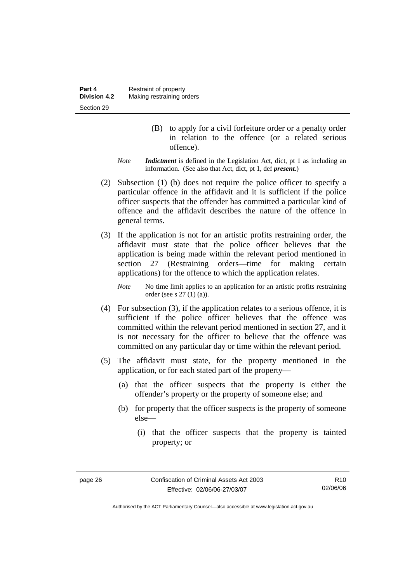- (B) to apply for a civil forfeiture order or a penalty order in relation to the offence (or a related serious offence).
- *Note Indictment* is defined in the Legislation Act, dict, pt 1 as including an information. (See also that Act, dict, pt 1, def *present*.)
- (2) Subsection (1) (b) does not require the police officer to specify a particular offence in the affidavit and it is sufficient if the police officer suspects that the offender has committed a particular kind of offence and the affidavit describes the nature of the offence in general terms.
- (3) If the application is not for an artistic profits restraining order, the affidavit must state that the police officer believes that the application is being made within the relevant period mentioned in section 27 (Restraining orders—time for making certain applications) for the offence to which the application relates.

*Note* No time limit applies to an application for an artistic profits restraining order (see s 27 (1) (a)).

- (4) For subsection (3), if the application relates to a serious offence, it is sufficient if the police officer believes that the offence was committed within the relevant period mentioned in section 27, and it is not necessary for the officer to believe that the offence was committed on any particular day or time within the relevant period.
- (5) The affidavit must state, for the property mentioned in the application, or for each stated part of the property—
	- (a) that the officer suspects that the property is either the offender's property or the property of someone else; and
	- (b) for property that the officer suspects is the property of someone else—
		- (i) that the officer suspects that the property is tainted property; or

Authorised by the ACT Parliamentary Counsel—also accessible at www.legislation.act.gov.au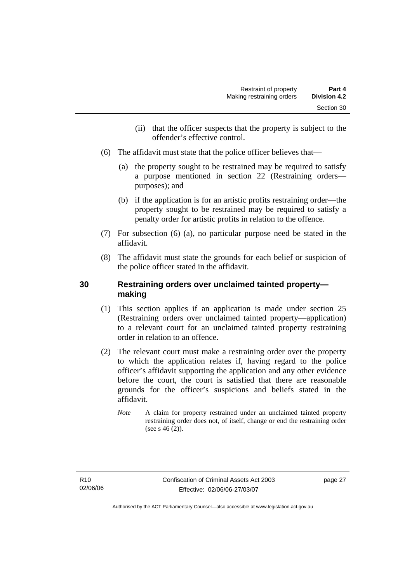- (ii) that the officer suspects that the property is subject to the offender's effective control.
- (6) The affidavit must state that the police officer believes that—
	- (a) the property sought to be restrained may be required to satisfy a purpose mentioned in section 22 (Restraining orders purposes); and
	- (b) if the application is for an artistic profits restraining order—the property sought to be restrained may be required to satisfy a penalty order for artistic profits in relation to the offence.
- (7) For subsection (6) (a), no particular purpose need be stated in the affidavit.
- (8) The affidavit must state the grounds for each belief or suspicion of the police officer stated in the affidavit.

# **30 Restraining orders over unclaimed tainted property making**

- (1) This section applies if an application is made under section 25 (Restraining orders over unclaimed tainted property—application) to a relevant court for an unclaimed tainted property restraining order in relation to an offence.
- (2) The relevant court must make a restraining order over the property to which the application relates if, having regard to the police officer's affidavit supporting the application and any other evidence before the court, the court is satisfied that there are reasonable grounds for the officer's suspicions and beliefs stated in the affidavit.
	- *Note* A claim for property restrained under an unclaimed tainted property restraining order does not, of itself, change or end the restraining order (see s 46 (2)).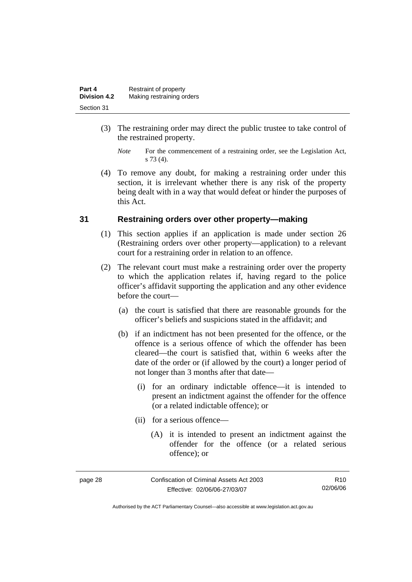| Part 4              | Restraint of property     |
|---------------------|---------------------------|
| <b>Division 4.2</b> | Making restraining orders |
| Section 31          |                           |

- (3) The restraining order may direct the public trustee to take control of the restrained property.
	- *Note* For the commencement of a restraining order, see the Legislation Act, s 73 (4).
- (4) To remove any doubt, for making a restraining order under this section, it is irrelevant whether there is any risk of the property being dealt with in a way that would defeat or hinder the purposes of this Act.

#### **31 Restraining orders over other property—making**

- (1) This section applies if an application is made under section 26 (Restraining orders over other property—application) to a relevant court for a restraining order in relation to an offence.
- (2) The relevant court must make a restraining order over the property to which the application relates if, having regard to the police officer's affidavit supporting the application and any other evidence before the court—
	- (a) the court is satisfied that there are reasonable grounds for the officer's beliefs and suspicions stated in the affidavit; and
	- (b) if an indictment has not been presented for the offence, or the offence is a serious offence of which the offender has been cleared—the court is satisfied that, within 6 weeks after the date of the order or (if allowed by the court) a longer period of not longer than 3 months after that date—
		- (i) for an ordinary indictable offence—it is intended to present an indictment against the offender for the offence (or a related indictable offence); or
		- (ii) for a serious offence—
			- (A) it is intended to present an indictment against the offender for the offence (or a related serious offence); or

| page 28 | Confiscation of Criminal Assets Act 2003 | R <sub>10</sub> |
|---------|------------------------------------------|-----------------|
|         | Effective: 02/06/06-27/03/07             | 02/06/06        |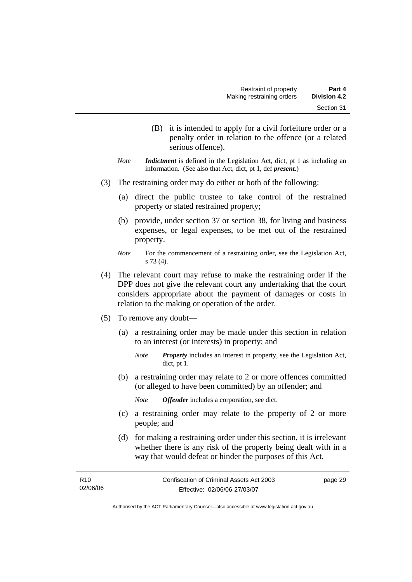- (B) it is intended to apply for a civil forfeiture order or a penalty order in relation to the offence (or a related serious offence).
- *Note Indictment* is defined in the Legislation Act, dict, pt 1 as including an information. (See also that Act, dict, pt 1, def *present*.)
- (3) The restraining order may do either or both of the following:
	- (a) direct the public trustee to take control of the restrained property or stated restrained property;
	- (b) provide, under section 37 or section 38, for living and business expenses, or legal expenses, to be met out of the restrained property.
	- *Note* For the commencement of a restraining order, see the Legislation Act, s 73 (4).
- (4) The relevant court may refuse to make the restraining order if the DPP does not give the relevant court any undertaking that the court considers appropriate about the payment of damages or costs in relation to the making or operation of the order.
- (5) To remove any doubt—
	- (a) a restraining order may be made under this section in relation to an interest (or interests) in property; and
		- *Note Property* includes an interest in property, see the Legislation Act, dict, pt 1.
	- (b) a restraining order may relate to 2 or more offences committed (or alleged to have been committed) by an offender; and
		- *Note Offender* includes a corporation, see dict.
	- (c) a restraining order may relate to the property of 2 or more people; and
	- (d) for making a restraining order under this section, it is irrelevant whether there is any risk of the property being dealt with in a way that would defeat or hinder the purposes of this Act.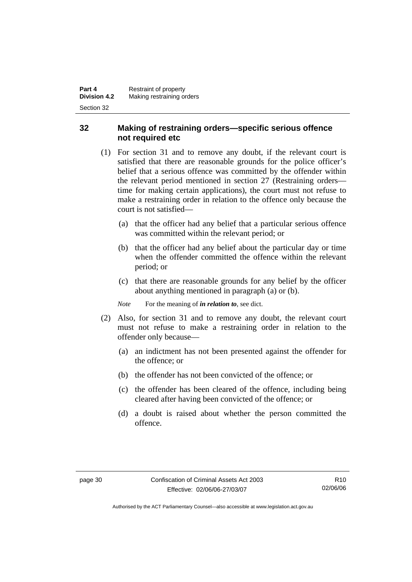## **32 Making of restraining orders—specific serious offence not required etc**

- (1) For section 31 and to remove any doubt, if the relevant court is satisfied that there are reasonable grounds for the police officer's belief that a serious offence was committed by the offender within the relevant period mentioned in section 27 (Restraining orders time for making certain applications), the court must not refuse to make a restraining order in relation to the offence only because the court is not satisfied—
	- (a) that the officer had any belief that a particular serious offence was committed within the relevant period; or
	- (b) that the officer had any belief about the particular day or time when the offender committed the offence within the relevant period; or
	- (c) that there are reasonable grounds for any belief by the officer about anything mentioned in paragraph (a) or (b).

*Note* For the meaning of *in relation to*, see dict.

- (2) Also, for section 31 and to remove any doubt, the relevant court must not refuse to make a restraining order in relation to the offender only because—
	- (a) an indictment has not been presented against the offender for the offence; or
	- (b) the offender has not been convicted of the offence; or
	- (c) the offender has been cleared of the offence, including being cleared after having been convicted of the offence; or
	- (d) a doubt is raised about whether the person committed the offence.

Authorised by the ACT Parliamentary Counsel—also accessible at www.legislation.act.gov.au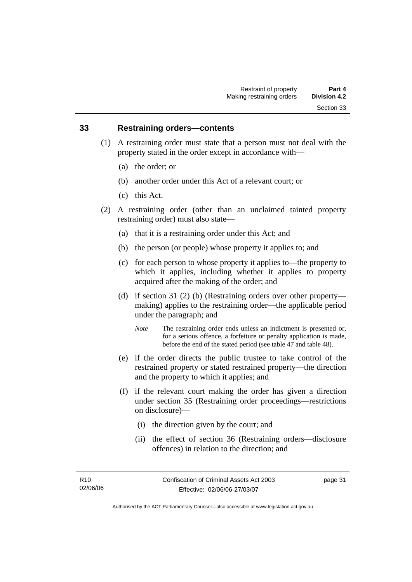#### **33 Restraining orders—contents**

- (1) A restraining order must state that a person must not deal with the property stated in the order except in accordance with—
	- (a) the order; or
	- (b) another order under this Act of a relevant court; or
	- (c) this Act.
- (2) A restraining order (other than an unclaimed tainted property restraining order) must also state—
	- (a) that it is a restraining order under this Act; and
	- (b) the person (or people) whose property it applies to; and
	- (c) for each person to whose property it applies to—the property to which it applies, including whether it applies to property acquired after the making of the order; and
	- (d) if section 31 (2) (b) (Restraining orders over other property making) applies to the restraining order—the applicable period under the paragraph; and
		- *Note* The restraining order ends unless an indictment is presented or, for a serious offence, a forfeiture or penalty application is made, before the end of the stated period (see table 47 and table 48).
	- (e) if the order directs the public trustee to take control of the restrained property or stated restrained property—the direction and the property to which it applies; and
	- (f) if the relevant court making the order has given a direction under section 35 (Restraining order proceedings—restrictions on disclosure)—
		- (i) the direction given by the court; and
		- (ii) the effect of section 36 (Restraining orders—disclosure offences) in relation to the direction; and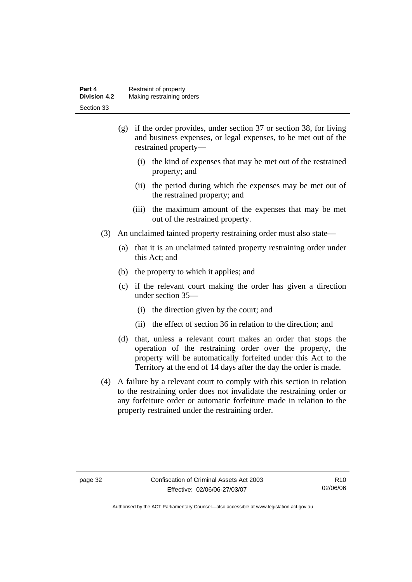| Part 4       | Restraint of property     |
|--------------|---------------------------|
| Division 4.2 | Making restraining orders |
| Section 33   |                           |

- (g) if the order provides, under section 37 or section 38, for living and business expenses, or legal expenses, to be met out of the restrained property—
	- (i) the kind of expenses that may be met out of the restrained property; and
	- (ii) the period during which the expenses may be met out of the restrained property; and
	- (iii) the maximum amount of the expenses that may be met out of the restrained property.
- (3) An unclaimed tainted property restraining order must also state—
	- (a) that it is an unclaimed tainted property restraining order under this Act; and
	- (b) the property to which it applies; and
	- (c) if the relevant court making the order has given a direction under section 35—
		- (i) the direction given by the court; and
		- (ii) the effect of section 36 in relation to the direction; and
	- (d) that, unless a relevant court makes an order that stops the operation of the restraining order over the property, the property will be automatically forfeited under this Act to the Territory at the end of 14 days after the day the order is made.
- (4) A failure by a relevant court to comply with this section in relation to the restraining order does not invalidate the restraining order or any forfeiture order or automatic forfeiture made in relation to the property restrained under the restraining order.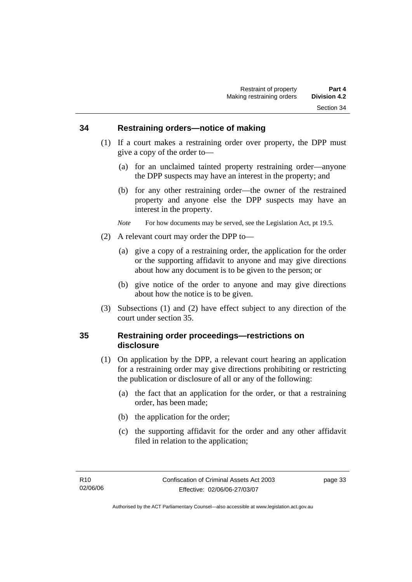#### **34 Restraining orders—notice of making**

- (1) If a court makes a restraining order over property, the DPP must give a copy of the order to—
	- (a) for an unclaimed tainted property restraining order—anyone the DPP suspects may have an interest in the property; and
	- (b) for any other restraining order—the owner of the restrained property and anyone else the DPP suspects may have an interest in the property.

*Note* For how documents may be served, see the Legislation Act, pt 19.5.

- (2) A relevant court may order the DPP to—
	- (a) give a copy of a restraining order, the application for the order or the supporting affidavit to anyone and may give directions about how any document is to be given to the person; or
	- (b) give notice of the order to anyone and may give directions about how the notice is to be given.
- (3) Subsections (1) and (2) have effect subject to any direction of the court under section 35.

#### **35 Restraining order proceedings—restrictions on disclosure**

- (1) On application by the DPP, a relevant court hearing an application for a restraining order may give directions prohibiting or restricting the publication or disclosure of all or any of the following:
	- (a) the fact that an application for the order, or that a restraining order, has been made;
	- (b) the application for the order;
	- (c) the supporting affidavit for the order and any other affidavit filed in relation to the application;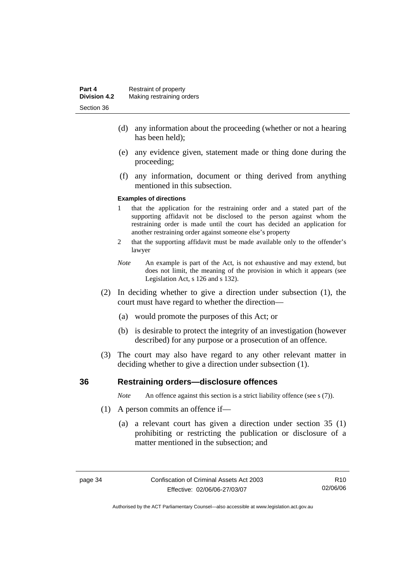- (d) any information about the proceeding (whether or not a hearing has been held);
- (e) any evidence given, statement made or thing done during the proceeding;
- (f) any information, document or thing derived from anything mentioned in this subsection.

#### **Examples of directions**

- 1 that the application for the restraining order and a stated part of the supporting affidavit not be disclosed to the person against whom the restraining order is made until the court has decided an application for another restraining order against someone else's property
- 2 that the supporting affidavit must be made available only to the offender's lawyer
- *Note* An example is part of the Act, is not exhaustive and may extend, but does not limit, the meaning of the provision in which it appears (see Legislation Act, s 126 and s 132).
- (2) In deciding whether to give a direction under subsection (1), the court must have regard to whether the direction—
	- (a) would promote the purposes of this Act; or
	- (b) is desirable to protect the integrity of an investigation (however described) for any purpose or a prosecution of an offence.
- (3) The court may also have regard to any other relevant matter in deciding whether to give a direction under subsection (1).

#### **36 Restraining orders—disclosure offences**

*Note* An offence against this section is a strict liability offence (see s (7)).

- (1) A person commits an offence if—
	- (a) a relevant court has given a direction under section 35 (1) prohibiting or restricting the publication or disclosure of a matter mentioned in the subsection; and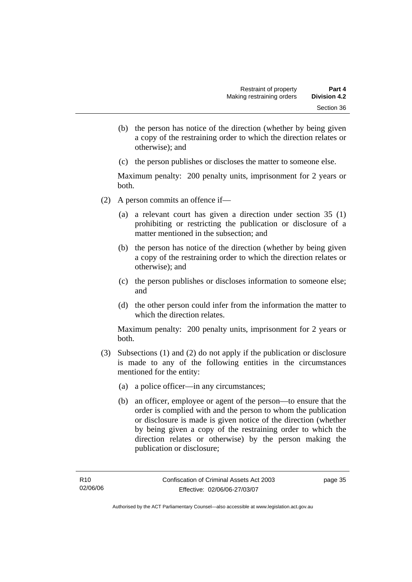- (b) the person has notice of the direction (whether by being given a copy of the restraining order to which the direction relates or otherwise); and
- (c) the person publishes or discloses the matter to someone else.

Maximum penalty: 200 penalty units, imprisonment for 2 years or both.

- (2) A person commits an offence if—
	- (a) a relevant court has given a direction under section 35 (1) prohibiting or restricting the publication or disclosure of a matter mentioned in the subsection; and
	- (b) the person has notice of the direction (whether by being given a copy of the restraining order to which the direction relates or otherwise); and
	- (c) the person publishes or discloses information to someone else; and
	- (d) the other person could infer from the information the matter to which the direction relates.

Maximum penalty: 200 penalty units, imprisonment for 2 years or both.

- (3) Subsections (1) and (2) do not apply if the publication or disclosure is made to any of the following entities in the circumstances mentioned for the entity:
	- (a) a police officer—in any circumstances;
	- (b) an officer, employee or agent of the person—to ensure that the order is complied with and the person to whom the publication or disclosure is made is given notice of the direction (whether by being given a copy of the restraining order to which the direction relates or otherwise) by the person making the publication or disclosure;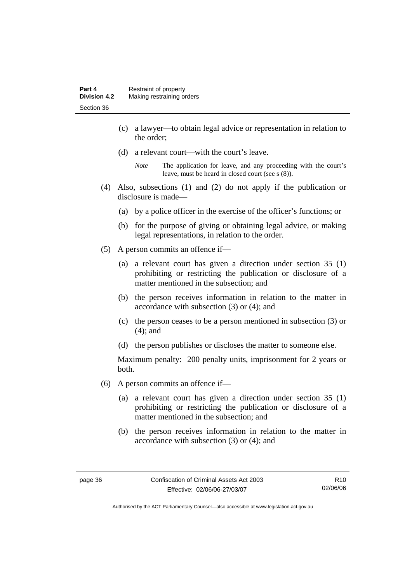- (c) a lawyer—to obtain legal advice or representation in relation to the order;
- (d) a relevant court—with the court's leave.

- (4) Also, subsections (1) and (2) do not apply if the publication or disclosure is made—
	- (a) by a police officer in the exercise of the officer's functions; or
	- (b) for the purpose of giving or obtaining legal advice, or making legal representations, in relation to the order.
- (5) A person commits an offence if—
	- (a) a relevant court has given a direction under section 35 (1) prohibiting or restricting the publication or disclosure of a matter mentioned in the subsection; and
	- (b) the person receives information in relation to the matter in accordance with subsection (3) or (4); and
	- (c) the person ceases to be a person mentioned in subsection (3) or (4); and
	- (d) the person publishes or discloses the matter to someone else.

Maximum penalty: 200 penalty units, imprisonment for 2 years or both.

- (6) A person commits an offence if—
	- (a) a relevant court has given a direction under section 35 (1) prohibiting or restricting the publication or disclosure of a matter mentioned in the subsection; and
	- (b) the person receives information in relation to the matter in accordance with subsection (3) or (4); and

*Note* The application for leave, and any proceeding with the court's leave, must be heard in closed court (see s (8)).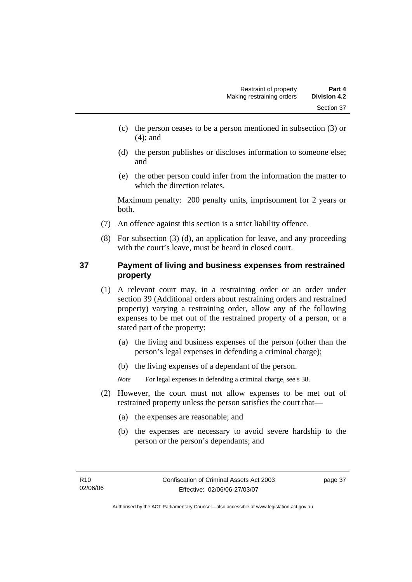- (c) the person ceases to be a person mentioned in subsection (3) or (4); and
- (d) the person publishes or discloses information to someone else; and
- (e) the other person could infer from the information the matter to which the direction relates.

Maximum penalty: 200 penalty units, imprisonment for 2 years or both.

- (7) An offence against this section is a strict liability offence.
- (8) For subsection (3) (d), an application for leave, and any proceeding with the court's leave, must be heard in closed court.

# **37 Payment of living and business expenses from restrained property**

- (1) A relevant court may, in a restraining order or an order under section 39 (Additional orders about restraining orders and restrained property) varying a restraining order, allow any of the following expenses to be met out of the restrained property of a person, or a stated part of the property:
	- (a) the living and business expenses of the person (other than the person's legal expenses in defending a criminal charge);
	- (b) the living expenses of a dependant of the person.

*Note* For legal expenses in defending a criminal charge, see s 38.

- (2) However, the court must not allow expenses to be met out of restrained property unless the person satisfies the court that—
	- (a) the expenses are reasonable; and
	- (b) the expenses are necessary to avoid severe hardship to the person or the person's dependants; and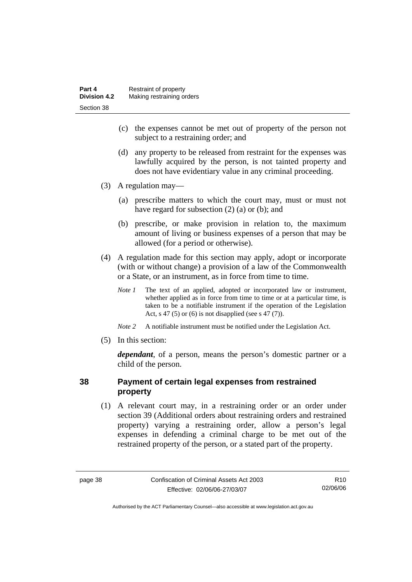- (c) the expenses cannot be met out of property of the person not subject to a restraining order; and
- (d) any property to be released from restraint for the expenses was lawfully acquired by the person, is not tainted property and does not have evidentiary value in any criminal proceeding.
- (3) A regulation may—
	- (a) prescribe matters to which the court may, must or must not have regard for subsection (2) (a) or (b); and
	- (b) prescribe, or make provision in relation to, the maximum amount of living or business expenses of a person that may be allowed (for a period or otherwise).
- (4) A regulation made for this section may apply, adopt or incorporate (with or without change) a provision of a law of the Commonwealth or a State, or an instrument, as in force from time to time.
	- *Note 1* The text of an applied, adopted or incorporated law or instrument, whether applied as in force from time to time or at a particular time, is taken to be a notifiable instrument if the operation of the Legislation Act, s 47 (5) or (6) is not disapplied (see s 47 (7)).
	- *Note 2* A notifiable instrument must be notified under the Legislation Act.
- (5) In this section:

*dependant*, of a person, means the person's domestic partner or a child of the person.

# **38 Payment of certain legal expenses from restrained property**

 (1) A relevant court may, in a restraining order or an order under section 39 (Additional orders about restraining orders and restrained property) varying a restraining order, allow a person's legal expenses in defending a criminal charge to be met out of the restrained property of the person, or a stated part of the property.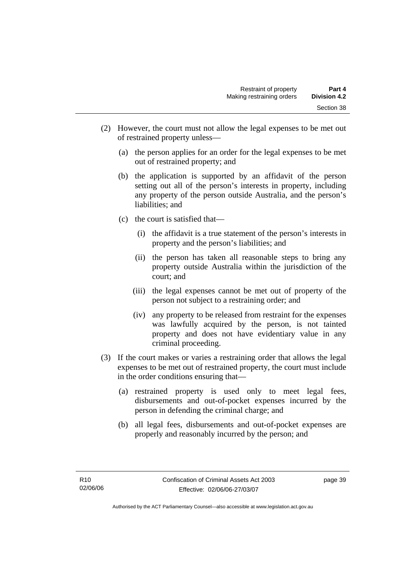- (2) However, the court must not allow the legal expenses to be met out of restrained property unless—
	- (a) the person applies for an order for the legal expenses to be met out of restrained property; and
	- (b) the application is supported by an affidavit of the person setting out all of the person's interests in property, including any property of the person outside Australia, and the person's liabilities; and
	- (c) the court is satisfied that—
		- (i) the affidavit is a true statement of the person's interests in property and the person's liabilities; and
		- (ii) the person has taken all reasonable steps to bring any property outside Australia within the jurisdiction of the court; and
		- (iii) the legal expenses cannot be met out of property of the person not subject to a restraining order; and
		- (iv) any property to be released from restraint for the expenses was lawfully acquired by the person, is not tainted property and does not have evidentiary value in any criminal proceeding.
- (3) If the court makes or varies a restraining order that allows the legal expenses to be met out of restrained property, the court must include in the order conditions ensuring that—
	- (a) restrained property is used only to meet legal fees, disbursements and out-of-pocket expenses incurred by the person in defending the criminal charge; and
	- (b) all legal fees, disbursements and out-of-pocket expenses are properly and reasonably incurred by the person; and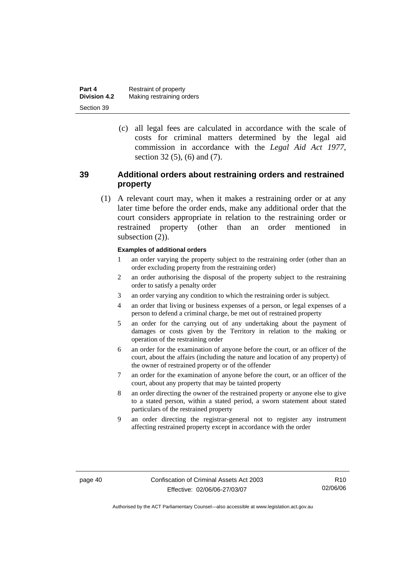| Part 4              | Restraint of property     |
|---------------------|---------------------------|
| <b>Division 4.2</b> | Making restraining orders |
| Section 39          |                           |

 (c) all legal fees are calculated in accordance with the scale of costs for criminal matters determined by the legal aid commission in accordance with the *Legal Aid Act 1977*, section 32 (5), (6) and (7).

### **39 Additional orders about restraining orders and restrained property**

 (1) A relevant court may, when it makes a restraining order or at any later time before the order ends, make any additional order that the court considers appropriate in relation to the restraining order or restrained property (other than an order mentioned in subsection  $(2)$ ).

#### **Examples of additional orders**

- 1 an order varying the property subject to the restraining order (other than an order excluding property from the restraining order)
- 2 an order authorising the disposal of the property subject to the restraining order to satisfy a penalty order
- 3 an order varying any condition to which the restraining order is subject.
- 4 an order that living or business expenses of a person, or legal expenses of a person to defend a criminal charge, be met out of restrained property
- 5 an order for the carrying out of any undertaking about the payment of damages or costs given by the Territory in relation to the making or operation of the restraining order
- 6 an order for the examination of anyone before the court, or an officer of the court, about the affairs (including the nature and location of any property) of the owner of restrained property or of the offender
- 7 an order for the examination of anyone before the court, or an officer of the court, about any property that may be tainted property
- 8 an order directing the owner of the restrained property or anyone else to give to a stated person, within a stated period, a sworn statement about stated particulars of the restrained property
- 9 an order directing the registrar-general not to register any instrument affecting restrained property except in accordance with the order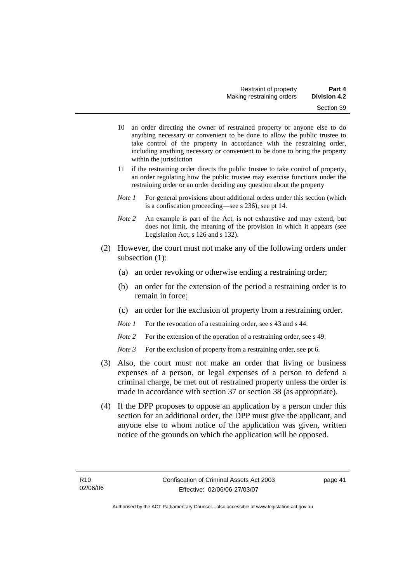- 10 an order directing the owner of restrained property or anyone else to do anything necessary or convenient to be done to allow the public trustee to take control of the property in accordance with the restraining order, including anything necessary or convenient to be done to bring the property within the jurisdiction
- 11 if the restraining order directs the public trustee to take control of property, an order regulating how the public trustee may exercise functions under the restraining order or an order deciding any question about the property
- *Note 1* For general provisions about additional orders under this section (which is a confiscation proceeding—see s 236), see pt 14.
- *Note 2* An example is part of the Act, is not exhaustive and may extend, but does not limit, the meaning of the provision in which it appears (see Legislation Act, s 126 and s 132).
- (2) However, the court must not make any of the following orders under subsection (1):
	- (a) an order revoking or otherwise ending a restraining order;
	- (b) an order for the extension of the period a restraining order is to remain in force;
	- (c) an order for the exclusion of property from a restraining order.
	- *Note 1* For the revocation of a restraining order, see s 43 and s 44.
	- *Note* 2 For the extension of the operation of a restraining order, see s 49.
	- *Note 3* For the exclusion of property from a restraining order, see pt 6.
- (3) Also, the court must not make an order that living or business expenses of a person, or legal expenses of a person to defend a criminal charge, be met out of restrained property unless the order is made in accordance with section 37 or section 38 (as appropriate).
- (4) If the DPP proposes to oppose an application by a person under this section for an additional order, the DPP must give the applicant, and anyone else to whom notice of the application was given, written notice of the grounds on which the application will be opposed.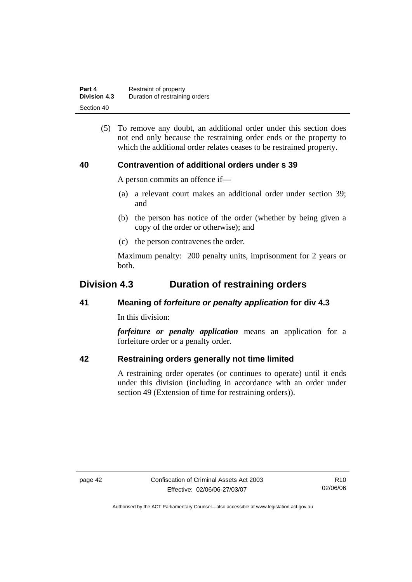| Part 4              | Restraint of property          |  |
|---------------------|--------------------------------|--|
| <b>Division 4.3</b> | Duration of restraining orders |  |
| Section 40          |                                |  |

 (5) To remove any doubt, an additional order under this section does not end only because the restraining order ends or the property to which the additional order relates ceases to be restrained property.

#### **40 Contravention of additional orders under s 39**

A person commits an offence if—

- (a) a relevant court makes an additional order under section 39; and
- (b) the person has notice of the order (whether by being given a copy of the order or otherwise); and
- (c) the person contravenes the order.

Maximum penalty: 200 penalty units, imprisonment for 2 years or both.

# **Division 4.3 Duration of restraining orders**

#### **41 Meaning of** *forfeiture or penalty application* **for div 4.3**

In this division:

*forfeiture or penalty application* means an application for a forfeiture order or a penalty order.

#### **42 Restraining orders generally not time limited**

A restraining order operates (or continues to operate) until it ends under this division (including in accordance with an order under section 49 (Extension of time for restraining orders)).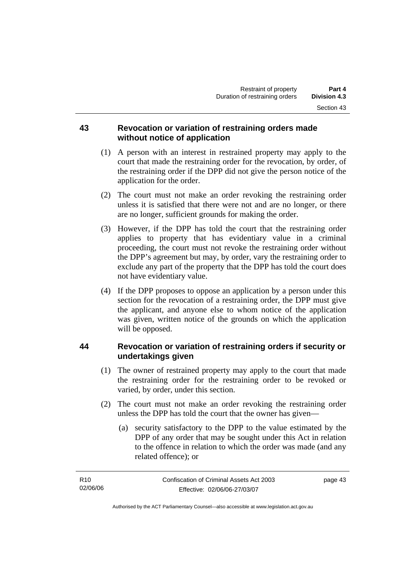#### **43 Revocation or variation of restraining orders made without notice of application**

- (1) A person with an interest in restrained property may apply to the court that made the restraining order for the revocation, by order, of the restraining order if the DPP did not give the person notice of the application for the order.
- (2) The court must not make an order revoking the restraining order unless it is satisfied that there were not and are no longer, or there are no longer, sufficient grounds for making the order.
- (3) However, if the DPP has told the court that the restraining order applies to property that has evidentiary value in a criminal proceeding, the court must not revoke the restraining order without the DPP's agreement but may, by order, vary the restraining order to exclude any part of the property that the DPP has told the court does not have evidentiary value.
- (4) If the DPP proposes to oppose an application by a person under this section for the revocation of a restraining order, the DPP must give the applicant, and anyone else to whom notice of the application was given, written notice of the grounds on which the application will be opposed.

# **44 Revocation or variation of restraining orders if security or undertakings given**

- (1) The owner of restrained property may apply to the court that made the restraining order for the restraining order to be revoked or varied, by order, under this section.
- (2) The court must not make an order revoking the restraining order unless the DPP has told the court that the owner has given—
	- (a) security satisfactory to the DPP to the value estimated by the DPP of any order that may be sought under this Act in relation to the offence in relation to which the order was made (and any related offence); or

| R <sub>10</sub> | Confiscation of Criminal Assets Act 2003 | page 43 |
|-----------------|------------------------------------------|---------|
| 02/06/06        | Effective: 02/06/06-27/03/07             |         |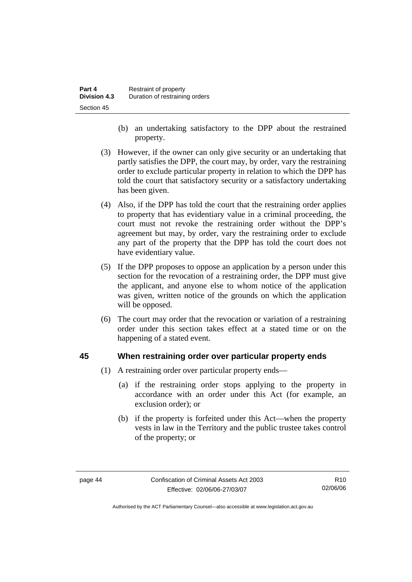- (b) an undertaking satisfactory to the DPP about the restrained property.
- (3) However, if the owner can only give security or an undertaking that partly satisfies the DPP, the court may, by order, vary the restraining order to exclude particular property in relation to which the DPP has told the court that satisfactory security or a satisfactory undertaking has been given.
- (4) Also, if the DPP has told the court that the restraining order applies to property that has evidentiary value in a criminal proceeding, the court must not revoke the restraining order without the DPP's agreement but may, by order, vary the restraining order to exclude any part of the property that the DPP has told the court does not have evidentiary value.
- (5) If the DPP proposes to oppose an application by a person under this section for the revocation of a restraining order, the DPP must give the applicant, and anyone else to whom notice of the application was given, written notice of the grounds on which the application will be opposed.
- (6) The court may order that the revocation or variation of a restraining order under this section takes effect at a stated time or on the happening of a stated event.

#### **45 When restraining order over particular property ends**

- (1) A restraining order over particular property ends—
	- (a) if the restraining order stops applying to the property in accordance with an order under this Act (for example, an exclusion order); or
	- (b) if the property is forfeited under this Act—when the property vests in law in the Territory and the public trustee takes control of the property; or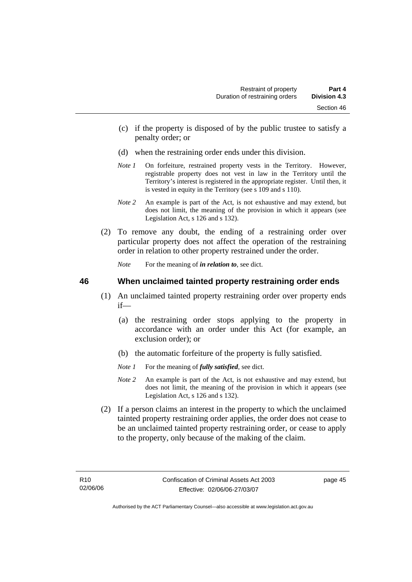- (c) if the property is disposed of by the public trustee to satisfy a penalty order; or
- (d) when the restraining order ends under this division.
- *Note 1* On forfeiture, restrained property vests in the Territory. However, registrable property does not vest in law in the Territory until the Territory's interest is registered in the appropriate register. Until then, it is vested in equity in the Territory (see s 109 and s 110).
- *Note 2* An example is part of the Act, is not exhaustive and may extend, but does not limit, the meaning of the provision in which it appears (see Legislation Act, s 126 and s 132).
- (2) To remove any doubt, the ending of a restraining order over particular property does not affect the operation of the restraining order in relation to other property restrained under the order.

*Note* For the meaning of *in relation to*, see dict.

#### **46 When unclaimed tainted property restraining order ends**

- (1) An unclaimed tainted property restraining order over property ends if—
	- (a) the restraining order stops applying to the property in accordance with an order under this Act (for example, an exclusion order); or
	- (b) the automatic forfeiture of the property is fully satisfied.
	- *Note 1* For the meaning of *fully satisfied*, see dict.
	- *Note 2* An example is part of the Act, is not exhaustive and may extend, but does not limit, the meaning of the provision in which it appears (see Legislation Act, s 126 and s 132).
- (2) If a person claims an interest in the property to which the unclaimed tainted property restraining order applies, the order does not cease to be an unclaimed tainted property restraining order, or cease to apply to the property, only because of the making of the claim.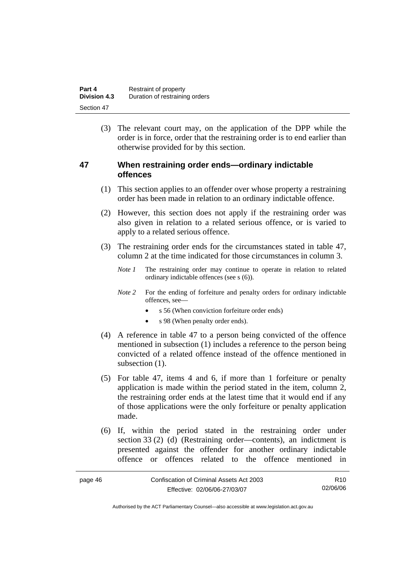| Part 4              | Restraint of property          |  |
|---------------------|--------------------------------|--|
| <b>Division 4.3</b> | Duration of restraining orders |  |
| Section 47          |                                |  |

 (3) The relevant court may, on the application of the DPP while the order is in force, order that the restraining order is to end earlier than otherwise provided for by this section.

#### **47 When restraining order ends—ordinary indictable offences**

- (1) This section applies to an offender over whose property a restraining order has been made in relation to an ordinary indictable offence.
- (2) However, this section does not apply if the restraining order was also given in relation to a related serious offence, or is varied to apply to a related serious offence.
- (3) The restraining order ends for the circumstances stated in table 47, column 2 at the time indicated for those circumstances in column 3.
	- *Note 1* The restraining order may continue to operate in relation to related ordinary indictable offences (see s (6)).
	- *Note* 2 For the ending of forfeiture and penalty orders for ordinary indictable offences, see—
		- s 56 (When conviction forfeiture order ends)
		- s 98 (When penalty order ends).
- (4) A reference in table 47 to a person being convicted of the offence mentioned in subsection (1) includes a reference to the person being convicted of a related offence instead of the offence mentioned in subsection  $(1)$ .
- (5) For table 47, items 4 and 6, if more than 1 forfeiture or penalty application is made within the period stated in the item, column 2, the restraining order ends at the latest time that it would end if any of those applications were the only forfeiture or penalty application made.
- (6) If, within the period stated in the restraining order under section 33 (2) (d) (Restraining order—contents), an indictment is presented against the offender for another ordinary indictable offence or offences related to the offence mentioned in

| page 46 | Confiscation of Criminal Assets Act 2003 | R10      |
|---------|------------------------------------------|----------|
|         | Effective: 02/06/06-27/03/07             | 02/06/06 |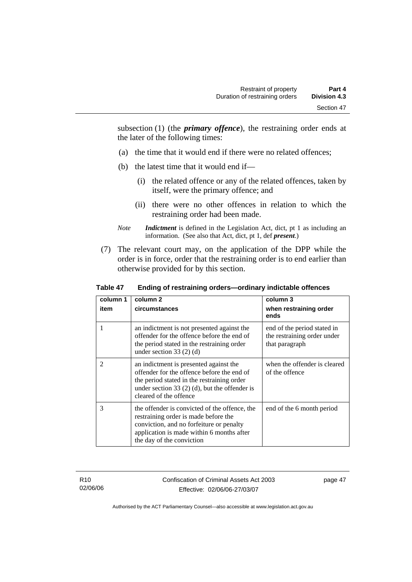subsection (1) (the *primary offence*), the restraining order ends at the later of the following times:

- (a) the time that it would end if there were no related offences;
- (b) the latest time that it would end if—
	- (i) the related offence or any of the related offences, taken by itself, were the primary offence; and
	- (ii) there were no other offences in relation to which the restraining order had been made.
- *Note Indictment* is defined in the Legislation Act, dict, pt 1 as including an information. (See also that Act, dict, pt 1, def *present*.)
- (7) The relevant court may, on the application of the DPP while the order is in force, order that the restraining order is to end earlier than otherwise provided for by this section.

| column 1<br>item | column 2<br>circumstances                                                                                                                                                                                       | column 3<br>when restraining order<br>ends                                   |
|------------------|-----------------------------------------------------------------------------------------------------------------------------------------------------------------------------------------------------------------|------------------------------------------------------------------------------|
| 1                | an indictment is not presented against the<br>offender for the offence before the end of<br>the period stated in the restraining order<br>under section $33(2)(d)$                                              | end of the period stated in<br>the restraining order under<br>that paragraph |
| $\mathfrak{D}$   | an indictment is presented against the<br>offender for the offence before the end of<br>the period stated in the restraining order<br>under section 33 $(2)$ (d), but the offender is<br>cleared of the offence | when the offender is cleared<br>of the offence                               |
| 3                | the offender is convicted of the offence, the<br>restraining order is made before the<br>conviction, and no forfeiture or penalty<br>application is made within 6 months after<br>the day of the conviction     | end of the 6 month period                                                    |

#### **Table 47 Ending of restraining orders—ordinary indictable offences**

R10 02/06/06 Confiscation of Criminal Assets Act 2003 Effective: 02/06/06-27/03/07

page 47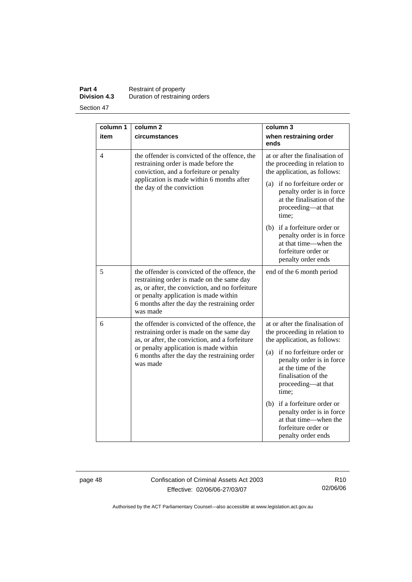**Part 4 Restraint of property Division 4.3** Duration of restraining orders

Section 47

| column 1<br>item | column <sub>2</sub><br>circumstances                                                                                                                                                                                                               | column 3<br>when restraining order<br>ends                                                                                                                                                                                                                                                                                                                                    |
|------------------|----------------------------------------------------------------------------------------------------------------------------------------------------------------------------------------------------------------------------------------------------|-------------------------------------------------------------------------------------------------------------------------------------------------------------------------------------------------------------------------------------------------------------------------------------------------------------------------------------------------------------------------------|
| 4                | the offender is convicted of the offence, the<br>restraining order is made before the<br>conviction, and a forfeiture or penalty<br>application is made within 6 months after<br>the day of the conviction                                         | at or after the finalisation of<br>the proceeding in relation to<br>the application, as follows:<br>if no forfeiture order or<br>(a)<br>penalty order is in force<br>at the finalisation of the<br>proceeding—at that<br>time;<br>(b) if a forfeiture order or<br>penalty order is in force<br>at that time—when the<br>forfeiture order or<br>penalty order ends             |
| 5                | the offender is convicted of the offence, the<br>restraining order is made on the same day<br>as, or after, the conviction, and no forfeiture<br>or penalty application is made within<br>6 months after the day the restraining order<br>was made | end of the 6 month period                                                                                                                                                                                                                                                                                                                                                     |
| 6                | the offender is convicted of the offence, the<br>restraining order is made on the same day<br>as, or after, the conviction, and a forfeiture<br>or penalty application is made within<br>6 months after the day the restraining order<br>was made  | at or after the finalisation of<br>the proceeding in relation to<br>the application, as follows:<br>(a) if no forfeiture order or<br>penalty order is in force<br>at the time of the<br>finalisation of the<br>proceeding—at that<br>time;<br>(b) if a forfeiture order or<br>penalty order is in force<br>at that time—when the<br>forfeiture order or<br>penalty order ends |

page 48 Confiscation of Criminal Assets Act 2003 Effective: 02/06/06-27/03/07

R10 02/06/06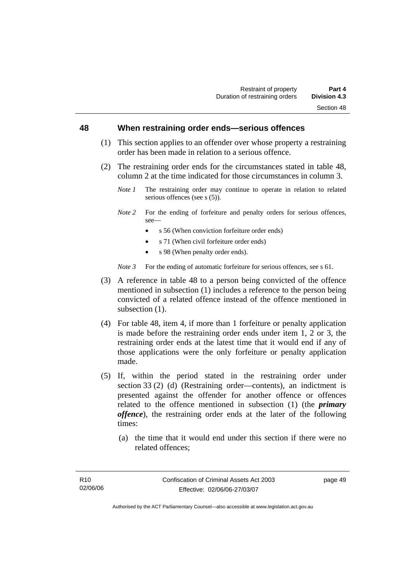#### **48 When restraining order ends—serious offences**

- (1) This section applies to an offender over whose property a restraining order has been made in relation to a serious offence.
- (2) The restraining order ends for the circumstances stated in table 48, column 2 at the time indicated for those circumstances in column 3.
	- *Note 1* The restraining order may continue to operate in relation to related serious offences (see s (5)).
	- *Note 2* For the ending of forfeiture and penalty orders for serious offences, see—
		- s 56 (When conviction forfeiture order ends)
		- s 71 (When civil forfeiture order ends)
		- s 98 (When penalty order ends).

*Note 3* For the ending of automatic forfeiture for serious offences, see s 61.

- (3) A reference in table 48 to a person being convicted of the offence mentioned in subsection (1) includes a reference to the person being convicted of a related offence instead of the offence mentioned in subsection  $(1)$ .
- (4) For table 48, item 4, if more than 1 forfeiture or penalty application is made before the restraining order ends under item 1, 2 or 3, the restraining order ends at the latest time that it would end if any of those applications were the only forfeiture or penalty application made.
- (5) If, within the period stated in the restraining order under section 33 (2) (d) (Restraining order—contents), an indictment is presented against the offender for another offence or offences related to the offence mentioned in subsection (1) (the *primary offence*), the restraining order ends at the later of the following times:
	- (a) the time that it would end under this section if there were no related offences;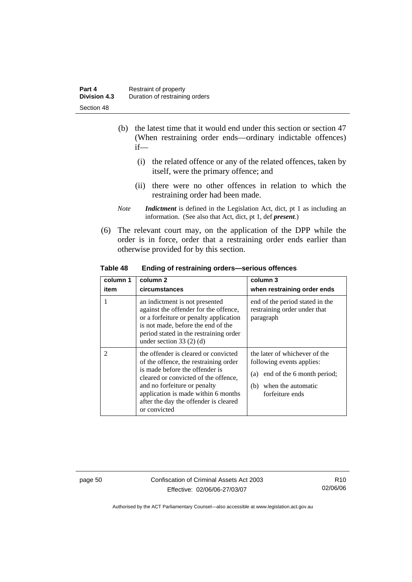- (b) the latest time that it would end under this section or section 47 (When restraining order ends—ordinary indictable offences) if—
	- (i) the related offence or any of the related offences, taken by itself, were the primary offence; and
	- (ii) there were no other offences in relation to which the restraining order had been made.
- *Note Indictment* is defined in the Legislation Act, dict, pt 1 as including an information. (See also that Act, dict, pt 1, def *present*.)
- (6) The relevant court may, on the application of the DPP while the order is in force, order that a restraining order ends earlier than otherwise provided for by this section.

**Table 48 Ending of restraining orders—serious offences** 

| column 1<br>item | column 2<br>circumstances                                                                                                                                                                                                                                                               | column 3<br>when restraining order ends                                                                                                      |
|------------------|-----------------------------------------------------------------------------------------------------------------------------------------------------------------------------------------------------------------------------------------------------------------------------------------|----------------------------------------------------------------------------------------------------------------------------------------------|
|                  | an indictment is not presented<br>against the offender for the offence,<br>or a forfeiture or penalty application<br>is not made, before the end of the<br>period stated in the restraining order<br>under section $33(2)$ (d)                                                          | end of the period stated in the<br>restraining order under that<br>paragraph                                                                 |
| $\mathfrak{D}$   | the offender is cleared or convicted<br>of the offence, the restraining order<br>is made before the offender is<br>cleared or convicted of the offence,<br>and no forfeiture or penalty<br>application is made within 6 months<br>after the day the offender is cleared<br>or convicted | the later of whichever of the<br>following events applies:<br>end of the 6 month period;<br>(a)<br>(b) when the automatic<br>forfeiture ends |

page 50 Confiscation of Criminal Assets Act 2003 Effective: 02/06/06-27/03/07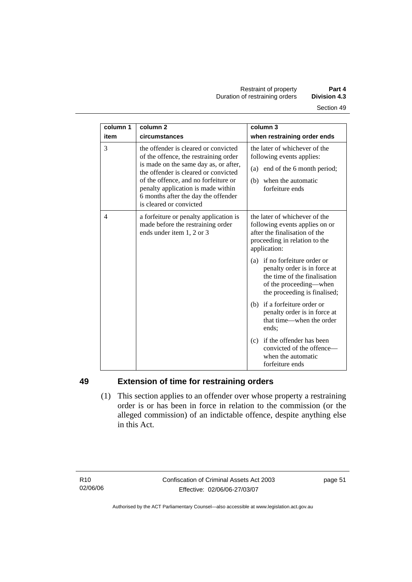| column 1       | column <sub>2</sub>                                                                                                                                                                                                                                                                                            | column $3$                                                                                                                                              |
|----------------|----------------------------------------------------------------------------------------------------------------------------------------------------------------------------------------------------------------------------------------------------------------------------------------------------------------|---------------------------------------------------------------------------------------------------------------------------------------------------------|
| item           | circumstances                                                                                                                                                                                                                                                                                                  | when restraining order ends                                                                                                                             |
| 3              | the offender is cleared or convicted<br>of the offence, the restraining order<br>is made on the same day as, or after,<br>the offender is cleared or convicted<br>of the offence, and no forfeiture or<br>penalty application is made within<br>6 months after the day the offender<br>is cleared or convicted | the later of whichever of the<br>following events applies:<br>(a) end of the 6 month period;<br>when the automatic<br>(b)<br>forfeiture ends            |
| $\overline{4}$ | a forfeiture or penalty application is<br>made before the restraining order<br>ends under item 1, 2 or 3                                                                                                                                                                                                       | the later of whichever of the<br>following events applies on or<br>after the finalisation of the<br>proceeding in relation to the<br>application:       |
|                |                                                                                                                                                                                                                                                                                                                | (a) if no forfeiture order or<br>penalty order is in force at<br>the time of the finalisation<br>of the proceeding-when<br>the proceeding is finalised; |
|                |                                                                                                                                                                                                                                                                                                                | (b) if a forfeiture order or<br>penalty order is in force at<br>that time—when the order<br>ends:                                                       |
|                |                                                                                                                                                                                                                                                                                                                | if the offender has been<br>(c)<br>convicted of the offence-<br>when the automatic<br>forfeiture ends                                                   |

# **49 Extension of time for restraining orders**

 (1) This section applies to an offender over whose property a restraining order is or has been in force in relation to the commission (or the alleged commission) of an indictable offence, despite anything else in this Act.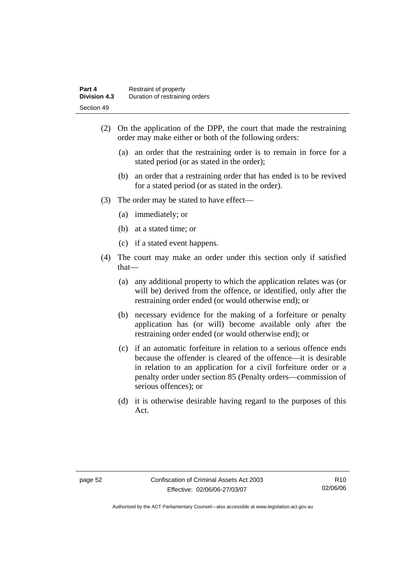- (2) On the application of the DPP, the court that made the restraining order may make either or both of the following orders:
	- (a) an order that the restraining order is to remain in force for a stated period (or as stated in the order);
	- (b) an order that a restraining order that has ended is to be revived for a stated period (or as stated in the order).
- (3) The order may be stated to have effect—
	- (a) immediately; or
	- (b) at a stated time; or
	- (c) if a stated event happens.
- (4) The court may make an order under this section only if satisfied that—
	- (a) any additional property to which the application relates was (or will be) derived from the offence, or identified, only after the restraining order ended (or would otherwise end); or
	- (b) necessary evidence for the making of a forfeiture or penalty application has (or will) become available only after the restraining order ended (or would otherwise end); or
	- (c) if an automatic forfeiture in relation to a serious offence ends because the offender is cleared of the offence—it is desirable in relation to an application for a civil forfeiture order or a penalty order under section 85 (Penalty orders—commission of serious offences); or
	- (d) it is otherwise desirable having regard to the purposes of this Act.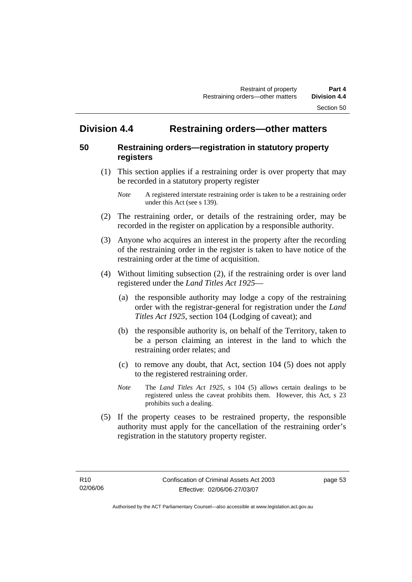# **Division 4.4 Restraining orders—other matters**

#### **50 Restraining orders—registration in statutory property registers**

 (1) This section applies if a restraining order is over property that may be recorded in a statutory property register

- (2) The restraining order, or details of the restraining order, may be recorded in the register on application by a responsible authority.
- (3) Anyone who acquires an interest in the property after the recording of the restraining order in the register is taken to have notice of the restraining order at the time of acquisition.
- (4) Without limiting subsection (2), if the restraining order is over land registered under the *Land Titles Act 1925*—
	- (a) the responsible authority may lodge a copy of the restraining order with the registrar-general for registration under the *Land Titles Act 1925*, section 104 (Lodging of caveat); and
	- (b) the responsible authority is, on behalf of the Territory, taken to be a person claiming an interest in the land to which the restraining order relates; and
	- (c) to remove any doubt, that Act, section 104 (5) does not apply to the registered restraining order.
	- *Note* The *Land Titles Act 1925*, s 104 (5) allows certain dealings to be registered unless the caveat prohibits them. However, this Act, s 23 prohibits such a dealing.
- (5) If the property ceases to be restrained property, the responsible authority must apply for the cancellation of the restraining order's registration in the statutory property register.

*Note* A registered interstate restraining order is taken to be a restraining order under this Act (see s 139).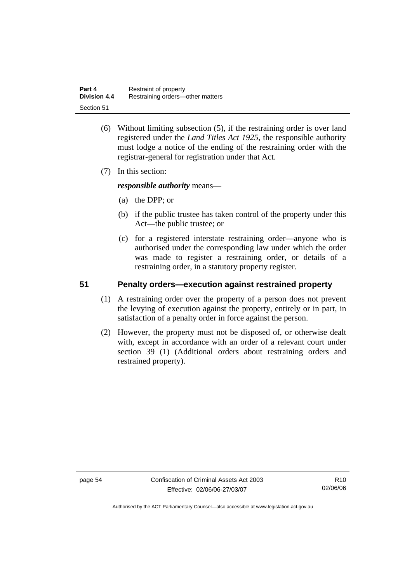| Part 4              | Restraint of property            |
|---------------------|----------------------------------|
| <b>Division 4.4</b> | Restraining orders-other matters |
| Section 51          |                                  |

- (6) Without limiting subsection (5), if the restraining order is over land registered under the *Land Titles Act 1925*, the responsible authority must lodge a notice of the ending of the restraining order with the registrar-general for registration under that Act.
- (7) In this section:

*responsible authority* means—

- (a) the DPP; or
- (b) if the public trustee has taken control of the property under this Act—the public trustee; or
- (c) for a registered interstate restraining order—anyone who is authorised under the corresponding law under which the order was made to register a restraining order, or details of a restraining order, in a statutory property register.

### **51 Penalty orders—execution against restrained property**

- (1) A restraining order over the property of a person does not prevent the levying of execution against the property, entirely or in part, in satisfaction of a penalty order in force against the person.
- (2) However, the property must not be disposed of, or otherwise dealt with, except in accordance with an order of a relevant court under section 39 (1) (Additional orders about restraining orders and restrained property).

page 54 Confiscation of Criminal Assets Act 2003 Effective: 02/06/06-27/03/07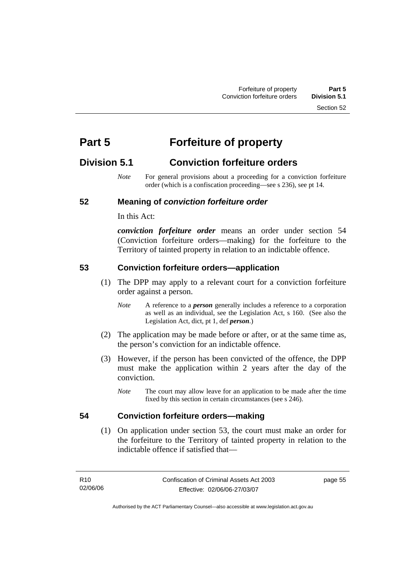# **Part 5 Forfeiture of property**

# **Division 5.1 Conviction forfeiture orders**

*Note* For general provisions about a proceeding for a conviction forfeiture order (which is a confiscation proceeding—see s 236), see pt 14.

# **52 Meaning of** *conviction forfeiture order*

In this Act:

*conviction forfeiture order* means an order under section 54 (Conviction forfeiture orders—making) for the forfeiture to the Territory of tainted property in relation to an indictable offence.

### **53 Conviction forfeiture orders—application**

- (1) The DPP may apply to a relevant court for a conviction forfeiture order against a person.
	- *Note* A reference to a *person* generally includes a reference to a corporation as well as an individual, see the Legislation Act, s 160. (See also the Legislation Act, dict, pt 1, def *person*.)
- (2) The application may be made before or after, or at the same time as, the person's conviction for an indictable offence.
- (3) However, if the person has been convicted of the offence, the DPP must make the application within 2 years after the day of the conviction.
	- *Note* The court may allow leave for an application to be made after the time fixed by this section in certain circumstances (see s 246).

# **54 Conviction forfeiture orders—making**

 (1) On application under section 53, the court must make an order for the forfeiture to the Territory of tainted property in relation to the indictable offence if satisfied that—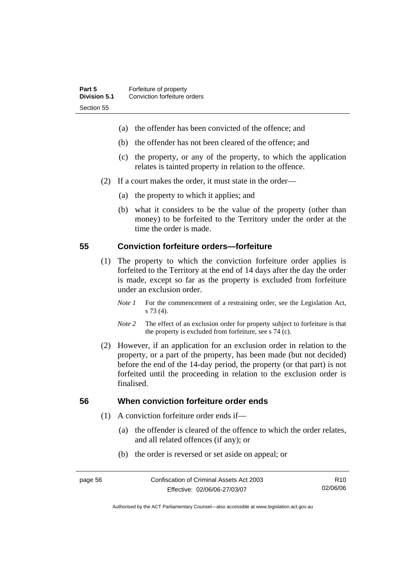- (a) the offender has been convicted of the offence; and
- (b) the offender has not been cleared of the offence; and
- (c) the property, or any of the property, to which the application relates is tainted property in relation to the offence.
- (2) If a court makes the order, it must state in the order—
	- (a) the property to which it applies; and
	- (b) what it considers to be the value of the property (other than money) to be forfeited to the Territory under the order at the time the order is made.

#### **55 Conviction forfeiture orders—forfeiture**

- (1) The property to which the conviction forfeiture order applies is forfeited to the Territory at the end of 14 days after the day the order is made, except so far as the property is excluded from forfeiture under an exclusion order.
	- *Note 1* For the commencement of a restraining order, see the Legislation Act, s 73 (4).
	- *Note 2* The effect of an exclusion order for property subject to forfeiture is that the property is excluded from forfeiture, see s 74 (c).
- (2) However, if an application for an exclusion order in relation to the property, or a part of the property, has been made (but not decided) before the end of the 14-day period, the property (or that part) is not forfeited until the proceeding in relation to the exclusion order is finalised.

#### **56 When conviction forfeiture order ends**

- (1) A conviction forfeiture order ends if—
	- (a) the offender is cleared of the offence to which the order relates, and all related offences (if any); or
	- (b) the order is reversed or set aside on appeal; or

R10 02/06/06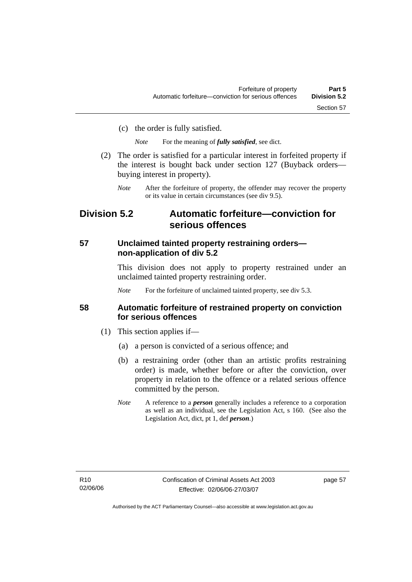(c) the order is fully satisfied.

*Note* For the meaning of *fully satisfied*, see dict.

- (2) The order is satisfied for a particular interest in forfeited property if the interest is bought back under section 127 (Buyback orders buying interest in property).
	- *Note* After the forfeiture of property, the offender may recover the property or its value in certain circumstances (see div 9.5).

# **Division 5.2 Automatic forfeiture—conviction for serious offences**

### **57 Unclaimed tainted property restraining orders non-application of div 5.2**

This division does not apply to property restrained under an unclaimed tainted property restraining order.

*Note* For the forfeiture of unclaimed tainted property, see div 5.3.

### **58 Automatic forfeiture of restrained property on conviction for serious offences**

- (1) This section applies if—
	- (a) a person is convicted of a serious offence; and
	- (b) a restraining order (other than an artistic profits restraining order) is made, whether before or after the conviction, over property in relation to the offence or a related serious offence committed by the person.
	- *Note* A reference to a *person* generally includes a reference to a corporation as well as an individual, see the Legislation Act, s 160. (See also the Legislation Act, dict, pt 1, def *person*.)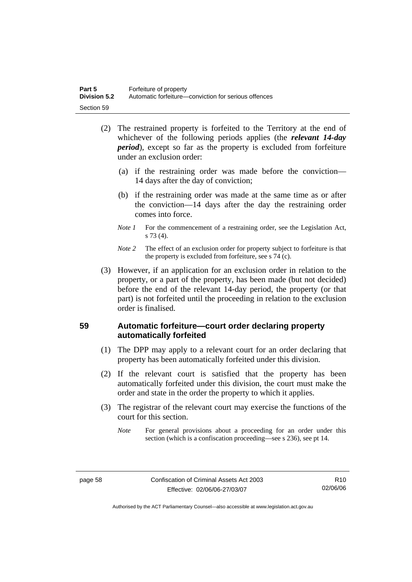| Part 5              | Forfeiture of property                               |
|---------------------|------------------------------------------------------|
| <b>Division 5.2</b> | Automatic forfeiture—conviction for serious offences |
| Section 59          |                                                      |

- (2) The restrained property is forfeited to the Territory at the end of whichever of the following periods applies (the *relevant 14-day period*), except so far as the property is excluded from forfeiture under an exclusion order:
	- (a) if the restraining order was made before the conviction— 14 days after the day of conviction;
	- (b) if the restraining order was made at the same time as or after the conviction—14 days after the day the restraining order comes into force.
	- *Note 1* For the commencement of a restraining order, see the Legislation Act, s 73 (4).
	- *Note* 2 The effect of an exclusion order for property subject to forfeiture is that the property is excluded from forfeiture, see s 74 (c).
- (3) However, if an application for an exclusion order in relation to the property, or a part of the property, has been made (but not decided) before the end of the relevant 14-day period, the property (or that part) is not forfeited until the proceeding in relation to the exclusion order is finalised.

# **59 Automatic forfeiture—court order declaring property automatically forfeited**

- (1) The DPP may apply to a relevant court for an order declaring that property has been automatically forfeited under this division.
- (2) If the relevant court is satisfied that the property has been automatically forfeited under this division, the court must make the order and state in the order the property to which it applies.
- (3) The registrar of the relevant court may exercise the functions of the court for this section.
	- *Note* For general provisions about a proceeding for an order under this section (which is a confiscation proceeding—see s 236), see pt 14.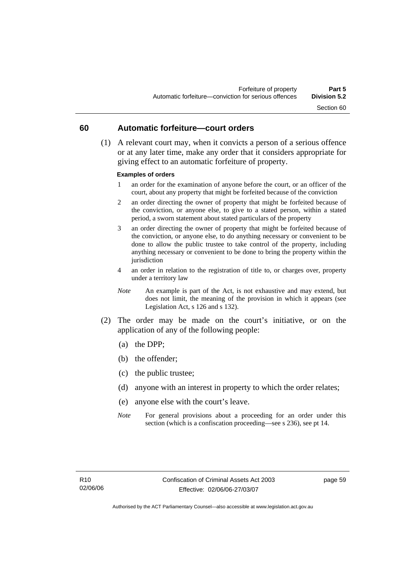#### **60 Automatic forfeiture—court orders**

 (1) A relevant court may, when it convicts a person of a serious offence or at any later time, make any order that it considers appropriate for giving effect to an automatic forfeiture of property.

#### **Examples of orders**

- 1 an order for the examination of anyone before the court, or an officer of the court, about any property that might be forfeited because of the conviction
- 2 an order directing the owner of property that might be forfeited because of the conviction, or anyone else, to give to a stated person, within a stated period, a sworn statement about stated particulars of the property
- 3 an order directing the owner of property that might be forfeited because of the conviction, or anyone else, to do anything necessary or convenient to be done to allow the public trustee to take control of the property, including anything necessary or convenient to be done to bring the property within the jurisdiction
- 4 an order in relation to the registration of title to, or charges over, property under a territory law
- *Note* An example is part of the Act, is not exhaustive and may extend, but does not limit, the meaning of the provision in which it appears (see Legislation Act, s 126 and s 132).
- (2) The order may be made on the court's initiative, or on the application of any of the following people:
	- (a) the DPP;
	- (b) the offender;
	- (c) the public trustee;
	- (d) anyone with an interest in property to which the order relates;
	- (e) anyone else with the court's leave.
	- *Note* For general provisions about a proceeding for an order under this section (which is a confiscation proceeding—see s 236), see pt 14.

page 59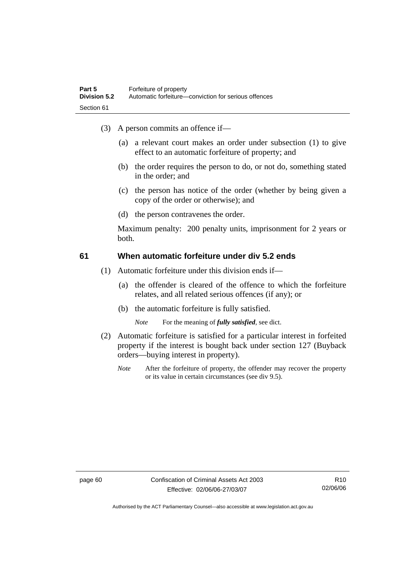- (3) A person commits an offence if—
	- (a) a relevant court makes an order under subsection (1) to give effect to an automatic forfeiture of property; and
	- (b) the order requires the person to do, or not do, something stated in the order; and
	- (c) the person has notice of the order (whether by being given a copy of the order or otherwise); and
	- (d) the person contravenes the order.

Maximum penalty: 200 penalty units, imprisonment for 2 years or both.

### **61 When automatic forfeiture under div 5.2 ends**

- (1) Automatic forfeiture under this division ends if—
	- (a) the offender is cleared of the offence to which the forfeiture relates, and all related serious offences (if any); or
	- (b) the automatic forfeiture is fully satisfied.

*Note* For the meaning of *fully satisfied*, see dict.

- (2) Automatic forfeiture is satisfied for a particular interest in forfeited property if the interest is bought back under section 127 (Buyback orders—buying interest in property).
	- *Note* After the forfeiture of property, the offender may recover the property or its value in certain circumstances (see div 9.5).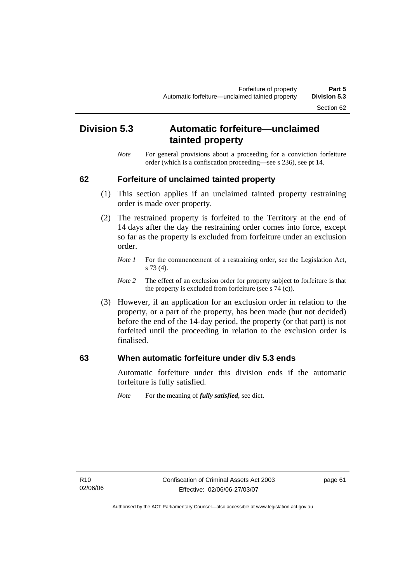# Section 62

# **Division 5.3 Automatic forfeiture—unclaimed tainted property**

*Note* For general provisions about a proceeding for a conviction forfeiture order (which is a confiscation proceeding—see s 236), see pt 14.

#### **62 Forfeiture of unclaimed tainted property**

- (1) This section applies if an unclaimed tainted property restraining order is made over property.
- (2) The restrained property is forfeited to the Territory at the end of 14 days after the day the restraining order comes into force, except so far as the property is excluded from forfeiture under an exclusion order.
	- *Note 1* For the commencement of a restraining order, see the Legislation Act, s 73 (4).
	- *Note 2* The effect of an exclusion order for property subject to forfeiture is that the property is excluded from forfeiture (see s 74 (c)).
- (3) However, if an application for an exclusion order in relation to the property, or a part of the property, has been made (but not decided) before the end of the 14-day period, the property (or that part) is not forfeited until the proceeding in relation to the exclusion order is finalised.

#### **63 When automatic forfeiture under div 5.3 ends**

Automatic forfeiture under this division ends if the automatic forfeiture is fully satisfied.

*Note* For the meaning of *fully satisfied*, see dict.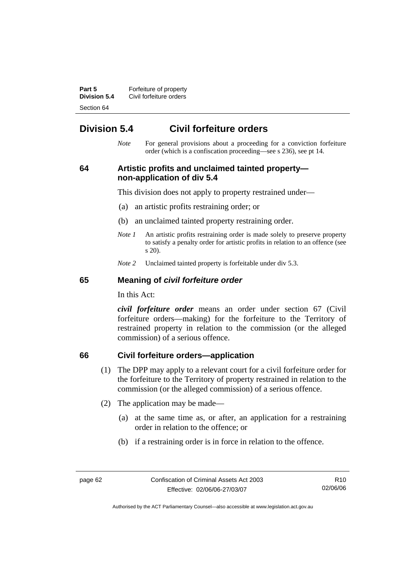**Part 5 Forfeiture of property Division 5.4** Civil forfeiture orders Section 64

# **Division 5.4 Civil forfeiture orders**

*Note* For general provisions about a proceeding for a conviction forfeiture order (which is a confiscation proceeding—see s 236), see pt 14.

## **64 Artistic profits and unclaimed tainted property non-application of div 5.4**

This division does not apply to property restrained under—

- (a) an artistic profits restraining order; or
- (b) an unclaimed tainted property restraining order.
- *Note 1* An artistic profits restraining order is made solely to preserve property to satisfy a penalty order for artistic profits in relation to an offence (see s 20).
- *Note 2* Unclaimed tainted property is forfeitable under div 5.3.

#### **65 Meaning of** *civil forfeiture order*

In this Act:

*civil forfeiture order* means an order under section 67 (Civil forfeiture orders—making) for the forfeiture to the Territory of restrained property in relation to the commission (or the alleged commission) of a serious offence.

#### **66 Civil forfeiture orders—application**

- (1) The DPP may apply to a relevant court for a civil forfeiture order for the forfeiture to the Territory of property restrained in relation to the commission (or the alleged commission) of a serious offence.
- (2) The application may be made—
	- (a) at the same time as, or after, an application for a restraining order in relation to the offence; or
	- (b) if a restraining order is in force in relation to the offence.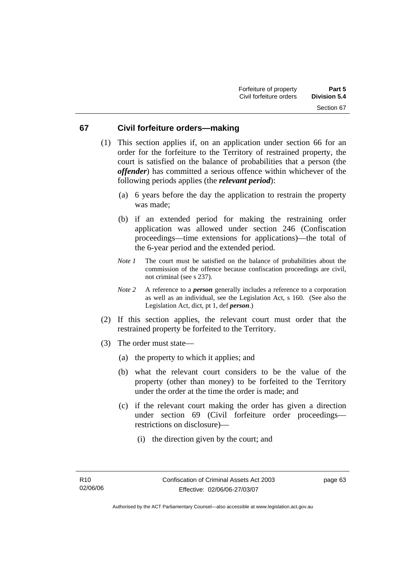#### **67 Civil forfeiture orders—making**

- (1) This section applies if, on an application under section 66 for an order for the forfeiture to the Territory of restrained property, the court is satisfied on the balance of probabilities that a person (the *offender*) has committed a serious offence within whichever of the following periods applies (the *relevant period*):
	- (a) 6 years before the day the application to restrain the property was made;
	- (b) if an extended period for making the restraining order application was allowed under section 246 (Confiscation proceedings—time extensions for applications)—the total of the 6-year period and the extended period.
	- *Note 1* The court must be satisfied on the balance of probabilities about the commission of the offence because confiscation proceedings are civil, not criminal (see s 237).
	- *Note 2* A reference to a *person* generally includes a reference to a corporation as well as an individual, see the Legislation Act, s 160. (See also the Legislation Act, dict, pt 1, def *person*.)
- (2) If this section applies, the relevant court must order that the restrained property be forfeited to the Territory.
- (3) The order must state—
	- (a) the property to which it applies; and
	- (b) what the relevant court considers to be the value of the property (other than money) to be forfeited to the Territory under the order at the time the order is made; and
	- (c) if the relevant court making the order has given a direction under section 69 (Civil forfeiture order proceedings restrictions on disclosure)—
		- (i) the direction given by the court; and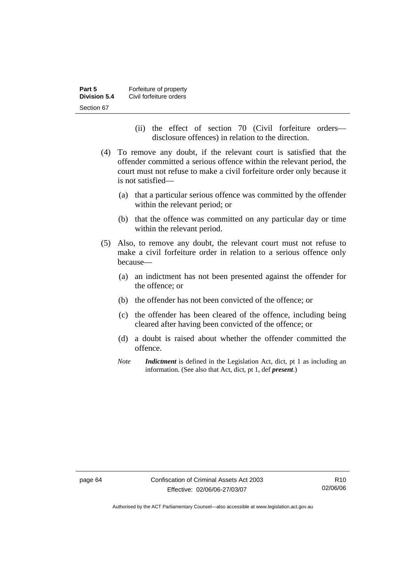| Part 5       | Forfeiture of property  |
|--------------|-------------------------|
| Division 5.4 | Civil forfeiture orders |
| Section 67   |                         |

- (ii) the effect of section 70 (Civil forfeiture orders disclosure offences) in relation to the direction.
- (4) To remove any doubt, if the relevant court is satisfied that the offender committed a serious offence within the relevant period, the court must not refuse to make a civil forfeiture order only because it is not satisfied—
	- (a) that a particular serious offence was committed by the offender within the relevant period; or
	- (b) that the offence was committed on any particular day or time within the relevant period.
- (5) Also, to remove any doubt, the relevant court must not refuse to make a civil forfeiture order in relation to a serious offence only because—
	- (a) an indictment has not been presented against the offender for the offence; or
	- (b) the offender has not been convicted of the offence; or
	- (c) the offender has been cleared of the offence, including being cleared after having been convicted of the offence; or
	- (d) a doubt is raised about whether the offender committed the offence.
	- *Note Indictment* is defined in the Legislation Act, dict, pt 1 as including an information. (See also that Act, dict, pt 1, def *present*.)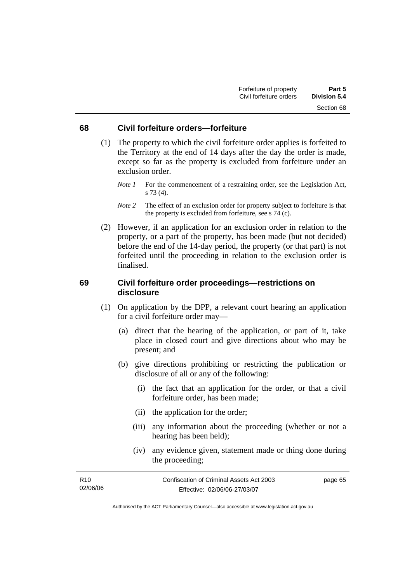#### **68 Civil forfeiture orders—forfeiture**

- (1) The property to which the civil forfeiture order applies is forfeited to the Territory at the end of 14 days after the day the order is made, except so far as the property is excluded from forfeiture under an exclusion order.
	- *Note 1* For the commencement of a restraining order, see the Legislation Act, s 73 (4).
	- *Note 2* The effect of an exclusion order for property subject to forfeiture is that the property is excluded from forfeiture, see s 74 (c).
- (2) However, if an application for an exclusion order in relation to the property, or a part of the property, has been made (but not decided) before the end of the 14-day period, the property (or that part) is not forfeited until the proceeding in relation to the exclusion order is finalised.

#### **69 Civil forfeiture order proceedings—restrictions on disclosure**

- (1) On application by the DPP, a relevant court hearing an application for a civil forfeiture order may—
	- (a) direct that the hearing of the application, or part of it, take place in closed court and give directions about who may be present; and
	- (b) give directions prohibiting or restricting the publication or disclosure of all or any of the following:
		- (i) the fact that an application for the order, or that a civil forfeiture order, has been made;
		- (ii) the application for the order;
		- (iii) any information about the proceeding (whether or not a hearing has been held);
		- (iv) any evidence given, statement made or thing done during the proceeding;

| R <sub>10</sub> | Confiscation of Criminal Assets Act 2003 | page 65 |
|-----------------|------------------------------------------|---------|
| 02/06/06        | Effective: 02/06/06-27/03/07             |         |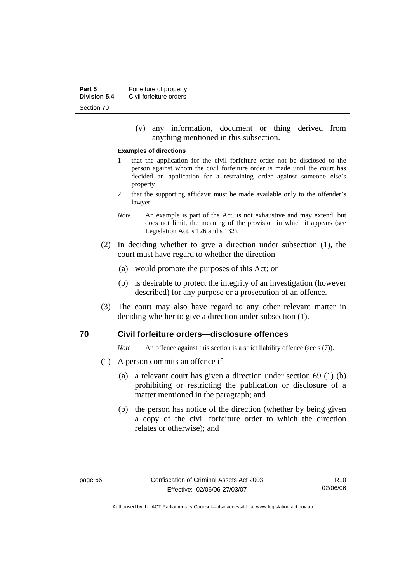(v) any information, document or thing derived from anything mentioned in this subsection.

#### **Examples of directions**

- 1 that the application for the civil forfeiture order not be disclosed to the person against whom the civil forfeiture order is made until the court has decided an application for a restraining order against someone else's property
- 2 that the supporting affidavit must be made available only to the offender's lawyer
- *Note* An example is part of the Act, is not exhaustive and may extend, but does not limit, the meaning of the provision in which it appears (see Legislation Act, s 126 and s 132).
- (2) In deciding whether to give a direction under subsection (1), the court must have regard to whether the direction—
	- (a) would promote the purposes of this Act; or
	- (b) is desirable to protect the integrity of an investigation (however described) for any purpose or a prosecution of an offence.
- (3) The court may also have regard to any other relevant matter in deciding whether to give a direction under subsection (1).

#### **70 Civil forfeiture orders—disclosure offences**

*Note* An offence against this section is a strict liability offence (see s (7)).

- (1) A person commits an offence if—
	- (a) a relevant court has given a direction under section 69 (1) (b) prohibiting or restricting the publication or disclosure of a matter mentioned in the paragraph; and
	- (b) the person has notice of the direction (whether by being given a copy of the civil forfeiture order to which the direction relates or otherwise); and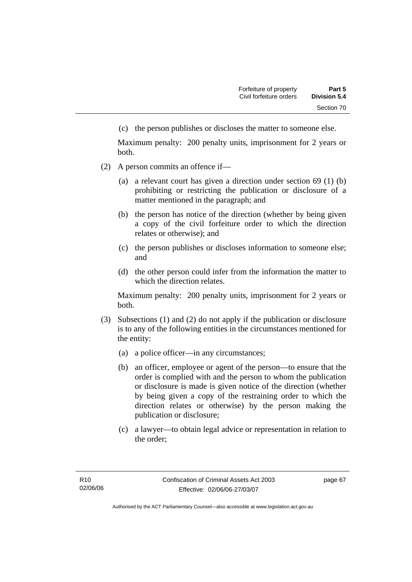(c) the person publishes or discloses the matter to someone else.

Maximum penalty: 200 penalty units, imprisonment for 2 years or both.

- (2) A person commits an offence if—
	- (a) a relevant court has given a direction under section 69 (1) (b) prohibiting or restricting the publication or disclosure of a matter mentioned in the paragraph; and
	- (b) the person has notice of the direction (whether by being given a copy of the civil forfeiture order to which the direction relates or otherwise); and
	- (c) the person publishes or discloses information to someone else; and
	- (d) the other person could infer from the information the matter to which the direction relates.

Maximum penalty: 200 penalty units, imprisonment for 2 years or both.

- (3) Subsections (1) and (2) do not apply if the publication or disclosure is to any of the following entities in the circumstances mentioned for the entity:
	- (a) a police officer—in any circumstances;
	- (b) an officer, employee or agent of the person—to ensure that the order is complied with and the person to whom the publication or disclosure is made is given notice of the direction (whether by being given a copy of the restraining order to which the direction relates or otherwise) by the person making the publication or disclosure;
	- (c) a lawyer—to obtain legal advice or representation in relation to the order;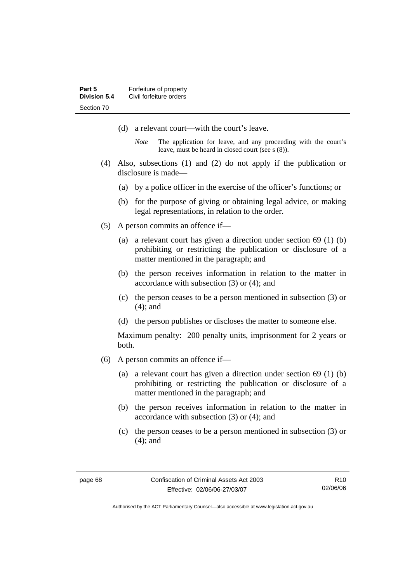- (d) a relevant court—with the court's leave.
	- *Note* The application for leave, and any proceeding with the court's leave, must be heard in closed court (see s (8)).
- (4) Also, subsections (1) and (2) do not apply if the publication or disclosure is made—
	- (a) by a police officer in the exercise of the officer's functions; or
	- (b) for the purpose of giving or obtaining legal advice, or making legal representations, in relation to the order.
- (5) A person commits an offence if—
	- (a) a relevant court has given a direction under section 69 (1) (b) prohibiting or restricting the publication or disclosure of a matter mentioned in the paragraph; and
	- (b) the person receives information in relation to the matter in accordance with subsection (3) or (4); and
	- (c) the person ceases to be a person mentioned in subsection (3) or (4); and
	- (d) the person publishes or discloses the matter to someone else.

Maximum penalty: 200 penalty units, imprisonment for 2 years or both.

- (6) A person commits an offence if—
	- (a) a relevant court has given a direction under section 69 (1) (b) prohibiting or restricting the publication or disclosure of a matter mentioned in the paragraph; and
	- (b) the person receives information in relation to the matter in accordance with subsection (3) or (4); and
	- (c) the person ceases to be a person mentioned in subsection (3) or (4); and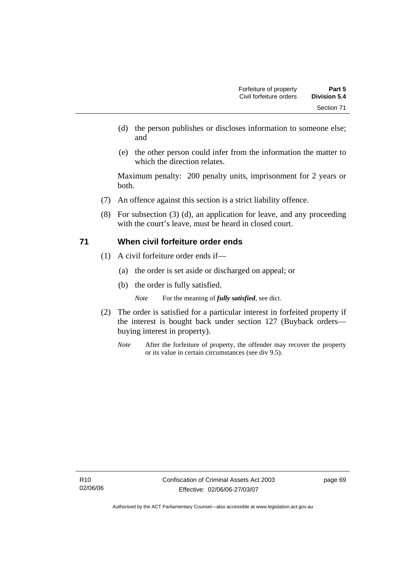- (d) the person publishes or discloses information to someone else; and
- (e) the other person could infer from the information the matter to which the direction relates.

Maximum penalty: 200 penalty units, imprisonment for 2 years or both.

- (7) An offence against this section is a strict liability offence.
- (8) For subsection (3) (d), an application for leave, and any proceeding with the court's leave, must be heard in closed court.

## **71 When civil forfeiture order ends**

- (1) A civil forfeiture order ends if—
	- (a) the order is set aside or discharged on appeal; or
	- (b) the order is fully satisfied.
		- *Note* For the meaning of *fully satisfied*, see dict.
- (2) The order is satisfied for a particular interest in forfeited property if the interest is bought back under section 127 (Buyback orders buying interest in property).
	- *Note* After the forfeiture of property, the offender may recover the property or its value in certain circumstances (see div 9.5).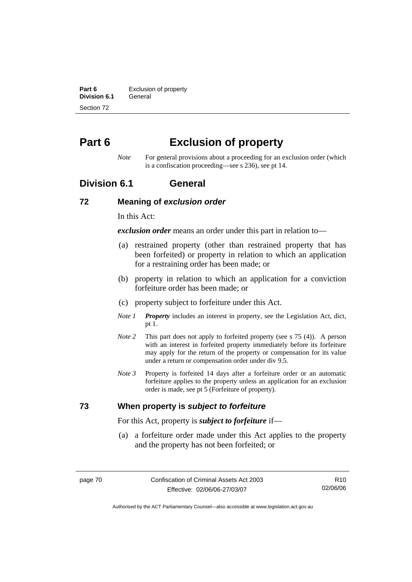**Part 6 Exclusion of property Division 6.1** General Section 72

# **Part 6 Exclusion of property**

*Note* For general provisions about a proceeding for an exclusion order (which is a confiscation proceeding—see s 236), see pt 14.

# **Division 6.1 General**

#### **72 Meaning of** *exclusion order*

In this Act:

*exclusion order* means an order under this part in relation to—

- (a) restrained property (other than restrained property that has been forfeited) or property in relation to which an application for a restraining order has been made; or
- (b) property in relation to which an application for a conviction forfeiture order has been made; or
- (c) property subject to forfeiture under this Act.
- *Note 1 Property* includes an interest in property, see the Legislation Act, dict, pt 1.
- *Note 2* This part does not apply to forfeited property (see s 75 (4)). A person with an interest in forfeited property immediately before its forfeiture may apply for the return of the property or compensation for its value under a return or compensation order under div 9.5.
- *Note 3* Property is forfeited 14 days after a forfeiture order or an automatic forfeiture applies to the property unless an application for an exclusion order is made, see pt 5 (Forfeiture of property).

## **73 When property is** *subject to forfeiture*

For this Act, property is *subject to forfeiture* if—

 (a) a forfeiture order made under this Act applies to the property and the property has not been forfeited; or

R10 02/06/06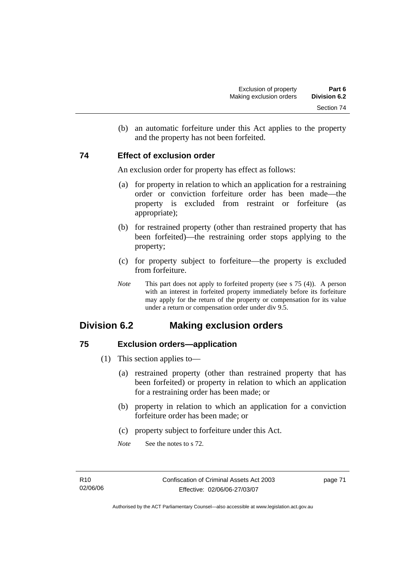(b) an automatic forfeiture under this Act applies to the property and the property has not been forfeited.

## **74 Effect of exclusion order**

An exclusion order for property has effect as follows:

- (a) for property in relation to which an application for a restraining order or conviction forfeiture order has been made—the property is excluded from restraint or forfeiture (as appropriate);
- (b) for restrained property (other than restrained property that has been forfeited)—the restraining order stops applying to the property;
- (c) for property subject to forfeiture—the property is excluded from forfeiture.
- *Note* This part does not apply to forfeited property (see s 75 (4)). A person with an interest in forfeited property immediately before its forfeiture may apply for the return of the property or compensation for its value under a return or compensation order under div 9.5.

# **Division 6.2 Making exclusion orders**

# **75 Exclusion orders—application**

- (1) This section applies to—
	- (a) restrained property (other than restrained property that has been forfeited) or property in relation to which an application for a restraining order has been made; or
	- (b) property in relation to which an application for a conviction forfeiture order has been made; or
	- (c) property subject to forfeiture under this Act.
	- *Note* See the notes to s 72.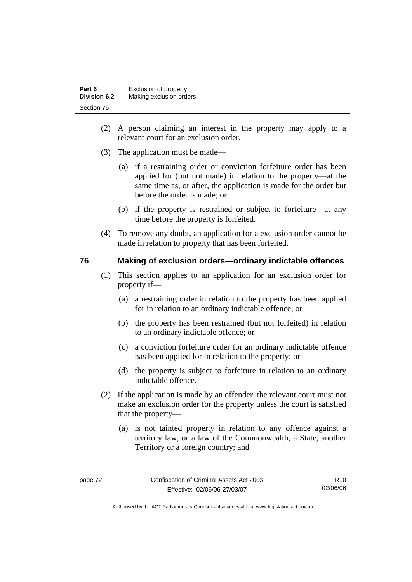| Part 6              | Exclusion of property   |
|---------------------|-------------------------|
| <b>Division 6.2</b> | Making exclusion orders |
| Section 76          |                         |

- (2) A person claiming an interest in the property may apply to a relevant court for an exclusion order.
- (3) The application must be made—
	- (a) if a restraining order or conviction forfeiture order has been applied for (but not made) in relation to the property—at the same time as, or after, the application is made for the order but before the order is made; or
	- (b) if the property is restrained or subject to forfeiture—at any time before the property is forfeited.
- (4) To remove any doubt, an application for a exclusion order cannot be made in relation to property that has been forfeited.

#### **76 Making of exclusion orders—ordinary indictable offences**

- (1) This section applies to an application for an exclusion order for property if—
	- (a) a restraining order in relation to the property has been applied for in relation to an ordinary indictable offence; or
	- (b) the property has been restrained (but not forfeited) in relation to an ordinary indictable offence; or
	- (c) a conviction forfeiture order for an ordinary indictable offence has been applied for in relation to the property; or
	- (d) the property is subject to forfeiture in relation to an ordinary indictable offence.
- (2) If the application is made by an offender, the relevant court must not make an exclusion order for the property unless the court is satisfied that the property—
	- (a) is not tainted property in relation to any offence against a territory law, or a law of the Commonwealth, a State, another Territory or a foreign country; and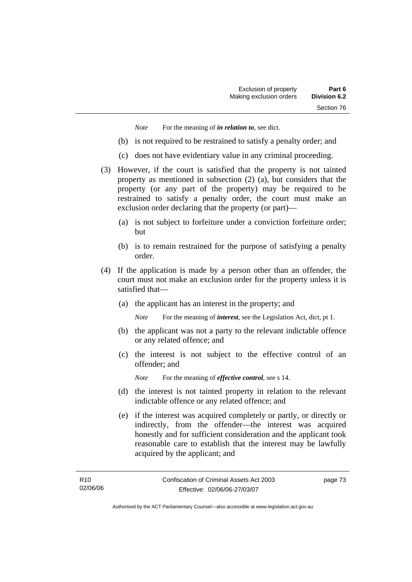*Note* For the meaning of *in relation to*, see dict.

- (b) is not required to be restrained to satisfy a penalty order; and
- (c) does not have evidentiary value in any criminal proceeding.
- (3) However, if the court is satisfied that the property is not tainted property as mentioned in subsection (2) (a), but considers that the property (or any part of the property) may be required to be restrained to satisfy a penalty order, the court must make an exclusion order declaring that the property (or part)—
	- (a) is not subject to forfeiture under a conviction forfeiture order; but
	- (b) is to remain restrained for the purpose of satisfying a penalty order.
- (4) If the application is made by a person other than an offender, the court must not make an exclusion order for the property unless it is satisfied that—
	- (a) the applicant has an interest in the property; and

*Note* For the meaning of *interest*, see the Legislation Act, dict, pt 1.

- (b) the applicant was not a party to the relevant indictable offence or any related offence; and
- (c) the interest is not subject to the effective control of an offender; and
	- *Note* For the meaning of *effective control*, see s 14.
- (d) the interest is not tainted property in relation to the relevant indictable offence or any related offence; and
- (e) if the interest was acquired completely or partly, or directly or indirectly, from the offender—the interest was acquired honestly and for sufficient consideration and the applicant took reasonable care to establish that the interest may be lawfully acquired by the applicant; and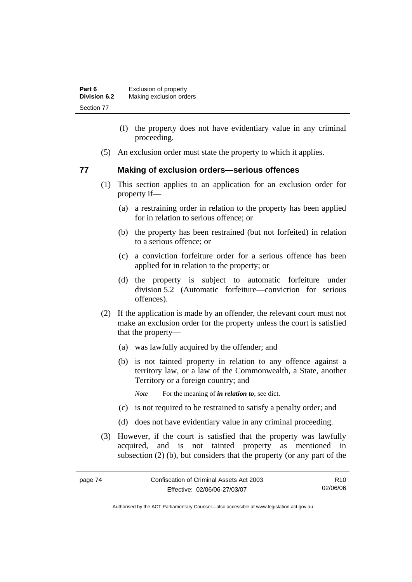| Part 6              | Exclusion of property   |
|---------------------|-------------------------|
| <b>Division 6.2</b> | Making exclusion orders |
| Section 77          |                         |

- (f) the property does not have evidentiary value in any criminal proceeding.
- (5) An exclusion order must state the property to which it applies.

#### **77 Making of exclusion orders—serious offences**

- (1) This section applies to an application for an exclusion order for property if—
	- (a) a restraining order in relation to the property has been applied for in relation to serious offence; or
	- (b) the property has been restrained (but not forfeited) in relation to a serious offence; or
	- (c) a conviction forfeiture order for a serious offence has been applied for in relation to the property; or
	- (d) the property is subject to automatic forfeiture under division 5.2 (Automatic forfeiture—conviction for serious offences).
- (2) If the application is made by an offender, the relevant court must not make an exclusion order for the property unless the court is satisfied that the property—
	- (a) was lawfully acquired by the offender; and
	- (b) is not tainted property in relation to any offence against a territory law, or a law of the Commonwealth, a State, another Territory or a foreign country; and
		- *Note* For the meaning of *in relation to*, see dict.
	- (c) is not required to be restrained to satisfy a penalty order; and
	- (d) does not have evidentiary value in any criminal proceeding.
- (3) However, if the court is satisfied that the property was lawfully acquired, and is not tainted property as mentioned in subsection (2) (b), but considers that the property (or any part of the

R10 02/06/06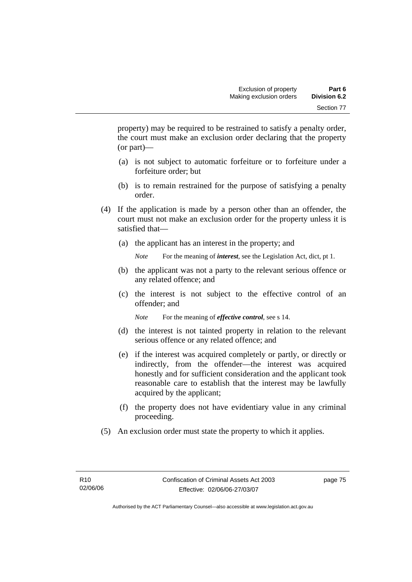property) may be required to be restrained to satisfy a penalty order, the court must make an exclusion order declaring that the property (or part)—

- (a) is not subject to automatic forfeiture or to forfeiture under a forfeiture order; but
- (b) is to remain restrained for the purpose of satisfying a penalty order.
- (4) If the application is made by a person other than an offender, the court must not make an exclusion order for the property unless it is satisfied that—
	- (a) the applicant has an interest in the property; and

*Note* For the meaning of *interest*, see the Legislation Act, dict, pt 1.

- (b) the applicant was not a party to the relevant serious offence or any related offence; and
- (c) the interest is not subject to the effective control of an offender; and

*Note* For the meaning of *effective control*, see s 14.

- (d) the interest is not tainted property in relation to the relevant serious offence or any related offence; and
- (e) if the interest was acquired completely or partly, or directly or indirectly, from the offender—the interest was acquired honestly and for sufficient consideration and the applicant took reasonable care to establish that the interest may be lawfully acquired by the applicant;
- (f) the property does not have evidentiary value in any criminal proceeding.
- (5) An exclusion order must state the property to which it applies.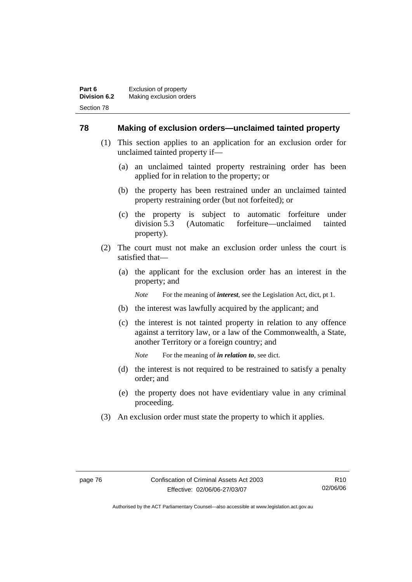#### **78 Making of exclusion orders—unclaimed tainted property**

- (1) This section applies to an application for an exclusion order for unclaimed tainted property if—
	- (a) an unclaimed tainted property restraining order has been applied for in relation to the property; or
	- (b) the property has been restrained under an unclaimed tainted property restraining order (but not forfeited); or
	- (c) the property is subject to automatic forfeiture under division 5.3 (Automatic forfeiture—unclaimed tainted property).
- (2) The court must not make an exclusion order unless the court is satisfied that—
	- (a) the applicant for the exclusion order has an interest in the property; and

*Note* For the meaning of *interest*, see the Legislation Act, dict, pt 1.

- (b) the interest was lawfully acquired by the applicant; and
- (c) the interest is not tainted property in relation to any offence against a territory law, or a law of the Commonwealth, a State, another Territory or a foreign country; and

*Note* For the meaning of *in relation to*, see dict.

- (d) the interest is not required to be restrained to satisfy a penalty order; and
- (e) the property does not have evidentiary value in any criminal proceeding.
- (3) An exclusion order must state the property to which it applies.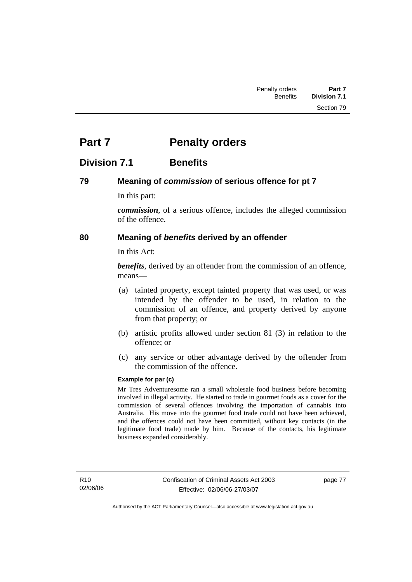# **Part 7** Penalty orders

# **Division 7.1 Benefits**

# **79 Meaning of** *commission* **of serious offence for pt 7**

In this part:

*commission*, of a serious offence, includes the alleged commission of the offence.

## **80 Meaning of** *benefits* **derived by an offender**

In this Act:

*benefits*, derived by an offender from the commission of an offence, means—

- (a) tainted property, except tainted property that was used, or was intended by the offender to be used, in relation to the commission of an offence, and property derived by anyone from that property; or
- (b) artistic profits allowed under section 81 (3) in relation to the offence; or
- (c) any service or other advantage derived by the offender from the commission of the offence.

#### **Example for par (c)**

Mr Tres Adventuresome ran a small wholesale food business before becoming involved in illegal activity. He started to trade in gourmet foods as a cover for the commission of several offences involving the importation of cannabis into Australia. His move into the gourmet food trade could not have been achieved, and the offences could not have been committed, without key contacts (in the legitimate food trade) made by him. Because of the contacts, his legitimate business expanded considerably.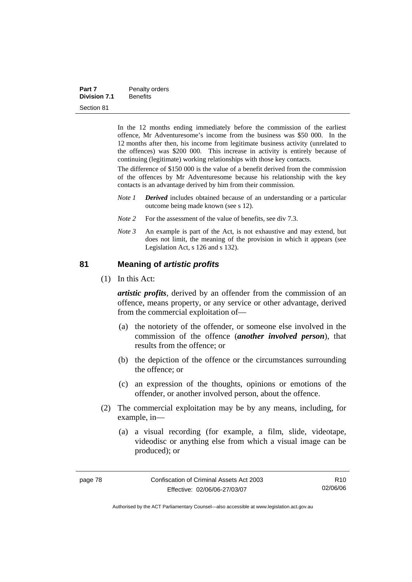In the 12 months ending immediately before the commission of the earliest offence, Mr Adventuresome's income from the business was \$50 000. In the 12 months after then, his income from legitimate business activity (unrelated to the offences) was \$200 000. This increase in activity is entirely because of continuing (legitimate) working relationships with those key contacts.

The difference of \$150 000 is the value of a benefit derived from the commission of the offences by Mr Adventuresome because his relationship with the key contacts is an advantage derived by him from their commission.

- *Note 1 Derived* includes obtained because of an understanding or a particular outcome being made known (see s 12).
- *Note* 2 For the assessment of the value of benefits, see div 7.3.
- *Note 3* An example is part of the Act, is not exhaustive and may extend, but does not limit, the meaning of the provision in which it appears (see Legislation Act, s 126 and s 132).

#### **81 Meaning of** *artistic profits*

(1) In this Act:

*artistic profits*, derived by an offender from the commission of an offence, means property, or any service or other advantage, derived from the commercial exploitation of—

- (a) the notoriety of the offender, or someone else involved in the commission of the offence (*another involved person*), that results from the offence; or
- (b) the depiction of the offence or the circumstances surrounding the offence; or
- (c) an expression of the thoughts, opinions or emotions of the offender, or another involved person, about the offence.
- (2) The commercial exploitation may be by any means, including, for example, in—
	- (a) a visual recording (for example, a film, slide, videotape, videodisc or anything else from which a visual image can be produced); or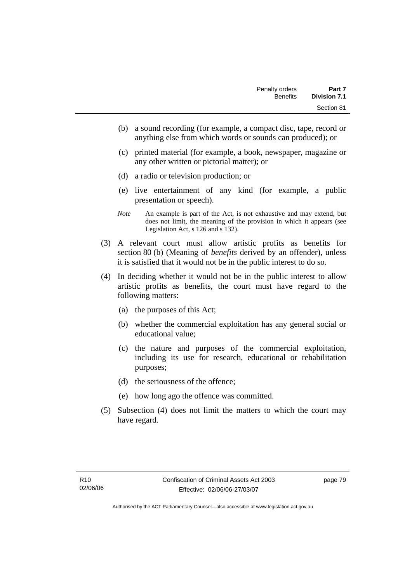- (b) a sound recording (for example, a compact disc, tape, record or anything else from which words or sounds can produced); or
- (c) printed material (for example, a book, newspaper, magazine or any other written or pictorial matter); or
- (d) a radio or television production; or
- (e) live entertainment of any kind (for example, a public presentation or speech).
- *Note* An example is part of the Act, is not exhaustive and may extend, but does not limit, the meaning of the provision in which it appears (see Legislation Act, s 126 and s 132).
- (3) A relevant court must allow artistic profits as benefits for section 80 (b) (Meaning of *benefits* derived by an offender), unless it is satisfied that it would not be in the public interest to do so.
- (4) In deciding whether it would not be in the public interest to allow artistic profits as benefits, the court must have regard to the following matters:
	- (a) the purposes of this Act;
	- (b) whether the commercial exploitation has any general social or educational value;
	- (c) the nature and purposes of the commercial exploitation, including its use for research, educational or rehabilitation purposes;
	- (d) the seriousness of the offence;
	- (e) how long ago the offence was committed.
- (5) Subsection (4) does not limit the matters to which the court may have regard.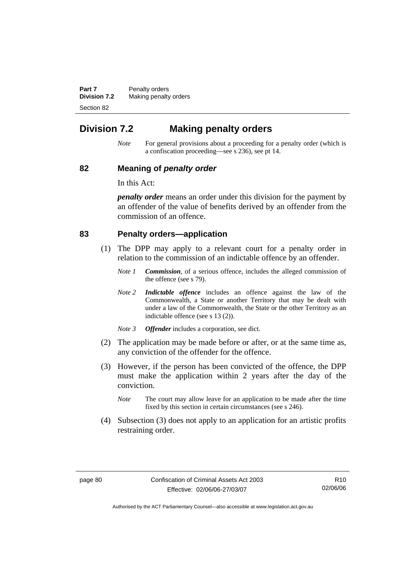**Part 7** Penalty orders **Division 7.2** Making penalty orders Section 82

# **Division 7.2 Making penalty orders**

*Note* For general provisions about a proceeding for a penalty order (which is a confiscation proceeding—see s 236), see pt 14.

#### **82 Meaning of** *penalty order*

In this Act:

*penalty order* means an order under this division for the payment by an offender of the value of benefits derived by an offender from the commission of an offence.

#### **83 Penalty orders—application**

- (1) The DPP may apply to a relevant court for a penalty order in relation to the commission of an indictable offence by an offender.
	- *Note 1 Commission*, of a serious offence, includes the alleged commission of the offence (see s 79).
	- *Note 2 Indictable offence* includes an offence against the law of the Commonwealth, a State or another Territory that may be dealt with under a law of the Commonwealth, the State or the other Territory as an indictable offence (see s 13 (2)).
	- *Note 3 Offender* includes a corporation, see dict.
- (2) The application may be made before or after, or at the same time as, any conviction of the offender for the offence.
- (3) However, if the person has been convicted of the offence, the DPP must make the application within 2 years after the day of the conviction.
	- *Note* The court may allow leave for an application to be made after the time fixed by this section in certain circumstances (see s 246).
- (4) Subsection (3) does not apply to an application for an artistic profits restraining order.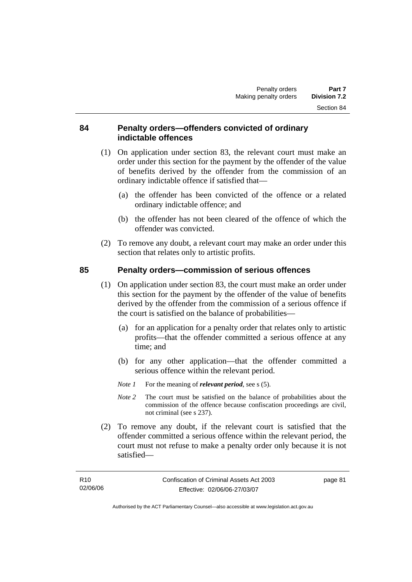#### **84 Penalty orders—offenders convicted of ordinary indictable offences**

- (1) On application under section 83, the relevant court must make an order under this section for the payment by the offender of the value of benefits derived by the offender from the commission of an ordinary indictable offence if satisfied that—
	- (a) the offender has been convicted of the offence or a related ordinary indictable offence; and
	- (b) the offender has not been cleared of the offence of which the offender was convicted.
- (2) To remove any doubt, a relevant court may make an order under this section that relates only to artistic profits.

# **85 Penalty orders—commission of serious offences**

- (1) On application under section 83, the court must make an order under this section for the payment by the offender of the value of benefits derived by the offender from the commission of a serious offence if the court is satisfied on the balance of probabilities—
	- (a) for an application for a penalty order that relates only to artistic profits—that the offender committed a serious offence at any time; and
	- (b) for any other application—that the offender committed a serious offence within the relevant period.
	- *Note 1* For the meaning of *relevant period*, see s (5).
	- *Note 2* The court must be satisfied on the balance of probabilities about the commission of the offence because confiscation proceedings are civil, not criminal (see s 237).
- (2) To remove any doubt, if the relevant court is satisfied that the offender committed a serious offence within the relevant period, the court must not refuse to make a penalty order only because it is not satisfied—

page 81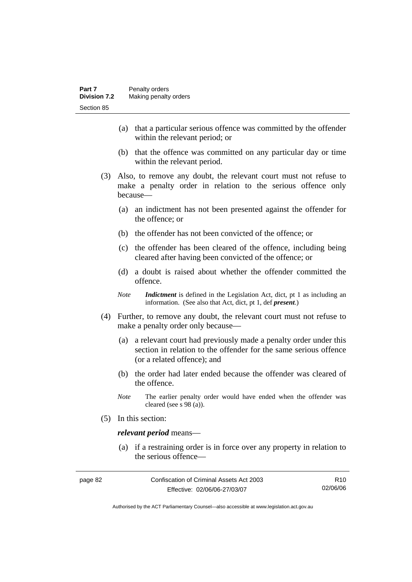- (a) that a particular serious offence was committed by the offender within the relevant period; or
- (b) that the offence was committed on any particular day or time within the relevant period.
- (3) Also, to remove any doubt, the relevant court must not refuse to make a penalty order in relation to the serious offence only because—
	- (a) an indictment has not been presented against the offender for the offence; or
	- (b) the offender has not been convicted of the offence; or
	- (c) the offender has been cleared of the offence, including being cleared after having been convicted of the offence; or
	- (d) a doubt is raised about whether the offender committed the offence.
	- *Note Indictment* is defined in the Legislation Act, dict, pt 1 as including an information. (See also that Act, dict, pt 1, def *present*.)
- (4) Further, to remove any doubt, the relevant court must not refuse to make a penalty order only because—
	- (a) a relevant court had previously made a penalty order under this section in relation to the offender for the same serious offence (or a related offence); and
	- (b) the order had later ended because the offender was cleared of the offence.
	- *Note* The earlier penalty order would have ended when the offender was cleared (see s 98 (a)).
- (5) In this section:

#### *relevant period* means—

 (a) if a restraining order is in force over any property in relation to the serious offence—

| page 82 | Confiscation of Criminal Assets Act 2003 | R <sub>10</sub> |
|---------|------------------------------------------|-----------------|
|         | Effective: 02/06/06-27/03/07             | 02/06/06        |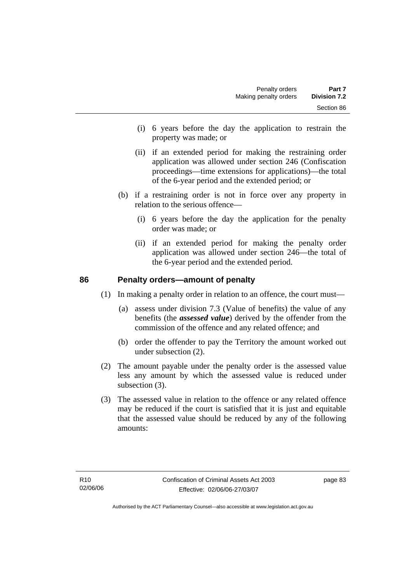- (i) 6 years before the day the application to restrain the property was made; or
- (ii) if an extended period for making the restraining order application was allowed under section 246 (Confiscation proceedings—time extensions for applications)—the total of the 6-year period and the extended period; or
- (b) if a restraining order is not in force over any property in relation to the serious offence—
	- (i) 6 years before the day the application for the penalty order was made; or
	- (ii) if an extended period for making the penalty order application was allowed under section 246—the total of the 6-year period and the extended period.

#### **86 Penalty orders—amount of penalty**

(1) In making a penalty order in relation to an offence, the court must—

- (a) assess under division 7.3 (Value of benefits) the value of any benefits (the *assessed value*) derived by the offender from the commission of the offence and any related offence; and
- (b) order the offender to pay the Territory the amount worked out under subsection (2).
- (2) The amount payable under the penalty order is the assessed value less any amount by which the assessed value is reduced under subsection (3).
- (3) The assessed value in relation to the offence or any related offence may be reduced if the court is satisfied that it is just and equitable that the assessed value should be reduced by any of the following amounts: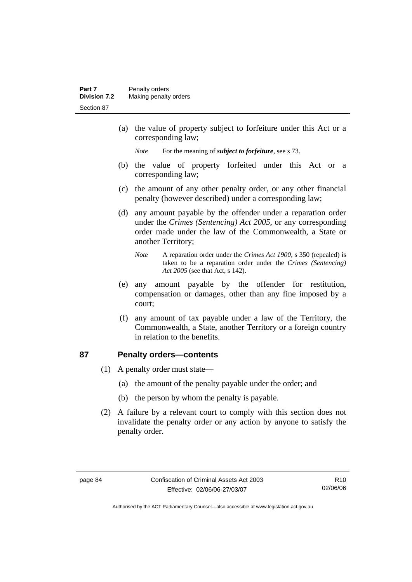(a) the value of property subject to forfeiture under this Act or a corresponding law;

*Note* For the meaning of *subject to forfeiture*, see s 73.

- (b) the value of property forfeited under this Act or a corresponding law;
- (c) the amount of any other penalty order, or any other financial penalty (however described) under a corresponding law;
- (d) any amount payable by the offender under a reparation order under the *Crimes (Sentencing) Act 2005*, or any corresponding order made under the law of the Commonwealth, a State or another Territory;
	- *Note* A reparation order under the *Crimes Act 1900*, s 350 (repealed) is taken to be a reparation order under the *Crimes (Sentencing) Act 2005* (see that Act, s 142).
- (e) any amount payable by the offender for restitution, compensation or damages, other than any fine imposed by a court;
- (f) any amount of tax payable under a law of the Territory, the Commonwealth, a State, another Territory or a foreign country in relation to the benefits.

# **87 Penalty orders—contents**

- (1) A penalty order must state—
	- (a) the amount of the penalty payable under the order; and
	- (b) the person by whom the penalty is payable.
- (2) A failure by a relevant court to comply with this section does not invalidate the penalty order or any action by anyone to satisfy the penalty order.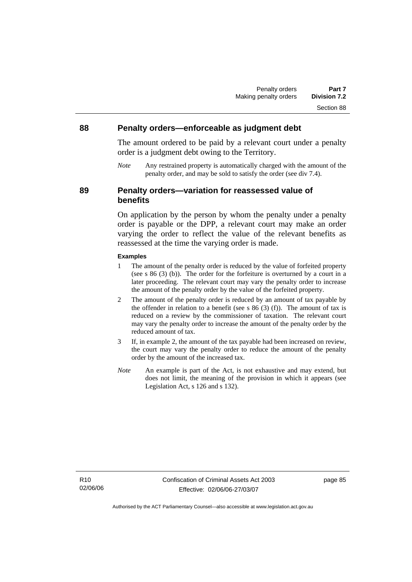## **88 Penalty orders—enforceable as judgment debt**

The amount ordered to be paid by a relevant court under a penalty order is a judgment debt owing to the Territory.

*Note* Any restrained property is automatically charged with the amount of the penalty order, and may be sold to satisfy the order (see div 7.4).

#### **89 Penalty orders—variation for reassessed value of benefits**

On application by the person by whom the penalty under a penalty order is payable or the DPP, a relevant court may make an order varying the order to reflect the value of the relevant benefits as reassessed at the time the varying order is made.

#### **Examples**

- 1 The amount of the penalty order is reduced by the value of forfeited property (see s 86 (3) (b)). The order for the forfeiture is overturned by a court in a later proceeding. The relevant court may vary the penalty order to increase the amount of the penalty order by the value of the forfeited property.
- 2 The amount of the penalty order is reduced by an amount of tax payable by the offender in relation to a benefit (see s  $86(3)$  (f)). The amount of tax is reduced on a review by the commissioner of taxation. The relevant court may vary the penalty order to increase the amount of the penalty order by the reduced amount of tax.
- 3 If, in example 2, the amount of the tax payable had been increased on review, the court may vary the penalty order to reduce the amount of the penalty order by the amount of the increased tax.
- *Note* An example is part of the Act, is not exhaustive and may extend, but does not limit, the meaning of the provision in which it appears (see Legislation Act, s 126 and s 132).

R10 02/06/06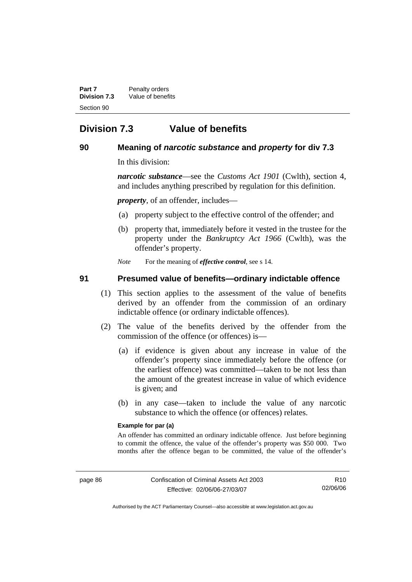**Part 7** Penalty orders **Division 7.3** Value of benefits Section 90

# **Division 7.3 Value of benefits**

# **90 Meaning of** *narcotic substance* **and** *property* **for div 7.3**

In this division:

*narcotic substance*—see the *Customs Act 1901* (Cwlth), section 4, and includes anything prescribed by regulation for this definition.

*property*, of an offender, includes—

- (a) property subject to the effective control of the offender; and
- (b) property that, immediately before it vested in the trustee for the property under the *Bankruptcy Act 1966* (Cwlth), was the offender's property.

*Note* For the meaning of *effective control*, see s 14.

## **91 Presumed value of benefits—ordinary indictable offence**

- (1) This section applies to the assessment of the value of benefits derived by an offender from the commission of an ordinary indictable offence (or ordinary indictable offences).
- (2) The value of the benefits derived by the offender from the commission of the offence (or offences) is—
	- (a) if evidence is given about any increase in value of the offender's property since immediately before the offence (or the earliest offence) was committed—taken to be not less than the amount of the greatest increase in value of which evidence is given; and
	- (b) in any case—taken to include the value of any narcotic substance to which the offence (or offences) relates.

#### **Example for par (a)**

An offender has committed an ordinary indictable offence. Just before beginning to commit the offence, the value of the offender's property was \$50 000. Two months after the offence began to be committed, the value of the offender's

R10 02/06/06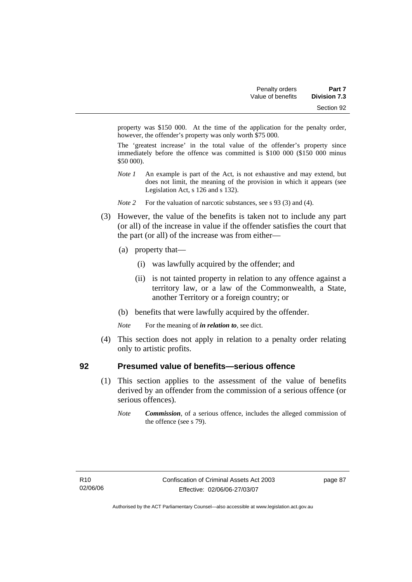property was \$150 000. At the time of the application for the penalty order, however, the offender's property was only worth \$75 000.

The 'greatest increase' in the total value of the offender's property since immediately before the offence was committed is \$100 000 (\$150 000 minus \$50 000).

- *Note 1* An example is part of the Act, is not exhaustive and may extend, but does not limit, the meaning of the provision in which it appears (see Legislation Act, s 126 and s 132).
- *Note 2* For the valuation of narcotic substances, see s 93 (3) and (4).
- (3) However, the value of the benefits is taken not to include any part (or all) of the increase in value if the offender satisfies the court that the part (or all) of the increase was from either—
	- (a) property that—
		- (i) was lawfully acquired by the offender; and
		- (ii) is not tainted property in relation to any offence against a territory law, or a law of the Commonwealth, a State, another Territory or a foreign country; or
	- (b) benefits that were lawfully acquired by the offender.
	- *Note* For the meaning of *in relation to*, see dict.
- (4) This section does not apply in relation to a penalty order relating only to artistic profits.

#### **92 Presumed value of benefits—serious offence**

- (1) This section applies to the assessment of the value of benefits derived by an offender from the commission of a serious offence (or serious offences).
	- *Note Commission*, of a serious offence, includes the alleged commission of the offence (see s 79).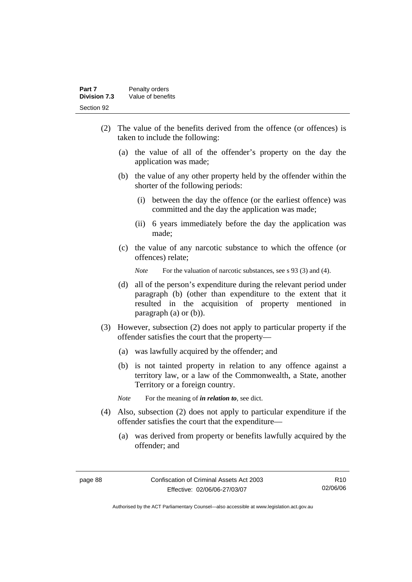- (2) The value of the benefits derived from the offence (or offences) is taken to include the following:
	- (a) the value of all of the offender's property on the day the application was made;
	- (b) the value of any other property held by the offender within the shorter of the following periods:
		- (i) between the day the offence (or the earliest offence) was committed and the day the application was made;
		- (ii) 6 years immediately before the day the application was made;
	- (c) the value of any narcotic substance to which the offence (or offences) relate;

*Note* For the valuation of narcotic substances, see s 93 (3) and (4).

- (d) all of the person's expenditure during the relevant period under paragraph (b) (other than expenditure to the extent that it resulted in the acquisition of property mentioned in paragraph (a) or (b)).
- (3) However, subsection (2) does not apply to particular property if the offender satisfies the court that the property—
	- (a) was lawfully acquired by the offender; and
	- (b) is not tainted property in relation to any offence against a territory law, or a law of the Commonwealth, a State, another Territory or a foreign country.
	- *Note* For the meaning of *in relation to*, see dict.
- (4) Also, subsection (2) does not apply to particular expenditure if the offender satisfies the court that the expenditure—
	- (a) was derived from property or benefits lawfully acquired by the offender; and

Authorised by the ACT Parliamentary Counsel—also accessible at www.legislation.act.gov.au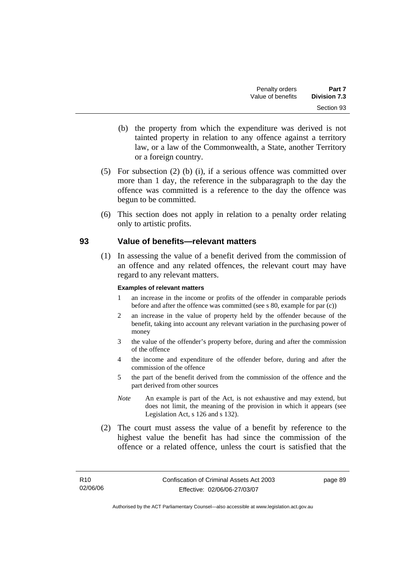- (b) the property from which the expenditure was derived is not tainted property in relation to any offence against a territory law, or a law of the Commonwealth, a State, another Territory or a foreign country.
- (5) For subsection (2) (b) (i), if a serious offence was committed over more than 1 day, the reference in the subparagraph to the day the offence was committed is a reference to the day the offence was begun to be committed.
- (6) This section does not apply in relation to a penalty order relating only to artistic profits.

#### **93 Value of benefits—relevant matters**

 (1) In assessing the value of a benefit derived from the commission of an offence and any related offences, the relevant court may have regard to any relevant matters.

#### **Examples of relevant matters**

- 1 an increase in the income or profits of the offender in comparable periods before and after the offence was committed (see s 80, example for par (c))
- 2 an increase in the value of property held by the offender because of the benefit, taking into account any relevant variation in the purchasing power of money
- 3 the value of the offender's property before, during and after the commission of the offence
- 4 the income and expenditure of the offender before, during and after the commission of the offence
- 5 the part of the benefit derived from the commission of the offence and the part derived from other sources
- *Note* An example is part of the Act, is not exhaustive and may extend, but does not limit, the meaning of the provision in which it appears (see Legislation Act, s 126 and s 132).
- (2) The court must assess the value of a benefit by reference to the highest value the benefit has had since the commission of the offence or a related offence, unless the court is satisfied that the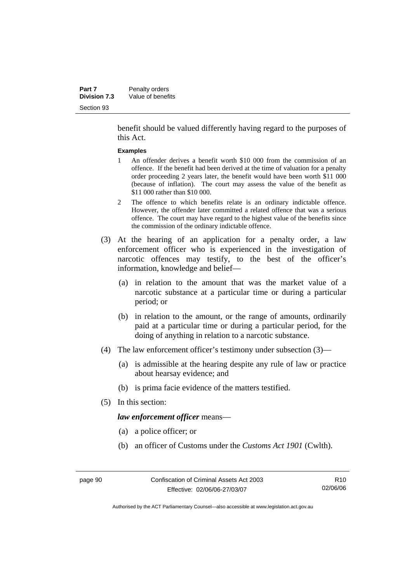benefit should be valued differently having regard to the purposes of this Act.

#### **Examples**

- 1 An offender derives a benefit worth \$10 000 from the commission of an offence. If the benefit had been derived at the time of valuation for a penalty order proceeding 2 years later, the benefit would have been worth \$11 000 (because of inflation). The court may assess the value of the benefit as \$11 000 rather than \$10 000.
- 2 The offence to which benefits relate is an ordinary indictable offence. However, the offender later committed a related offence that was a serious offence. The court may have regard to the highest value of the benefits since the commission of the ordinary indictable offence.
- (3) At the hearing of an application for a penalty order, a law enforcement officer who is experienced in the investigation of narcotic offences may testify, to the best of the officer's information, knowledge and belief—
	- (a) in relation to the amount that was the market value of a narcotic substance at a particular time or during a particular period; or
	- (b) in relation to the amount, or the range of amounts, ordinarily paid at a particular time or during a particular period, for the doing of anything in relation to a narcotic substance.
- (4) The law enforcement officer's testimony under subsection (3)—
	- (a) is admissible at the hearing despite any rule of law or practice about hearsay evidence; and
	- (b) is prima facie evidence of the matters testified.
- (5) In this section:

*law enforcement officer* means—

- (a) a police officer; or
- (b) an officer of Customs under the *Customs Act 1901* (Cwlth).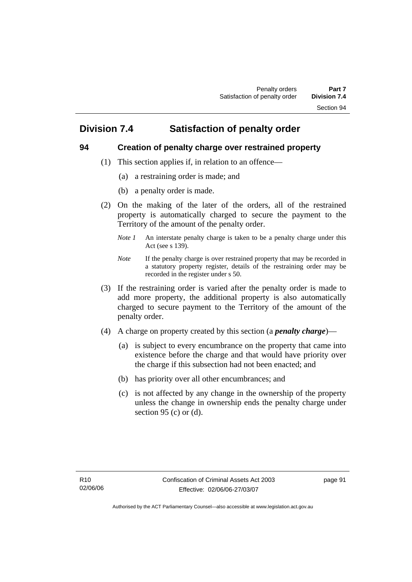# **Division 7.4 Satisfaction of penalty order**

# **94 Creation of penalty charge over restrained property**

- (1) This section applies if, in relation to an offence—
	- (a) a restraining order is made; and
	- (b) a penalty order is made.
- (2) On the making of the later of the orders, all of the restrained property is automatically charged to secure the payment to the Territory of the amount of the penalty order.
	- *Note 1* An interstate penalty charge is taken to be a penalty charge under this Act (see s 139).
	- *Note* If the penalty charge is over restrained property that may be recorded in a statutory property register, details of the restraining order may be recorded in the register under s 50.
- (3) If the restraining order is varied after the penalty order is made to add more property, the additional property is also automatically charged to secure payment to the Territory of the amount of the penalty order.
- (4) A charge on property created by this section (a *penalty charge*)—
	- (a) is subject to every encumbrance on the property that came into existence before the charge and that would have priority over the charge if this subsection had not been enacted; and
	- (b) has priority over all other encumbrances; and
	- (c) is not affected by any change in the ownership of the property unless the change in ownership ends the penalty charge under section 95 (c) or  $(d)$ .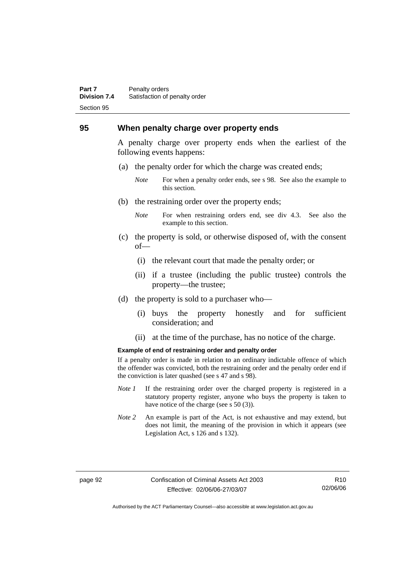#### **Part 7** Penalty orders **Division 7.4** Satisfaction of penalty order Section 95

#### **95 When penalty charge over property ends**

A penalty charge over property ends when the earliest of the following events happens:

- (a) the penalty order for which the charge was created ends;
	- *Note* For when a penalty order ends, see s 98. See also the example to this section.
- (b) the restraining order over the property ends;
	- *Note* For when restraining orders end, see div 4.3. See also the example to this section.
- (c) the property is sold, or otherwise disposed of, with the consent of—
	- (i) the relevant court that made the penalty order; or
	- (ii) if a trustee (including the public trustee) controls the property—the trustee;
- (d) the property is sold to a purchaser who—
	- (i) buys the property honestly and for sufficient consideration; and
	- (ii) at the time of the purchase, has no notice of the charge.

#### **Example of end of restraining order and penalty order**

If a penalty order is made in relation to an ordinary indictable offence of which the offender was convicted, both the restraining order and the penalty order end if the conviction is later quashed (see s 47 and s 98).

- *Note 1* If the restraining order over the charged property is registered in a statutory property register, anyone who buys the property is taken to have notice of the charge (see s 50 (3)).
- *Note* 2 An example is part of the Act, is not exhaustive and may extend, but does not limit, the meaning of the provision in which it appears (see Legislation Act, s 126 and s 132).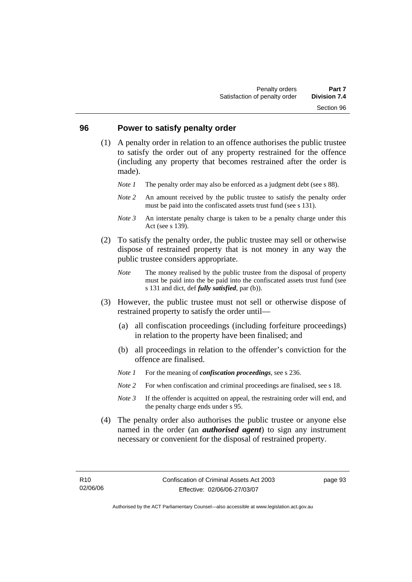#### **96 Power to satisfy penalty order**

- (1) A penalty order in relation to an offence authorises the public trustee to satisfy the order out of any property restrained for the offence (including any property that becomes restrained after the order is made).
	- *Note 1* The penalty order may also be enforced as a judgment debt (see s 88).
	- *Note* 2 An amount received by the public trustee to satisfy the penalty order must be paid into the confiscated assets trust fund (see s 131).
	- *Note 3* An interstate penalty charge is taken to be a penalty charge under this Act (see s 139).
- (2) To satisfy the penalty order, the public trustee may sell or otherwise dispose of restrained property that is not money in any way the public trustee considers appropriate.
	- *Note* The money realised by the public trustee from the disposal of property must be paid into the be paid into the confiscated assets trust fund (see s 131 and dict, def *fully satisfied*, par (b)).
- (3) However, the public trustee must not sell or otherwise dispose of restrained property to satisfy the order until—
	- (a) all confiscation proceedings (including forfeiture proceedings) in relation to the property have been finalised; and
	- (b) all proceedings in relation to the offender's conviction for the offence are finalised.
	- *Note 1* For the meaning of *confiscation proceedings*, see s 236.
	- *Note* 2 For when confiscation and criminal proceedings are finalised, see s 18.
	- *Note 3* If the offender is acquitted on appeal, the restraining order will end, and the penalty charge ends under s 95.
- (4) The penalty order also authorises the public trustee or anyone else named in the order (an *authorised agent*) to sign any instrument necessary or convenient for the disposal of restrained property.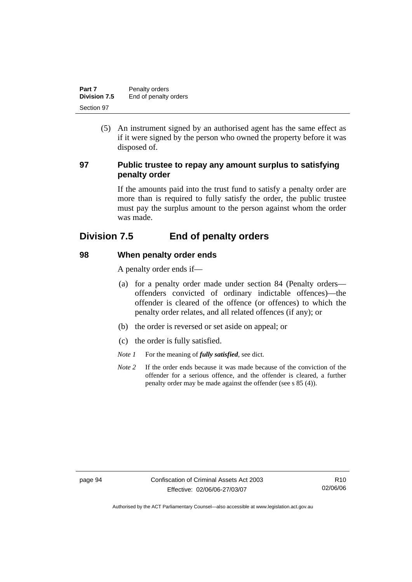| Part 7              | Penalty orders        |
|---------------------|-----------------------|
| <b>Division 7.5</b> | End of penalty orders |
| Section 97          |                       |

 (5) An instrument signed by an authorised agent has the same effect as if it were signed by the person who owned the property before it was disposed of.

### **97 Public trustee to repay any amount surplus to satisfying penalty order**

If the amounts paid into the trust fund to satisfy a penalty order are more than is required to fully satisfy the order, the public trustee must pay the surplus amount to the person against whom the order was made.

# **Division 7.5 End of penalty orders**

#### **98 When penalty order ends**

A penalty order ends if—

- (a) for a penalty order made under section 84 (Penalty orders offenders convicted of ordinary indictable offences)—the offender is cleared of the offence (or offences) to which the penalty order relates, and all related offences (if any); or
- (b) the order is reversed or set aside on appeal; or
- (c) the order is fully satisfied.
- *Note 1* For the meaning of *fully satisfied*, see dict.
- *Note* 2 If the order ends because it was made because of the conviction of the offender for a serious offence, and the offender is cleared, a further penalty order may be made against the offender (see s 85 (4)).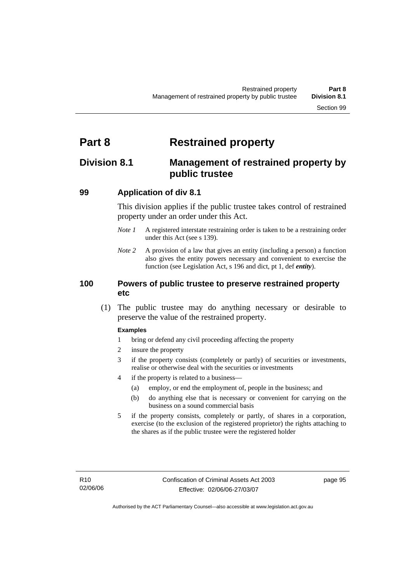# **Part 8 Restrained property**

# **Division 8.1 Management of restrained property by public trustee**

### **99 Application of div 8.1**

This division applies if the public trustee takes control of restrained property under an order under this Act.

- *Note 1* A registered interstate restraining order is taken to be a restraining order under this Act (see s 139).
- *Note 2* A provision of a law that gives an entity (including a person) a function also gives the entity powers necessary and convenient to exercise the function (see Legislation Act, s 196 and dict, pt 1, def *entity*).

### **100 Powers of public trustee to preserve restrained property etc**

 (1) The public trustee may do anything necessary or desirable to preserve the value of the restrained property.

### **Examples**

- 1 bring or defend any civil proceeding affecting the property
- 2 insure the property
- 3 if the property consists (completely or partly) of securities or investments, realise or otherwise deal with the securities or investments
- 4 if the property is related to a business—
	- (a) employ, or end the employment of, people in the business; and
	- (b) do anything else that is necessary or convenient for carrying on the business on a sound commercial basis
- 5 if the property consists, completely or partly, of shares in a corporation, exercise (to the exclusion of the registered proprietor) the rights attaching to the shares as if the public trustee were the registered holder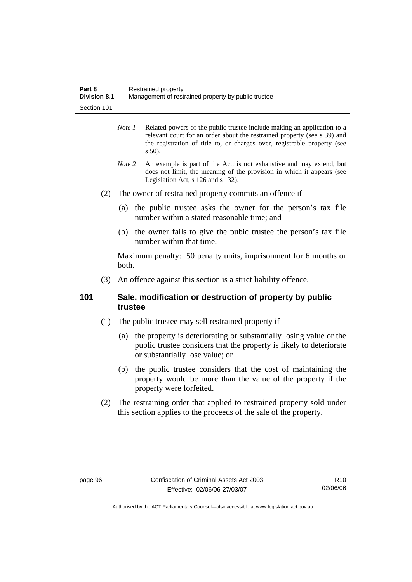| Part 8              | Restrained property                                 |
|---------------------|-----------------------------------------------------|
| <b>Division 8.1</b> | Management of restrained property by public trustee |
| Section 101         |                                                     |

- *Note 1* Related powers of the public trustee include making an application to a relevant court for an order about the restrained property (see s 39) and the registration of title to, or charges over, registrable property (see s 50).
- *Note 2* An example is part of the Act, is not exhaustive and may extend, but does not limit, the meaning of the provision in which it appears (see Legislation Act, s 126 and s 132).
- (2) The owner of restrained property commits an offence if—
	- (a) the public trustee asks the owner for the person's tax file number within a stated reasonable time; and
	- (b) the owner fails to give the pubic trustee the person's tax file number within that time.

Maximum penalty: 50 penalty units, imprisonment for 6 months or both.

(3) An offence against this section is a strict liability offence.

### **101 Sale, modification or destruction of property by public trustee**

- (1) The public trustee may sell restrained property if—
	- (a) the property is deteriorating or substantially losing value or the public trustee considers that the property is likely to deteriorate or substantially lose value; or
	- (b) the public trustee considers that the cost of maintaining the property would be more than the value of the property if the property were forfeited.
- (2) The restraining order that applied to restrained property sold under this section applies to the proceeds of the sale of the property.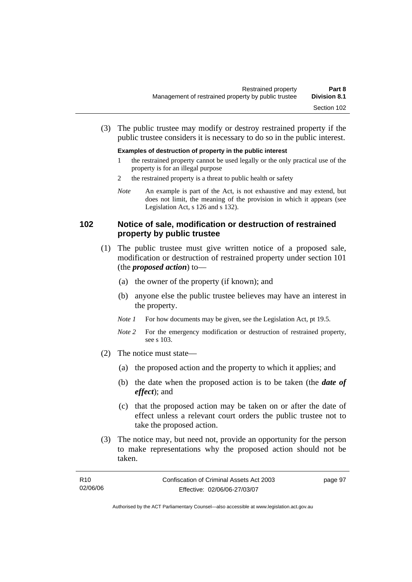(3) The public trustee may modify or destroy restrained property if the public trustee considers it is necessary to do so in the public interest.

#### **Examples of destruction of property in the public interest**

- 1 the restrained property cannot be used legally or the only practical use of the property is for an illegal purpose
- 2 the restrained property is a threat to public health or safety
- *Note* An example is part of the Act, is not exhaustive and may extend, but does not limit, the meaning of the provision in which it appears (see Legislation Act, s 126 and s 132).

### **102 Notice of sale, modification or destruction of restrained property by public trustee**

- (1) The public trustee must give written notice of a proposed sale, modification or destruction of restrained property under section 101 (the *proposed action*) to—
	- (a) the owner of the property (if known); and
	- (b) anyone else the public trustee believes may have an interest in the property.
	- *Note 1* For how documents may be given, see the Legislation Act, pt 19.5.
	- *Note* 2 For the emergency modification or destruction of restrained property, see s 103.
- (2) The notice must state—
	- (a) the proposed action and the property to which it applies; and
	- (b) the date when the proposed action is to be taken (the *date of effect*); and
	- (c) that the proposed action may be taken on or after the date of effect unless a relevant court orders the public trustee not to take the proposed action.
- (3) The notice may, but need not, provide an opportunity for the person to make representations why the proposed action should not be taken.

| R <sub>10</sub> | Confiscation of Criminal Assets Act 2003 | page 97 |
|-----------------|------------------------------------------|---------|
| 02/06/06        | Effective: 02/06/06-27/03/07             |         |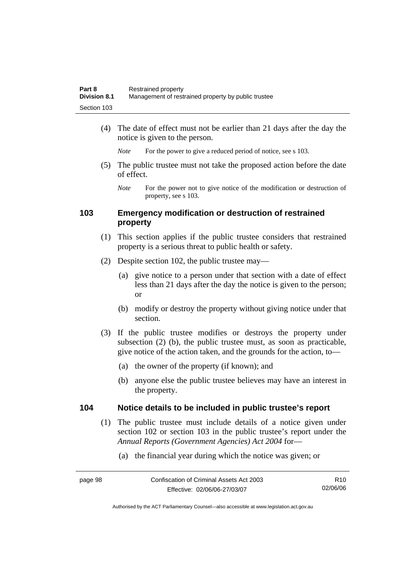| Part 8              | Restrained property                                 |
|---------------------|-----------------------------------------------------|
| <b>Division 8.1</b> | Management of restrained property by public trustee |
| Section 103         |                                                     |

 (4) The date of effect must not be earlier than 21 days after the day the notice is given to the person.

*Note* For the power to give a reduced period of notice, see s 103.

- (5) The public trustee must not take the proposed action before the date of effect.
	- *Note* For the power not to give notice of the modification or destruction of property, see s 103.

## **103 Emergency modification or destruction of restrained property**

- (1) This section applies if the public trustee considers that restrained property is a serious threat to public health or safety.
- (2) Despite section 102, the public trustee may—
	- (a) give notice to a person under that section with a date of effect less than 21 days after the day the notice is given to the person; or
	- (b) modify or destroy the property without giving notice under that section.
- (3) If the public trustee modifies or destroys the property under subsection (2) (b), the public trustee must, as soon as practicable, give notice of the action taken, and the grounds for the action, to—
	- (a) the owner of the property (if known); and
	- (b) anyone else the public trustee believes may have an interest in the property.

### **104 Notice details to be included in public trustee's report**

- (1) The public trustee must include details of a notice given under section 102 or section 103 in the public trustee's report under the *Annual Reports (Government Agencies) Act 2004* for—
	- (a) the financial year during which the notice was given; or

| page 98 | Confiscation of Criminal Assets Act 2003 | R10.     |
|---------|------------------------------------------|----------|
|         | Effective: 02/06/06-27/03/07             | 02/06/06 |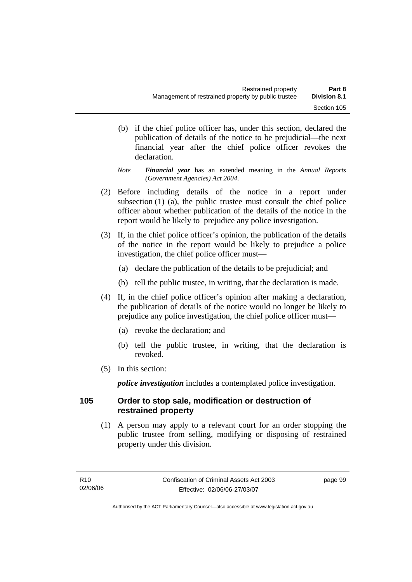(b) if the chief police officer has, under this section, declared the publication of details of the notice to be prejudicial—the next financial year after the chief police officer revokes the declaration.

*Note Financial year* has an extended meaning in the *Annual Reports (Government Agencies) Act 2004*.

- (2) Before including details of the notice in a report under subsection (1) (a), the public trustee must consult the chief police officer about whether publication of the details of the notice in the report would be likely to prejudice any police investigation.
- (3) If, in the chief police officer's opinion, the publication of the details of the notice in the report would be likely to prejudice a police investigation, the chief police officer must—
	- (a) declare the publication of the details to be prejudicial; and
	- (b) tell the public trustee, in writing, that the declaration is made.
- (4) If, in the chief police officer's opinion after making a declaration, the publication of details of the notice would no longer be likely to prejudice any police investigation, the chief police officer must—
	- (a) revoke the declaration; and
	- (b) tell the public trustee, in writing, that the declaration is revoked.
- (5) In this section:

*police investigation* includes a contemplated police investigation.

# **105 Order to stop sale, modification or destruction of restrained property**

 (1) A person may apply to a relevant court for an order stopping the public trustee from selling, modifying or disposing of restrained property under this division.

page 99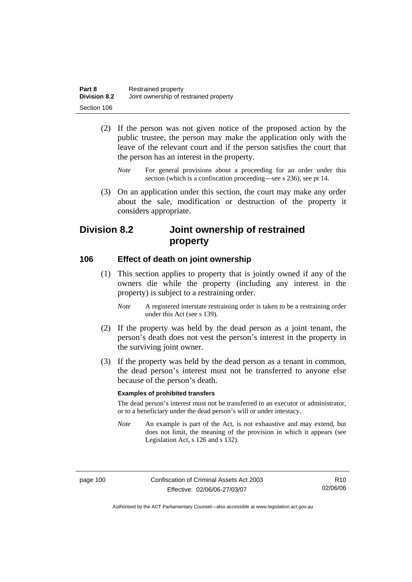| Part 8              | Restrained property                    |
|---------------------|----------------------------------------|
| <b>Division 8.2</b> | Joint ownership of restrained property |
| Section 106         |                                        |

- (2) If the person was not given notice of the proposed action by the public trustee, the person may make the application only with the leave of the relevant court and if the person satisfies the court that the person has an interest in the property.
	- *Note* For general provisions about a proceeding for an order under this section (which is a confiscation proceeding—see s 236), see pt 14.
- (3) On an application under this section, the court may make any order about the sale, modification or destruction of the property it considers appropriate.

# **Division 8.2 Joint ownership of restrained property**

### **106 Effect of death on joint ownership**

- (1) This section applies to property that is jointly owned if any of the owners die while the property (including any interest in the property) is subject to a restraining order.
	- *Note* A registered interstate restraining order is taken to be a restraining order under this Act (see s 139).
- (2) If the property was held by the dead person as a joint tenant, the person's death does not vest the person's interest in the property in the surviving joint owner.
- (3) If the property was held by the dead person as a tenant in common, the dead person's interest must not be transferred to anyone else because of the person's death.

### **Examples of prohibited transfers**

The dead person's interest must not be transferred to an executor or administrator, or to a beneficiary under the dead person's will or under intestacy.

*Note* An example is part of the Act, is not exhaustive and may extend, but does not limit, the meaning of the provision in which it appears (see Legislation Act, s 126 and s 132).

Authorised by the ACT Parliamentary Counsel—also accessible at www.legislation.act.gov.au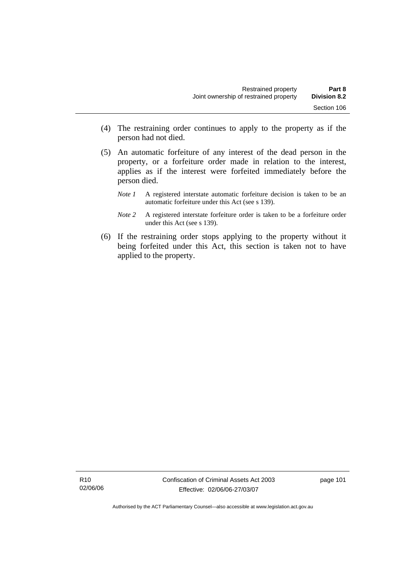- (4) The restraining order continues to apply to the property as if the person had not died.
- (5) An automatic forfeiture of any interest of the dead person in the property, or a forfeiture order made in relation to the interest, applies as if the interest were forfeited immediately before the person died.
	- *Note 1* A registered interstate automatic forfeiture decision is taken to be an automatic forfeiture under this Act (see s 139).
	- *Note 2* A registered interstate forfeiture order is taken to be a forfeiture order under this Act (see s 139).
- (6) If the restraining order stops applying to the property without it being forfeited under this Act, this section is taken not to have applied to the property.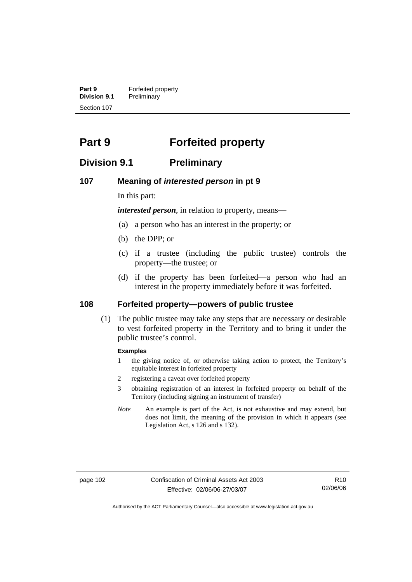**Part 9 Forfeited property**<br>**Division 9.1 Preliminary Division 9.1** Preliminary Section 107

# **Part 9 Forfeited property**

# **Division 9.1 Preliminary**

### **107 Meaning of** *interested person* **in pt 9**

In this part:

*interested person*, in relation to property, means—

- (a) a person who has an interest in the property; or
- (b) the DPP; or
- (c) if a trustee (including the public trustee) controls the property—the trustee; or
- (d) if the property has been forfeited—a person who had an interest in the property immediately before it was forfeited.

### **108 Forfeited property—powers of public trustee**

 (1) The public trustee may take any steps that are necessary or desirable to vest forfeited property in the Territory and to bring it under the public trustee's control.

### **Examples**

- 1 the giving notice of, or otherwise taking action to protect, the Territory's equitable interest in forfeited property
- 2 registering a caveat over forfeited property
- 3 obtaining registration of an interest in forfeited property on behalf of the Territory (including signing an instrument of transfer)
- *Note* An example is part of the Act, is not exhaustive and may extend, but does not limit, the meaning of the provision in which it appears (see Legislation Act, s 126 and s 132).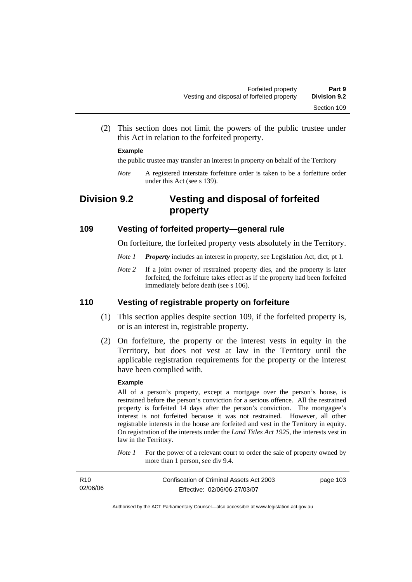(2) This section does not limit the powers of the public trustee under this Act in relation to the forfeited property.

### **Example**

the public trustee may transfer an interest in property on behalf of the Territory

*Note* A registered interstate forfeiture order is taken to be a forfeiture order under this Act (see s 139).

# **Division 9.2 Vesting and disposal of forfeited property**

### **109 Vesting of forfeited property—general rule**

On forfeiture, the forfeited property vests absolutely in the Territory.

- *Note 1 Property* includes an interest in property, see Legislation Act, dict, pt 1.
- *Note* 2 If a joint owner of restrained property dies, and the property is later forfeited, the forfeiture takes effect as if the property had been forfeited immediately before death (see s 106).

### **110 Vesting of registrable property on forfeiture**

- (1) This section applies despite section 109, if the forfeited property is, or is an interest in, registrable property.
- (2) On forfeiture, the property or the interest vests in equity in the Territory, but does not vest at law in the Territory until the applicable registration requirements for the property or the interest have been complied with.

#### **Example**

All of a person's property, except a mortgage over the person's house, is restrained before the person's conviction for a serious offence. All the restrained property is forfeited 14 days after the person's conviction. The mortgagee's interest is not forfeited because it was not restrained. However, all other registrable interests in the house are forfeited and vest in the Territory in equity. On registration of the interests under the *Land Titles Act 1925*, the interests vest in law in the Territory.

*Note 1* For the power of a relevant court to order the sale of property owned by more than 1 person, see div 9.4.

| R <sub>10</sub> | Confiscation of Criminal Assets Act 2003 | page 103 |
|-----------------|------------------------------------------|----------|
| 02/06/06        | Effective: 02/06/06-27/03/07             |          |
|                 |                                          |          |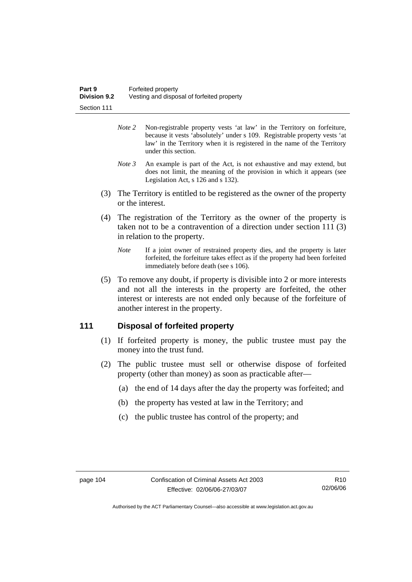- *Note 2* Non-registrable property vests 'at law' in the Territory on forfeiture, because it vests 'absolutely' under s 109. Registrable property vests 'at law' in the Territory when it is registered in the name of the Territory under this section.
- *Note 3* An example is part of the Act, is not exhaustive and may extend, but does not limit, the meaning of the provision in which it appears (see Legislation Act, s 126 and s 132).
- (3) The Territory is entitled to be registered as the owner of the property or the interest.
- (4) The registration of the Territory as the owner of the property is taken not to be a contravention of a direction under section 111 (3) in relation to the property.
	- *Note* If a joint owner of restrained property dies, and the property is later forfeited, the forfeiture takes effect as if the property had been forfeited immediately before death (see s 106).
- (5) To remove any doubt, if property is divisible into 2 or more interests and not all the interests in the property are forfeited, the other interest or interests are not ended only because of the forfeiture of another interest in the property.

# **111 Disposal of forfeited property**

- (1) If forfeited property is money, the public trustee must pay the money into the trust fund.
- (2) The public trustee must sell or otherwise dispose of forfeited property (other than money) as soon as practicable after—
	- (a) the end of 14 days after the day the property was forfeited; and
	- (b) the property has vested at law in the Territory; and
	- (c) the public trustee has control of the property; and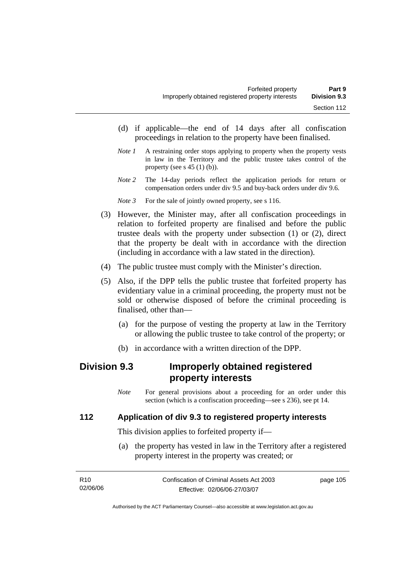- (d) if applicable—the end of 14 days after all confiscation proceedings in relation to the property have been finalised.
- *Note 1* A restraining order stops applying to property when the property vests in law in the Territory and the public trustee takes control of the property (see s  $45(1)(b)$ ).
- *Note 2* The 14-day periods reflect the application periods for return or compensation orders under div 9.5 and buy-back orders under div 9.6.
- *Note 3* For the sale of jointly owned property, see s 116.
- (3) However, the Minister may, after all confiscation proceedings in relation to forfeited property are finalised and before the public trustee deals with the property under subsection (1) or (2), direct that the property be dealt with in accordance with the direction (including in accordance with a law stated in the direction).
- (4) The public trustee must comply with the Minister's direction.
- (5) Also, if the DPP tells the public trustee that forfeited property has evidentiary value in a criminal proceeding, the property must not be sold or otherwise disposed of before the criminal proceeding is finalised, other than—
	- (a) for the purpose of vesting the property at law in the Territory or allowing the public trustee to take control of the property; or
	- (b) in accordance with a written direction of the DPP.

# **Division 9.3 Improperly obtained registered property interests**

*Note* For general provisions about a proceeding for an order under this section (which is a confiscation proceeding—see s 236), see pt 14.

# **112 Application of div 9.3 to registered property interests**

This division applies to forfeited property if—

 (a) the property has vested in law in the Territory after a registered property interest in the property was created; or

| R10      | Confiscation of Criminal Assets Act 2003 | page 105 |
|----------|------------------------------------------|----------|
| 02/06/06 | Effective: 02/06/06-27/03/07             |          |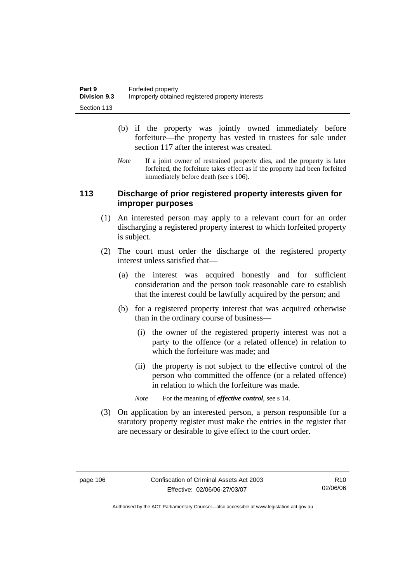- (b) if the property was jointly owned immediately before forfeiture—the property has vested in trustees for sale under section 117 after the interest was created.
- *Note* If a joint owner of restrained property dies, and the property is later forfeited, the forfeiture takes effect as if the property had been forfeited immediately before death (see s 106).

## **113 Discharge of prior registered property interests given for improper purposes**

- (1) An interested person may apply to a relevant court for an order discharging a registered property interest to which forfeited property is subject.
- (2) The court must order the discharge of the registered property interest unless satisfied that—
	- (a) the interest was acquired honestly and for sufficient consideration and the person took reasonable care to establish that the interest could be lawfully acquired by the person; and
	- (b) for a registered property interest that was acquired otherwise than in the ordinary course of business—
		- (i) the owner of the registered property interest was not a party to the offence (or a related offence) in relation to which the forfeiture was made; and
		- (ii) the property is not subject to the effective control of the person who committed the offence (or a related offence) in relation to which the forfeiture was made.
		- *Note* For the meaning of *effective control*, see s 14.
- (3) On application by an interested person, a person responsible for a statutory property register must make the entries in the register that are necessary or desirable to give effect to the court order.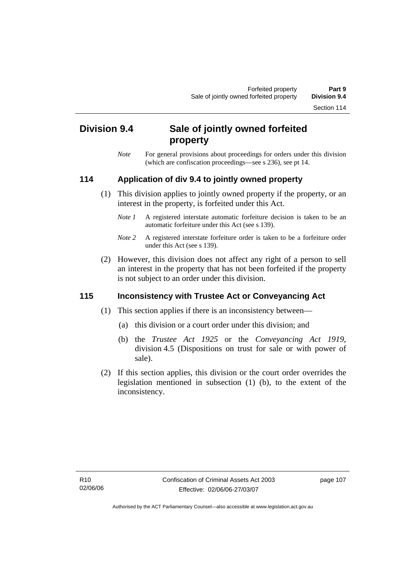Section 114

# **Division 9.4 Sale of jointly owned forfeited property**

*Note* For general provisions about proceedings for orders under this division (which are confiscation proceedings—see s 236), see pt 14.

# **114 Application of div 9.4 to jointly owned property**

- (1) This division applies to jointly owned property if the property, or an interest in the property, is forfeited under this Act.
	- *Note 1* A registered interstate automatic forfeiture decision is taken to be an automatic forfeiture under this Act (see s 139).
	- *Note 2* A registered interstate forfeiture order is taken to be a forfeiture order under this Act (see s 139).
- (2) However, this division does not affect any right of a person to sell an interest in the property that has not been forfeited if the property is not subject to an order under this division.

# **115 Inconsistency with Trustee Act or Conveyancing Act**

- (1) This section applies if there is an inconsistency between—
	- (a) this division or a court order under this division; and
	- (b) the *Trustee Act 1925* or the *Conveyancing Act 1919*, division 4.5 (Dispositions on trust for sale or with power of sale).
- (2) If this section applies, this division or the court order overrides the legislation mentioned in subsection (1) (b), to the extent of the inconsistency.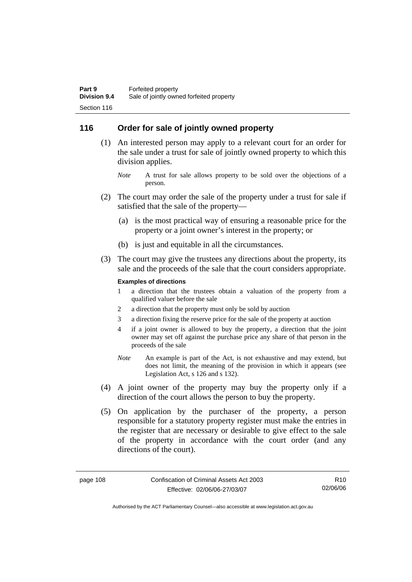### **116 Order for sale of jointly owned property**

- (1) An interested person may apply to a relevant court for an order for the sale under a trust for sale of jointly owned property to which this division applies.
	- *Note* A trust for sale allows property to be sold over the objections of a person.
- (2) The court may order the sale of the property under a trust for sale if satisfied that the sale of the property—
	- (a) is the most practical way of ensuring a reasonable price for the property or a joint owner's interest in the property; or
	- (b) is just and equitable in all the circumstances.
- (3) The court may give the trustees any directions about the property, its sale and the proceeds of the sale that the court considers appropriate.

#### **Examples of directions**

- 1 a direction that the trustees obtain a valuation of the property from a qualified valuer before the sale
- 2 a direction that the property must only be sold by auction
- 3 a direction fixing the reserve price for the sale of the property at auction
- 4 if a joint owner is allowed to buy the property, a direction that the joint owner may set off against the purchase price any share of that person in the proceeds of the sale
- *Note* An example is part of the Act, is not exhaustive and may extend, but does not limit, the meaning of the provision in which it appears (see Legislation Act, s 126 and s 132).
- (4) A joint owner of the property may buy the property only if a direction of the court allows the person to buy the property.
- (5) On application by the purchaser of the property, a person responsible for a statutory property register must make the entries in the register that are necessary or desirable to give effect to the sale of the property in accordance with the court order (and any directions of the court).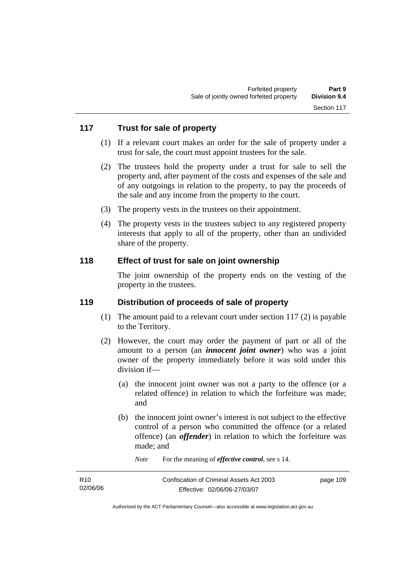# **117 Trust for sale of property**

- (1) If a relevant court makes an order for the sale of property under a trust for sale, the court must appoint trustees for the sale.
- (2) The trustees hold the property under a trust for sale to sell the property and, after payment of the costs and expenses of the sale and of any outgoings in relation to the property, to pay the proceeds of the sale and any income from the property to the court.
- (3) The property vests in the trustees on their appointment.
- (4) The property vests in the trustees subject to any registered property interests that apply to all of the property, other than an undivided share of the property.

### **118 Effect of trust for sale on joint ownership**

The joint ownership of the property ends on the vesting of the property in the trustees.

## **119 Distribution of proceeds of sale of property**

- (1) The amount paid to a relevant court under section 117 (2) is payable to the Territory.
- (2) However, the court may order the payment of part or all of the amount to a person (an *innocent joint owner*) who was a joint owner of the property immediately before it was sold under this division if—
	- (a) the innocent joint owner was not a party to the offence (or a related offence) in relation to which the forfeiture was made; and
	- (b) the innocent joint owner's interest is not subject to the effective control of a person who committed the offence (or a related offence) (an *offender*) in relation to which the forfeiture was made; and
		- *Note* For the meaning of *effective control*, see s 14.

| R <sub>10</sub> | Confiscation of Criminal Assets Act 2003 | page 109 |
|-----------------|------------------------------------------|----------|
| 02/06/06        | Effective: 02/06/06-27/03/07             |          |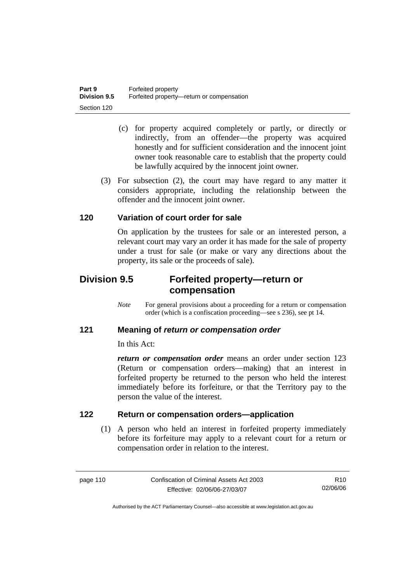- (c) for property acquired completely or partly, or directly or indirectly, from an offender—the property was acquired honestly and for sufficient consideration and the innocent joint owner took reasonable care to establish that the property could be lawfully acquired by the innocent joint owner.
- (3) For subsection (2), the court may have regard to any matter it considers appropriate, including the relationship between the offender and the innocent joint owner.

## **120 Variation of court order for sale**

On application by the trustees for sale or an interested person, a relevant court may vary an order it has made for the sale of property under a trust for sale (or make or vary any directions about the property, its sale or the proceeds of sale).

# **Division 9.5 Forfeited property—return or compensation**

*Note* For general provisions about a proceeding for a return or compensation order (which is a confiscation proceeding—see s 236), see pt 14.

# **121 Meaning of** *return or compensation order*

In this Act:

*return or compensation order* means an order under section 123 (Return or compensation orders—making) that an interest in forfeited property be returned to the person who held the interest immediately before its forfeiture, or that the Territory pay to the person the value of the interest.

# **122 Return or compensation orders—application**

 (1) A person who held an interest in forfeited property immediately before its forfeiture may apply to a relevant court for a return or compensation order in relation to the interest.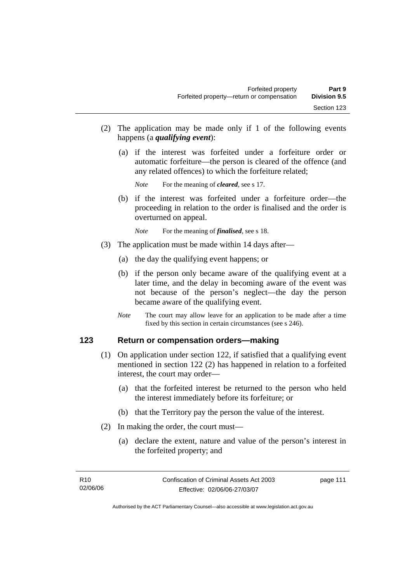- (2) The application may be made only if 1 of the following events happens (a *qualifying event*):
	- (a) if the interest was forfeited under a forfeiture order or automatic forfeiture—the person is cleared of the offence (and any related offences) to which the forfeiture related;

*Note* For the meaning of *cleared*, see s 17.

- (b) if the interest was forfeited under a forfeiture order—the proceeding in relation to the order is finalised and the order is overturned on appeal.
	- *Note* For the meaning of *finalised*, see s 18.
- (3) The application must be made within 14 days after—
	- (a) the day the qualifying event happens; or
	- (b) if the person only became aware of the qualifying event at a later time, and the delay in becoming aware of the event was not because of the person's neglect—the day the person became aware of the qualifying event.
	- *Note* The court may allow leave for an application to be made after a time fixed by this section in certain circumstances (see s 246).

### **123 Return or compensation orders—making**

- (1) On application under section 122, if satisfied that a qualifying event mentioned in section 122 (2) has happened in relation to a forfeited interest, the court may order—
	- (a) that the forfeited interest be returned to the person who held the interest immediately before its forfeiture; or
	- (b) that the Territory pay the person the value of the interest.
- (2) In making the order, the court must—
	- (a) declare the extent, nature and value of the person's interest in the forfeited property; and

page 111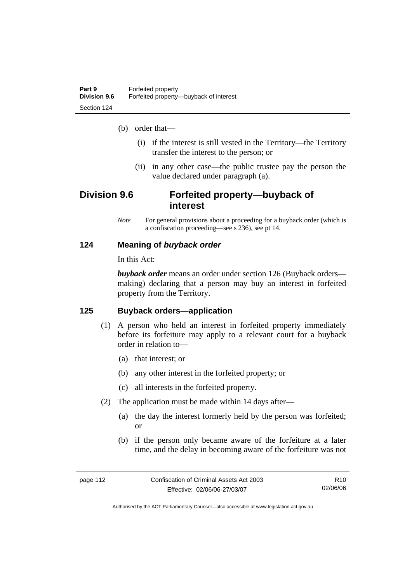(b) order that—

- (i) if the interest is still vested in the Territory—the Territory transfer the interest to the person; or
- (ii) in any other case—the public trustee pay the person the value declared under paragraph (a).

# **Division 9.6 Forfeited property—buyback of interest**

*Note* For general provisions about a proceeding for a buyback order (which is a confiscation proceeding—see s 236), see pt 14.

### **124 Meaning of** *buyback order*

In this Act:

*buyback order* means an order under section 126 (Buyback orders making) declaring that a person may buy an interest in forfeited property from the Territory.

### **125 Buyback orders—application**

- (1) A person who held an interest in forfeited property immediately before its forfeiture may apply to a relevant court for a buyback order in relation to—
	- (a) that interest; or
	- (b) any other interest in the forfeited property; or
	- (c) all interests in the forfeited property.
- (2) The application must be made within 14 days after—
	- (a) the day the interest formerly held by the person was forfeited; or
	- (b) if the person only became aware of the forfeiture at a later time, and the delay in becoming aware of the forfeiture was not

R10 02/06/06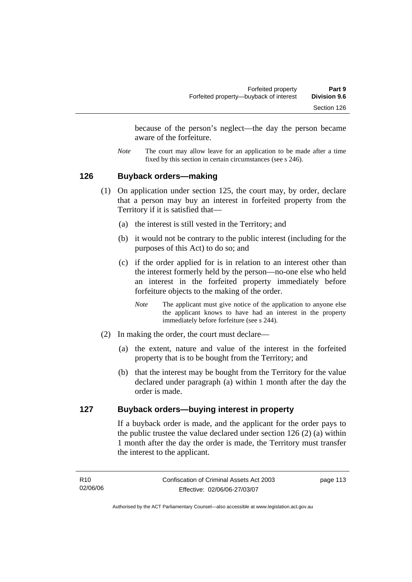because of the person's neglect—the day the person became aware of the forfeiture.

*Note* The court may allow leave for an application to be made after a time fixed by this section in certain circumstances (see s 246).

### **126 Buyback orders—making**

- (1) On application under section 125, the court may, by order, declare that a person may buy an interest in forfeited property from the Territory if it is satisfied that—
	- (a) the interest is still vested in the Territory; and
	- (b) it would not be contrary to the public interest (including for the purposes of this Act) to do so; and
	- (c) if the order applied for is in relation to an interest other than the interest formerly held by the person—no-one else who held an interest in the forfeited property immediately before forfeiture objects to the making of the order.
		- *Note* The applicant must give notice of the application to anyone else the applicant knows to have had an interest in the property immediately before forfeiture (see s 244).
- (2) In making the order, the court must declare—
	- (a) the extent, nature and value of the interest in the forfeited property that is to be bought from the Territory; and
	- (b) that the interest may be bought from the Territory for the value declared under paragraph (a) within 1 month after the day the order is made.

# **127 Buyback orders—buying interest in property**

If a buyback order is made, and the applicant for the order pays to the public trustee the value declared under section 126 (2) (a) within 1 month after the day the order is made, the Territory must transfer the interest to the applicant.

page 113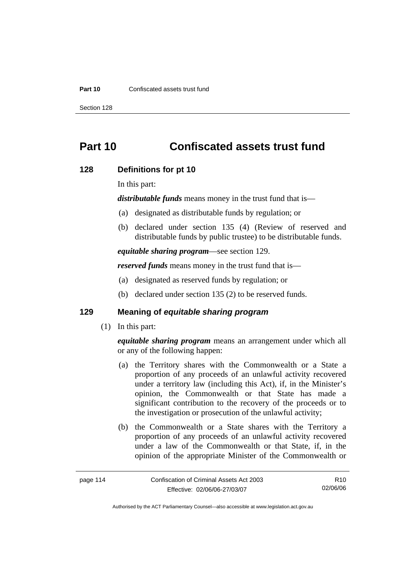#### **Part 10** Confiscated assets trust fund

Section 128

# **Part 10 Confiscated assets trust fund**

### **128 Definitions for pt 10**

In this part:

*distributable funds* means money in the trust fund that is—

- (a) designated as distributable funds by regulation; or
- (b) declared under section 135 (4) (Review of reserved and distributable funds by public trustee) to be distributable funds.

*equitable sharing program*—see section 129.

*reserved funds* means money in the trust fund that is—

- (a) designated as reserved funds by regulation; or
- (b) declared under section 135 (2) to be reserved funds.

## **129 Meaning of** *equitable sharing program*

(1) In this part:

*equitable sharing program* means an arrangement under which all or any of the following happen:

- (a) the Territory shares with the Commonwealth or a State a proportion of any proceeds of an unlawful activity recovered under a territory law (including this Act), if, in the Minister's opinion, the Commonwealth or that State has made a significant contribution to the recovery of the proceeds or to the investigation or prosecution of the unlawful activity;
- (b) the Commonwealth or a State shares with the Territory a proportion of any proceeds of an unlawful activity recovered under a law of the Commonwealth or that State, if, in the opinion of the appropriate Minister of the Commonwealth or

| page 114 | Confiscation of Criminal Assets Act 2003 | R <sub>10</sub> |
|----------|------------------------------------------|-----------------|
|          | Effective: 02/06/06-27/03/07             | 02/06/06        |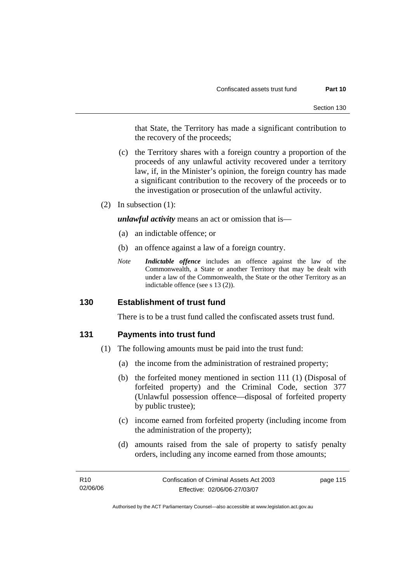that State, the Territory has made a significant contribution to the recovery of the proceeds;

- (c) the Territory shares with a foreign country a proportion of the proceeds of any unlawful activity recovered under a territory law, if, in the Minister's opinion, the foreign country has made a significant contribution to the recovery of the proceeds or to the investigation or prosecution of the unlawful activity.
- (2) In subsection (1):

*unlawful activity* means an act or omission that is—

- (a) an indictable offence; or
- (b) an offence against a law of a foreign country.
- *Note Indictable offence* includes an offence against the law of the Commonwealth, a State or another Territory that may be dealt with under a law of the Commonwealth, the State or the other Territory as an indictable offence (see s 13 (2)).

### **130 Establishment of trust fund**

There is to be a trust fund called the confiscated assets trust fund.

### **131 Payments into trust fund**

- (1) The following amounts must be paid into the trust fund:
	- (a) the income from the administration of restrained property;
	- (b) the forfeited money mentioned in section 111 (1) (Disposal of forfeited property) and the Criminal Code, section 377 (Unlawful possession offence—disposal of forfeited property by public trustee);
	- (c) income earned from forfeited property (including income from the administration of the property);
	- (d) amounts raised from the sale of property to satisfy penalty orders, including any income earned from those amounts;

| R10      | Confiscation of Criminal Assets Act 2003 | page 115 |
|----------|------------------------------------------|----------|
| 02/06/06 | Effective: 02/06/06-27/03/07             |          |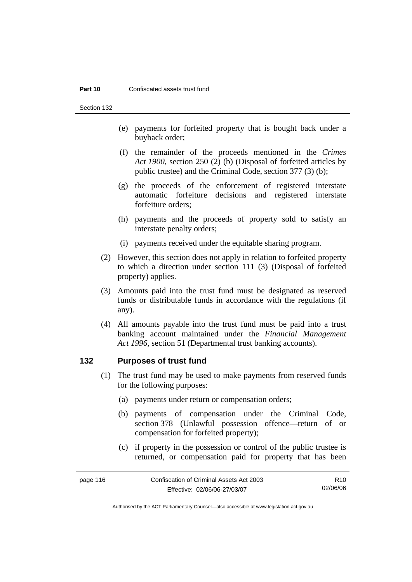#### **Part 10** Confiscated assets trust fund

Section 132

- (e) payments for forfeited property that is bought back under a buyback order;
- (f) the remainder of the proceeds mentioned in the *Crimes Act 1900*, section 250 (2) (b) (Disposal of forfeited articles by public trustee) and the Criminal Code, section 377 (3) (b);
- (g) the proceeds of the enforcement of registered interstate automatic forfeiture decisions and registered interstate forfeiture orders;
- (h) payments and the proceeds of property sold to satisfy an interstate penalty orders;
- (i) payments received under the equitable sharing program.
- (2) However, this section does not apply in relation to forfeited property to which a direction under section 111 (3) (Disposal of forfeited property) applies.
- (3) Amounts paid into the trust fund must be designated as reserved funds or distributable funds in accordance with the regulations (if any).
- (4) All amounts payable into the trust fund must be paid into a trust banking account maintained under the *Financial Management Act 1996*, section 51 (Departmental trust banking accounts).

### **132 Purposes of trust fund**

- (1) The trust fund may be used to make payments from reserved funds for the following purposes:
	- (a) payments under return or compensation orders;
	- (b) payments of compensation under the Criminal Code, section 378 (Unlawful possession offence—return of or compensation for forfeited property);
	- (c) if property in the possession or control of the public trustee is returned, or compensation paid for property that has been

| page 116 | Confiscation of Criminal Assets Act 2003 | R10.     |
|----------|------------------------------------------|----------|
|          | Effective: 02/06/06-27/03/07             | 02/06/06 |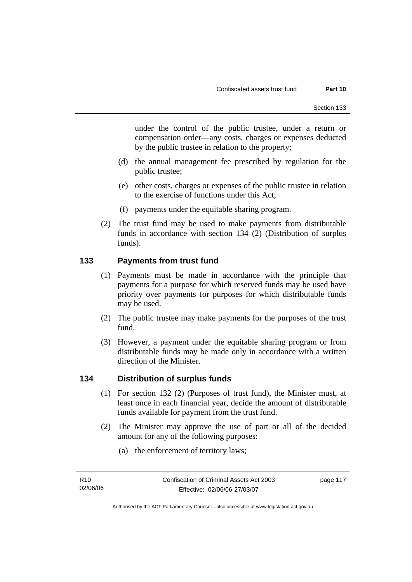under the control of the public trustee, under a return or compensation order—any costs, charges or expenses deducted by the public trustee in relation to the property;

- (d) the annual management fee prescribed by regulation for the public trustee;
- (e) other costs, charges or expenses of the public trustee in relation to the exercise of functions under this Act;
- (f) payments under the equitable sharing program.
- (2) The trust fund may be used to make payments from distributable funds in accordance with section 134 (2) (Distribution of surplus funds).

## **133 Payments from trust fund**

- (1) Payments must be made in accordance with the principle that payments for a purpose for which reserved funds may be used have priority over payments for purposes for which distributable funds may be used.
- (2) The public trustee may make payments for the purposes of the trust fund.
- (3) However, a payment under the equitable sharing program or from distributable funds may be made only in accordance with a written direction of the Minister.

### **134 Distribution of surplus funds**

- (1) For section 132 (2) (Purposes of trust fund), the Minister must, at least once in each financial year, decide the amount of distributable funds available for payment from the trust fund.
- (2) The Minister may approve the use of part or all of the decided amount for any of the following purposes:
	- (a) the enforcement of territory laws;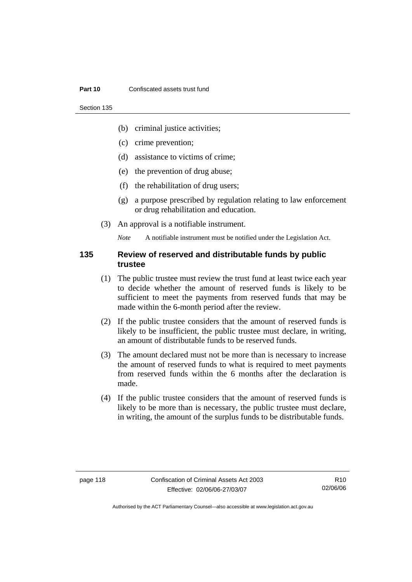#### **Part 10** Confiscated assets trust fund

Section 135

- (b) criminal justice activities;
- (c) crime prevention;
- (d) assistance to victims of crime;
- (e) the prevention of drug abuse;
- (f) the rehabilitation of drug users;
- (g) a purpose prescribed by regulation relating to law enforcement or drug rehabilitation and education.
- (3) An approval is a notifiable instrument.

*Note* A notifiable instrument must be notified under the Legislation Act.

### **135 Review of reserved and distributable funds by public trustee**

- (1) The public trustee must review the trust fund at least twice each year to decide whether the amount of reserved funds is likely to be sufficient to meet the payments from reserved funds that may be made within the 6-month period after the review.
- (2) If the public trustee considers that the amount of reserved funds is likely to be insufficient, the public trustee must declare, in writing, an amount of distributable funds to be reserved funds.
- (3) The amount declared must not be more than is necessary to increase the amount of reserved funds to what is required to meet payments from reserved funds within the 6 months after the declaration is made.
- (4) If the public trustee considers that the amount of reserved funds is likely to be more than is necessary, the public trustee must declare, in writing, the amount of the surplus funds to be distributable funds.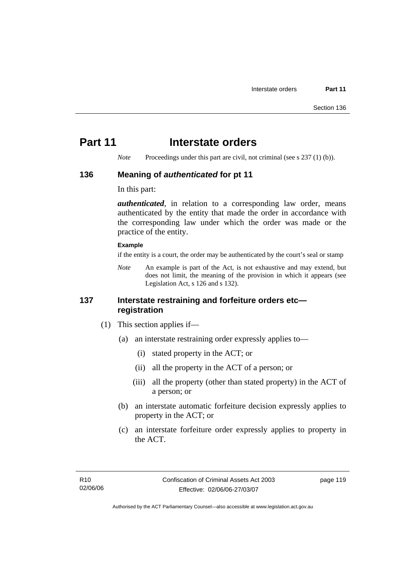# **Part 11** Interstate orders

*Note* Proceedings under this part are civil, not criminal (see s 237 (1) (b)).

### **136 Meaning of** *authenticated* **for pt 11**

In this part:

*authenticated*, in relation to a corresponding law order, means authenticated by the entity that made the order in accordance with the corresponding law under which the order was made or the practice of the entity.

### **Example**

if the entity is a court, the order may be authenticated by the court's seal or stamp

*Note* An example is part of the Act, is not exhaustive and may extend, but does not limit, the meaning of the provision in which it appears (see Legislation Act, s 126 and s 132).

### **137 Interstate restraining and forfeiture orders etc registration**

- (1) This section applies if—
	- (a) an interstate restraining order expressly applies to—
		- (i) stated property in the ACT; or
		- (ii) all the property in the ACT of a person; or
		- (iii) all the property (other than stated property) in the ACT of a person; or
	- (b) an interstate automatic forfeiture decision expressly applies to property in the ACT; or
	- (c) an interstate forfeiture order expressly applies to property in the ACT.

page 119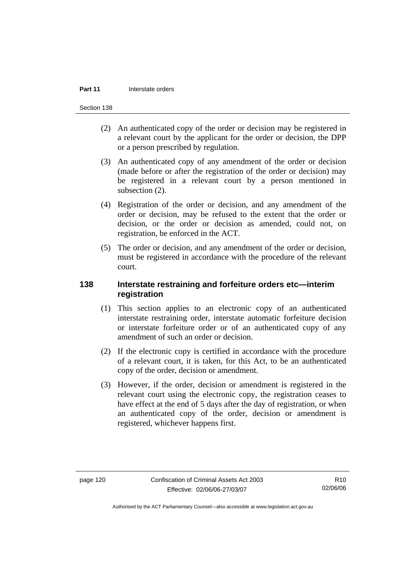#### **Part 11 Interstate orders**

Section 138

- (2) An authenticated copy of the order or decision may be registered in a relevant court by the applicant for the order or decision, the DPP or a person prescribed by regulation.
- (3) An authenticated copy of any amendment of the order or decision (made before or after the registration of the order or decision) may be registered in a relevant court by a person mentioned in subsection (2).
- (4) Registration of the order or decision, and any amendment of the order or decision, may be refused to the extent that the order or decision, or the order or decision as amended, could not, on registration, be enforced in the ACT.
- (5) The order or decision, and any amendment of the order or decision, must be registered in accordance with the procedure of the relevant court.

## **138 Interstate restraining and forfeiture orders etc—interim registration**

- (1) This section applies to an electronic copy of an authenticated interstate restraining order, interstate automatic forfeiture decision or interstate forfeiture order or of an authenticated copy of any amendment of such an order or decision.
- (2) If the electronic copy is certified in accordance with the procedure of a relevant court, it is taken, for this Act, to be an authenticated copy of the order, decision or amendment.
- (3) However, if the order, decision or amendment is registered in the relevant court using the electronic copy, the registration ceases to have effect at the end of 5 days after the day of registration, or when an authenticated copy of the order, decision or amendment is registered, whichever happens first.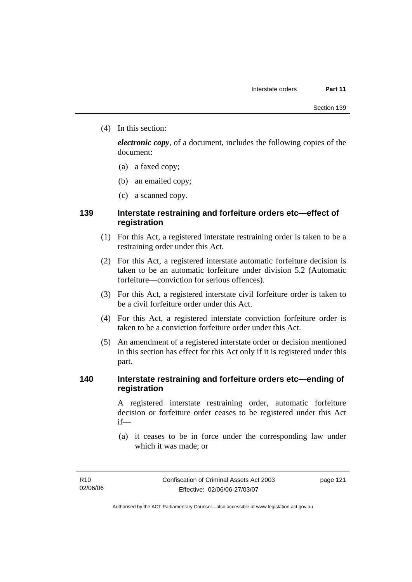(4) In this section:

*electronic copy*, of a document, includes the following copies of the document:

- (a) a faxed copy;
- (b) an emailed copy;
- (c) a scanned copy.

### **139 Interstate restraining and forfeiture orders etc—effect of registration**

- (1) For this Act, a registered interstate restraining order is taken to be a restraining order under this Act.
- (2) For this Act, a registered interstate automatic forfeiture decision is taken to be an automatic forfeiture under division 5.2 (Automatic forfeiture—conviction for serious offences).
- (3) For this Act, a registered interstate civil forfeiture order is taken to be a civil forfeiture order under this Act.
- (4) For this Act, a registered interstate conviction forfeiture order is taken to be a conviction forfeiture order under this Act.
- (5) An amendment of a registered interstate order or decision mentioned in this section has effect for this Act only if it is registered under this part.

## **140 Interstate restraining and forfeiture orders etc—ending of registration**

A registered interstate restraining order, automatic forfeiture decision or forfeiture order ceases to be registered under this Act if—

 (a) it ceases to be in force under the corresponding law under which it was made; or

page 121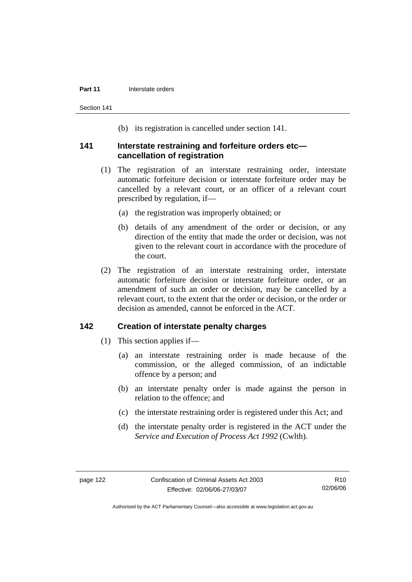#### **Part 11 Interstate orders**

Section 141

(b) its registration is cancelled under section 141.

### **141 Interstate restraining and forfeiture orders etc cancellation of registration**

- (1) The registration of an interstate restraining order, interstate automatic forfeiture decision or interstate forfeiture order may be cancelled by a relevant court, or an officer of a relevant court prescribed by regulation, if—
	- (a) the registration was improperly obtained; or
	- (b) details of any amendment of the order or decision, or any direction of the entity that made the order or decision, was not given to the relevant court in accordance with the procedure of the court.
- (2) The registration of an interstate restraining order, interstate automatic forfeiture decision or interstate forfeiture order, or an amendment of such an order or decision, may be cancelled by a relevant court, to the extent that the order or decision, or the order or decision as amended, cannot be enforced in the ACT.

### **142 Creation of interstate penalty charges**

- (1) This section applies if—
	- (a) an interstate restraining order is made because of the commission, or the alleged commission, of an indictable offence by a person; and
	- (b) an interstate penalty order is made against the person in relation to the offence; and
	- (c) the interstate restraining order is registered under this Act; and
	- (d) the interstate penalty order is registered in the ACT under the *Service and Execution of Process Act 1992* (Cwlth).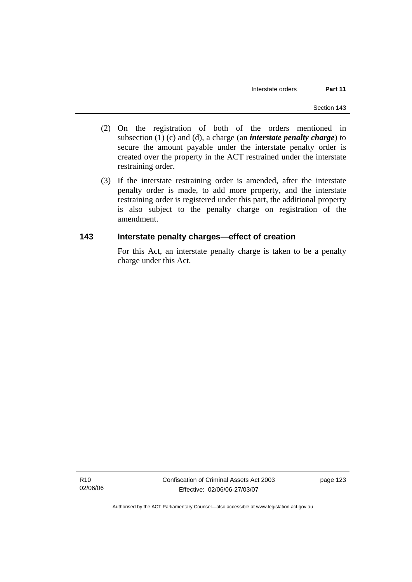- (2) On the registration of both of the orders mentioned in subsection (1) (c) and (d), a charge (an *interstate penalty charge*) to secure the amount payable under the interstate penalty order is created over the property in the ACT restrained under the interstate restraining order.
- (3) If the interstate restraining order is amended, after the interstate penalty order is made, to add more property, and the interstate restraining order is registered under this part, the additional property is also subject to the penalty charge on registration of the amendment.

### **143 Interstate penalty charges—effect of creation**

For this Act, an interstate penalty charge is taken to be a penalty charge under this Act.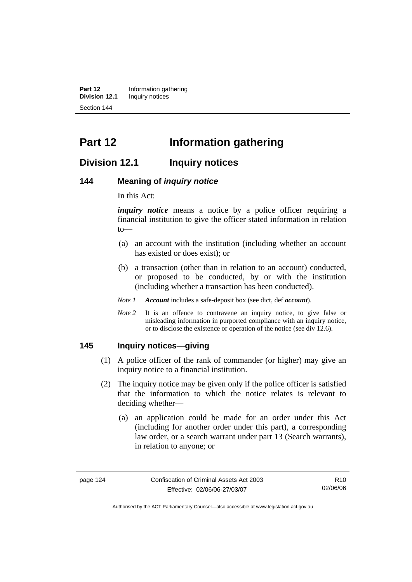**Part 12 Information gathering**<br>**Division 12.1 Inquiry notices Inquiry notices** Section 144

# **Part 12 Information gathering**

# **Division 12.1 Inquiry notices**

### **144 Meaning of** *inquiry notice*

In this Act:

*inquiry notice* means a notice by a police officer requiring a financial institution to give the officer stated information in relation to—

- (a) an account with the institution (including whether an account has existed or does exist); or
- (b) a transaction (other than in relation to an account) conducted, or proposed to be conducted, by or with the institution (including whether a transaction has been conducted).

*Note 1 Account* includes a safe-deposit box (see dict, def *account*).

*Note 2* It is an offence to contravene an inquiry notice, to give false or misleading information in purported compliance with an inquiry notice, or to disclose the existence or operation of the notice (see div 12.6).

### **145 Inquiry notices—giving**

- (1) A police officer of the rank of commander (or higher) may give an inquiry notice to a financial institution.
- (2) The inquiry notice may be given only if the police officer is satisfied that the information to which the notice relates is relevant to deciding whether—
	- (a) an application could be made for an order under this Act (including for another order under this part), a corresponding law order, or a search warrant under part 13 (Search warrants), in relation to anyone; or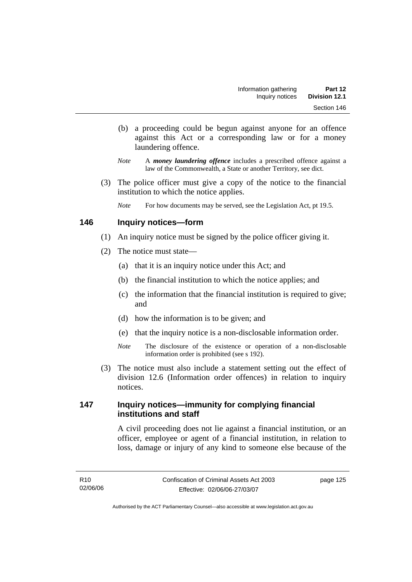- (b) a proceeding could be begun against anyone for an offence against this Act or a corresponding law or for a money laundering offence.
- *Note* A *money laundering offence* includes a prescribed offence against a law of the Commonwealth, a State or another Territory, see dict.
- (3) The police officer must give a copy of the notice to the financial institution to which the notice applies.

*Note* For how documents may be served, see the Legislation Act, pt 19.5.

### **146 Inquiry notices—form**

- (1) An inquiry notice must be signed by the police officer giving it.
- (2) The notice must state—
	- (a) that it is an inquiry notice under this Act; and
	- (b) the financial institution to which the notice applies; and
	- (c) the information that the financial institution is required to give; and
	- (d) how the information is to be given; and
	- (e) that the inquiry notice is a non-disclosable information order.
	- *Note* The disclosure of the existence or operation of a non-disclosable information order is prohibited (see s 192).
- (3) The notice must also include a statement setting out the effect of division 12.6 (Information order offences) in relation to inquiry notices.

## **147 Inquiry notices—immunity for complying financial institutions and staff**

A civil proceeding does not lie against a financial institution, or an officer, employee or agent of a financial institution, in relation to loss, damage or injury of any kind to someone else because of the

page 125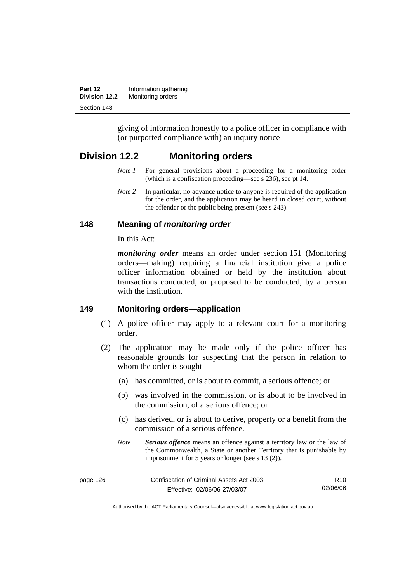| Part 12              | Information gathering |
|----------------------|-----------------------|
| <b>Division 12.2</b> | Monitoring orders     |
| Section 148          |                       |

giving of information honestly to a police officer in compliance with (or purported compliance with) an inquiry notice

# **Division 12.2 Monitoring orders**

- *Note 1* For general provisions about a proceeding for a monitoring order (which is a confiscation proceeding—see s 236), see pt 14.
- *Note 2* In particular, no advance notice to anyone is required of the application for the order, and the application may be heard in closed court, without the offender or the public being present (see s 243).

## **148 Meaning of** *monitoring order*

In this Act:

*monitoring order* means an order under section 151 (Monitoring orders—making) requiring a financial institution give a police officer information obtained or held by the institution about transactions conducted, or proposed to be conducted, by a person with the institution.

### **149 Monitoring orders—application**

- (1) A police officer may apply to a relevant court for a monitoring order.
- (2) The application may be made only if the police officer has reasonable grounds for suspecting that the person in relation to whom the order is sought—
	- (a) has committed, or is about to commit, a serious offence; or
	- (b) was involved in the commission, or is about to be involved in the commission, of a serious offence; or
	- (c) has derived, or is about to derive, property or a benefit from the commission of a serious offence.
	- *Note Serious offence* means an offence against a territory law or the law of the Commonwealth, a State or another Territory that is punishable by imprisonment for 5 years or longer (see s 13 (2)).

| page 126 | Confiscation of Criminal Assets Act 2003 |
|----------|------------------------------------------|
|          | Effective: 02/06/06-27/03/07             |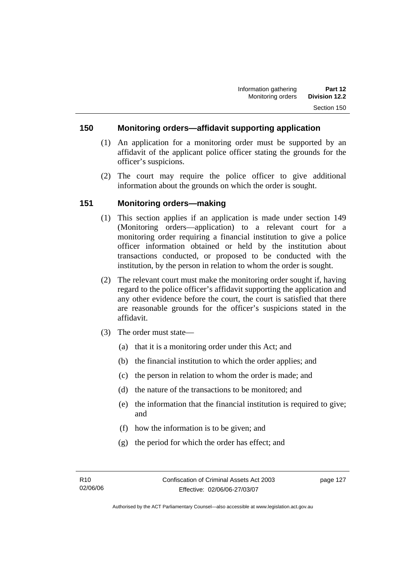### **150 Monitoring orders—affidavit supporting application**

- (1) An application for a monitoring order must be supported by an affidavit of the applicant police officer stating the grounds for the officer's suspicions.
- (2) The court may require the police officer to give additional information about the grounds on which the order is sought.

### **151 Monitoring orders—making**

- (1) This section applies if an application is made under section 149 (Monitoring orders—application) to a relevant court for a monitoring order requiring a financial institution to give a police officer information obtained or held by the institution about transactions conducted, or proposed to be conducted with the institution, by the person in relation to whom the order is sought.
- (2) The relevant court must make the monitoring order sought if, having regard to the police officer's affidavit supporting the application and any other evidence before the court, the court is satisfied that there are reasonable grounds for the officer's suspicions stated in the affidavit.
- (3) The order must state—
	- (a) that it is a monitoring order under this Act; and
	- (b) the financial institution to which the order applies; and
	- (c) the person in relation to whom the order is made; and
	- (d) the nature of the transactions to be monitored; and
	- (e) the information that the financial institution is required to give; and
	- (f) how the information is to be given; and
	- (g) the period for which the order has effect; and

page 127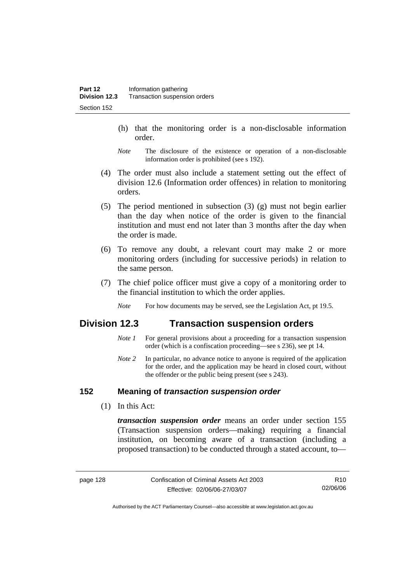- (h) that the monitoring order is a non-disclosable information order.
- *Note* The disclosure of the existence or operation of a non-disclosable information order is prohibited (see s 192).
- (4) The order must also include a statement setting out the effect of division 12.6 (Information order offences) in relation to monitoring orders.
- (5) The period mentioned in subsection (3) (g) must not begin earlier than the day when notice of the order is given to the financial institution and must end not later than 3 months after the day when the order is made.
- (6) To remove any doubt, a relevant court may make 2 or more monitoring orders (including for successive periods) in relation to the same person.
- (7) The chief police officer must give a copy of a monitoring order to the financial institution to which the order applies.
	- *Note* For how documents may be served, see the Legislation Act, pt 19.5.

# **Division 12.3 Transaction suspension orders**

- *Note 1* For general provisions about a proceeding for a transaction suspension order (which is a confiscation proceeding—see s 236), see pt 14.
- *Note 2* In particular, no advance notice to anyone is required of the application for the order, and the application may be heard in closed court, without the offender or the public being present (see s 243).

## **152 Meaning of** *transaction suspension order*

(1) In this Act:

*transaction suspension order* means an order under section 155 (Transaction suspension orders—making) requiring a financial institution, on becoming aware of a transaction (including a proposed transaction) to be conducted through a stated account, to—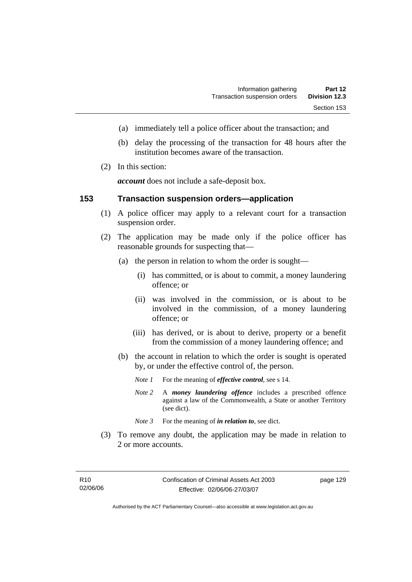- (a) immediately tell a police officer about the transaction; and
- (b) delay the processing of the transaction for 48 hours after the institution becomes aware of the transaction.
- (2) In this section:

*account* does not include a safe-deposit box.

### **153 Transaction suspension orders—application**

- (1) A police officer may apply to a relevant court for a transaction suspension order.
- (2) The application may be made only if the police officer has reasonable grounds for suspecting that—
	- (a) the person in relation to whom the order is sought—
		- (i) has committed, or is about to commit, a money laundering offence; or
		- (ii) was involved in the commission, or is about to be involved in the commission, of a money laundering offence; or
		- (iii) has derived, or is about to derive, property or a benefit from the commission of a money laundering offence; and
	- (b) the account in relation to which the order is sought is operated by, or under the effective control of, the person.
		- *Note 1* For the meaning of *effective control*, see s 14.
		- *Note 2* A *money laundering offence* includes a prescribed offence against a law of the Commonwealth, a State or another Territory (see dict).
		- *Note* 3 For the meaning of *in relation to*, see dict.
- (3) To remove any doubt, the application may be made in relation to 2 or more accounts.

page 129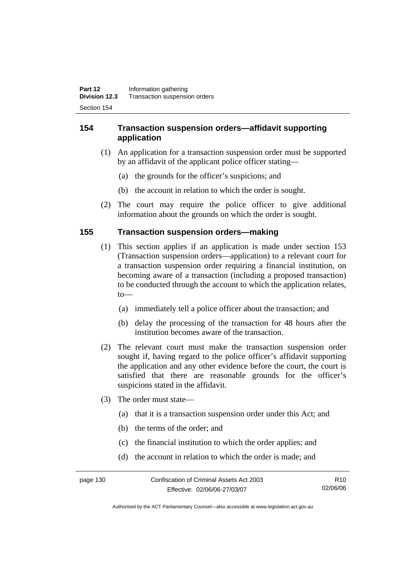# **154 Transaction suspension orders—affidavit supporting application**

- (1) An application for a transaction suspension order must be supported by an affidavit of the applicant police officer stating—
	- (a) the grounds for the officer's suspicions; and
	- (b) the account in relation to which the order is sought.
- (2) The court may require the police officer to give additional information about the grounds on which the order is sought.

### **155 Transaction suspension orders—making**

- (1) This section applies if an application is made under section 153 (Transaction suspension orders—application) to a relevant court for a transaction suspension order requiring a financial institution, on becoming aware of a transaction (including a proposed transaction) to be conducted through the account to which the application relates, to—
	- (a) immediately tell a police officer about the transaction; and
	- (b) delay the processing of the transaction for 48 hours after the institution becomes aware of the transaction.
- (2) The relevant court must make the transaction suspension order sought if, having regard to the police officer's affidavit supporting the application and any other evidence before the court, the court is satisfied that there are reasonable grounds for the officer's suspicions stated in the affidavit.
- (3) The order must state—
	- (a) that it is a transaction suspension order under this Act; and
	- (b) the terms of the order; and
	- (c) the financial institution to which the order applies; and
	- (d) the account in relation to which the order is made; and

page 130 Confiscation of Criminal Assets Act 2003 Effective: 02/06/06-27/03/07 R10 02/06/06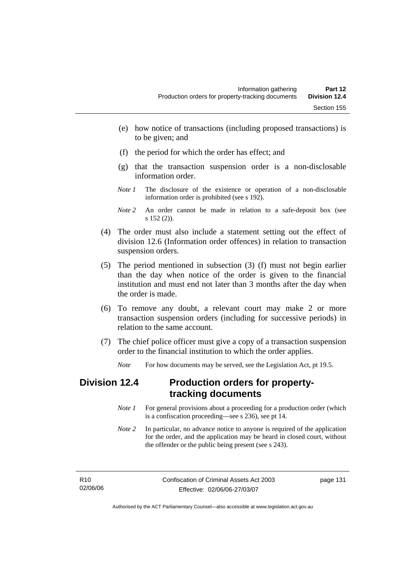- (e) how notice of transactions (including proposed transactions) is to be given; and
- (f) the period for which the order has effect; and
- (g) that the transaction suspension order is a non-disclosable information order.
- *Note 1* The disclosure of the existence or operation of a non-disclosable information order is prohibited (see s 192).
- *Note 2* An order cannot be made in relation to a safe-deposit box (see s 152 (2)).
- (4) The order must also include a statement setting out the effect of division 12.6 (Information order offences) in relation to transaction suspension orders.
- (5) The period mentioned in subsection (3) (f) must not begin earlier than the day when notice of the order is given to the financial institution and must end not later than 3 months after the day when the order is made.
- (6) To remove any doubt, a relevant court may make 2 or more transaction suspension orders (including for successive periods) in relation to the same account.
- (7) The chief police officer must give a copy of a transaction suspension order to the financial institution to which the order applies.
	- *Note* For how documents may be served, see the Legislation Act, pt 19.5.

## **Division 12.4 Production orders for propertytracking documents**

- *Note 1* For general provisions about a proceeding for a production order (which is a confiscation proceeding—see s 236), see pt 14.
- *Note 2* In particular, no advance notice to anyone is required of the application for the order, and the application may be heard in closed court, without the offender or the public being present (see s 243).

| R10      | Confiscation of Criminal Assets Act 2003 | page 131 |
|----------|------------------------------------------|----------|
| 02/06/06 | Effective: 02/06/06-27/03/07             |          |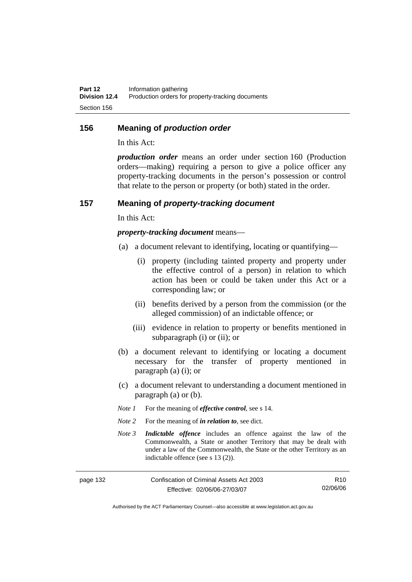#### **156 Meaning of** *production order*

In this Act:

*production order* means an order under section 160 (Production orders—making) requiring a person to give a police officer any property-tracking documents in the person's possession or control that relate to the person or property (or both) stated in the order.

#### **157 Meaning of** *property-tracking document*

In this Act:

*property-tracking document* means—

- (a) a document relevant to identifying, locating or quantifying—
	- (i) property (including tainted property and property under the effective control of a person) in relation to which action has been or could be taken under this Act or a corresponding law; or
	- (ii) benefits derived by a person from the commission (or the alleged commission) of an indictable offence; or
	- (iii) evidence in relation to property or benefits mentioned in subparagraph (i) or (ii); or
- (b) a document relevant to identifying or locating a document necessary for the transfer of property mentioned in paragraph (a) (i); or
- (c) a document relevant to understanding a document mentioned in paragraph (a) or (b).
- *Note 1* For the meaning of *effective control*, see s 14.
- *Note* 2 For the meaning of *in relation to*, see dict.
- *Note 3 Indictable offence* includes an offence against the law of the Commonwealth, a State or another Territory that may be dealt with under a law of the Commonwealth, the State or the other Territory as an indictable offence (see s 13 (2)).

| page 132 | Confiscation of Criminal Assets Act 2003 | R <sub>10</sub> |
|----------|------------------------------------------|-----------------|
|          | Effective: 02/06/06-27/03/07             | 02/06/06        |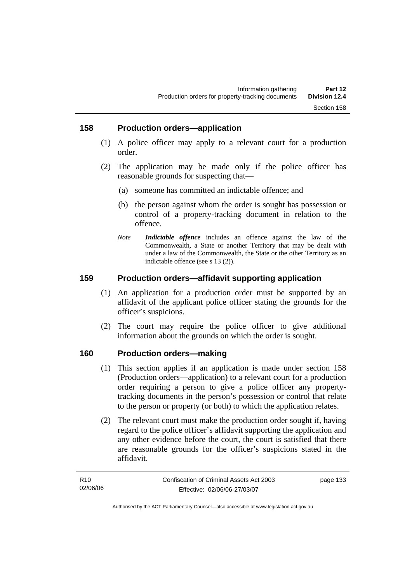#### **158 Production orders—application**

- (1) A police officer may apply to a relevant court for a production order.
- (2) The application may be made only if the police officer has reasonable grounds for suspecting that—
	- (a) someone has committed an indictable offence; and
	- (b) the person against whom the order is sought has possession or control of a property-tracking document in relation to the offence.
	- *Note Indictable offence* includes an offence against the law of the Commonwealth, a State or another Territory that may be dealt with under a law of the Commonwealth, the State or the other Territory as an indictable offence (see s 13 (2)).

#### **159 Production orders—affidavit supporting application**

- (1) An application for a production order must be supported by an affidavit of the applicant police officer stating the grounds for the officer's suspicions.
- (2) The court may require the police officer to give additional information about the grounds on which the order is sought.

#### **160 Production orders—making**

- (1) This section applies if an application is made under section 158 (Production orders—application) to a relevant court for a production order requiring a person to give a police officer any propertytracking documents in the person's possession or control that relate to the person or property (or both) to which the application relates.
- (2) The relevant court must make the production order sought if, having regard to the police officer's affidavit supporting the application and any other evidence before the court, the court is satisfied that there are reasonable grounds for the officer's suspicions stated in the affidavit.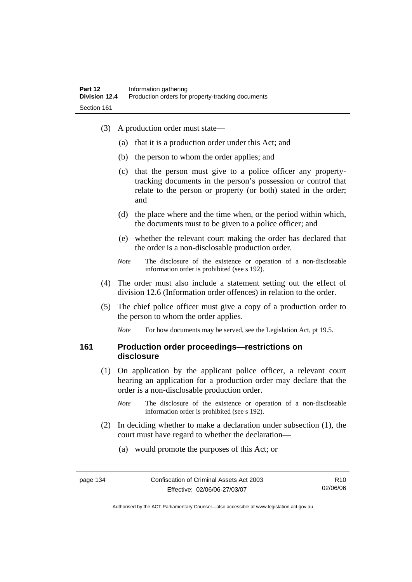- (3) A production order must state—
	- (a) that it is a production order under this Act; and
	- (b) the person to whom the order applies; and
	- (c) that the person must give to a police officer any propertytracking documents in the person's possession or control that relate to the person or property (or both) stated in the order; and
	- (d) the place where and the time when, or the period within which, the documents must to be given to a police officer; and
	- (e) whether the relevant court making the order has declared that the order is a non-disclosable production order.
	- *Note* The disclosure of the existence or operation of a non-disclosable information order is prohibited (see s 192).
- (4) The order must also include a statement setting out the effect of division 12.6 (Information order offences) in relation to the order.
- (5) The chief police officer must give a copy of a production order to the person to whom the order applies.

*Note* For how documents may be served, see the Legislation Act, pt 19.5.

#### **161 Production order proceedings—restrictions on disclosure**

- (1) On application by the applicant police officer, a relevant court hearing an application for a production order may declare that the order is a non-disclosable production order.
	- *Note* The disclosure of the existence or operation of a non-disclosable information order is prohibited (see s 192).
- (2) In deciding whether to make a declaration under subsection (1), the court must have regard to whether the declaration—
	- (a) would promote the purposes of this Act; or

R10 02/06/06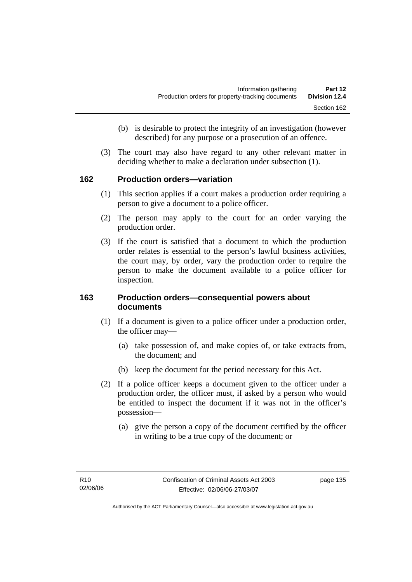- (b) is desirable to protect the integrity of an investigation (however described) for any purpose or a prosecution of an offence.
- (3) The court may also have regard to any other relevant matter in deciding whether to make a declaration under subsection (1).

#### **162 Production orders—variation**

- (1) This section applies if a court makes a production order requiring a person to give a document to a police officer.
- (2) The person may apply to the court for an order varying the production order.
- (3) If the court is satisfied that a document to which the production order relates is essential to the person's lawful business activities, the court may, by order, vary the production order to require the person to make the document available to a police officer for inspection.

#### **163 Production orders—consequential powers about documents**

- (1) If a document is given to a police officer under a production order, the officer may—
	- (a) take possession of, and make copies of, or take extracts from, the document; and
	- (b) keep the document for the period necessary for this Act.
- (2) If a police officer keeps a document given to the officer under a production order, the officer must, if asked by a person who would be entitled to inspect the document if it was not in the officer's possession—
	- (a) give the person a copy of the document certified by the officer in writing to be a true copy of the document; or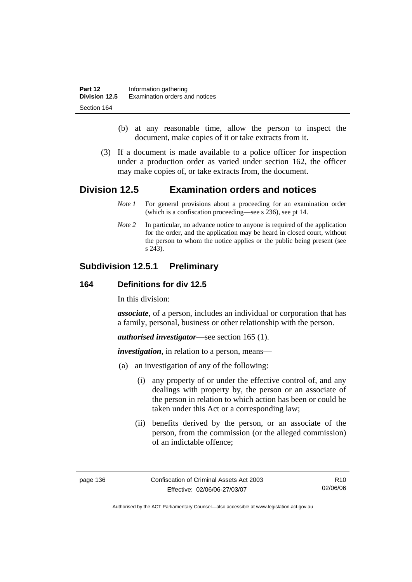- (b) at any reasonable time, allow the person to inspect the document, make copies of it or take extracts from it.
- (3) If a document is made available to a police officer for inspection under a production order as varied under section 162, the officer may make copies of, or take extracts from, the document.

# **Division 12.5 Examination orders and notices**

- *Note 1* For general provisions about a proceeding for an examination order (which is a confiscation proceeding—see s 236), see pt 14.
- *Note 2* In particular, no advance notice to anyone is required of the application for the order, and the application may be heard in closed court, without the person to whom the notice applies or the public being present (see s 243).

# **Subdivision 12.5.1 Preliminary**

#### **164 Definitions for div 12.5**

In this division:

*associate*, of a person, includes an individual or corporation that has a family, personal, business or other relationship with the person.

*authorised investigator*—see section 165 (1).

*investigation*, in relation to a person, means—

- (a) an investigation of any of the following:
	- (i) any property of or under the effective control of, and any dealings with property by, the person or an associate of the person in relation to which action has been or could be taken under this Act or a corresponding law;
	- (ii) benefits derived by the person, or an associate of the person, from the commission (or the alleged commission) of an indictable offence;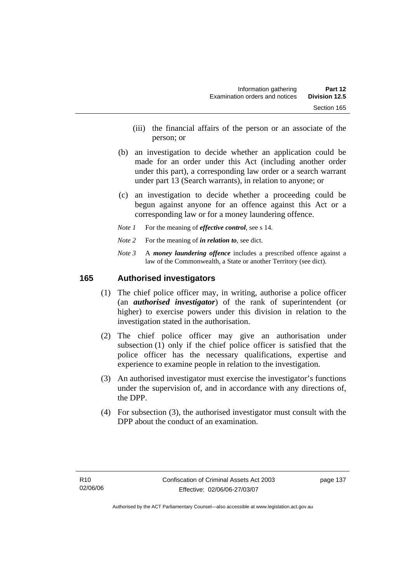- (iii) the financial affairs of the person or an associate of the person; or
- (b) an investigation to decide whether an application could be made for an order under this Act (including another order under this part), a corresponding law order or a search warrant under part 13 (Search warrants), in relation to anyone; or
- (c) an investigation to decide whether a proceeding could be begun against anyone for an offence against this Act or a corresponding law or for a money laundering offence.
- *Note 1* For the meaning of *effective control*, see s 14.
- *Note* 2 For the meaning of *in relation to*, see dict.
- *Note 3* A *money laundering offence* includes a prescribed offence against a law of the Commonwealth, a State or another Territory (see dict).

#### **165 Authorised investigators**

- (1) The chief police officer may, in writing, authorise a police officer (an *authorised investigator*) of the rank of superintendent (or higher) to exercise powers under this division in relation to the investigation stated in the authorisation.
- (2) The chief police officer may give an authorisation under subsection (1) only if the chief police officer is satisfied that the police officer has the necessary qualifications, expertise and experience to examine people in relation to the investigation.
- (3) An authorised investigator must exercise the investigator's functions under the supervision of, and in accordance with any directions of, the DPP.
- (4) For subsection (3), the authorised investigator must consult with the DPP about the conduct of an examination.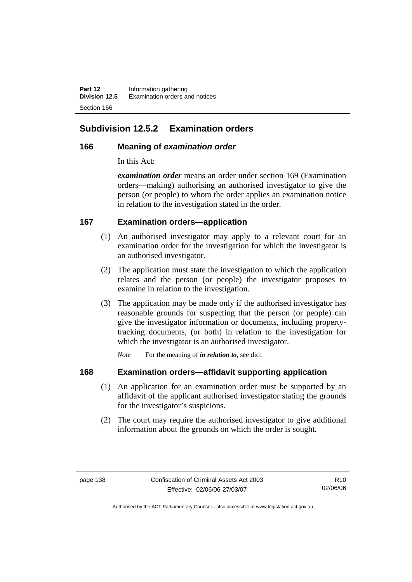**Part 12** Information gathering<br>**Division 12.5** Examination orders a **Examination orders and notices** Section 166

# **Subdivision 12.5.2 Examination orders**

#### **166 Meaning of** *examination order*

In this Act:

*examination order* means an order under section 169 (Examination orders—making) authorising an authorised investigator to give the person (or people) to whom the order applies an examination notice in relation to the investigation stated in the order.

#### **167 Examination orders—application**

- (1) An authorised investigator may apply to a relevant court for an examination order for the investigation for which the investigator is an authorised investigator.
- (2) The application must state the investigation to which the application relates and the person (or people) the investigator proposes to examine in relation to the investigation.
- (3) The application may be made only if the authorised investigator has reasonable grounds for suspecting that the person (or people) can give the investigator information or documents, including propertytracking documents, (or both) in relation to the investigation for which the investigator is an authorised investigator.

*Note* For the meaning of *in relation to*, see dict.

## **168 Examination orders—affidavit supporting application**

- (1) An application for an examination order must be supported by an affidavit of the applicant authorised investigator stating the grounds for the investigator's suspicions.
- (2) The court may require the authorised investigator to give additional information about the grounds on which the order is sought.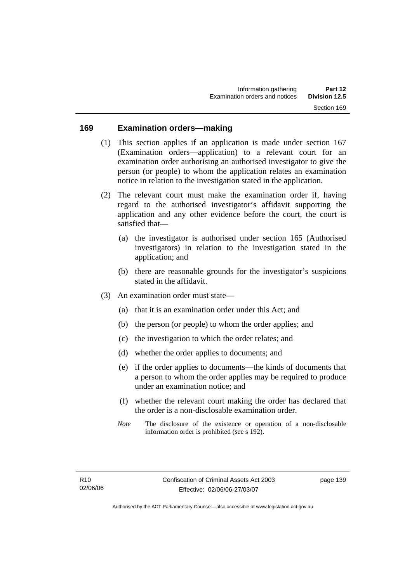#### **169 Examination orders—making**

- (1) This section applies if an application is made under section 167 (Examination orders—application) to a relevant court for an examination order authorising an authorised investigator to give the person (or people) to whom the application relates an examination notice in relation to the investigation stated in the application.
- (2) The relevant court must make the examination order if, having regard to the authorised investigator's affidavit supporting the application and any other evidence before the court, the court is satisfied that—
	- (a) the investigator is authorised under section 165 (Authorised investigators) in relation to the investigation stated in the application; and
	- (b) there are reasonable grounds for the investigator's suspicions stated in the affidavit.
- (3) An examination order must state—
	- (a) that it is an examination order under this Act; and
	- (b) the person (or people) to whom the order applies; and
	- (c) the investigation to which the order relates; and
	- (d) whether the order applies to documents; and
	- (e) if the order applies to documents—the kinds of documents that a person to whom the order applies may be required to produce under an examination notice; and
	- (f) whether the relevant court making the order has declared that the order is a non-disclosable examination order.
	- *Note* The disclosure of the existence or operation of a non-disclosable information order is prohibited (see s 192).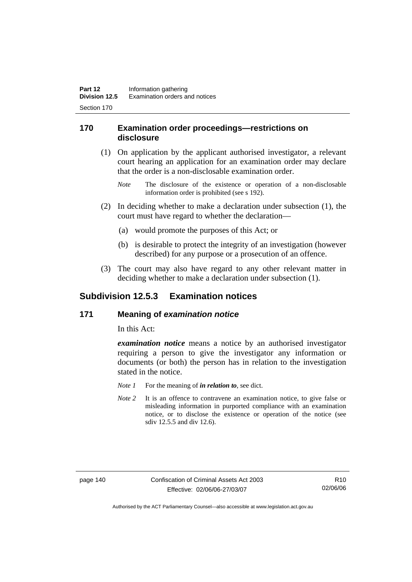#### **170 Examination order proceedings—restrictions on disclosure**

- (1) On application by the applicant authorised investigator, a relevant court hearing an application for an examination order may declare that the order is a non-disclosable examination order.
	- *Note* The disclosure of the existence or operation of a non-disclosable information order is prohibited (see s 192).
- (2) In deciding whether to make a declaration under subsection (1), the court must have regard to whether the declaration—
	- (a) would promote the purposes of this Act; or
	- (b) is desirable to protect the integrity of an investigation (however described) for any purpose or a prosecution of an offence.
- (3) The court may also have regard to any other relevant matter in deciding whether to make a declaration under subsection (1).

## **Subdivision 12.5.3 Examination notices**

#### **171 Meaning of** *examination notice*

In this Act:

*examination notice* means a notice by an authorised investigator requiring a person to give the investigator any information or documents (or both) the person has in relation to the investigation stated in the notice.

- *Note 1* For the meaning of *in relation to*, see dict.
- *Note* 2 It is an offence to contravene an examination notice, to give false or misleading information in purported compliance with an examination notice, or to disclose the existence or operation of the notice (see sdiv 12.5.5 and div 12.6).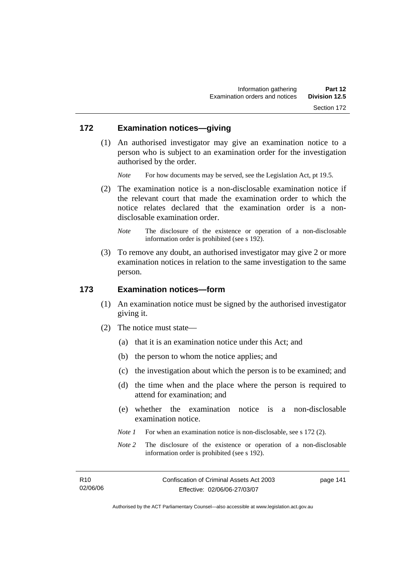#### **172 Examination notices—giving**

 (1) An authorised investigator may give an examination notice to a person who is subject to an examination order for the investigation authorised by the order.

*Note* For how documents may be served, see the Legislation Act, pt 19.5.

- (2) The examination notice is a non-disclosable examination notice if the relevant court that made the examination order to which the notice relates declared that the examination order is a nondisclosable examination order.
	- *Note* The disclosure of the existence or operation of a non-disclosable information order is prohibited (see s 192).
- (3) To remove any doubt, an authorised investigator may give 2 or more examination notices in relation to the same investigation to the same person.

#### **173 Examination notices—form**

- (1) An examination notice must be signed by the authorised investigator giving it.
- (2) The notice must state—
	- (a) that it is an examination notice under this Act; and
	- (b) the person to whom the notice applies; and
	- (c) the investigation about which the person is to be examined; and
	- (d) the time when and the place where the person is required to attend for examination; and
	- (e) whether the examination notice is a non-disclosable examination notice.
	- *Note 1* For when an examination notice is non-disclosable, see s 172 (2).
	- *Note* 2 The disclosure of the existence or operation of a non-disclosable information order is prohibited (see s 192).

page 141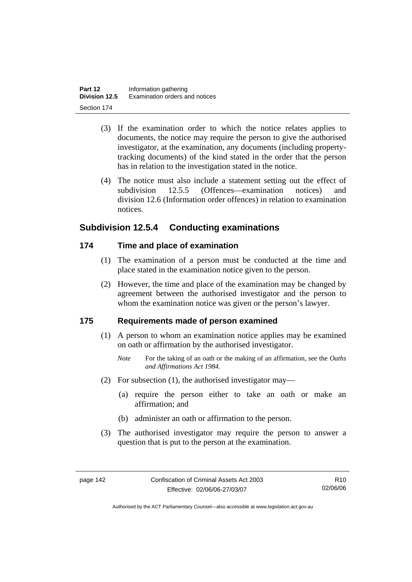- (3) If the examination order to which the notice relates applies to documents, the notice may require the person to give the authorised investigator, at the examination, any documents (including propertytracking documents) of the kind stated in the order that the person has in relation to the investigation stated in the notice.
- (4) The notice must also include a statement setting out the effect of subdivision 12.5.5 (Offences—examination notices) and division 12.6 (Information order offences) in relation to examination notices.

## **Subdivision 12.5.4 Conducting examinations**

## **174 Time and place of examination**

- (1) The examination of a person must be conducted at the time and place stated in the examination notice given to the person.
- (2) However, the time and place of the examination may be changed by agreement between the authorised investigator and the person to whom the examination notice was given or the person's lawyer.

## **175 Requirements made of person examined**

- (1) A person to whom an examination notice applies may be examined on oath or affirmation by the authorised investigator.
	- *Note* For the taking of an oath or the making of an affirmation, see the *Oaths and Affirmations Act 1984.*
- (2) For subsection (1), the authorised investigator may—
	- (a) require the person either to take an oath or make an affirmation; and
	- (b) administer an oath or affirmation to the person.
- (3) The authorised investigator may require the person to answer a question that is put to the person at the examination.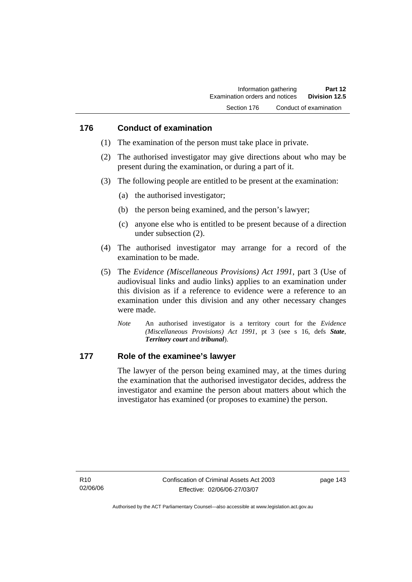#### **176 Conduct of examination**

- (1) The examination of the person must take place in private.
- (2) The authorised investigator may give directions about who may be present during the examination, or during a part of it.
- (3) The following people are entitled to be present at the examination:
	- (a) the authorised investigator;
	- (b) the person being examined, and the person's lawyer;
	- (c) anyone else who is entitled to be present because of a direction under subsection (2).
- (4) The authorised investigator may arrange for a record of the examination to be made.
- (5) The *Evidence (Miscellaneous Provisions) Act 1991*, part 3 (Use of audiovisual links and audio links) applies to an examination under this division as if a reference to evidence were a reference to an examination under this division and any other necessary changes were made.
	- *Note* An authorised investigator is a territory court for the *Evidence (Miscellaneous Provisions) Act 1991*, pt 3 (see s 16, defs *State*, *Territory court* and *tribunal*).

#### **177 Role of the examinee's lawyer**

The lawyer of the person being examined may, at the times during the examination that the authorised investigator decides, address the investigator and examine the person about matters about which the investigator has examined (or proposes to examine) the person.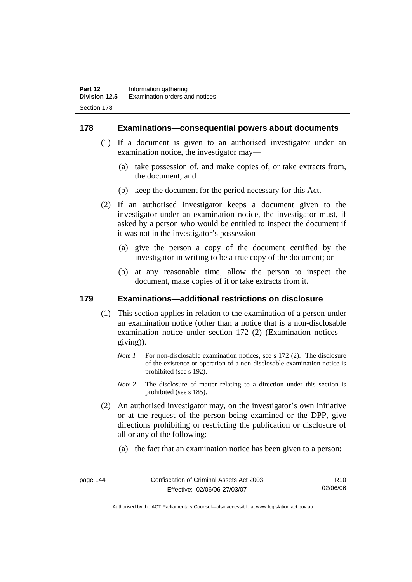#### **178 Examinations—consequential powers about documents**

- (1) If a document is given to an authorised investigator under an examination notice, the investigator may—
	- (a) take possession of, and make copies of, or take extracts from, the document; and
	- (b) keep the document for the period necessary for this Act.
- (2) If an authorised investigator keeps a document given to the investigator under an examination notice, the investigator must, if asked by a person who would be entitled to inspect the document if it was not in the investigator's possession—
	- (a) give the person a copy of the document certified by the investigator in writing to be a true copy of the document; or
	- (b) at any reasonable time, allow the person to inspect the document, make copies of it or take extracts from it.

#### **179 Examinations—additional restrictions on disclosure**

- (1) This section applies in relation to the examination of a person under an examination notice (other than a notice that is a non-disclosable examination notice under section 172 (2) (Examination notices giving)).
	- *Note 1* For non-disclosable examination notices, see s 172 (2). The disclosure of the existence or operation of a non-disclosable examination notice is prohibited (see s 192).
	- *Note* 2 The disclosure of matter relating to a direction under this section is prohibited (see s 185).
- (2) An authorised investigator may, on the investigator's own initiative or at the request of the person being examined or the DPP, give directions prohibiting or restricting the publication or disclosure of all or any of the following:
	- (a) the fact that an examination notice has been given to a person;

R10 02/06/06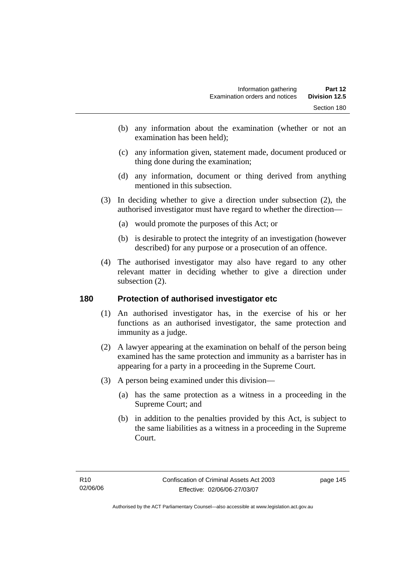- (b) any information about the examination (whether or not an examination has been held);
- (c) any information given, statement made, document produced or thing done during the examination;
- (d) any information, document or thing derived from anything mentioned in this subsection.
- (3) In deciding whether to give a direction under subsection (2), the authorised investigator must have regard to whether the direction—
	- (a) would promote the purposes of this Act; or
	- (b) is desirable to protect the integrity of an investigation (however described) for any purpose or a prosecution of an offence.
- (4) The authorised investigator may also have regard to any other relevant matter in deciding whether to give a direction under subsection  $(2)$ .

#### **180 Protection of authorised investigator etc**

- (1) An authorised investigator has, in the exercise of his or her functions as an authorised investigator, the same protection and immunity as a judge.
- (2) A lawyer appearing at the examination on behalf of the person being examined has the same protection and immunity as a barrister has in appearing for a party in a proceeding in the Supreme Court.
- (3) A person being examined under this division—
	- (a) has the same protection as a witness in a proceeding in the Supreme Court; and
	- (b) in addition to the penalties provided by this Act, is subject to the same liabilities as a witness in a proceeding in the Supreme Court.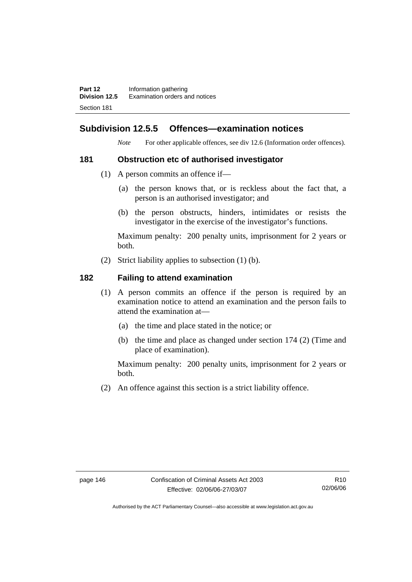**Part 12** Information gathering<br>**Division 12.5** Examination orders a **Division 12.5** Examination orders and notices Section 181

## **Subdivision 12.5.5 Offences—examination notices**

*Note* For other applicable offences, see div 12.6 (Information order offences).

#### **181 Obstruction etc of authorised investigator**

- (1) A person commits an offence if—
	- (a) the person knows that, or is reckless about the fact that, a person is an authorised investigator; and
	- (b) the person obstructs, hinders, intimidates or resists the investigator in the exercise of the investigator's functions.

Maximum penalty: 200 penalty units, imprisonment for 2 years or both.

(2) Strict liability applies to subsection (1) (b).

#### **182 Failing to attend examination**

- (1) A person commits an offence if the person is required by an examination notice to attend an examination and the person fails to attend the examination at—
	- (a) the time and place stated in the notice; or
	- (b) the time and place as changed under section 174 (2) (Time and place of examination).

Maximum penalty: 200 penalty units, imprisonment for 2 years or both.

(2) An offence against this section is a strict liability offence.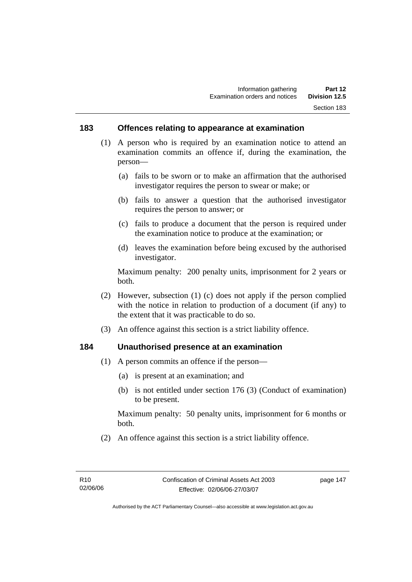#### **183 Offences relating to appearance at examination**

- (1) A person who is required by an examination notice to attend an examination commits an offence if, during the examination, the person—
	- (a) fails to be sworn or to make an affirmation that the authorised investigator requires the person to swear or make; or
	- (b) fails to answer a question that the authorised investigator requires the person to answer; or
	- (c) fails to produce a document that the person is required under the examination notice to produce at the examination; or
	- (d) leaves the examination before being excused by the authorised investigator.

Maximum penalty: 200 penalty units, imprisonment for 2 years or both.

- (2) However, subsection (1) (c) does not apply if the person complied with the notice in relation to production of a document (if any) to the extent that it was practicable to do so.
- (3) An offence against this section is a strict liability offence.

#### **184 Unauthorised presence at an examination**

- (1) A person commits an offence if the person—
	- (a) is present at an examination; and
	- (b) is not entitled under section 176 (3) (Conduct of examination) to be present.

Maximum penalty: 50 penalty units, imprisonment for 6 months or both.

(2) An offence against this section is a strict liability offence.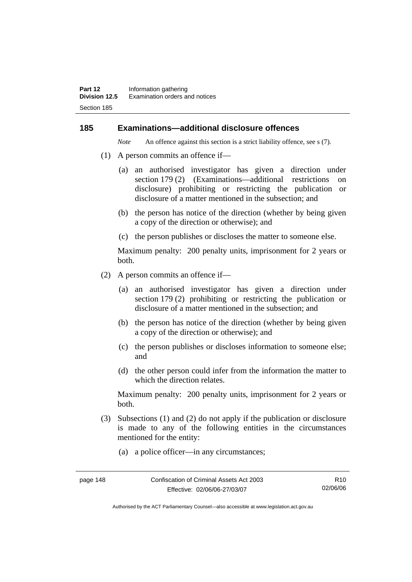#### **185 Examinations—additional disclosure offences**

*Note* An offence against this section is a strict liability offence, see s (7).

- (1) A person commits an offence if—
	- (a) an authorised investigator has given a direction under section 179 (2) (Examinations—additional restrictions on disclosure) prohibiting or restricting the publication or disclosure of a matter mentioned in the subsection; and
	- (b) the person has notice of the direction (whether by being given a copy of the direction or otherwise); and
	- (c) the person publishes or discloses the matter to someone else.

Maximum penalty: 200 penalty units, imprisonment for 2 years or both.

- (2) A person commits an offence if—
	- (a) an authorised investigator has given a direction under section 179 (2) prohibiting or restricting the publication or disclosure of a matter mentioned in the subsection; and
	- (b) the person has notice of the direction (whether by being given a copy of the direction or otherwise); and
	- (c) the person publishes or discloses information to someone else; and
	- (d) the other person could infer from the information the matter to which the direction relates.

Maximum penalty: 200 penalty units, imprisonment for 2 years or both.

- (3) Subsections (1) and (2) do not apply if the publication or disclosure is made to any of the following entities in the circumstances mentioned for the entity:
	- (a) a police officer—in any circumstances;

page 148 Confiscation of Criminal Assets Act 2003 Effective: 02/06/06-27/03/07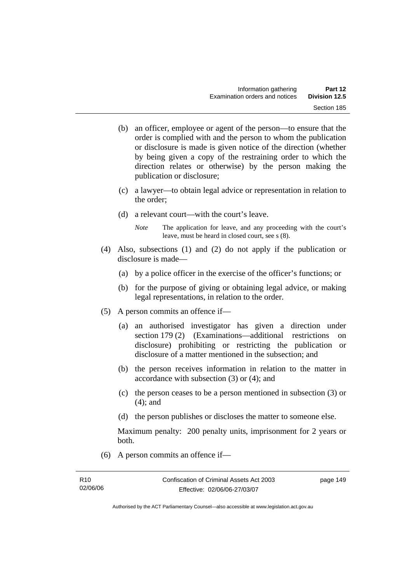- (b) an officer, employee or agent of the person—to ensure that the order is complied with and the person to whom the publication or disclosure is made is given notice of the direction (whether by being given a copy of the restraining order to which the direction relates or otherwise) by the person making the publication or disclosure;
- (c) a lawyer—to obtain legal advice or representation in relation to the order;
- (d) a relevant court—with the court's leave.
	- *Note* The application for leave, and any proceeding with the court's leave, must be heard in closed court, see s (8).
- (4) Also, subsections (1) and (2) do not apply if the publication or disclosure is made—
	- (a) by a police officer in the exercise of the officer's functions; or
	- (b) for the purpose of giving or obtaining legal advice, or making legal representations, in relation to the order.
- (5) A person commits an offence if—
	- (a) an authorised investigator has given a direction under section 179 (2) (Examinations—additional restrictions on disclosure) prohibiting or restricting the publication or disclosure of a matter mentioned in the subsection; and
	- (b) the person receives information in relation to the matter in accordance with subsection (3) or (4); and
	- (c) the person ceases to be a person mentioned in subsection (3) or (4); and
	- (d) the person publishes or discloses the matter to someone else.

Maximum penalty: 200 penalty units, imprisonment for 2 years or both.

(6) A person commits an offence if—

Authorised by the ACT Parliamentary Counsel—also accessible at www.legislation.act.gov.au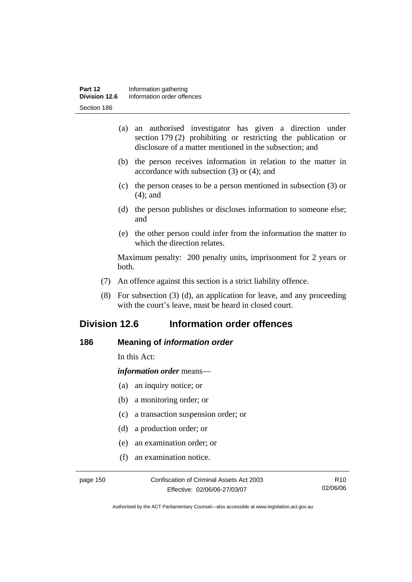- (a) an authorised investigator has given a direction under section 179 (2) prohibiting or restricting the publication or disclosure of a matter mentioned in the subsection; and
- (b) the person receives information in relation to the matter in accordance with subsection (3) or (4); and
- (c) the person ceases to be a person mentioned in subsection (3) or (4); and
- (d) the person publishes or discloses information to someone else; and
- (e) the other person could infer from the information the matter to which the direction relates.

Maximum penalty: 200 penalty units, imprisonment for 2 years or both.

- (7) An offence against this section is a strict liability offence.
- (8) For subsection (3) (d), an application for leave, and any proceeding with the court's leave, must be heard in closed court.

# **Division 12.6 Information order offences**

#### **186 Meaning of** *information order*

In this Act:

*information order* means—

- (a) an inquiry notice; or
- (b) a monitoring order; or
- (c) a transaction suspension order; or
- (d) a production order; or
- (e) an examination order; or
- (f) an examination notice.

page 150 Confiscation of Criminal Assets Act 2003 Effective: 02/06/06-27/03/07

R10 02/06/06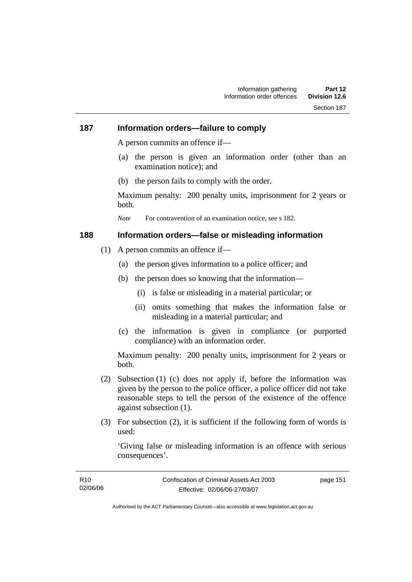#### **187 Information orders—failure to comply**

A person commits an offence if—

- (a) the person is given an information order (other than an examination notice); and
- (b) the person fails to comply with the order.

Maximum penalty: 200 penalty units, imprisonment for 2 years or both.

*Note* For contravention of an examination notice, see s 182.

#### **188 Information orders—false or misleading information**

- (1) A person commits an offence if—
	- (a) the person gives information to a police officer; and
	- (b) the person does so knowing that the information—
		- (i) is false or misleading in a material particular; or
		- (ii) omits something that makes the information false or misleading in a material particular; and
	- (c) the information is given in compliance (or purported compliance) with an information order.

Maximum penalty: 200 penalty units, imprisonment for 2 years or both.

- (2) Subsection (1) (c) does not apply if, before the information was given by the person to the police officer, a police officer did not take reasonable steps to tell the person of the existence of the offence against subsection (1).
- (3) For subsection (2), it is sufficient if the following form of words is used:

'Giving false or misleading information is an offence with serious consequences'.

| R <sub>10</sub> | Confiscation of Criminal Assets Act 2003 | page 151 |
|-----------------|------------------------------------------|----------|
| 02/06/06        | Effective: 02/06/06-27/03/07             |          |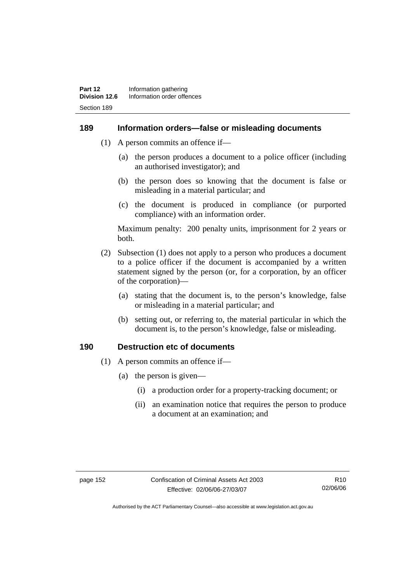#### **189 Information orders—false or misleading documents**

- (1) A person commits an offence if—
	- (a) the person produces a document to a police officer (including an authorised investigator); and
	- (b) the person does so knowing that the document is false or misleading in a material particular; and
	- (c) the document is produced in compliance (or purported compliance) with an information order.

Maximum penalty: 200 penalty units, imprisonment for 2 years or both.

- (2) Subsection (1) does not apply to a person who produces a document to a police officer if the document is accompanied by a written statement signed by the person (or, for a corporation, by an officer of the corporation)—
	- (a) stating that the document is, to the person's knowledge, false or misleading in a material particular; and
	- (b) setting out, or referring to, the material particular in which the document is, to the person's knowledge, false or misleading.

#### **190 Destruction etc of documents**

- (1) A person commits an offence if—
	- (a) the person is given—
		- (i) a production order for a property-tracking document; or
		- (ii) an examination notice that requires the person to produce a document at an examination; and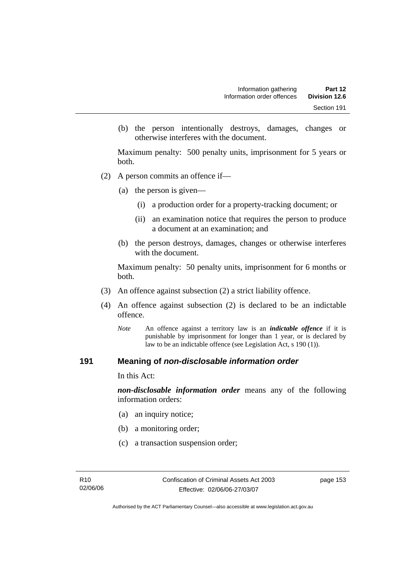(b) the person intentionally destroys, damages, changes or otherwise interferes with the document.

Maximum penalty: 500 penalty units, imprisonment for 5 years or both.

- (2) A person commits an offence if—
	- (a) the person is given—
		- (i) a production order for a property-tracking document; or
		- (ii) an examination notice that requires the person to produce a document at an examination; and
	- (b) the person destroys, damages, changes or otherwise interferes with the document.

Maximum penalty: 50 penalty units, imprisonment for 6 months or both.

- (3) An offence against subsection (2) a strict liability offence.
- (4) An offence against subsection (2) is declared to be an indictable offence.
	- *Note* An offence against a territory law is an *indictable offence* if it is punishable by imprisonment for longer than 1 year, or is declared by law to be an indictable offence (see Legislation Act, s 190 (1)).

#### **191 Meaning of** *non-disclosable information order*

In this Act:

*non-disclosable information order* means any of the following information orders:

- (a) an inquiry notice;
- (b) a monitoring order;
- (c) a transaction suspension order;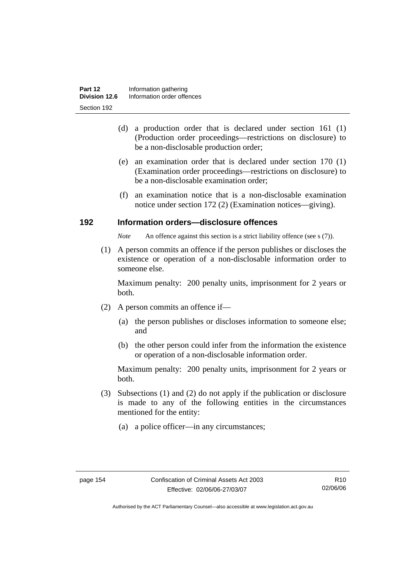- (d) a production order that is declared under section 161 (1) (Production order proceedings—restrictions on disclosure) to be a non-disclosable production order;
- (e) an examination order that is declared under section 170 (1) (Examination order proceedings—restrictions on disclosure) to be a non-disclosable examination order;
- (f) an examination notice that is a non-disclosable examination notice under section 172 (2) (Examination notices—giving).

#### **192 Information orders—disclosure offences**

*Note* An offence against this section is a strict liability offence (see s (7)).

 (1) A person commits an offence if the person publishes or discloses the existence or operation of a non-disclosable information order to someone else.

Maximum penalty: 200 penalty units, imprisonment for 2 years or both.

- (2) A person commits an offence if—
	- (a) the person publishes or discloses information to someone else; and
	- (b) the other person could infer from the information the existence or operation of a non-disclosable information order.

Maximum penalty: 200 penalty units, imprisonment for 2 years or both.

- (3) Subsections (1) and (2) do not apply if the publication or disclosure is made to any of the following entities in the circumstances mentioned for the entity:
	- (a) a police officer—in any circumstances;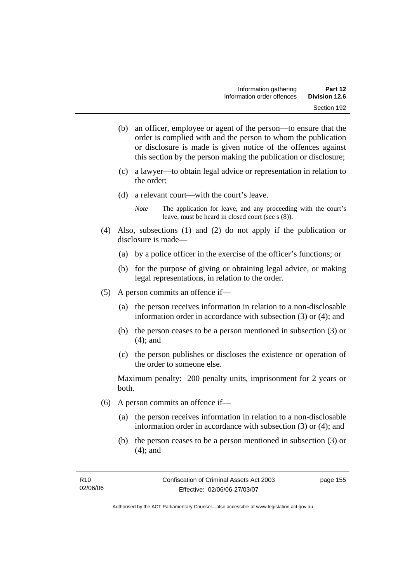- (b) an officer, employee or agent of the person—to ensure that the order is complied with and the person to whom the publication or disclosure is made is given notice of the offences against this section by the person making the publication or disclosure;
- (c) a lawyer—to obtain legal advice or representation in relation to the order;
- (d) a relevant court—with the court's leave.

*Note* The application for leave, and any proceeding with the court's leave, must be heard in closed court (see s (8)).

- (4) Also, subsections (1) and (2) do not apply if the publication or disclosure is made—
	- (a) by a police officer in the exercise of the officer's functions; or
	- (b) for the purpose of giving or obtaining legal advice, or making legal representations, in relation to the order.
- (5) A person commits an offence if—
	- (a) the person receives information in relation to a non-disclosable information order in accordance with subsection (3) or (4); and
	- (b) the person ceases to be a person mentioned in subsection (3) or (4); and
	- (c) the person publishes or discloses the existence or operation of the order to someone else.

Maximum penalty: 200 penalty units, imprisonment for 2 years or both.

- (6) A person commits an offence if—
	- (a) the person receives information in relation to a non-disclosable information order in accordance with subsection (3) or (4); and
	- (b) the person ceases to be a person mentioned in subsection (3) or (4); and

page 155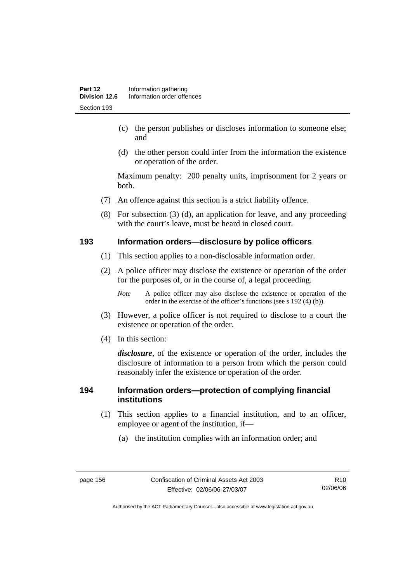- (c) the person publishes or discloses information to someone else; and
- (d) the other person could infer from the information the existence or operation of the order.

Maximum penalty: 200 penalty units, imprisonment for 2 years or both.

- (7) An offence against this section is a strict liability offence.
- (8) For subsection (3) (d), an application for leave, and any proceeding with the court's leave, must be heard in closed court.

#### **193 Information orders—disclosure by police officers**

- (1) This section applies to a non-disclosable information order.
- (2) A police officer may disclose the existence or operation of the order for the purposes of, or in the course of, a legal proceeding.

*Note* A police officer may also disclose the existence or operation of the order in the exercise of the officer's functions (see s 192 (4) (b)).

- (3) However, a police officer is not required to disclose to a court the existence or operation of the order.
- (4) In this section:

*disclosure*, of the existence or operation of the order, includes the disclosure of information to a person from which the person could reasonably infer the existence or operation of the order.

#### **194 Information orders—protection of complying financial institutions**

- (1) This section applies to a financial institution, and to an officer, employee or agent of the institution, if—
	- (a) the institution complies with an information order; and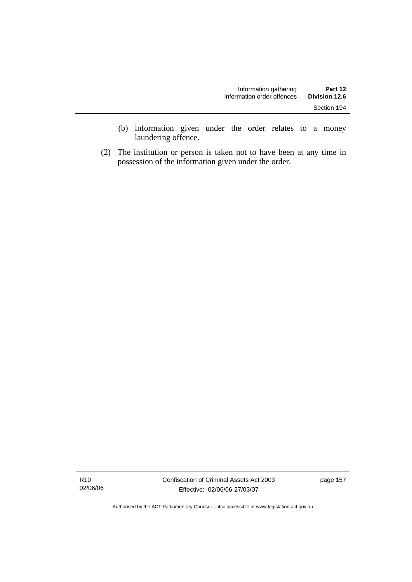- (b) information given under the order relates to a money laundering offence.
- (2) The institution or person is taken not to have been at any time in possession of the information given under the order.

R10 02/06/06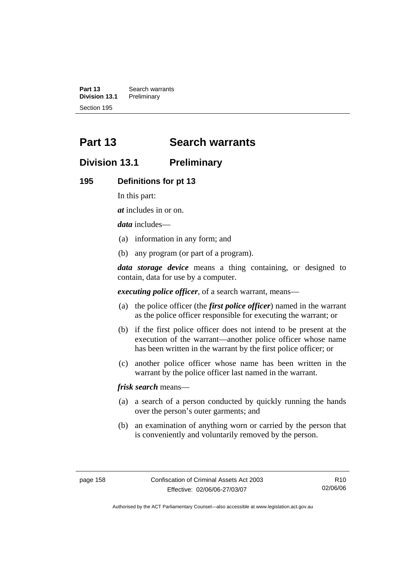**Part 13 Search warrants**<br>**Division 13.1 Preliminary Division 13.1** Preliminary Section 195

# **Part 13 Search warrants**

## **Division 13.1 Preliminary**

#### **195 Definitions for pt 13**

In this part:

*at* includes in or on.

*data* includes—

- (a) information in any form; and
- (b) any program (or part of a program).

*data storage device* means a thing containing, or designed to contain, data for use by a computer.

*executing police officer*, of a search warrant, means—

- (a) the police officer (the *first police officer*) named in the warrant as the police officer responsible for executing the warrant; or
- (b) if the first police officer does not intend to be present at the execution of the warrant—another police officer whose name has been written in the warrant by the first police officer; or
- (c) another police officer whose name has been written in the warrant by the police officer last named in the warrant.

*frisk search* means—

- (a) a search of a person conducted by quickly running the hands over the person's outer garments; and
- (b) an examination of anything worn or carried by the person that is conveniently and voluntarily removed by the person.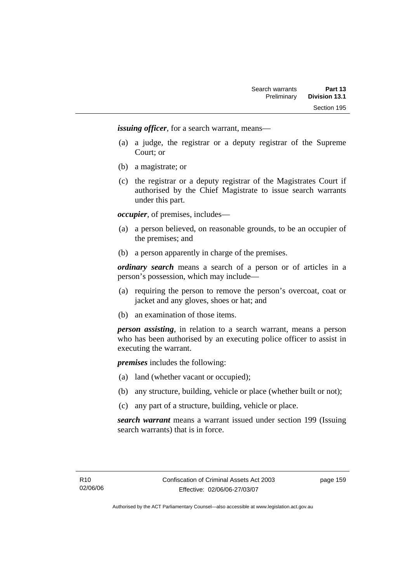*issuing officer*, for a search warrant, means—

- (a) a judge, the registrar or a deputy registrar of the Supreme Court; or
- (b) a magistrate; or
- (c) the registrar or a deputy registrar of the Magistrates Court if authorised by the Chief Magistrate to issue search warrants under this part.

*occupier*, of premises, includes—

- (a) a person believed, on reasonable grounds, to be an occupier of the premises; and
- (b) a person apparently in charge of the premises.

*ordinary search* means a search of a person or of articles in a person's possession, which may include—

- (a) requiring the person to remove the person's overcoat, coat or jacket and any gloves, shoes or hat; and
- (b) an examination of those items.

*person assisting*, in relation to a search warrant, means a person who has been authorised by an executing police officer to assist in executing the warrant.

*premises* includes the following:

- (a) land (whether vacant or occupied);
- (b) any structure, building, vehicle or place (whether built or not);
- (c) any part of a structure, building, vehicle or place.

*search warrant* means a warrant issued under section 199 (Issuing search warrants) that is in force.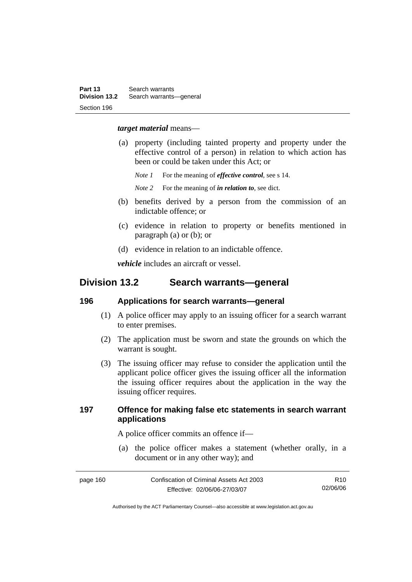#### *target material* means—

- (a) property (including tainted property and property under the effective control of a person) in relation to which action has been or could be taken under this Act; or
	- *Note 1* For the meaning of *effective control*, see s 14.
	- *Note* 2 For the meaning of *in relation to*, see dict.
- (b) benefits derived by a person from the commission of an indictable offence; or
- (c) evidence in relation to property or benefits mentioned in paragraph (a) or (b); or
- (d) evidence in relation to an indictable offence.

*vehicle* includes an aircraft or vessel.

## **Division 13.2 Search warrants—general**

#### **196 Applications for search warrants—general**

- (1) A police officer may apply to an issuing officer for a search warrant to enter premises.
- (2) The application must be sworn and state the grounds on which the warrant is sought.
- (3) The issuing officer may refuse to consider the application until the applicant police officer gives the issuing officer all the information the issuing officer requires about the application in the way the issuing officer requires.

#### **197 Offence for making false etc statements in search warrant applications**

A police officer commits an offence if—

 (a) the police officer makes a statement (whether orally, in a document or in any other way); and

| page 160 | Confiscation of Criminal Assets Act 2003 | R <sub>10</sub> |
|----------|------------------------------------------|-----------------|
|          | Effective: 02/06/06-27/03/07             | 02/06/06        |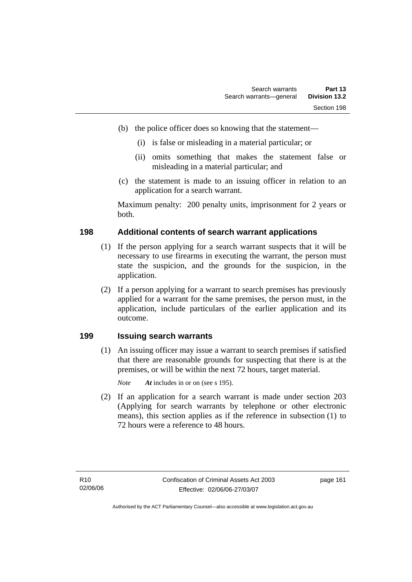- (b) the police officer does so knowing that the statement—
	- (i) is false or misleading in a material particular; or
	- (ii) omits something that makes the statement false or misleading in a material particular; and
- (c) the statement is made to an issuing officer in relation to an application for a search warrant.

Maximum penalty: 200 penalty units, imprisonment for 2 years or both.

#### **198 Additional contents of search warrant applications**

- (1) If the person applying for a search warrant suspects that it will be necessary to use firearms in executing the warrant, the person must state the suspicion, and the grounds for the suspicion, in the application.
- (2) If a person applying for a warrant to search premises has previously applied for a warrant for the same premises, the person must, in the application, include particulars of the earlier application and its outcome.

#### **199 Issuing search warrants**

 (1) An issuing officer may issue a warrant to search premises if satisfied that there are reasonable grounds for suspecting that there is at the premises, or will be within the next 72 hours, target material.

*Note At* includes in or on (see s 195).

 (2) If an application for a search warrant is made under section 203 (Applying for search warrants by telephone or other electronic means), this section applies as if the reference in subsection (1) to 72 hours were a reference to 48 hours.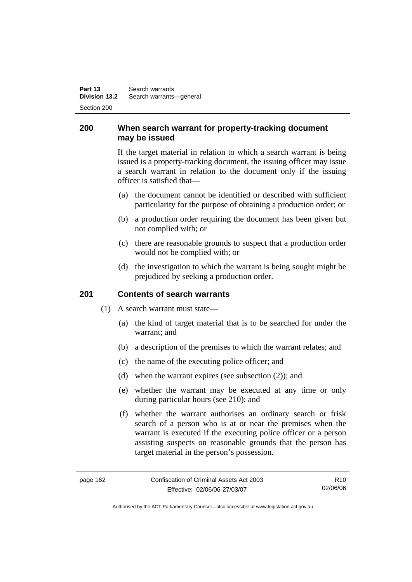**Part 13 Search warrants Division 13.2** Search warrants—general Section 200

### **200 When search warrant for property-tracking document may be issued**

If the target material in relation to which a search warrant is being issued is a property-tracking document, the issuing officer may issue a search warrant in relation to the document only if the issuing officer is satisfied that—

- (a) the document cannot be identified or described with sufficient particularity for the purpose of obtaining a production order; or
- (b) a production order requiring the document has been given but not complied with; or
- (c) there are reasonable grounds to suspect that a production order would not be complied with; or
- (d) the investigation to which the warrant is being sought might be prejudiced by seeking a production order.

#### **201 Contents of search warrants**

- (1) A search warrant must state—
	- (a) the kind of target material that is to be searched for under the warrant; and
	- (b) a description of the premises to which the warrant relates; and
	- (c) the name of the executing police officer; and
	- (d) when the warrant expires (see subsection (2)); and
	- (e) whether the warrant may be executed at any time or only during particular hours (see 210); and
	- (f) whether the warrant authorises an ordinary search or frisk search of a person who is at or near the premises when the warrant is executed if the executing police officer or a person assisting suspects on reasonable grounds that the person has target material in the person's possession.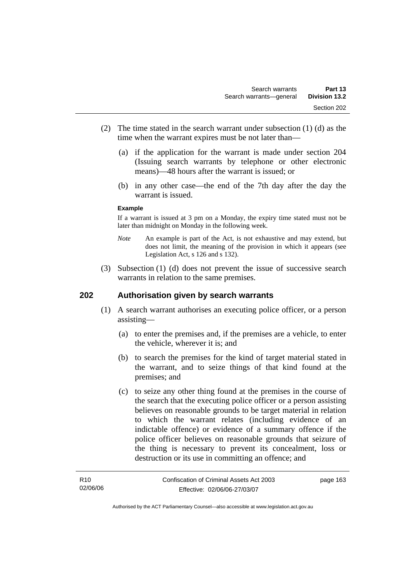- (2) The time stated in the search warrant under subsection (1) (d) as the time when the warrant expires must be not later than—
	- (a) if the application for the warrant is made under section 204 (Issuing search warrants by telephone or other electronic means)—48 hours after the warrant is issued; or
	- (b) in any other case—the end of the 7th day after the day the warrant is issued.

#### **Example**

If a warrant is issued at 3 pm on a Monday, the expiry time stated must not be later than midnight on Monday in the following week.

- *Note* An example is part of the Act, is not exhaustive and may extend, but does not limit, the meaning of the provision in which it appears (see Legislation Act, s 126 and s 132).
- (3) Subsection (1) (d) does not prevent the issue of successive search warrants in relation to the same premises.

#### **202 Authorisation given by search warrants**

- (1) A search warrant authorises an executing police officer, or a person assisting—
	- (a) to enter the premises and, if the premises are a vehicle, to enter the vehicle, wherever it is; and
	- (b) to search the premises for the kind of target material stated in the warrant, and to seize things of that kind found at the premises; and
	- (c) to seize any other thing found at the premises in the course of the search that the executing police officer or a person assisting believes on reasonable grounds to be target material in relation to which the warrant relates (including evidence of an indictable offence) or evidence of a summary offence if the police officer believes on reasonable grounds that seizure of the thing is necessary to prevent its concealment, loss or destruction or its use in committing an offence; and

| R10      | Confiscation of Criminal Assets Act 2003 | page 163 |
|----------|------------------------------------------|----------|
| 02/06/06 | Effective: 02/06/06-27/03/07             |          |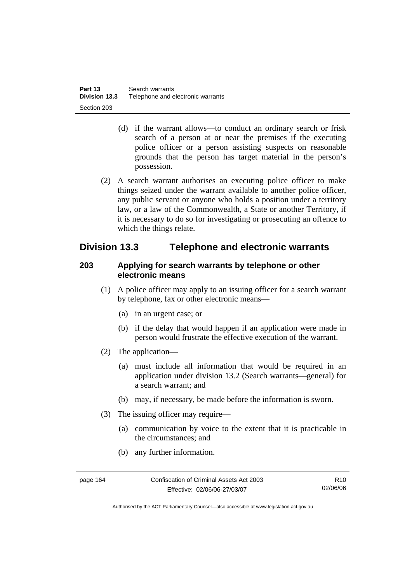- (d) if the warrant allows—to conduct an ordinary search or frisk search of a person at or near the premises if the executing police officer or a person assisting suspects on reasonable grounds that the person has target material in the person's possession.
- (2) A search warrant authorises an executing police officer to make things seized under the warrant available to another police officer, any public servant or anyone who holds a position under a territory law, or a law of the Commonwealth, a State or another Territory, if it is necessary to do so for investigating or prosecuting an offence to which the things relate.

# **Division 13.3 Telephone and electronic warrants**

#### **203 Applying for search warrants by telephone or other electronic means**

- (1) A police officer may apply to an issuing officer for a search warrant by telephone, fax or other electronic means—
	- (a) in an urgent case; or
	- (b) if the delay that would happen if an application were made in person would frustrate the effective execution of the warrant.
- (2) The application—
	- (a) must include all information that would be required in an application under division 13.2 (Search warrants—general) for a search warrant; and
	- (b) may, if necessary, be made before the information is sworn.
- (3) The issuing officer may require—
	- (a) communication by voice to the extent that it is practicable in the circumstances; and
	- (b) any further information.

page 164 Confiscation of Criminal Assets Act 2003 Effective: 02/06/06-27/03/07

R10 02/06/06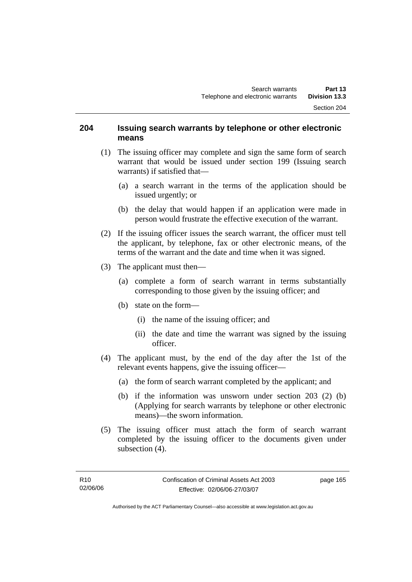#### **204 Issuing search warrants by telephone or other electronic means**

- (1) The issuing officer may complete and sign the same form of search warrant that would be issued under section 199 (Issuing search warrants) if satisfied that—
	- (a) a search warrant in the terms of the application should be issued urgently; or
	- (b) the delay that would happen if an application were made in person would frustrate the effective execution of the warrant.
- (2) If the issuing officer issues the search warrant, the officer must tell the applicant, by telephone, fax or other electronic means, of the terms of the warrant and the date and time when it was signed.
- (3) The applicant must then—
	- (a) complete a form of search warrant in terms substantially corresponding to those given by the issuing officer; and
	- (b) state on the form—
		- (i) the name of the issuing officer; and
		- (ii) the date and time the warrant was signed by the issuing officer.
- (4) The applicant must, by the end of the day after the 1st of the relevant events happens, give the issuing officer—
	- (a) the form of search warrant completed by the applicant; and
	- (b) if the information was unsworn under section 203 (2) (b) (Applying for search warrants by telephone or other electronic means)—the sworn information.
- (5) The issuing officer must attach the form of search warrant completed by the issuing officer to the documents given under subsection (4).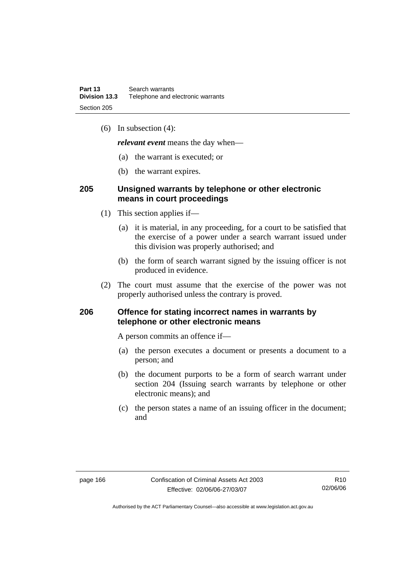(6) In subsection (4):

*relevant event* means the day when—

- (a) the warrant is executed; or
- (b) the warrant expires.

#### **205 Unsigned warrants by telephone or other electronic means in court proceedings**

- (1) This section applies if—
	- (a) it is material, in any proceeding, for a court to be satisfied that the exercise of a power under a search warrant issued under this division was properly authorised; and
	- (b) the form of search warrant signed by the issuing officer is not produced in evidence.
- (2) The court must assume that the exercise of the power was not properly authorised unless the contrary is proved.

#### **206 Offence for stating incorrect names in warrants by telephone or other electronic means**

A person commits an offence if—

- (a) the person executes a document or presents a document to a person; and
- (b) the document purports to be a form of search warrant under section 204 (Issuing search warrants by telephone or other electronic means); and
- (c) the person states a name of an issuing officer in the document; and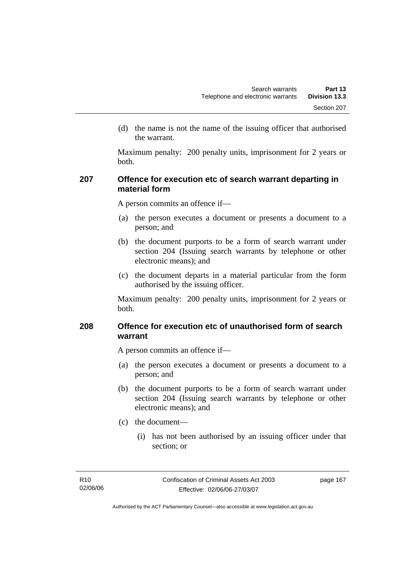(d) the name is not the name of the issuing officer that authorised the warrant.

Maximum penalty: 200 penalty units, imprisonment for 2 years or both.

### **207 Offence for execution etc of search warrant departing in material form**

A person commits an offence if—

- (a) the person executes a document or presents a document to a person; and
- (b) the document purports to be a form of search warrant under section 204 (Issuing search warrants by telephone or other electronic means); and
- (c) the document departs in a material particular from the form authorised by the issuing officer.

Maximum penalty: 200 penalty units, imprisonment for 2 years or both.

### **208 Offence for execution etc of unauthorised form of search warrant**

A person commits an offence if—

- (a) the person executes a document or presents a document to a person; and
- (b) the document purports to be a form of search warrant under section 204 (Issuing search warrants by telephone or other electronic means); and
- (c) the document—
	- (i) has not been authorised by an issuing officer under that section; or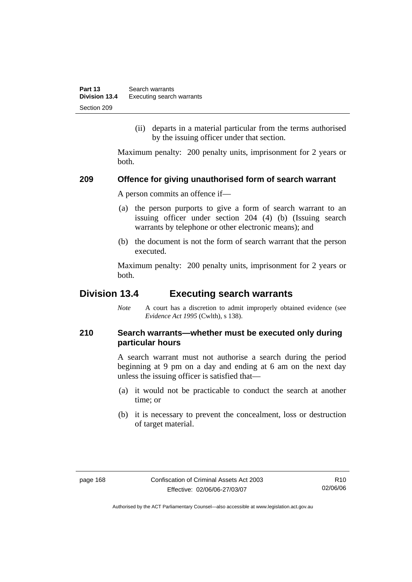(ii) departs in a material particular from the terms authorised by the issuing officer under that section.

Maximum penalty: 200 penalty units, imprisonment for 2 years or both.

#### **209 Offence for giving unauthorised form of search warrant**

A person commits an offence if—

- (a) the person purports to give a form of search warrant to an issuing officer under section 204 (4) (b) (Issuing search warrants by telephone or other electronic means); and
- (b) the document is not the form of search warrant that the person executed.

Maximum penalty: 200 penalty units, imprisonment for 2 years or both.

# **Division 13.4 Executing search warrants**

*Note* A court has a discretion to admit improperly obtained evidence (see *Evidence Act 1995* (Cwlth), s 138).

# **210 Search warrants—whether must be executed only during particular hours**

A search warrant must not authorise a search during the period beginning at 9 pm on a day and ending at 6 am on the next day unless the issuing officer is satisfied that—

- (a) it would not be practicable to conduct the search at another time; or
- (b) it is necessary to prevent the concealment, loss or destruction of target material.

R10 02/06/06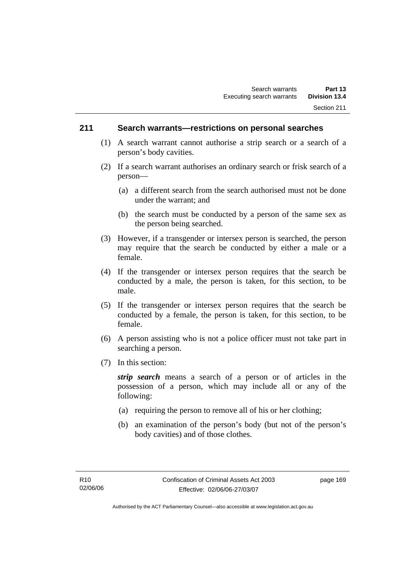#### **211 Search warrants—restrictions on personal searches**

- (1) A search warrant cannot authorise a strip search or a search of a person's body cavities.
- (2) If a search warrant authorises an ordinary search or frisk search of a person—
	- (a) a different search from the search authorised must not be done under the warrant; and
	- (b) the search must be conducted by a person of the same sex as the person being searched.
- (3) However, if a transgender or intersex person is searched, the person may require that the search be conducted by either a male or a female.
- (4) If the transgender or intersex person requires that the search be conducted by a male, the person is taken, for this section, to be male.
- (5) If the transgender or intersex person requires that the search be conducted by a female, the person is taken, for this section, to be female.
- (6) A person assisting who is not a police officer must not take part in searching a person.
- (7) In this section:

*strip search* means a search of a person or of articles in the possession of a person, which may include all or any of the following:

- (a) requiring the person to remove all of his or her clothing;
- (b) an examination of the person's body (but not of the person's body cavities) and of those clothes.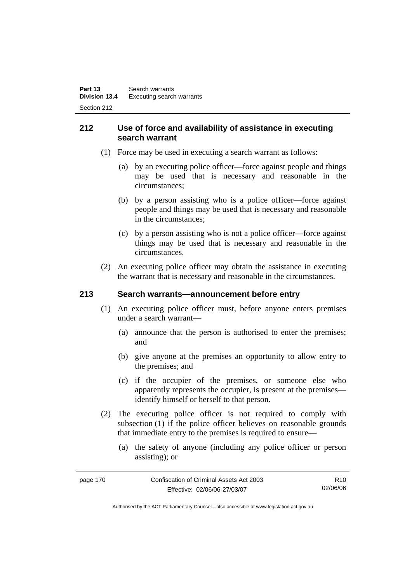## **212 Use of force and availability of assistance in executing search warrant**

- (1) Force may be used in executing a search warrant as follows:
	- (a) by an executing police officer—force against people and things may be used that is necessary and reasonable in the circumstances;
	- (b) by a person assisting who is a police officer—force against people and things may be used that is necessary and reasonable in the circumstances;
	- (c) by a person assisting who is not a police officer—force against things may be used that is necessary and reasonable in the circumstances.
- (2) An executing police officer may obtain the assistance in executing the warrant that is necessary and reasonable in the circumstances.

# **213 Search warrants—announcement before entry**

- (1) An executing police officer must, before anyone enters premises under a search warrant—
	- (a) announce that the person is authorised to enter the premises; and
	- (b) give anyone at the premises an opportunity to allow entry to the premises; and
	- (c) if the occupier of the premises, or someone else who apparently represents the occupier, is present at the premises identify himself or herself to that person.
- (2) The executing police officer is not required to comply with subsection (1) if the police officer believes on reasonable grounds that immediate entry to the premises is required to ensure—
	- (a) the safety of anyone (including any police officer or person assisting); or

| page 170 | Confiscation of Criminal Assets Act 2003 | R10.     |
|----------|------------------------------------------|----------|
|          | Effective: 02/06/06-27/03/07             | 02/06/06 |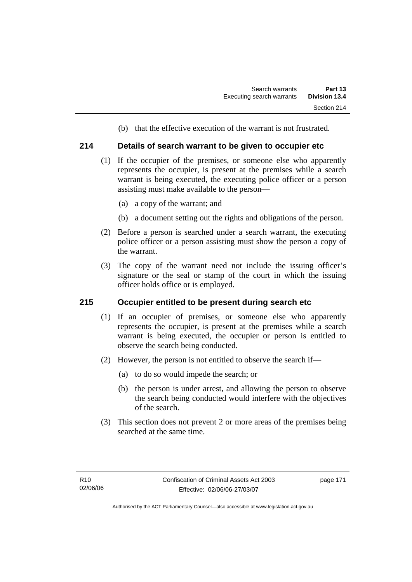(b) that the effective execution of the warrant is not frustrated.

#### **214 Details of search warrant to be given to occupier etc**

- (1) If the occupier of the premises, or someone else who apparently represents the occupier, is present at the premises while a search warrant is being executed, the executing police officer or a person assisting must make available to the person—
	- (a) a copy of the warrant; and
	- (b) a document setting out the rights and obligations of the person.
- (2) Before a person is searched under a search warrant, the executing police officer or a person assisting must show the person a copy of the warrant.
- (3) The copy of the warrant need not include the issuing officer's signature or the seal or stamp of the court in which the issuing officer holds office or is employed.

#### **215 Occupier entitled to be present during search etc**

- (1) If an occupier of premises, or someone else who apparently represents the occupier, is present at the premises while a search warrant is being executed, the occupier or person is entitled to observe the search being conducted.
- (2) However, the person is not entitled to observe the search if—
	- (a) to do so would impede the search; or
	- (b) the person is under arrest, and allowing the person to observe the search being conducted would interfere with the objectives of the search.
- (3) This section does not prevent 2 or more areas of the premises being searched at the same time.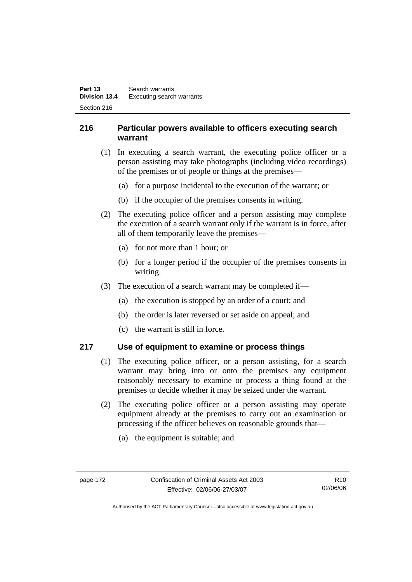# **216 Particular powers available to officers executing search warrant**

- (1) In executing a search warrant, the executing police officer or a person assisting may take photographs (including video recordings) of the premises or of people or things at the premises—
	- (a) for a purpose incidental to the execution of the warrant; or
	- (b) if the occupier of the premises consents in writing.
- (2) The executing police officer and a person assisting may complete the execution of a search warrant only if the warrant is in force, after all of them temporarily leave the premises—
	- (a) for not more than 1 hour; or
	- (b) for a longer period if the occupier of the premises consents in writing.
- (3) The execution of a search warrant may be completed if—
	- (a) the execution is stopped by an order of a court; and
	- (b) the order is later reversed or set aside on appeal; and
	- (c) the warrant is still in force.

#### **217 Use of equipment to examine or process things**

- (1) The executing police officer, or a person assisting, for a search warrant may bring into or onto the premises any equipment reasonably necessary to examine or process a thing found at the premises to decide whether it may be seized under the warrant.
- (2) The executing police officer or a person assisting may operate equipment already at the premises to carry out an examination or processing if the officer believes on reasonable grounds that—
	- (a) the equipment is suitable; and

R10 02/06/06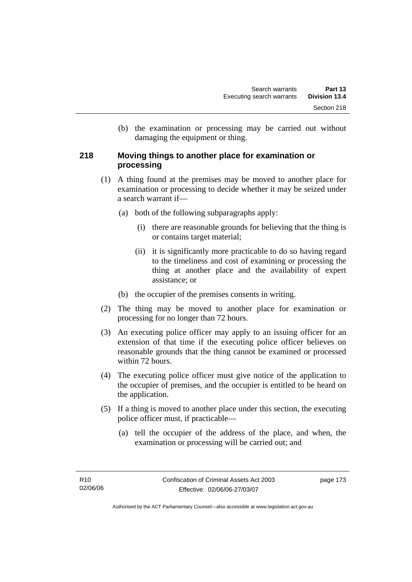(b) the examination or processing may be carried out without damaging the equipment or thing.

### **218 Moving things to another place for examination or processing**

- (1) A thing found at the premises may be moved to another place for examination or processing to decide whether it may be seized under a search warrant if—
	- (a) both of the following subparagraphs apply:
		- (i) there are reasonable grounds for believing that the thing is or contains target material;
		- (ii) it is significantly more practicable to do so having regard to the timeliness and cost of examining or processing the thing at another place and the availability of expert assistance; or
	- (b) the occupier of the premises consents in writing.
- (2) The thing may be moved to another place for examination or processing for no longer than 72 hours.
- (3) An executing police officer may apply to an issuing officer for an extension of that time if the executing police officer believes on reasonable grounds that the thing cannot be examined or processed within 72 hours.
- (4) The executing police officer must give notice of the application to the occupier of premises, and the occupier is entitled to be heard on the application.
- (5) If a thing is moved to another place under this section, the executing police officer must, if practicable—
	- (a) tell the occupier of the address of the place, and when, the examination or processing will be carried out; and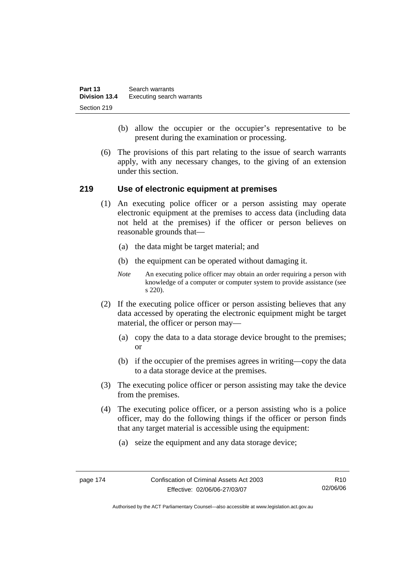| Part 13              | Search warrants           |
|----------------------|---------------------------|
| <b>Division 13.4</b> | Executing search warrants |
| Section 219          |                           |

- (b) allow the occupier or the occupier's representative to be present during the examination or processing.
- (6) The provisions of this part relating to the issue of search warrants apply, with any necessary changes, to the giving of an extension under this section.

#### **219 Use of electronic equipment at premises**

- (1) An executing police officer or a person assisting may operate electronic equipment at the premises to access data (including data not held at the premises) if the officer or person believes on reasonable grounds that—
	- (a) the data might be target material; and
	- (b) the equipment can be operated without damaging it.
	- *Note* An executing police officer may obtain an order requiring a person with knowledge of a computer or computer system to provide assistance (see s 220).
- (2) If the executing police officer or person assisting believes that any data accessed by operating the electronic equipment might be target material, the officer or person may—
	- (a) copy the data to a data storage device brought to the premises; or
	- (b) if the occupier of the premises agrees in writing—copy the data to a data storage device at the premises.
- (3) The executing police officer or person assisting may take the device from the premises.
- (4) The executing police officer, or a person assisting who is a police officer, may do the following things if the officer or person finds that any target material is accessible using the equipment:
	- (a) seize the equipment and any data storage device;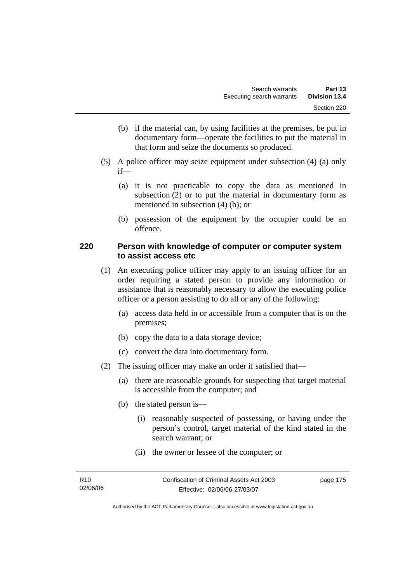- (b) if the material can, by using facilities at the premises, be put in documentary form—operate the facilities to put the material in that form and seize the documents so produced.
- (5) A police officer may seize equipment under subsection (4) (a) only if—
	- (a) it is not practicable to copy the data as mentioned in subsection (2) or to put the material in documentary form as mentioned in subsection (4) (b); or
	- (b) possession of the equipment by the occupier could be an offence.

### **220 Person with knowledge of computer or computer system to assist access etc**

- (1) An executing police officer may apply to an issuing officer for an order requiring a stated person to provide any information or assistance that is reasonably necessary to allow the executing police officer or a person assisting to do all or any of the following:
	- (a) access data held in or accessible from a computer that is on the premises;
	- (b) copy the data to a data storage device;
	- (c) convert the data into documentary form.
- (2) The issuing officer may make an order if satisfied that—
	- (a) there are reasonable grounds for suspecting that target material is accessible from the computer; and
	- (b) the stated person is—
		- (i) reasonably suspected of possessing, or having under the person's control, target material of the kind stated in the search warrant; or
		- (ii) the owner or lessee of the computer; or

| R <sub>10</sub> | Confiscation of Criminal Assets Act 2003 | page 175 |
|-----------------|------------------------------------------|----------|
| 02/06/06        | Effective: 02/06/06-27/03/07             |          |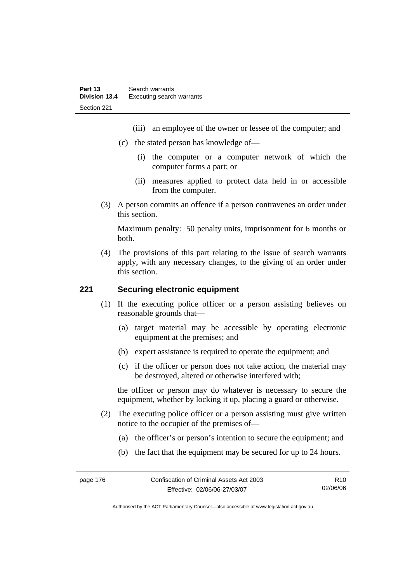- (iii) an employee of the owner or lessee of the computer; and
- (c) the stated person has knowledge of—
	- (i) the computer or a computer network of which the computer forms a part; or
	- (ii) measures applied to protect data held in or accessible from the computer.
- (3) A person commits an offence if a person contravenes an order under this section.

Maximum penalty: 50 penalty units, imprisonment for 6 months or both.

 (4) The provisions of this part relating to the issue of search warrants apply, with any necessary changes, to the giving of an order under this section.

#### **221 Securing electronic equipment**

- (1) If the executing police officer or a person assisting believes on reasonable grounds that—
	- (a) target material may be accessible by operating electronic equipment at the premises; and
	- (b) expert assistance is required to operate the equipment; and
	- (c) if the officer or person does not take action, the material may be destroyed, altered or otherwise interfered with;

the officer or person may do whatever is necessary to secure the equipment, whether by locking it up, placing a guard or otherwise.

- (2) The executing police officer or a person assisting must give written notice to the occupier of the premises of—
	- (a) the officer's or person's intention to secure the equipment; and
	- (b) the fact that the equipment may be secured for up to 24 hours.

page 176 Confiscation of Criminal Assets Act 2003 Effective: 02/06/06-27/03/07 R10 02/06/06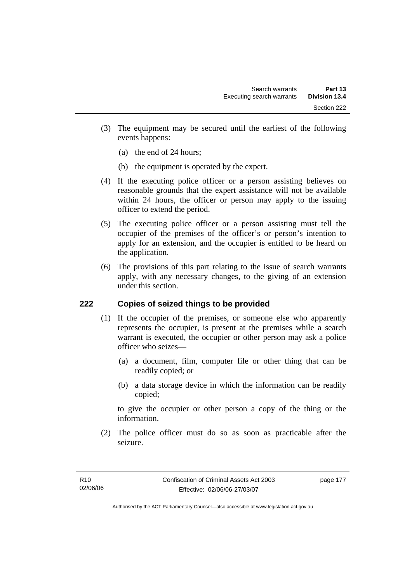- (3) The equipment may be secured until the earliest of the following events happens:
	- (a) the end of 24 hours;
	- (b) the equipment is operated by the expert.
- (4) If the executing police officer or a person assisting believes on reasonable grounds that the expert assistance will not be available within 24 hours, the officer or person may apply to the issuing officer to extend the period.
- (5) The executing police officer or a person assisting must tell the occupier of the premises of the officer's or person's intention to apply for an extension, and the occupier is entitled to be heard on the application.
- (6) The provisions of this part relating to the issue of search warrants apply, with any necessary changes, to the giving of an extension under this section.

#### **222 Copies of seized things to be provided**

- (1) If the occupier of the premises, or someone else who apparently represents the occupier, is present at the premises while a search warrant is executed, the occupier or other person may ask a police officer who seizes—
	- (a) a document, film, computer file or other thing that can be readily copied; or
	- (b) a data storage device in which the information can be readily copied;

to give the occupier or other person a copy of the thing or the information.

 (2) The police officer must do so as soon as practicable after the seizure.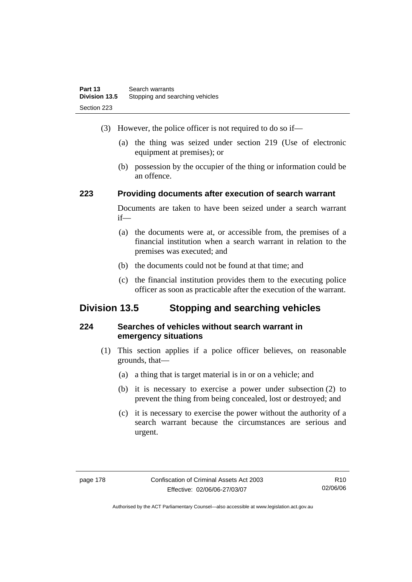- (3) However, the police officer is not required to do so if—
	- (a) the thing was seized under section 219 (Use of electronic equipment at premises); or
	- (b) possession by the occupier of the thing or information could be an offence.

# **223 Providing documents after execution of search warrant**

Documents are taken to have been seized under a search warrant if—

- (a) the documents were at, or accessible from, the premises of a financial institution when a search warrant in relation to the premises was executed; and
- (b) the documents could not be found at that time; and
- (c) the financial institution provides them to the executing police officer as soon as practicable after the execution of the warrant.

# **Division 13.5 Stopping and searching vehicles**

# **224 Searches of vehicles without search warrant in emergency situations**

- (1) This section applies if a police officer believes, on reasonable grounds, that—
	- (a) a thing that is target material is in or on a vehicle; and
	- (b) it is necessary to exercise a power under subsection (2) to prevent the thing from being concealed, lost or destroyed; and
	- (c) it is necessary to exercise the power without the authority of a search warrant because the circumstances are serious and urgent.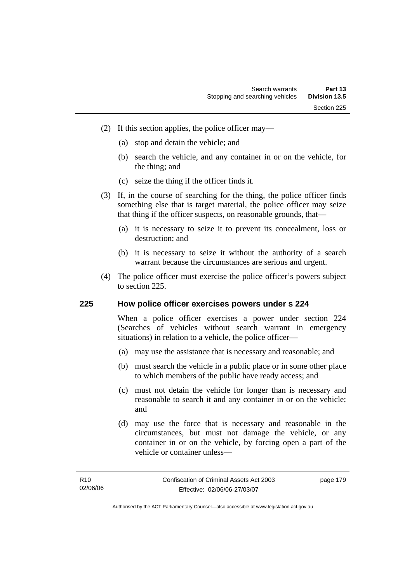- (2) If this section applies, the police officer may—
	- (a) stop and detain the vehicle; and
	- (b) search the vehicle, and any container in or on the vehicle, for the thing; and
	- (c) seize the thing if the officer finds it.
- (3) If, in the course of searching for the thing, the police officer finds something else that is target material, the police officer may seize that thing if the officer suspects, on reasonable grounds, that—
	- (a) it is necessary to seize it to prevent its concealment, loss or destruction; and
	- (b) it is necessary to seize it without the authority of a search warrant because the circumstances are serious and urgent.
- (4) The police officer must exercise the police officer's powers subject to section 225.

#### **225 How police officer exercises powers under s 224**

When a police officer exercises a power under section 224 (Searches of vehicles without search warrant in emergency situations) in relation to a vehicle, the police officer—

- (a) may use the assistance that is necessary and reasonable; and
- (b) must search the vehicle in a public place or in some other place to which members of the public have ready access; and
- (c) must not detain the vehicle for longer than is necessary and reasonable to search it and any container in or on the vehicle; and
- (d) may use the force that is necessary and reasonable in the circumstances, but must not damage the vehicle, or any container in or on the vehicle, by forcing open a part of the vehicle or container unless—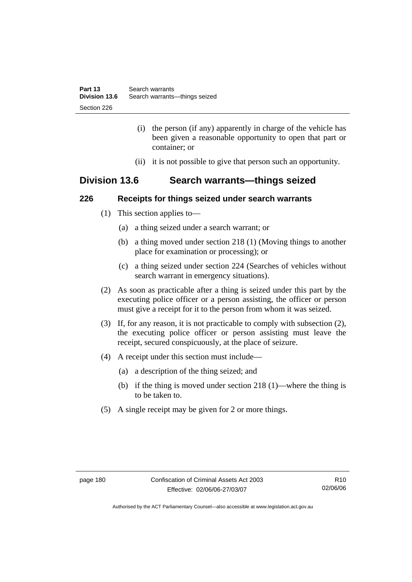- (i) the person (if any) apparently in charge of the vehicle has been given a reasonable opportunity to open that part or container; or
- (ii) it is not possible to give that person such an opportunity.

# **Division 13.6 Search warrants—things seized**

### **226 Receipts for things seized under search warrants**

- (1) This section applies to—
	- (a) a thing seized under a search warrant; or
	- (b) a thing moved under section 218 (1) (Moving things to another place for examination or processing); or
	- (c) a thing seized under section 224 (Searches of vehicles without search warrant in emergency situations).
- (2) As soon as practicable after a thing is seized under this part by the executing police officer or a person assisting, the officer or person must give a receipt for it to the person from whom it was seized.
- (3) If, for any reason, it is not practicable to comply with subsection (2), the executing police officer or person assisting must leave the receipt, secured conspicuously, at the place of seizure.
- (4) A receipt under this section must include—
	- (a) a description of the thing seized; and
	- (b) if the thing is moved under section 218 (1)—where the thing is to be taken to.
- (5) A single receipt may be given for 2 or more things.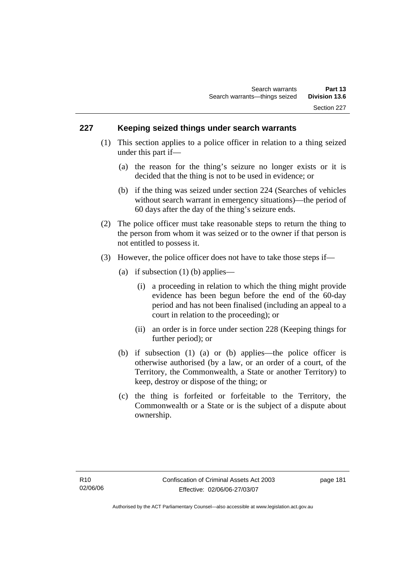### **227 Keeping seized things under search warrants**

- (1) This section applies to a police officer in relation to a thing seized under this part if—
	- (a) the reason for the thing's seizure no longer exists or it is decided that the thing is not to be used in evidence; or
	- (b) if the thing was seized under section 224 (Searches of vehicles without search warrant in emergency situations)—the period of 60 days after the day of the thing's seizure ends.
- (2) The police officer must take reasonable steps to return the thing to the person from whom it was seized or to the owner if that person is not entitled to possess it.
- (3) However, the police officer does not have to take those steps if—
	- (a) if subsection  $(1)$  (b) applies—
		- (i) a proceeding in relation to which the thing might provide evidence has been begun before the end of the 60-day period and has not been finalised (including an appeal to a court in relation to the proceeding); or
		- (ii) an order is in force under section 228 (Keeping things for further period); or
	- (b) if subsection (1) (a) or (b) applies—the police officer is otherwise authorised (by a law, or an order of a court, of the Territory, the Commonwealth, a State or another Territory) to keep, destroy or dispose of the thing; or
	- (c) the thing is forfeited or forfeitable to the Territory, the Commonwealth or a State or is the subject of a dispute about ownership.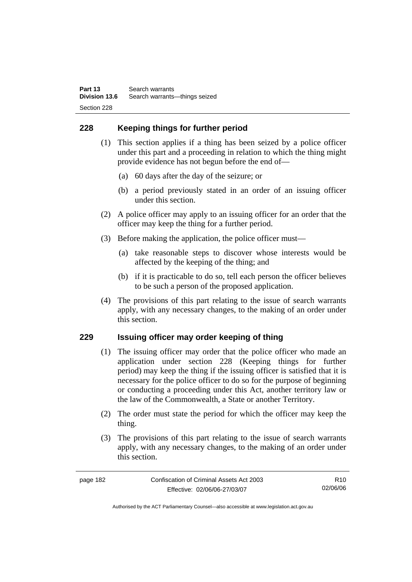# **228 Keeping things for further period**

- (1) This section applies if a thing has been seized by a police officer under this part and a proceeding in relation to which the thing might provide evidence has not begun before the end of—
	- (a) 60 days after the day of the seizure; or
	- (b) a period previously stated in an order of an issuing officer under this section.
- (2) A police officer may apply to an issuing officer for an order that the officer may keep the thing for a further period.
- (3) Before making the application, the police officer must—
	- (a) take reasonable steps to discover whose interests would be affected by the keeping of the thing; and
	- (b) if it is practicable to do so, tell each person the officer believes to be such a person of the proposed application.
- (4) The provisions of this part relating to the issue of search warrants apply, with any necessary changes, to the making of an order under this section.

# **229 Issuing officer may order keeping of thing**

- (1) The issuing officer may order that the police officer who made an application under section 228 (Keeping things for further period) may keep the thing if the issuing officer is satisfied that it is necessary for the police officer to do so for the purpose of beginning or conducting a proceeding under this Act, another territory law or the law of the Commonwealth, a State or another Territory.
- (2) The order must state the period for which the officer may keep the thing.
- (3) The provisions of this part relating to the issue of search warrants apply, with any necessary changes, to the making of an order under this section.

R10 02/06/06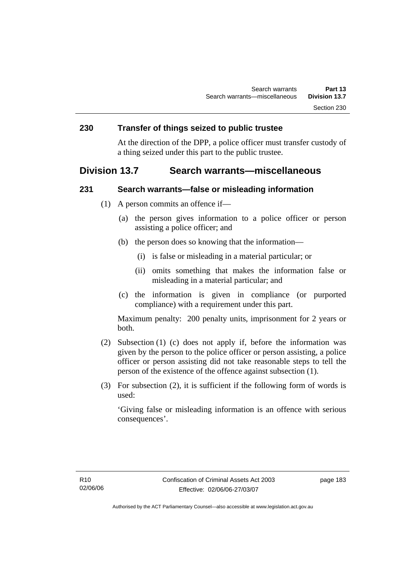### **230 Transfer of things seized to public trustee**

At the direction of the DPP, a police officer must transfer custody of a thing seized under this part to the public trustee.

# **Division 13.7 Search warrants—miscellaneous**

#### **231 Search warrants—false or misleading information**

- (1) A person commits an offence if—
	- (a) the person gives information to a police officer or person assisting a police officer; and
	- (b) the person does so knowing that the information—
		- (i) is false or misleading in a material particular; or
		- (ii) omits something that makes the information false or misleading in a material particular; and
	- (c) the information is given in compliance (or purported compliance) with a requirement under this part.

Maximum penalty: 200 penalty units, imprisonment for 2 years or both.

- (2) Subsection (1) (c) does not apply if, before the information was given by the person to the police officer or person assisting, a police officer or person assisting did not take reasonable steps to tell the person of the existence of the offence against subsection (1).
- (3) For subsection (2), it is sufficient if the following form of words is used:

'Giving false or misleading information is an offence with serious consequences'.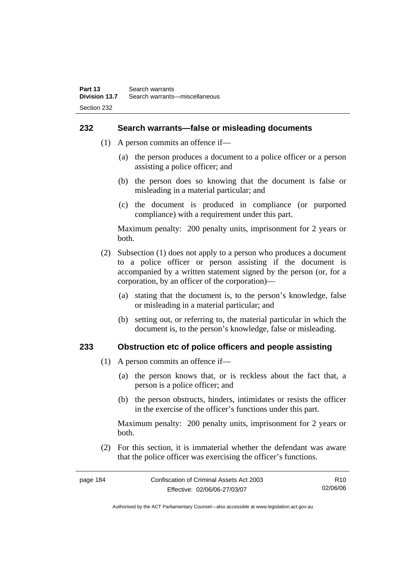#### **232 Search warrants—false or misleading documents**

- (1) A person commits an offence if—
	- (a) the person produces a document to a police officer or a person assisting a police officer; and
	- (b) the person does so knowing that the document is false or misleading in a material particular; and
	- (c) the document is produced in compliance (or purported compliance) with a requirement under this part.

Maximum penalty: 200 penalty units, imprisonment for 2 years or both.

- (2) Subsection (1) does not apply to a person who produces a document to a police officer or person assisting if the document is accompanied by a written statement signed by the person (or, for a corporation, by an officer of the corporation)—
	- (a) stating that the document is, to the person's knowledge, false or misleading in a material particular; and
	- (b) setting out, or referring to, the material particular in which the document is, to the person's knowledge, false or misleading.

#### **233 Obstruction etc of police officers and people assisting**

- (1) A person commits an offence if—
	- (a) the person knows that, or is reckless about the fact that, a person is a police officer; and
	- (b) the person obstructs, hinders, intimidates or resists the officer in the exercise of the officer's functions under this part.

Maximum penalty: 200 penalty units, imprisonment for 2 years or both.

 (2) For this section, it is immaterial whether the defendant was aware that the police officer was exercising the officer's functions.

| page 184 | Confiscation of Criminal Assets Act 2003 | R10      |
|----------|------------------------------------------|----------|
|          | Effective: 02/06/06-27/03/07             | 02/06/06 |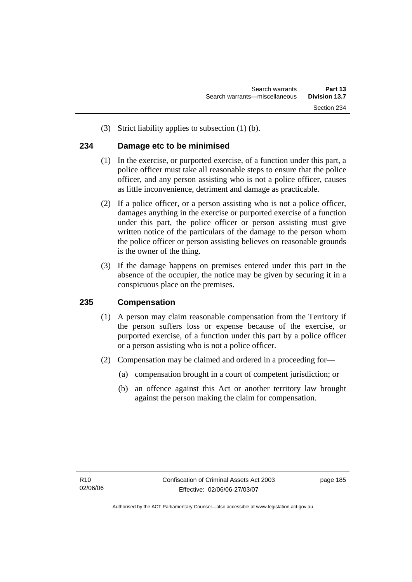(3) Strict liability applies to subsection (1) (b).

#### **234 Damage etc to be minimised**

- (1) In the exercise, or purported exercise, of a function under this part, a police officer must take all reasonable steps to ensure that the police officer, and any person assisting who is not a police officer, causes as little inconvenience, detriment and damage as practicable.
- (2) If a police officer, or a person assisting who is not a police officer, damages anything in the exercise or purported exercise of a function under this part, the police officer or person assisting must give written notice of the particulars of the damage to the person whom the police officer or person assisting believes on reasonable grounds is the owner of the thing.
- (3) If the damage happens on premises entered under this part in the absence of the occupier, the notice may be given by securing it in a conspicuous place on the premises.

# **235 Compensation**

- (1) A person may claim reasonable compensation from the Territory if the person suffers loss or expense because of the exercise, or purported exercise, of a function under this part by a police officer or a person assisting who is not a police officer.
- (2) Compensation may be claimed and ordered in a proceeding for—
	- (a) compensation brought in a court of competent jurisdiction; or
	- (b) an offence against this Act or another territory law brought against the person making the claim for compensation.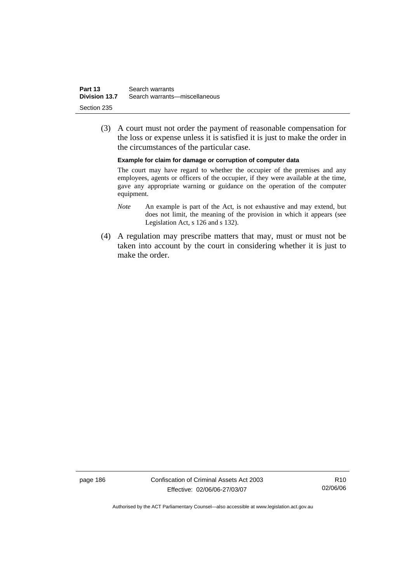| Part 13       | Search warrants               |
|---------------|-------------------------------|
| Division 13.7 | Search warrants—miscellaneous |
| Section 235   |                               |

 (3) A court must not order the payment of reasonable compensation for the loss or expense unless it is satisfied it is just to make the order in the circumstances of the particular case.

**Example for claim for damage or corruption of computer data** 

The court may have regard to whether the occupier of the premises and any employees, agents or officers of the occupier, if they were available at the time, gave any appropriate warning or guidance on the operation of the computer equipment.

- *Note* An example is part of the Act, is not exhaustive and may extend, but does not limit, the meaning of the provision in which it appears (see Legislation Act, s 126 and s 132).
- (4) A regulation may prescribe matters that may, must or must not be taken into account by the court in considering whether it is just to make the order.

page 186 Confiscation of Criminal Assets Act 2003 Effective: 02/06/06-27/03/07

R10 02/06/06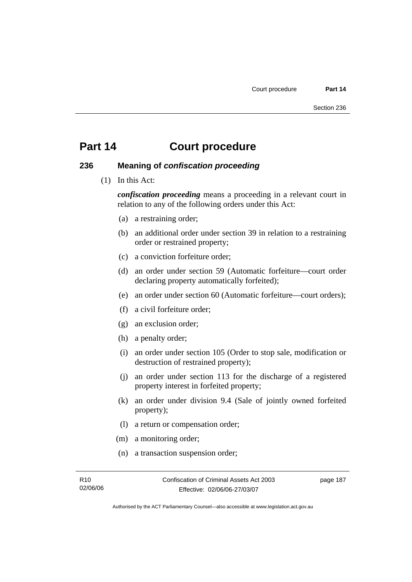#### **236 Meaning of** *confiscation proceeding*

(1) In this Act:

*confiscation proceeding* means a proceeding in a relevant court in relation to any of the following orders under this Act:

- (a) a restraining order;
- (b) an additional order under section 39 in relation to a restraining order or restrained property;
- (c) a conviction forfeiture order;
- (d) an order under section 59 (Automatic forfeiture—court order declaring property automatically forfeited);
- (e) an order under section 60 (Automatic forfeiture—court orders);
- (f) a civil forfeiture order;
- (g) an exclusion order;
- (h) a penalty order;
- (i) an order under section 105 (Order to stop sale, modification or destruction of restrained property);
- (j) an order under section 113 for the discharge of a registered property interest in forfeited property;
- (k) an order under division 9.4 (Sale of jointly owned forfeited property);
- (l) a return or compensation order;
- (m) a monitoring order;
- (n) a transaction suspension order;

page 187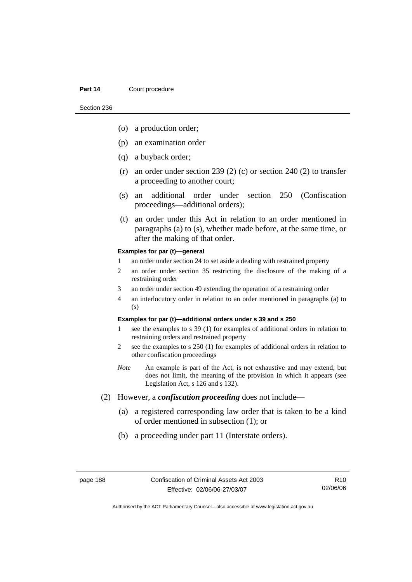Section 236

- (o) a production order;
- (p) an examination order
- (q) a buyback order;
- (r) an order under section 239 (2) (c) or section 240 (2) to transfer a proceeding to another court;
- (s) an additional order under section 250 (Confiscation proceedings—additional orders);
- (t) an order under this Act in relation to an order mentioned in paragraphs (a) to (s), whether made before, at the same time, or after the making of that order.

#### **Examples for par (t)—general**

- 1 an order under section 24 to set aside a dealing with restrained property
- 2 an order under section 35 restricting the disclosure of the making of a restraining order
- 3 an order under section 49 extending the operation of a restraining order
- 4 an interlocutory order in relation to an order mentioned in paragraphs (a) to (s)

#### **Examples for par (t)—additional orders under s 39 and s 250**

- 1 see the examples to s 39 (1) for examples of additional orders in relation to restraining orders and restrained property
- 2 see the examples to s 250 (1) for examples of additional orders in relation to other confiscation proceedings
- *Note* An example is part of the Act, is not exhaustive and may extend, but does not limit, the meaning of the provision in which it appears (see Legislation Act, s 126 and s 132).
- (2) However, a *confiscation proceeding* does not include—
	- (a) a registered corresponding law order that is taken to be a kind of order mentioned in subsection (1); or
	- (b) a proceeding under part 11 (Interstate orders).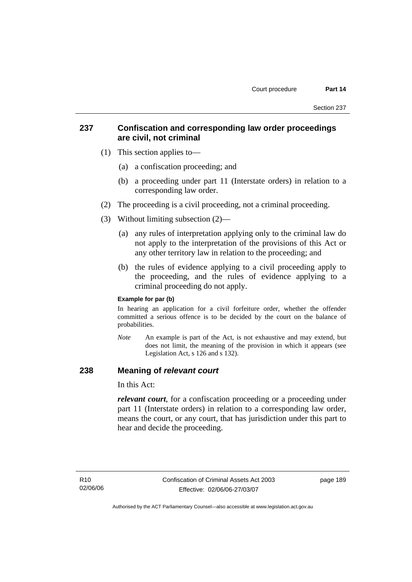### **237 Confiscation and corresponding law order proceedings are civil, not criminal**

- (1) This section applies to—
	- (a) a confiscation proceeding; and
	- (b) a proceeding under part 11 (Interstate orders) in relation to a corresponding law order.
- (2) The proceeding is a civil proceeding, not a criminal proceeding.
- (3) Without limiting subsection (2)—
	- (a) any rules of interpretation applying only to the criminal law do not apply to the interpretation of the provisions of this Act or any other territory law in relation to the proceeding; and
	- (b) the rules of evidence applying to a civil proceeding apply to the proceeding, and the rules of evidence applying to a criminal proceeding do not apply.

#### **Example for par (b)**

In hearing an application for a civil forfeiture order, whether the offender committed a serious offence is to be decided by the court on the balance of probabilities.

*Note* An example is part of the Act, is not exhaustive and may extend, but does not limit, the meaning of the provision in which it appears (see Legislation Act, s 126 and s 132).

### **238 Meaning of** *relevant court*

In this Act:

*relevant court*, for a confiscation proceeding or a proceeding under part 11 (Interstate orders) in relation to a corresponding law order, means the court, or any court, that has jurisdiction under this part to hear and decide the proceeding.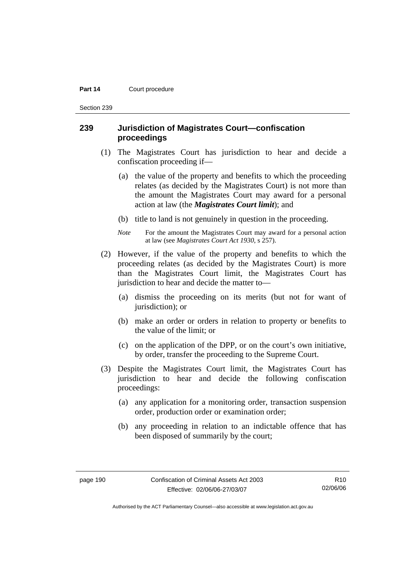Section 239

#### **239 Jurisdiction of Magistrates Court—confiscation proceedings**

- (1) The Magistrates Court has jurisdiction to hear and decide a confiscation proceeding if—
	- (a) the value of the property and benefits to which the proceeding relates (as decided by the Magistrates Court) is not more than the amount the Magistrates Court may award for a personal action at law (the *Magistrates Court limit*); and
	- (b) title to land is not genuinely in question in the proceeding.
	- *Note* For the amount the Magistrates Court may award for a personal action at law (see *Magistrates Court Act 1930*, s 257).
- (2) However, if the value of the property and benefits to which the proceeding relates (as decided by the Magistrates Court) is more than the Magistrates Court limit, the Magistrates Court has jurisdiction to hear and decide the matter to—
	- (a) dismiss the proceeding on its merits (but not for want of jurisdiction); or
	- (b) make an order or orders in relation to property or benefits to the value of the limit; or
	- (c) on the application of the DPP, or on the court's own initiative, by order, transfer the proceeding to the Supreme Court.
- (3) Despite the Magistrates Court limit, the Magistrates Court has jurisdiction to hear and decide the following confiscation proceedings:
	- (a) any application for a monitoring order, transaction suspension order, production order or examination order;
	- (b) any proceeding in relation to an indictable offence that has been disposed of summarily by the court;

Authorised by the ACT Parliamentary Counsel—also accessible at www.legislation.act.gov.au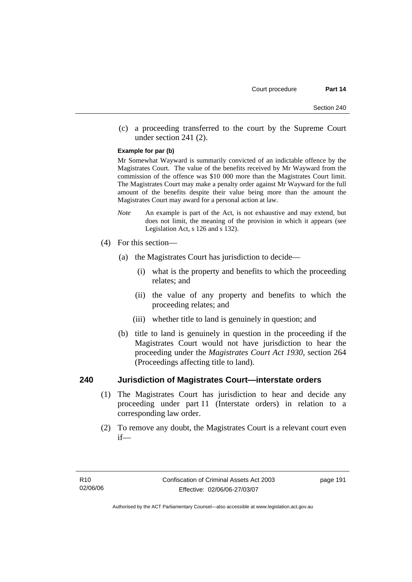(c) a proceeding transferred to the court by the Supreme Court under section 241 (2).

#### **Example for par (b)**

Mr Somewhat Wayward is summarily convicted of an indictable offence by the Magistrates Court. The value of the benefits received by Mr Wayward from the commission of the offence was \$10 000 more than the Magistrates Court limit. The Magistrates Court may make a penalty order against Mr Wayward for the full amount of the benefits despite their value being more than the amount the Magistrates Court may award for a personal action at law.

- *Note* An example is part of the Act, is not exhaustive and may extend, but does not limit, the meaning of the provision in which it appears (see Legislation Act, s 126 and s 132).
- (4) For this section—
	- (a) the Magistrates Court has jurisdiction to decide—
		- (i) what is the property and benefits to which the proceeding relates; and
		- (ii) the value of any property and benefits to which the proceeding relates; and
		- (iii) whether title to land is genuinely in question; and
	- (b) title to land is genuinely in question in the proceeding if the Magistrates Court would not have jurisdiction to hear the proceeding under the *Magistrates Court Act 1930*, section 264 (Proceedings affecting title to land).

#### **240 Jurisdiction of Magistrates Court—interstate orders**

- (1) The Magistrates Court has jurisdiction to hear and decide any proceeding under part 11 (Interstate orders) in relation to a corresponding law order.
- (2) To remove any doubt, the Magistrates Court is a relevant court even if—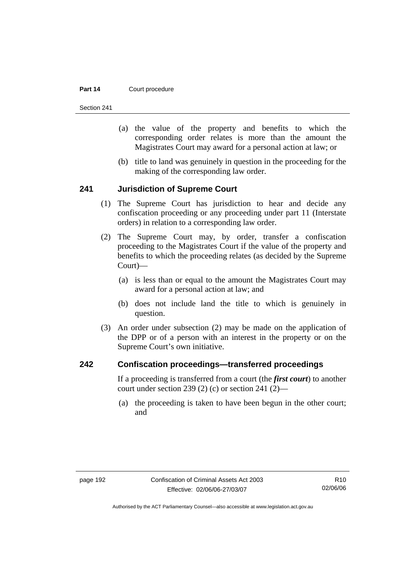Section 241

- (a) the value of the property and benefits to which the corresponding order relates is more than the amount the Magistrates Court may award for a personal action at law; or
- (b) title to land was genuinely in question in the proceeding for the making of the corresponding law order.

#### **241 Jurisdiction of Supreme Court**

- (1) The Supreme Court has jurisdiction to hear and decide any confiscation proceeding or any proceeding under part 11 (Interstate orders) in relation to a corresponding law order.
- (2) The Supreme Court may, by order, transfer a confiscation proceeding to the Magistrates Court if the value of the property and benefits to which the proceeding relates (as decided by the Supreme Court)—
	- (a) is less than or equal to the amount the Magistrates Court may award for a personal action at law; and
	- (b) does not include land the title to which is genuinely in question.
- (3) An order under subsection (2) may be made on the application of the DPP or of a person with an interest in the property or on the Supreme Court's own initiative.

#### **242 Confiscation proceedings—transferred proceedings**

If a proceeding is transferred from a court (the *first court*) to another court under section 239 (2) (c) or section 241 (2)—

 (a) the proceeding is taken to have been begun in the other court; and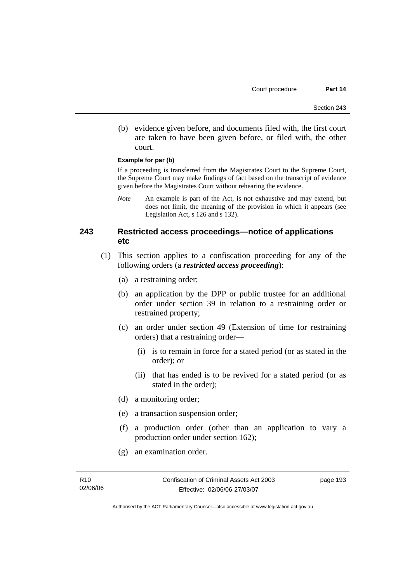(b) evidence given before, and documents filed with, the first court are taken to have been given before, or filed with, the other court.

#### **Example for par (b)**

If a proceeding is transferred from the Magistrates Court to the Supreme Court, the Supreme Court may make findings of fact based on the transcript of evidence given before the Magistrates Court without rehearing the evidence.

*Note* An example is part of the Act, is not exhaustive and may extend, but does not limit, the meaning of the provision in which it appears (see Legislation Act, s 126 and s 132).

# **243 Restricted access proceedings—notice of applications etc**

- (1) This section applies to a confiscation proceeding for any of the following orders (a *restricted access proceeding*):
	- (a) a restraining order;
	- (b) an application by the DPP or public trustee for an additional order under section 39 in relation to a restraining order or restrained property;
	- (c) an order under section 49 (Extension of time for restraining orders) that a restraining order—
		- (i) is to remain in force for a stated period (or as stated in the order); or
		- (ii) that has ended is to be revived for a stated period (or as stated in the order);
	- (d) a monitoring order;
	- (e) a transaction suspension order;
	- (f) a production order (other than an application to vary a production order under section 162);
	- (g) an examination order.

Authorised by the ACT Parliamentary Counsel—also accessible at www.legislation.act.gov.au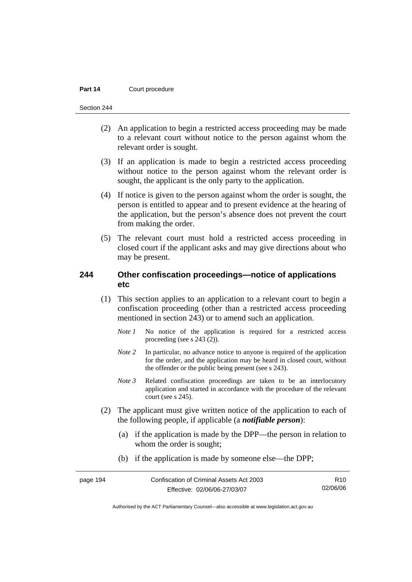Section 244

- (2) An application to begin a restricted access proceeding may be made to a relevant court without notice to the person against whom the relevant order is sought.
- (3) If an application is made to begin a restricted access proceeding without notice to the person against whom the relevant order is sought, the applicant is the only party to the application.
- (4) If notice is given to the person against whom the order is sought, the person is entitled to appear and to present evidence at the hearing of the application, but the person's absence does not prevent the court from making the order.
- (5) The relevant court must hold a restricted access proceeding in closed court if the applicant asks and may give directions about who may be present.

#### **244 Other confiscation proceedings—notice of applications etc**

- (1) This section applies to an application to a relevant court to begin a confiscation proceeding (other than a restricted access proceeding mentioned in section 243) or to amend such an application.
	- *Note 1* No notice of the application is required for a restricted access proceeding (see s 243 (2)).
	- *Note 2* In particular, no advance notice to anyone is required of the application for the order, and the application may be heard in closed court, without the offender or the public being present (see s 243).
	- *Note 3* Related confiscation proceedings are taken to be an interlocutory application and started in accordance with the procedure of the relevant court (see s 245).
- (2) The applicant must give written notice of the application to each of the following people, if applicable (a *notifiable person*):
	- (a) if the application is made by the DPP—the person in relation to whom the order is sought;
	- (b) if the application is made by someone else—the DPP;

| page 194 | Confiscation of Criminal Assets Act 2003 | R <sub>10</sub> |
|----------|------------------------------------------|-----------------|
|          | Effective: 02/06/06-27/03/07             | 02/06/06        |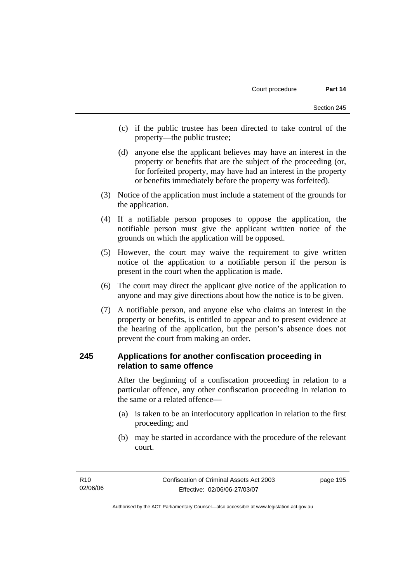- (c) if the public trustee has been directed to take control of the property—the public trustee;
- (d) anyone else the applicant believes may have an interest in the property or benefits that are the subject of the proceeding (or, for forfeited property, may have had an interest in the property or benefits immediately before the property was forfeited).
- (3) Notice of the application must include a statement of the grounds for the application.
- (4) If a notifiable person proposes to oppose the application, the notifiable person must give the applicant written notice of the grounds on which the application will be opposed.
- (5) However, the court may waive the requirement to give written notice of the application to a notifiable person if the person is present in the court when the application is made.
- (6) The court may direct the applicant give notice of the application to anyone and may give directions about how the notice is to be given.
- (7) A notifiable person, and anyone else who claims an interest in the property or benefits, is entitled to appear and to present evidence at the hearing of the application, but the person's absence does not prevent the court from making an order.

### **245 Applications for another confiscation proceeding in relation to same offence**

After the beginning of a confiscation proceeding in relation to a particular offence, any other confiscation proceeding in relation to the same or a related offence—

- (a) is taken to be an interlocutory application in relation to the first proceeding; and
- (b) may be started in accordance with the procedure of the relevant court.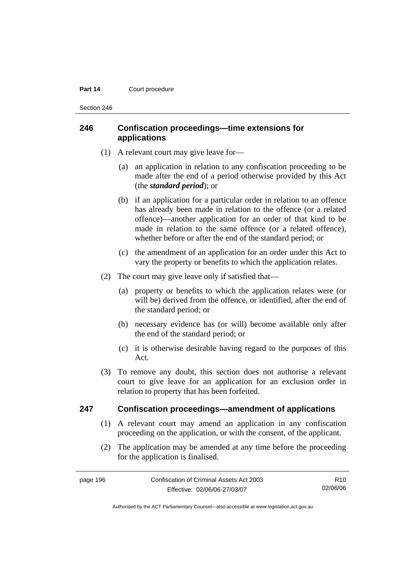Section 246

## **246 Confiscation proceedings—time extensions for applications**

- (1) A relevant court may give leave for—
	- (a) an application in relation to any confiscation proceeding to be made after the end of a period otherwise provided by this Act (the *standard period*); or
	- (b) if an application for a particular order in relation to an offence has already been made in relation to the offence (or a related offence)—another application for an order of that kind to be made in relation to the same offence (or a related offence), whether before or after the end of the standard period; or
	- (c) the amendment of an application for an order under this Act to vary the property or benefits to which the application relates.
- (2) The court may give leave only if satisfied that—
	- (a) property or benefits to which the application relates were (or will be) derived from the offence, or identified, after the end of the standard period; or
	- (b) necessary evidence has (or will) become available only after the end of the standard period; or
	- (c) it is otherwise desirable having regard to the purposes of this Act.
- (3) To remove any doubt, this section does not authorise a relevant court to give leave for an application for an exclusion order in relation to property that has been forfeited.

#### **247 Confiscation proceedings—amendment of applications**

- (1) A relevant court may amend an application in any confiscation proceeding on the application, or with the consent, of the applicant.
- (2) The application may be amended at any time before the proceeding for the application is finalised.

| page 196 | Confiscation of Criminal Assets Act 2003 | R10.     |
|----------|------------------------------------------|----------|
|          | Effective: 02/06/06-27/03/07             | 02/06/06 |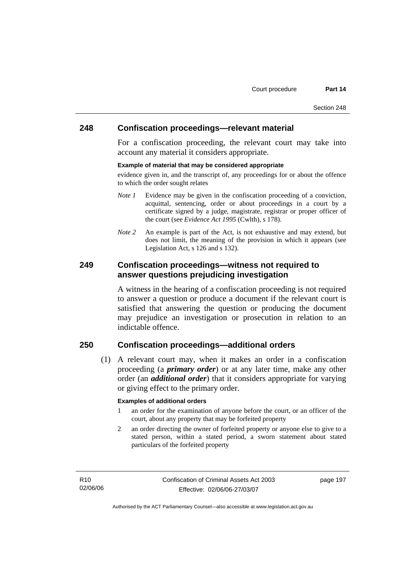#### **248 Confiscation proceedings—relevant material**

For a confiscation proceeding, the relevant court may take into account any material it considers appropriate.

#### **Example of material that may be considered appropriate**

evidence given in, and the transcript of, any proceedings for or about the offence to which the order sought relates

- *Note 1* Evidence may be given in the confiscation proceeding of a conviction, acquittal, sentencing, order or about proceedings in a court by a certificate signed by a judge, magistrate, registrar or proper officer of the court (see *Evidence Act 1995* (Cwlth), s 178).
- *Note* 2 An example is part of the Act, is not exhaustive and may extend, but does not limit, the meaning of the provision in which it appears (see Legislation Act, s 126 and s 132).

### **249 Confiscation proceedings—witness not required to answer questions prejudicing investigation**

A witness in the hearing of a confiscation proceeding is not required to answer a question or produce a document if the relevant court is satisfied that answering the question or producing the document may prejudice an investigation or prosecution in relation to an indictable offence.

# **250 Confiscation proceedings—additional orders**

 (1) A relevant court may, when it makes an order in a confiscation proceeding (a *primary order*) or at any later time, make any other order (an *additional order*) that it considers appropriate for varying or giving effect to the primary order.

#### **Examples of additional orders**

- 1 an order for the examination of anyone before the court, or an officer of the court, about any property that may be forfeited property
- 2 an order directing the owner of forfeited property or anyone else to give to a stated person, within a stated period, a sworn statement about stated particulars of the forfeited property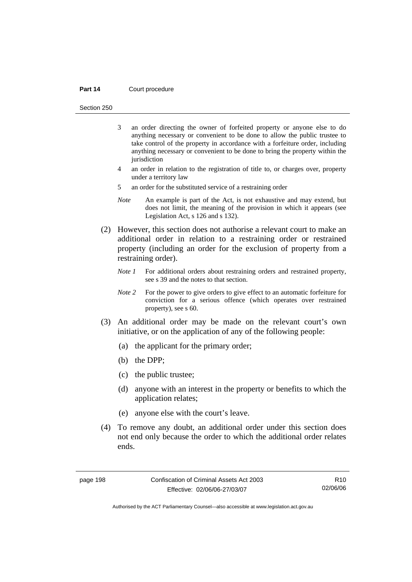Section 250

- 3 an order directing the owner of forfeited property or anyone else to do anything necessary or convenient to be done to allow the public trustee to take control of the property in accordance with a forfeiture order, including anything necessary or convenient to be done to bring the property within the jurisdiction
- 4 an order in relation to the registration of title to, or charges over, property under a territory law
- 5 an order for the substituted service of a restraining order
- *Note* An example is part of the Act, is not exhaustive and may extend, but does not limit, the meaning of the provision in which it appears (see Legislation Act, s 126 and s 132).
- (2) However, this section does not authorise a relevant court to make an additional order in relation to a restraining order or restrained property (including an order for the exclusion of property from a restraining order).
	- *Note 1* For additional orders about restraining orders and restrained property, see s 39 and the notes to that section.
	- *Note* 2 For the power to give orders to give effect to an automatic for feiture for conviction for a serious offence (which operates over restrained property), see s 60.
- (3) An additional order may be made on the relevant court's own initiative, or on the application of any of the following people:
	- (a) the applicant for the primary order;
	- (b) the DPP;
	- (c) the public trustee;
	- (d) anyone with an interest in the property or benefits to which the application relates;
	- (e) anyone else with the court's leave.
- (4) To remove any doubt, an additional order under this section does not end only because the order to which the additional order relates ends.

R10 02/06/06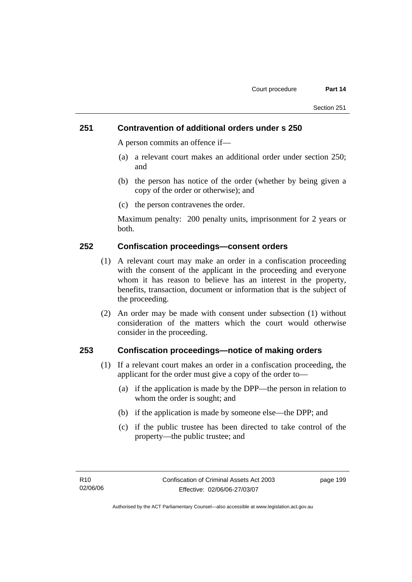### **251 Contravention of additional orders under s 250**

A person commits an offence if—

- (a) a relevant court makes an additional order under section 250; and
- (b) the person has notice of the order (whether by being given a copy of the order or otherwise); and
- (c) the person contravenes the order.

Maximum penalty: 200 penalty units, imprisonment for 2 years or both.

### **252 Confiscation proceedings—consent orders**

- (1) A relevant court may make an order in a confiscation proceeding with the consent of the applicant in the proceeding and everyone whom it has reason to believe has an interest in the property, benefits, transaction, document or information that is the subject of the proceeding.
- (2) An order may be made with consent under subsection (1) without consideration of the matters which the court would otherwise consider in the proceeding.

#### **253 Confiscation proceedings—notice of making orders**

- (1) If a relevant court makes an order in a confiscation proceeding, the applicant for the order must give a copy of the order to—
	- (a) if the application is made by the DPP—the person in relation to whom the order is sought; and
	- (b) if the application is made by someone else—the DPP; and
	- (c) if the public trustee has been directed to take control of the property—the public trustee; and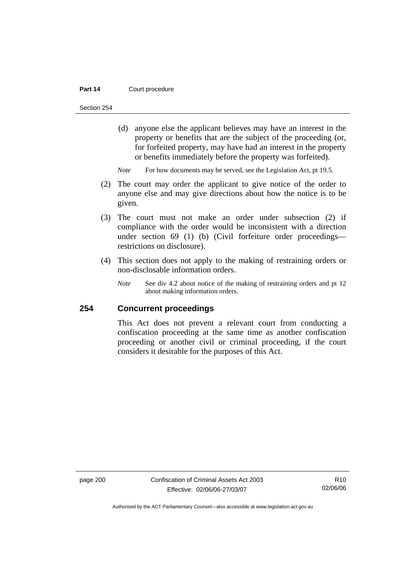Section 254

 (d) anyone else the applicant believes may have an interest in the property or benefits that are the subject of the proceeding (or, for forfeited property, may have had an interest in the property or benefits immediately before the property was forfeited).

*Note* For how documents may be served, see the Legislation Act, pt 19.5.

- (2) The court may order the applicant to give notice of the order to anyone else and may give directions about how the notice is to be given.
- (3) The court must not make an order under subsection (2) if compliance with the order would be inconsistent with a direction under section 69 (1) (b) (Civil forfeiture order proceedings restrictions on disclosure).
- (4) This section does not apply to the making of restraining orders or non-disclosable information orders.
	- *Note* See div 4.2 about notice of the making of restraining orders and pt 12 about making information orders.

### **254 Concurrent proceedings**

This Act does not prevent a relevant court from conducting a confiscation proceeding at the same time as another confiscation proceeding or another civil or criminal proceeding, if the court considers it desirable for the purposes of this Act.

page 200 Confiscation of Criminal Assets Act 2003 Effective: 02/06/06-27/03/07

R10 02/06/06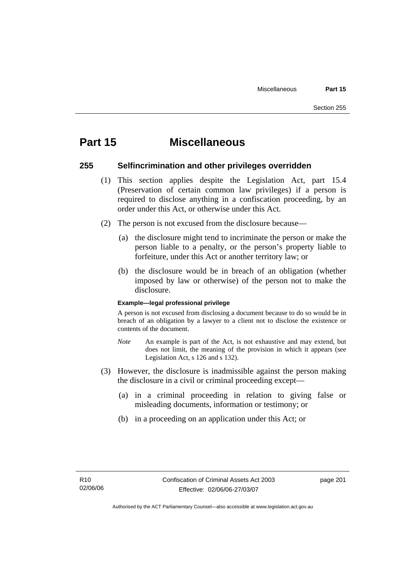# **Part 15 Miscellaneous**

#### **255 Selfincrimination and other privileges overridden**

- (1) This section applies despite the Legislation Act, part 15.4 (Preservation of certain common law privileges) if a person is required to disclose anything in a confiscation proceeding, by an order under this Act, or otherwise under this Act.
- (2) The person is not excused from the disclosure because—
	- (a) the disclosure might tend to incriminate the person or make the person liable to a penalty, or the person's property liable to forfeiture, under this Act or another territory law; or
	- (b) the disclosure would be in breach of an obligation (whether imposed by law or otherwise) of the person not to make the disclosure.

#### **Example—legal professional privilege**

A person is not excused from disclosing a document because to do so would be in breach of an obligation by a lawyer to a client not to disclose the existence or contents of the document.

- *Note* An example is part of the Act, is not exhaustive and may extend, but does not limit, the meaning of the provision in which it appears (see Legislation Act, s 126 and s 132).
- (3) However, the disclosure is inadmissible against the person making the disclosure in a civil or criminal proceeding except—
	- (a) in a criminal proceeding in relation to giving false or misleading documents, information or testimony; or
	- (b) in a proceeding on an application under this Act; or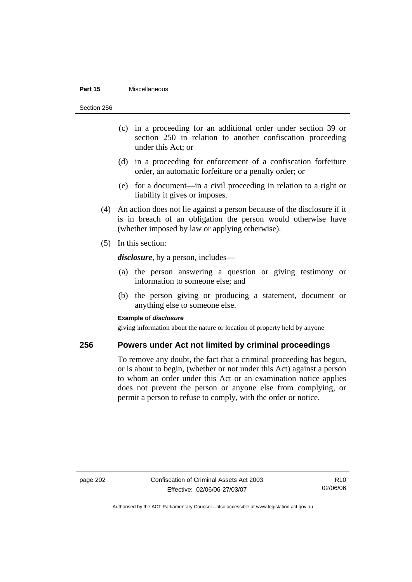#### **Part 15** Miscellaneous

Section 256

- (c) in a proceeding for an additional order under section 39 or section 250 in relation to another confiscation proceeding under this Act; or
- (d) in a proceeding for enforcement of a confiscation forfeiture order, an automatic forfeiture or a penalty order; or
- (e) for a document—in a civil proceeding in relation to a right or liability it gives or imposes.
- (4) An action does not lie against a person because of the disclosure if it is in breach of an obligation the person would otherwise have (whether imposed by law or applying otherwise).
- (5) In this section:

*disclosure*, by a person, includes—

- (a) the person answering a question or giving testimony or information to someone else; and
- (b) the person giving or producing a statement, document or anything else to someone else.

#### **Example of** *disclosure*

giving information about the nature or location of property held by anyone

# **256 Powers under Act not limited by criminal proceedings**

To remove any doubt, the fact that a criminal proceeding has begun, or is about to begin, (whether or not under this Act) against a person to whom an order under this Act or an examination notice applies does not prevent the person or anyone else from complying, or permit a person to refuse to comply, with the order or notice.

R10 02/06/06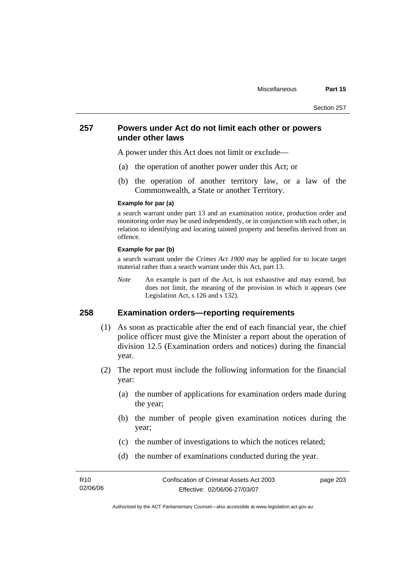## **257 Powers under Act do not limit each other or powers under other laws**

A power under this Act does not limit or exclude—

- (a) the operation of another power under this Act; or
- (b) the operation of another territory law, or a law of the Commonwealth, a State or another Territory.

#### **Example for par (a)**

a search warrant under part 13 and an examination notice, production order and monitoring order may be used independently, or in conjunction with each other, in relation to identifying and locating tainted property and benefits derived from an offence.

#### **Example for par (b)**

a search warrant under the *Crimes Act 1900* may be applied for to locate target material rather than a search warrant under this Act, part 13.

*Note* An example is part of the Act, is not exhaustive and may extend, but does not limit, the meaning of the provision in which it appears (see Legislation Act, s 126 and s 132).

## **258 Examination orders—reporting requirements**

- (1) As soon as practicable after the end of each financial year, the chief police officer must give the Minister a report about the operation of division 12.5 (Examination orders and notices) during the financial year.
- (2) The report must include the following information for the financial year:
	- (a) the number of applications for examination orders made during the year;
	- (b) the number of people given examination notices during the year;
	- (c) the number of investigations to which the notices related;
	- (d) the number of examinations conducted during the year.

| R <sub>10</sub> | Confiscation of Criminal Assets Act 2003 | page 203 |
|-----------------|------------------------------------------|----------|
| 02/06/06        | Effective: 02/06/06-27/03/07             |          |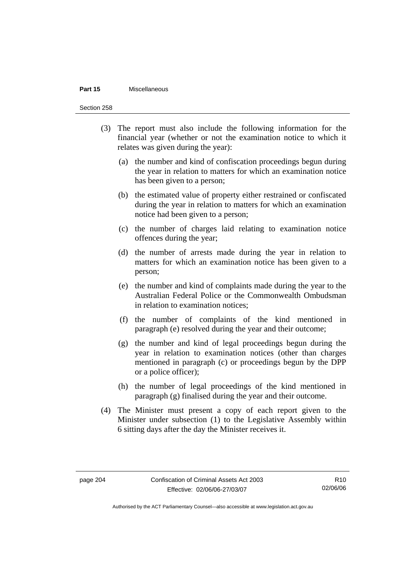#### **Part 15** Miscellaneous

Section 258

- (3) The report must also include the following information for the financial year (whether or not the examination notice to which it relates was given during the year):
	- (a) the number and kind of confiscation proceedings begun during the year in relation to matters for which an examination notice has been given to a person;
	- (b) the estimated value of property either restrained or confiscated during the year in relation to matters for which an examination notice had been given to a person;
	- (c) the number of charges laid relating to examination notice offences during the year;
	- (d) the number of arrests made during the year in relation to matters for which an examination notice has been given to a person;
	- (e) the number and kind of complaints made during the year to the Australian Federal Police or the Commonwealth Ombudsman in relation to examination notices;
	- (f) the number of complaints of the kind mentioned in paragraph (e) resolved during the year and their outcome;
	- (g) the number and kind of legal proceedings begun during the year in relation to examination notices (other than charges mentioned in paragraph (c) or proceedings begun by the DPP or a police officer);
	- (h) the number of legal proceedings of the kind mentioned in paragraph (g) finalised during the year and their outcome.
- (4) The Minister must present a copy of each report given to the Minister under subsection (1) to the Legislative Assembly within 6 sitting days after the day the Minister receives it.

R10 02/06/06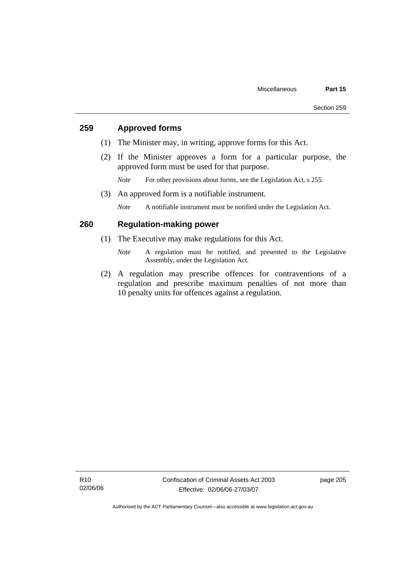## **259 Approved forms**

- (1) The Minister may, in writing, approve forms for this Act.
- (2) If the Minister approves a form for a particular purpose, the approved form must be used for that purpose.
	- *Note* For other provisions about forms, see the Legislation Act, s 255.
- (3) An approved form is a notifiable instrument.

*Note* A notifiable instrument must be notified under the Legislation Act.

## **260 Regulation-making power**

- (1) The Executive may make regulations for this Act.
	- *Note* A regulation must be notified, and presented to the Legislative Assembly, under the Legislation Act.
- (2) A regulation may prescribe offences for contraventions of a regulation and prescribe maximum penalties of not more than 10 penalty units for offences against a regulation.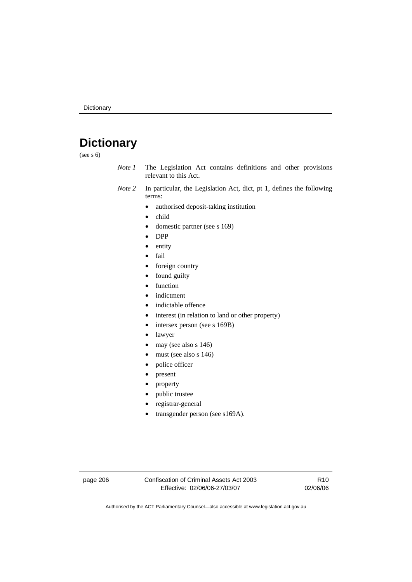# **Dictionary**

(see s 6)

- *Note 1* The Legislation Act contains definitions and other provisions relevant to this Act.
- *Note 2* In particular, the Legislation Act, dict, pt 1, defines the following terms:
	- authorised deposit-taking institution
	- child
	- domestic partner (see s 169)
	- DPP
	- entity
	- fail
	- foreign country
	- found guilty
	- function
	- indictment
	- indictable offence
	- interest (in relation to land or other property)
	- intersex person (see s 169B)
	- lawyer
	- may (see also s 146)
	- must (see also s 146)
	- police officer
	- present
	- property
	- public trustee
	- registrar-general
	- transgender person (see s169A).

page 206 Confiscation of Criminal Assets Act 2003 Effective: 02/06/06-27/03/07

R10 02/06/06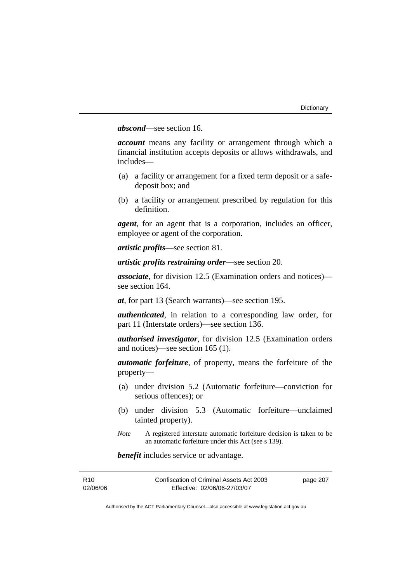## *abscond*—see section 16.

*account* means any facility or arrangement through which a financial institution accepts deposits or allows withdrawals, and includes—

- (a) a facility or arrangement for a fixed term deposit or a safedeposit box; and
- (b) a facility or arrangement prescribed by regulation for this definition.

*agent*, for an agent that is a corporation, includes an officer, employee or agent of the corporation.

*artistic profits*—see section 81.

*artistic profits restraining order*—see section 20.

*associate*, for division 12.5 (Examination orders and notices) see section 164.

*at*, for part 13 (Search warrants)—see section 195.

*authenticated*, in relation to a corresponding law order, for part 11 (Interstate orders)—see section 136.

*authorised investigator*, for division 12.5 (Examination orders and notices)—see section 165 (1).

*automatic forfeiture*, of property, means the forfeiture of the property—

- (a) under division 5.2 (Automatic forfeiture—conviction for serious offences); or
- (b) under division 5.3 (Automatic forfeiture—unclaimed tainted property).
- *Note* A registered interstate automatic forfeiture decision is taken to be an automatic forfeiture under this Act (see s 139).

*benefit* includes service or advantage.

| R <sub>10</sub> | Confiscation of Criminal Assets Act 2003 | page 207 |
|-----------------|------------------------------------------|----------|
| 02/06/06        | Effective: 02/06/06-27/03/07             |          |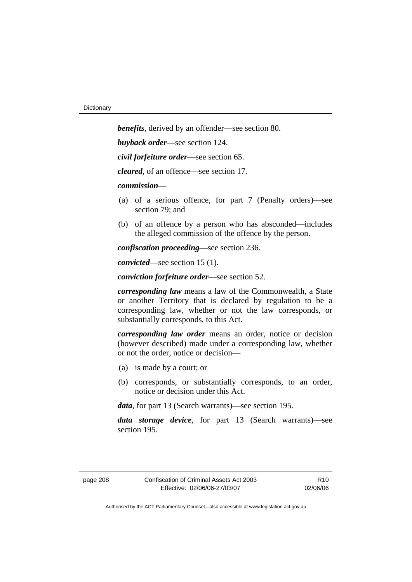*benefits*, derived by an offender—see section 80. *buyback order*—see section 124. *civil forfeiture order*—see section 65. *cleared*, of an offence—see section 17. *commission*— (a) of a serious offence, for part 7 (Penalty orders)—see section 79; and (b) of an offence by a person who has absconded—includes the alleged commission of the offence by the person. *confiscation proceeding*—see section 236.

*convicted*—see section 15 (1).

*conviction forfeiture order*—see section 52.

*corresponding law* means a law of the Commonwealth, a State or another Territory that is declared by regulation to be a corresponding law, whether or not the law corresponds, or substantially corresponds, to this Act.

*corresponding law order* means an order, notice or decision (however described) made under a corresponding law, whether or not the order, notice or decision—

- (a) is made by a court; or
- (b) corresponds, or substantially corresponds, to an order, notice or decision under this Act.

*data*, for part 13 (Search warrants)—see section 195.

*data storage device*, for part 13 (Search warrants)—see section 195.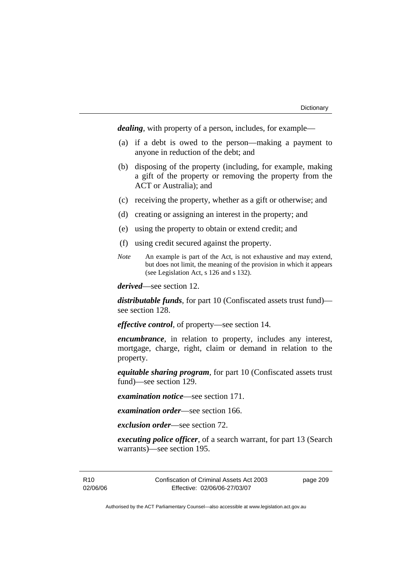*dealing*, with property of a person, includes, for example—

- (a) if a debt is owed to the person—making a payment to anyone in reduction of the debt; and
- (b) disposing of the property (including, for example, making a gift of the property or removing the property from the ACT or Australia); and
- (c) receiving the property, whether as a gift or otherwise; and
- (d) creating or assigning an interest in the property; and
- (e) using the property to obtain or extend credit; and
- (f) using credit secured against the property.
- *Note* An example is part of the Act, is not exhaustive and may extend, but does not limit, the meaning of the provision in which it appears (see Legislation Act, s 126 and s 132).

*derived*—see section 12.

*distributable funds*, for part 10 (Confiscated assets trust fund) see section 128.

*effective control*, of property—see section 14.

*encumbrance*, in relation to property, includes any interest, mortgage, charge, right, claim or demand in relation to the property.

*equitable sharing program*, for part 10 (Confiscated assets trust fund)—see section 129.

*examination notice*—see section 171.

*examination order*—see section 166.

*exclusion order*—see section 72.

*executing police officer*, of a search warrant, for part 13 (Search warrants)—see section 195.

R10 02/06/06 Confiscation of Criminal Assets Act 2003 Effective: 02/06/06-27/03/07

page 209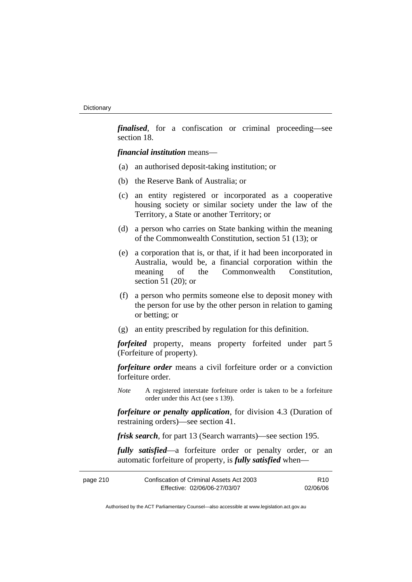*finalised*, for a confiscation or criminal proceeding—see section 18.

*financial institution* means—

- (a) an authorised deposit-taking institution; or
- (b) the Reserve Bank of Australia; or
- (c) an entity registered or incorporated as a cooperative housing society or similar society under the law of the Territory, a State or another Territory; or
- (d) a person who carries on State banking within the meaning of the Commonwealth Constitution, section 51 (13); or
- (e) a corporation that is, or that, if it had been incorporated in Australia, would be, a financial corporation within the meaning of the Commonwealth Constitution, section 51 (20); or
- (f) a person who permits someone else to deposit money with the person for use by the other person in relation to gaming or betting; or
- (g) an entity prescribed by regulation for this definition.

*forfeited* property, means property forfeited under part 5 (Forfeiture of property).

*forfeiture order* means a civil forfeiture order or a conviction forfeiture order.

*Note* A registered interstate forfeiture order is taken to be a forfeiture order under this Act (see s 139).

*forfeiture or penalty application*, for division 4.3 (Duration of restraining orders)—see section 41.

*frisk search*, for part 13 (Search warrants)—see section 195.

*fully satisfied*—a forfeiture order or penalty order, or an automatic forfeiture of property, is *fully satisfied* when—

| page 210 | Confiscation of Criminal Assets Act 2003 | R <sub>10</sub> |
|----------|------------------------------------------|-----------------|
|          | Effective: 02/06/06-27/03/07             | 02/06/06        |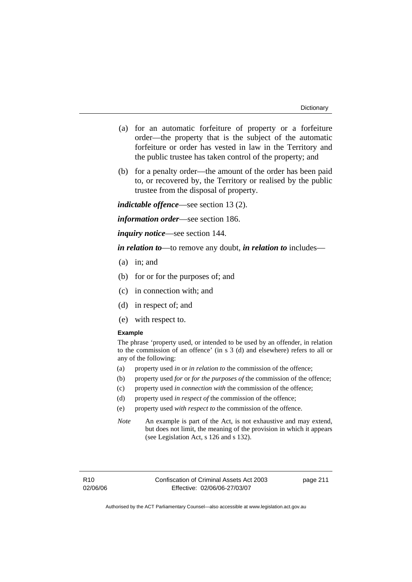- (a) for an automatic forfeiture of property or a forfeiture order—the property that is the subject of the automatic forfeiture or order has vested in law in the Territory and the public trustee has taken control of the property; and
- (b) for a penalty order—the amount of the order has been paid to, or recovered by, the Territory or realised by the public trustee from the disposal of property.

*indictable offence*—see section 13 (2).

*information order*—see section 186.

*inquiry notice*—see section 144.

*in relation to*—to remove any doubt, *in relation to* includes—

- (a) in; and
- (b) for or for the purposes of; and
- (c) in connection with; and
- (d) in respect of; and
- (e) with respect to.

#### **Example**

The phrase 'property used, or intended to be used by an offender, in relation to the commission of an offence' (in s 3 (d) and elsewhere) refers to all or any of the following:

- (a) property used *in* or *in relation to* the commission of the offence;
- (b) property used *for* or *for the purposes of* the commission of the offence;
- (c) property used *in connection with* the commission of the offence;
- (d) property used *in respect of* the commission of the offence;
- (e) property used *with respect to* the commission of the offence.
- *Note* An example is part of the Act, is not exhaustive and may extend, but does not limit, the meaning of the provision in which it appears (see Legislation Act, s 126 and s 132).

page 211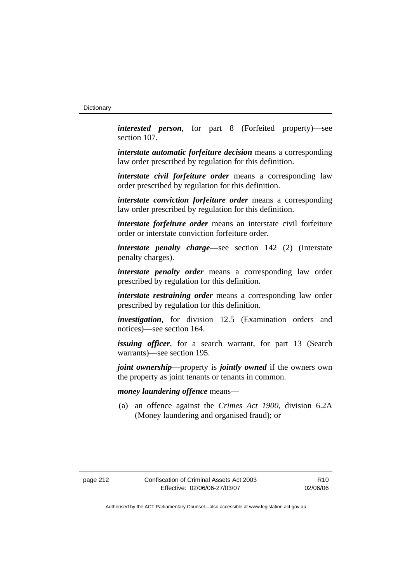*interested person*, for part 8 (Forfeited property)—see section 107.

*interstate automatic forfeiture decision* means a corresponding law order prescribed by regulation for this definition.

*interstate civil forfeiture order* means a corresponding law order prescribed by regulation for this definition.

*interstate conviction forfeiture order* means a corresponding law order prescribed by regulation for this definition.

*interstate forfeiture order* means an interstate civil forfeiture order or interstate conviction forfeiture order.

*interstate penalty charge*—see section 142 (2) (Interstate penalty charges).

*interstate penalty order* means a corresponding law order prescribed by regulation for this definition.

*interstate restraining order* means a corresponding law order prescribed by regulation for this definition.

*investigation*, for division 12.5 (Examination orders and notices)—see section 164.

*issuing officer*, for a search warrant, for part 13 (Search warrants)—see section 195.

*joint ownership*—property is *jointly owned* if the owners own the property as joint tenants or tenants in common.

## *money laundering offence* means—

 (a) an offence against the *Crimes Act 1900*, division 6.2A (Money laundering and organised fraud); or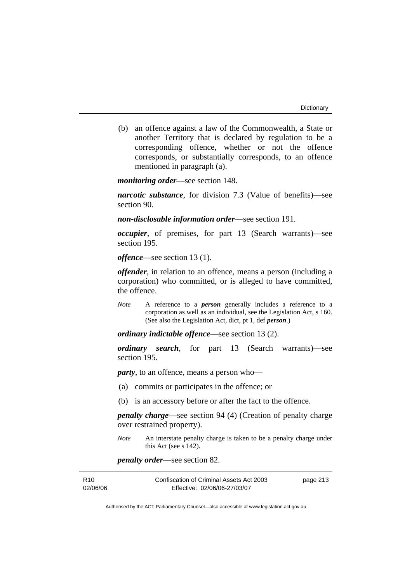(b) an offence against a law of the Commonwealth, a State or another Territory that is declared by regulation to be a corresponding offence, whether or not the offence corresponds, or substantially corresponds, to an offence mentioned in paragraph (a).

*monitoring order*—see section 148.

*narcotic substance*, for division 7.3 (Value of benefits)—see section 90.

*non-disclosable information order*—see section 191.

*occupier*, of premises, for part 13 (Search warrants)—see section 195.

*offence*—see section 13 (1).

*offender*, in relation to an offence, means a person (including a corporation) who committed, or is alleged to have committed, the offence.

*Note* A reference to a *person* generally includes a reference to a corporation as well as an individual, see the Legislation Act, s 160. (See also the Legislation Act, dict, pt 1, def *person*.)

*ordinary indictable offence*—see section 13 (2).

*ordinary search*, for part 13 (Search warrants)—see section 195.

*party*, to an offence, means a person who—

- (a) commits or participates in the offence; or
- (b) is an accessory before or after the fact to the offence.

*penalty charge*—see section 94 (4) (Creation of penalty charge over restrained property).

*Note* An interstate penalty charge is taken to be a penalty charge under this Act (see s 142).

*penalty order*—see section 82.

| R <sub>10</sub> | Confiscation of Criminal Assets Act 2003 | page 213 |
|-----------------|------------------------------------------|----------|
| 02/06/06        | Effective: 02/06/06-27/03/07             |          |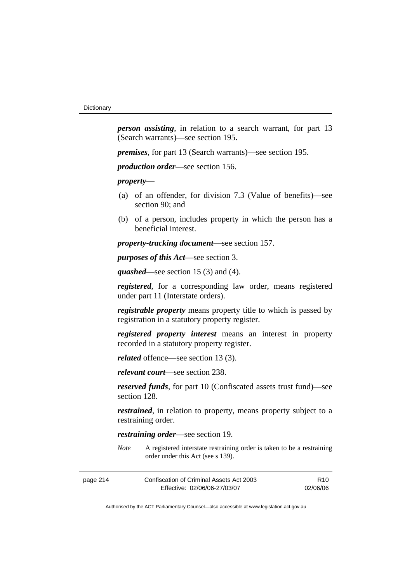*person assisting*, in relation to a search warrant, for part 13 (Search warrants)—see section 195.

*premises*, for part 13 (Search warrants)—see section 195.

*production order*—see section 156.

*property*—

- (a) of an offender, for division 7.3 (Value of benefits)—see section 90; and
- (b) of a person, includes property in which the person has a beneficial interest.

*property-tracking document*—see section 157.

*purposes of this Act*—see section 3.

*quashed*—see section 15 (3) and (4).

*registered*, for a corresponding law order, means registered under part 11 (Interstate orders).

*registrable property* means property title to which is passed by registration in a statutory property register.

*registered property interest* means an interest in property recorded in a statutory property register.

*related* offence—see section 13 (3).

*relevant court*—see section 238.

*reserved funds*, for part 10 (Confiscated assets trust fund)—see section 128.

*restrained*, in relation to property, means property subject to a restraining order.

*restraining order*—see section 19.

*Note* A registered interstate restraining order is taken to be a restraining order under this Act (see s 139).

| page 214 | Confiscation of Criminal Assets Act 2003 | R10      |
|----------|------------------------------------------|----------|
|          | Effective: 02/06/06-27/03/07             | 02/06/06 |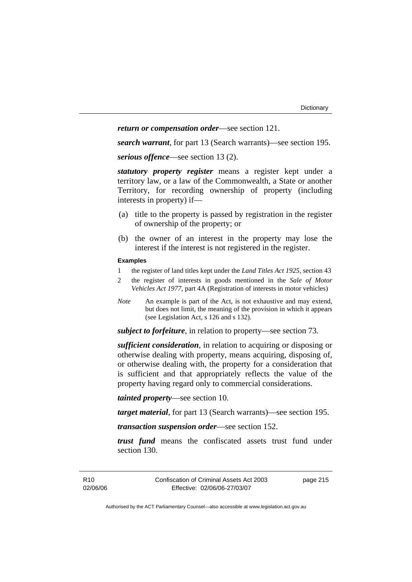## *return or compensation order*—see section 121.

*search warrant*, for part 13 (Search warrants)—see section 195.

*serious offence*—see section 13 (2).

*statutory property register* means a register kept under a territory law, or a law of the Commonwealth, a State or another Territory, for recording ownership of property (including interests in property) if—

- (a) title to the property is passed by registration in the register of ownership of the property; or
- (b) the owner of an interest in the property may lose the interest if the interest is not registered in the register.

#### **Examples**

- 1 the register of land titles kept under the *Land Titles Act 1925*, section 43
- 2 the register of interests in goods mentioned in the *Sale of Motor Vehicles Act 1977*, part 4A (Registration of interests in motor vehicles)
- *Note* An example is part of the Act, is not exhaustive and may extend, but does not limit, the meaning of the provision in which it appears (see Legislation Act, s 126 and s 132).

*subject to forfeiture*, in relation to property—see section 73.

*sufficient consideration*, in relation to acquiring or disposing or otherwise dealing with property, means acquiring, disposing of, or otherwise dealing with, the property for a consideration that is sufficient and that appropriately reflects the value of the property having regard only to commercial considerations.

*tainted property*—see section 10.

*target material*, for part 13 (Search warrants)—see section 195.

*transaction suspension order*—see section 152.

*trust fund* means the confiscated assets trust fund under section 130.

page 215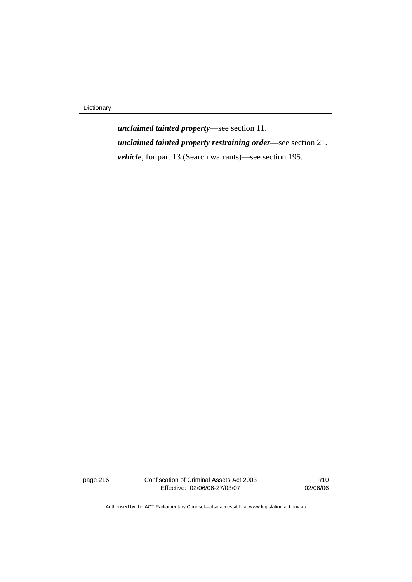Dictionary

*unclaimed tainted property*—see section 11. *unclaimed tainted property restraining order*—see section 21. *vehicle*, for part 13 (Search warrants)—see section 195.

page 216 Confiscation of Criminal Assets Act 2003 Effective: 02/06/06-27/03/07

R10 02/06/06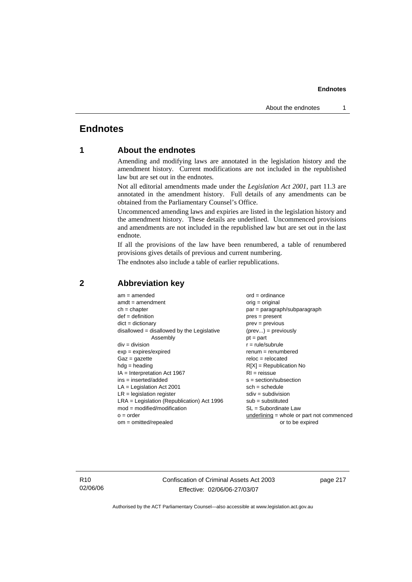# **Endnotes**

# **1 About the endnotes**

Amending and modifying laws are annotated in the legislation history and the amendment history. Current modifications are not included in the republished law but are set out in the endnotes.

Not all editorial amendments made under the *Legislation Act 2001*, part 11.3 are annotated in the amendment history. Full details of any amendments can be obtained from the Parliamentary Counsel's Office.

Uncommenced amending laws and expiries are listed in the legislation history and the amendment history. These details are underlined. Uncommenced provisions and amendments are not included in the republished law but are set out in the last endnote.

If all the provisions of the law have been renumbered, a table of renumbered provisions gives details of previous and current numbering.

The endnotes also include a table of earlier republications.

| $am = amended$                               | $ord = ordinance$                         |
|----------------------------------------------|-------------------------------------------|
| $amdt = amendment$                           | $orig = original$                         |
| $ch = chapter$                               | par = paragraph/subparagraph              |
| $def = definition$                           | $pres = present$                          |
| $dict = dictionary$                          | $prev = previous$                         |
| $disallowed = disallowed by the Legislative$ | $(\text{prev}) = \text{previously}$       |
| Assembly                                     | $pt = part$                               |
| $div = division$                             | $r = rule/subrule$                        |
| $exp = expires/expired$                      | $remum = renumbered$                      |
| $Gaz = gazette$                              | $reloc = relocated$                       |
| $hda =$ heading                              | $R[X]$ = Republication No                 |
| $IA = Interpretation Act 1967$               | $RI = reissue$                            |
| $ins = inserted/added$                       | $s = section/subsection$                  |
| $LA =$ Legislation Act 2001                  | $sch = schedule$                          |
| $LR =$ legislation register                  | $sdiv = subdivision$                      |
| $LRA =$ Legislation (Republication) Act 1996 | $sub = substituted$                       |
| $mod = modified/modification$                | $SL = Subordinate$ Law                    |
| $o = order$                                  | underlining = whole or part not commenced |
| $om = omitted/repealed$                      | or to be expired                          |
|                                              |                                           |

## **2 Abbreviation key**

R10 02/06/06 Confiscation of Criminal Assets Act 2003 Effective: 02/06/06-27/03/07

page 217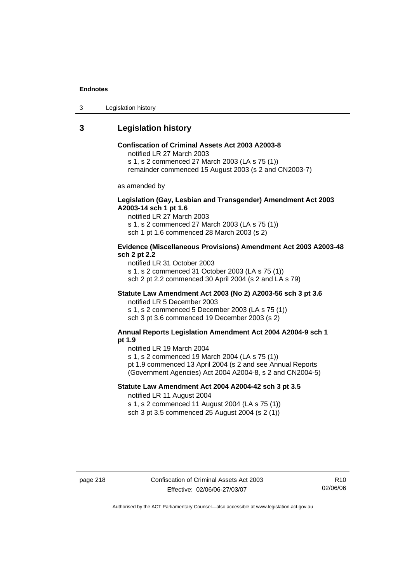3 Legislation history

# **3 Legislation history**

## **Confiscation of Criminal Assets Act 2003 A2003-8**

notified LR 27 March 2003

s 1, s 2 commenced 27 March 2003 (LA s 75 (1))

remainder commenced 15 August 2003 (s 2 and CN2003-7)

as amended by

## **Legislation (Gay, Lesbian and Transgender) Amendment Act 2003 A2003-14 sch 1 pt 1.6**

notified LR 27 March 2003 s 1, s 2 commenced 27 March 2003 (LA s 75 (1)) sch 1 pt 1.6 commenced 28 March 2003 (s 2)

### **Evidence (Miscellaneous Provisions) Amendment Act 2003 A2003-48 sch 2 pt 2.2**

notified LR 31 October 2003 s 1, s 2 commenced 31 October 2003 (LA s 75 (1)) sch 2 pt 2.2 commenced 30 April 2004 (s 2 and LA s 79)

## **Statute Law Amendment Act 2003 (No 2) A2003-56 sch 3 pt 3.6**

notified LR 5 December 2003 s 1, s 2 commenced 5 December 2003 (LA s 75 (1)) sch 3 pt 3.6 commenced 19 December 2003 (s 2)

#### **Annual Reports Legislation Amendment Act 2004 A2004-9 sch 1 pt 1.9**

notified LR 19 March 2004

s 1, s 2 commenced 19 March 2004 (LA s 75 (1))

pt 1.9 commenced 13 April 2004 (s 2 and see Annual Reports (Government Agencies) Act 2004 A2004-8, s 2 and CN2004-5)

## **Statute Law Amendment Act 2004 A2004-42 sch 3 pt 3.5**  notified LR 11 August 2004

s 1, s 2 commenced 11 August 2004 (LA s 75 (1)) sch 3 pt 3.5 commenced 25 August 2004 (s 2 (1))

page 218 Confiscation of Criminal Assets Act 2003 Effective: 02/06/06-27/03/07

R10 02/06/06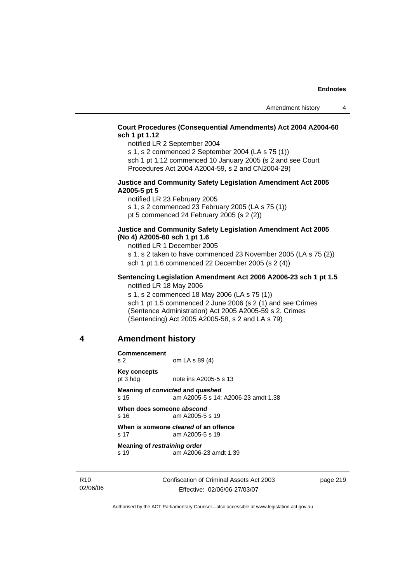## **Court Procedures (Consequential Amendments) Act 2004 A2004-60 sch 1 pt 1.12**

notified LR 2 September 2004

s 1, s 2 commenced 2 September 2004 (LA s 75 (1)) sch 1 pt 1.12 commenced 10 January 2005 (s 2 and see Court

Procedures Act 2004 A2004-59, s 2 and CN2004-29)

#### **Justice and Community Safety Legislation Amendment Act 2005 A2005-5 pt 5**

notified LR 23 February 2005 s 1, s 2 commenced 23 February 2005 (LA s 75 (1)) pt 5 commenced 24 February 2005 (s 2 (2))

#### **Justice and Community Safety Legislation Amendment Act 2005 (No 4) A2005-60 sch 1 pt 1.6**

notified LR 1 December 2005

s 1, s 2 taken to have commenced 23 November 2005 (LA s 75 (2)) sch 1 pt 1.6 commenced 22 December 2005 (s 2 (4))

### **Sentencing Legislation Amendment Act 2006 A2006-23 sch 1 pt 1.5**  notified LR 18 May 2006

s 1, s 2 commenced 18 May 2006 (LA s 75 (1)) sch 1 pt 1.5 commenced 2 June 2006 (s 2 (1) and see Crimes (Sentence Administration) Act 2005 A2005-59 s 2, Crimes (Sentencing) Act 2005 A2005-58, s 2 and LA s 79)

# **4 Amendment history**

**Commencement** 

s 2 om LA s 89 (4) **Key concepts** 

pt 3 hdg note ins A2005-5 s 13

**Meaning of** *convicted* **and** *quashed* s 15 am A2005-5 s 14; A2006-23 amdt 1.38

**When does someone** *abscond* s 16 am A2005-5 s 19

#### **When is someone** *cleared* **of an offence**  s 17 am A2005-5 s 19

**Meaning of** *restraining order*  s 19 am A2006-23 amdt 1.39

R10 02/06/06 Confiscation of Criminal Assets Act 2003 Effective: 02/06/06-27/03/07

page 219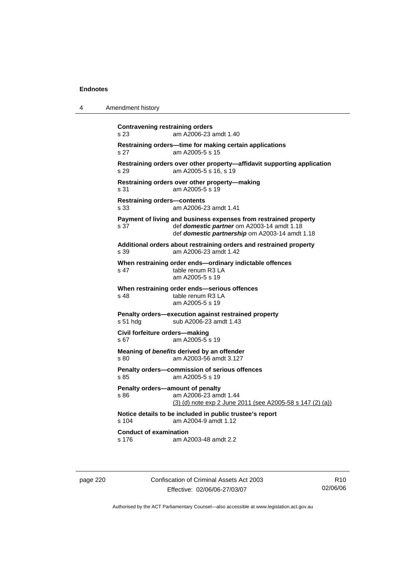4 Amendment history

| s 23                                       | am A2006-23 amdt 1.40                                                                                                                                            |
|--------------------------------------------|------------------------------------------------------------------------------------------------------------------------------------------------------------------|
| s 27                                       | Restraining orders-time for making certain applications<br>am A2005-5 s 15                                                                                       |
| s.29                                       | Restraining orders over other property-affidavit supporting application<br>am A2005-5 s 16, s 19                                                                 |
| s 31                                       | Restraining orders over other property-making<br>am A2005-5 s 19                                                                                                 |
| <b>Restraining orders-contents</b><br>s 33 | am A2006-23 amdt 1.41                                                                                                                                            |
| s 37                                       | Payment of living and business expenses from restrained property<br>def domestic partner om A2003-14 amdt 1.18<br>def domestic partnership om A2003-14 amdt 1.18 |
| s.39                                       | Additional orders about restraining orders and restrained property<br>am A2006-23 amdt 1.42                                                                      |
| s 47                                       | When restraining order ends-ordinary indictable offences<br>table renum R3 LA<br>am A2005-5 s 19                                                                 |
| s <sub>48</sub>                            | When restraining order ends-serious offences<br>table renum R3 LA<br>am A2005-5 s 19                                                                             |
| s 51 hdg                                   | Penalty orders-execution against restrained property<br>sub A2006-23 amdt 1.43                                                                                   |
| s 67                                       | Civil forfeiture orders-making<br>am A2005-5 s 19                                                                                                                |
| s 80                                       | Meaning of benefits derived by an offender<br>am A2003-56 amdt 3.127                                                                                             |
| s 85                                       | Penalty orders-commission of serious offences<br>am A2005-5 s 19                                                                                                 |
| \$86                                       | Penalty orders-amount of penalty<br>am A2006-23 amdt 1.44<br>(3) (d) note exp 2 June 2011 (see A2005-58 s 147 (2) (a))                                           |
| s 104                                      | Notice details to be included in public trustee's report<br>am A2004-9 amdt 1.12                                                                                 |
| <b>Conduct of examination</b>              |                                                                                                                                                                  |

page 220 Confiscation of Criminal Assets Act 2003 Effective: 02/06/06-27/03/07

R10 02/06/06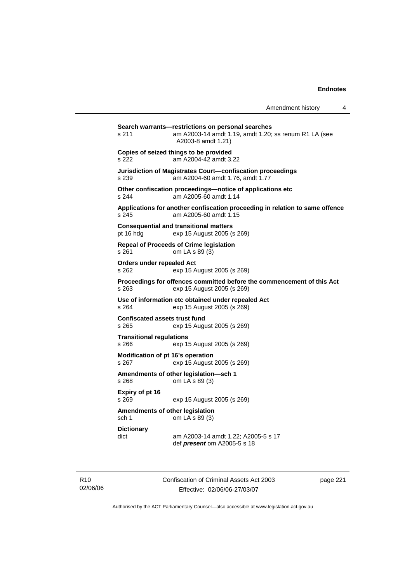| Amendment history |  |
|-------------------|--|
|-------------------|--|

**Search warrants—restrictions on personal searches**  s 211 am A2003-14 amdt 1.19, amdt 1.20; ss renum R1 LA (see A2003-8 amdt 1.21) **Copies of seized things to be provided**  s 222 am A2004-42 amdt 3.22 **Jurisdiction of Magistrates Court—confiscation proceedings**  s 239 am A2004-60 amdt 1.76, amdt 1.77 **Other confiscation proceedings—notice of applications etc**  s 244 am A2005-60 amdt 1.14 **Applications for another confiscation proceeding in relation to same offence**  s 245 am A2005-60 amdt 1.15 **Consequential and transitional matters**  pt 16 hdg exp 15 August 2005 (s 269) **Repeal of Proceeds of Crime legislation**  s 261 om LA s 89 (3) **Orders under repealed Act**  s 262 exp 15 August 2005 (s 269) **Proceedings for offences committed before the commencement of this Act**  s 263 exp 15 August 2005 (s 269) **Use of information etc obtained under repealed Act**  exp 15 August 2005 (s 269) **Confiscated assets trust fund**  s 265 exp 15 August 2005 (s 269) **Transitional regulations**  s 266 exp 15 August 2005 (s 269) **Modification of pt 16's operation**  s 267 exp 15 August 2005 (s 269) **Amendments of other legislation—sch 1**  s 268 om LA s 89 (3) **Expiry of pt 16**  s 269 exp 15 August 2005 (s 269) **Amendments of other legislation**  sch 1 om LA s 89 (3) **Dictionary**  dict am A2003-14 amdt 1.22; A2005-5 s 17 def *present* om A2005-5 s 18

R10 02/06/06 Confiscation of Criminal Assets Act 2003 Effective: 02/06/06-27/03/07

page 221